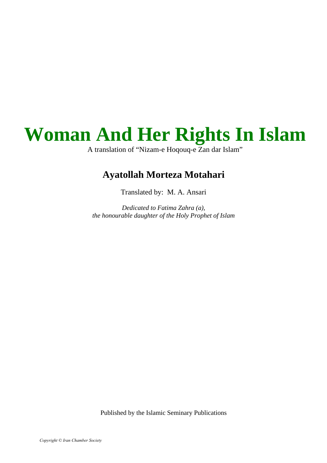

A translation of "Nizam-e Hoqouq-e Zan dar Islam"

### **Ayatollah Morteza Motahari**

Translated by: M. A. Ansari

*Dedicated to Fatima Zahra (a), the honourable daughter of the Holy Prophet of Islam*

Published by the Islamic Seminary Publications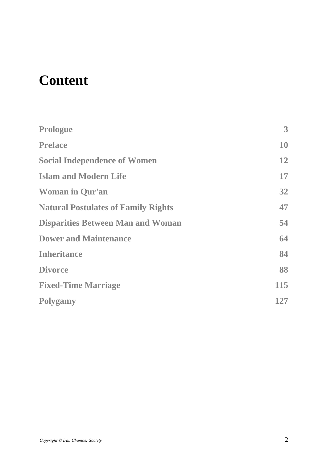# **Content**

| <b>Prologue</b>                            | $\overline{3}$ |
|--------------------------------------------|----------------|
| <b>Preface</b>                             | <b>10</b>      |
| <b>Social Independence of Women</b>        | 12             |
| <b>Islam and Modern Life</b>               | 17             |
| <b>Woman in Qur'an</b>                     | 32             |
| <b>Natural Postulates of Family Rights</b> | 47             |
| <b>Disparities Between Man and Woman</b>   | 54             |
| <b>Dower and Maintenance</b>               | 64             |
| <b>Inheritance</b>                         | 84             |
| <b>Divorce</b>                             | 88             |
| <b>Fixed-Time Marriage</b>                 | <b>115</b>     |
| <b>Polygamy</b>                            | 127            |
|                                            |                |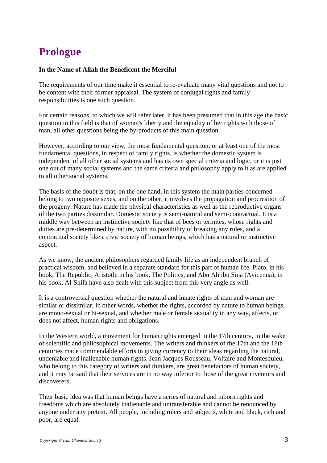### <span id="page-2-0"></span>**Prologue**

#### **In the Name of Allah the Beneficent the Merciful**

The requirements of our time make it essential to re-evaluate many vital questions and not to be content with their former appraisal. The system of conjugal rights and family responsibilities is one such question.

For certain reasons, to which we will refer later, it has been presumed that in this age the basic question in this field is that of woman's liberty and the equality of her rights with those of man, all other questions being the by-products of this main question.

However, according to our view, the most fundamental question, or at least one of the most fundamental questions, in respect of family rights, is whether the domestic system is independent of all other social systems and has its own special criteria and logic, or it is just one out of many social systems and the same criteria and philosophy apply to it as are applied to all other social systems.

The basis of the doubt is that, on the one hand, in this system the main parties concerned belong to two opposite sexes, and on the other, it involves the propagation and procreation of the progeny. Nature has made the physical characteristics as well as the reproductive organs of the two parties dissimilar. Domestic society is semi-natural and semi-contractual. It is a middle way between an instinctive society like that of bees or termites, whose rights and duties are pre-determined by nature, with no possibility of breaking any rules, and a contractual society like a civic society of human beings, which has a natural or instinctive aspect.

As we know, the ancient philosophers regarded family life as an independent branch of practical wisdom, and believed in a separate standard for this part of human life. Plato, in his book, The Republic, Aristotle in his book, The Politics, and Abu Ali ibn Sina (Avicenna), in his book, Al-Shifa have also dealt with this subject from this very angle as well.

It is a controversial question whether the natural and innate rights of man and woman are similar or dissimilar; in other words, whether the rights, accorded by nature to human beings, are mono-sexual or bi-sexual, and whether male or female sexuality in any way, affects, or does not affect, human rights and obligations.

In the Western world, a movement for human rights emerged in the 17th century, in the wake of scientific and philosophical movements. The writers and thinkers of the 17th and the 18th centuries made commendable efforts in giving currency to their ideas regarding the natural, undeniable and inalienable human rights. Jean Jacques Rousseau, Voltaire and Montesquieu, who belong to this category of writers and thinkers, are great benefactors of human society, and it may be said that their services are in no way inferior to those of the great inventors and discoverers.

Their basic idea was that human beings have a series of natural and inborn rights and freedoms which are absolutely inalienable and untransferable and cannot be renounced by anyone under any pretext. All people, including rulers and subjects, white and black, rich and poor, are equal.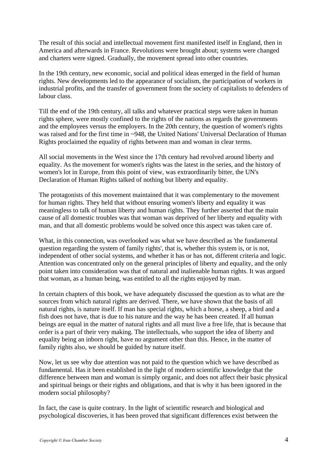The result of this social and intellectual movement first manifested itself in England, then in America and afterwards in France. Revolutions were brought about; systems were changed and charters were signed. Gradually, the movement spread into other countries.

In the 19th century, new economic, social and political ideas emerged in the field of human rights. New developments led to the appearance of socialism, the participation of workers in industrial profits, and the transfer of government from the society of capitalists to defenders of labour class.

Till the end of the 19th century, all talks and whatever practical steps were taken in human rights sphere, were mostly confined to the rights of the nations as regards the governments and the employees versus the employers. In the 20th century, the question of women's rights was raised and for the first time in ~948, the United Nations' Universal Declaration of Human Rights proclaimed the equality of rights between man and woman in clear terms.

All social movements in the West since the 17th century had revolved around liberty and equality. As the movement for women's rights was the latest in the series, and the history of women's lot in Europe, from this point of view, was extraordinarily bitter, the UN's Declaration of Human Rights talked of nothing but liberty and equality.

The protagonists of this movement maintained that it was complementary to the movement for human rights. They held that without ensuring women's liberty and equality it was meaningless to talk of human liberty and human rights. They further asserted that the main cause of all domestic troubles was that woman was deprived of her liberty and equality with man, and that all domestic problems would be solved once this aspect was taken care of.

What, in this connection, was overlooked was what we have described as 'the fundamental question regarding the system of family rights', that is, whether this system is, or is not, independent of other social systems, and whether it has or has not, different criteria and logic. Attention was concentrated only on the general principles of liberty and equality, and the only point taken into consideration was that of natural and inalienable human rights. It was argued that woman, as a human being, was entitled to all the rights enjoyed by man.

In certain chapters of this book, we have adequately discussed the question as to what are the sources from which natural rights are derived. There, we have shown that the basis of all natural rights, is nature itself. If man has special rights, which a horse, a sheep, a bird and a fish does not have, that is due to his nature and the way he has been created. If all human beings are equal in the matter of natural rights and all must live a free life, that is because that order is a part of their very making. The intellectuals, who support the idea of liberty and equality being an inborn right, have no argument other than this. Hence, in the matter of family rights also, we should be guided by nature itself.

Now, let us see why due attention was not paid to the question which we have described as fundamental. Has it been established in the light of modern scientific knowledge that the difference between man and woman is simply organic, and does not affect their basic physical and spiritual beings or their rights and obligations, and that is why it has been ignored in the modern social philosophy?

In fact, the case is quite contrary. In the light of scientific research and biological and psychological discoveries, it has been proved that significant differences exist between the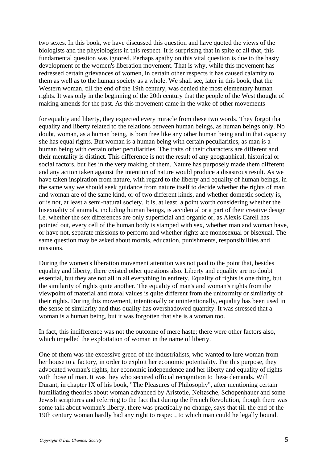two sexes. In this book, we have discussed this question and have quoted the views of the biologists and the physiologists in this respect. It is surprising that in spite of all that, this fundamental question was ignored. Perhaps apathy on this vital question is due to the hasty development of the women's liberation movement. That is why, while this movement has redressed certain grievances of women, in certain other respects it has caused calamity to them as well as to the human society as a whole. We shall see, later in this book, that the Western woman, till the end of the 19th century, was denied the most elementary human rights. It was only in the beginning of the 20th century that the people of the West thought of making amends for the past. As this movement came in the wake of other movements

for equality and liberty, they expected every miracle from these two words. They forgot that equality and liberty related to the relations between human beings, as human beings only. No doubt, woman, as a human being, is born free like any other human being and in that capacity she has equal rights. But woman is a human being with certain peculiarities, as man is a human being with certain other peculiarities. The traits of their characters are different and their mentality is distinct. This difference is not the result of any geographical, historical or social factors, but lies in the very making of them. Nature has purposely made them different and any action taken against the intention of nature would produce a disastrous result. As we have taken inspiration from nature, with regard to the liberty and equality of human beings, in the same way we should seek guidance from nature itself to decide whether the rights of man and woman are of the same kind, or of two different kinds, and whether domestic society is, or is not, at least a semi-natural society. It is, at least, a point worth considering whether the bisexuality of animals, including human beings, is accidental or a part of their creative design i.e. whether the sex differences are only superficial and organic or, as Alexis Carell has pointed out, every cell of the human body is stamped with sex, whether man and woman have, or have not, separate missions to perform and whether rights are monosexual or bisexual. The same question may be asked about morals, education, punishments, responsibilities and missions.

During the women's liberation movement attention was not paid to the point that, besides equality and liberty, there existed other questions also. Liberty and equality are no doubt essential, but they are not all in all everything in entirety. Equality of rights is one thing, but the similarity of rights quite another. The equality of man's and woman's rights from the viewpoint of material and moral values is quite different from the uniformity or similarity of their rights. During this movement, intentionally or unintentionally, equality has been used in the sense of similarity and thus quality has overshadowed quantity. It was stressed that a woman is a human being, but it was forgotten that she is a woman too.

In fact, this indifference was not the outcome of mere haste; there were other factors also, which impelled the exploitation of woman in the name of liberty.

One of them was the excessive greed of the industrialists, who wanted to lure woman from her house to a factory, in order to exploit her economic potentiality. For this purpose, they advocated woman's rights, her economic independence and her liberty and equality of rights with those of man. It was they who secured official recognition to these demands. Will Durant, in chapter IX of his book, "The Pleasures of Philosophy", after mentioning certain humiliating theories about woman advanced by Aristotle, Neitzsche, Schopenhauer and some Jewish scriptures and referring to the fact that during the French Revolution, though there was some talk about woman's liberty, there was practically no change, says that till the end of the 19th century woman hardly had any right to respect, to which man could he legally bound.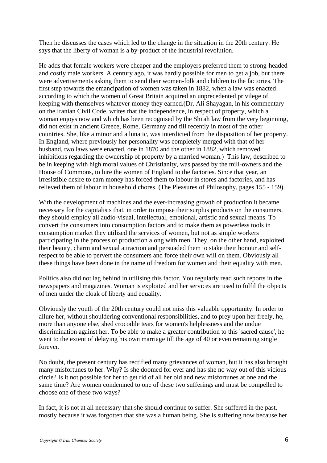Then he discusses the cases which led to the change in the situation in the 20th century. He says that the liberty of woman is a by-product of the industrial revolution.

He adds that female workers were cheaper and the employers preferred them to strong-headed and costly male workers. A century ago, it was hardly possible for men to get a job, but there were advertisements asking them to send their women-folk and children to the factories. The first step towards the emancipation of women was taken in 1882, when a law was enacted according to which the women of Great Britain acquired an unprecedented privilege of keeping with themselves whatever money they earned.(Dr. Ali Shayagan, in his commentary on the Iranian Civil Code, writes that the independence, in respect of property, which a woman enjoys now and which has been recognised by the Shi'ah law from the very beginning, did not exist in ancient Greece, Rome, Germany and till recently in most of the other countries. She, like a minor and a lunatic, was interdicted from the disposition of her property. In England, where previously her personality was completely merged with that of her husband, two laws were enacted, one in 1870 and the other in 1882, which removed inhibitions regarding the ownership of property by a married woman.) This law, described to be in keeping with high moral values of Christianity, was passed by the mill-owners and the House of Commons, to lure the women of England to the factories. Since that year, an irresistible desire to earn money has forced them to labour in stores and factories, and has relieved them of labour in household chores. (The Pleasures of Philosophy, pages 155 - 159).

With the development of machines and the ever-increasing growth of production it became necessary for the capitalists that, in order to impose their surplus products on the consumers, they should employ all audio-visual, intellectual, emotional, artistic and sexual means. To convert the consumers into consumption factors and to make them as powerless tools in consumption market they utilised the services of women, but not as simple workers participating in the process of production along with men. They, on the other hand, exploited their beauty, charm and sexual attraction and persuaded them to stake their honour and selfrespect to be able to pervert the consumers and force their own will on them. Obviously all these things have been done in the name of freedom for women and their equality with men.

Politics also did not lag behind in utilising this factor. You regularly read such reports in the newspapers and magazines. Woman is exploited and her services are used to fulfil the objects of men under the cloak of liberty and equality.

Obviously the youth of the 20th century could not miss this valuable opportunity. In order to allure her, without shouldering conventional responsibilities, and to prey upon her freely, he, more than anyone else, shed crocodile tears for women's helplessness and the undue discrimination against her. To be able to make a greater contribution to this 'sacred cause', he went to the extent of delaying his own marriage till the age of 40 or even remaining single forever.

No doubt, the present century has rectified many grievances of woman, but it has also brought many misfortunes to her. Why? Is she doomed for ever and has she no way out of this vicious circle? Is it not possible for her to get rid of all her old and new misfortunes at one and the same time? Are women condemned to one of these two sufferings and must be compelled to choose one of these two ways?

In fact, it is not at all necessary that she should continue to suffer. She suffered in the past, mostly because it was forgotten that she was a human being. She is suffering now because her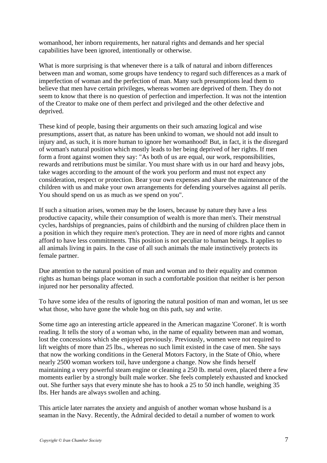womanhood, her inborn requirements, her natural rights and demands and her special capabilities have been ignored, intentionally or otherwise.

What is more surprising is that whenever there is a talk of natural and inborn differences between man and woman, some groups have tendency to regard such differences as a mark of imperfection of woman and the perfection of man. Many such presumptions lead them to believe that men have certain privileges, whereas women are deprived of them. They do not seem to know that there is no question of perfection and imperfection. It was not the intention of the Creator to make one of them perfect and privileged and the other defective and deprived.

These kind of people, basing their arguments on their such amazing logical and wise presumptions, assert that, as nature has been unkind to woman, we should not add insult to injury and, as such, it is more human to ignore her womanhood! But, in fact, it is the disregard of woman's natural position which mostly leads to her being deprived of her rights. If men form a front against women they say: "As both of us are equal, our work, responsibilities, rewards and retributions must be similar. You must share with us in our hard and heavy jobs, take wages according to the amount of the work you perform and must not expect any consideration, respect or protection. Bear your own expenses and share the maintenance of the children with us and make your own arrangements for defending yourselves against all perils. You should spend on us as much as we spend on you".

If such a situation arises, women may be the losers, because by nature they have a less productive capacity, while their consumption of wealth is more than men's. Their menstrual cycles, hardships of pregnancies, pains of childbirth and the nursing of children place them in a position in which they require men's protection. They are in need of more rights and cannot afford to have less commitments. This position is not peculiar to human beings. It applies to all animals living in pairs. In the case of all such animals the male instinctively protects its female partner.

Due attention to the natural position of man and woman and to their equality and common rights as human beings place woman in such a comfortable position that neither is her person injured nor her personality affected.

To have some idea of the results of ignoring the natural position of man and woman, let us see what those, who have gone the whole hog on this path, say and write.

Some time ago an interesting article appeared in the American magazine 'Coronet'. It is worth reading. It tells the story of a woman who, in the name of equality between man and woman, lost the concessions which she enjoyed previously. Previously, women were not required to lift weights of more than 25 lbs., whereas no such limit existed in the case of men. She says that now the working conditions in the General Motors Factory, in the State of Ohio, where nearly 2500 woman workers toil, have undergone a change. Now she finds herself maintaining a very powerful steam engine or cleaning a 250 lb. metal oven, placed there a few moments earlier by a strongly built male worker. She feels completely exhausted and knocked out. She further says that every minute she has to hook a 25 to 50 inch handle, weighing 35 lbs. Her hands are always swollen and aching.

This article later narrates the anxiety and anguish of another woman whose husband is a seaman in the Navy. Recently, the Admiral decided to detail a number of women to work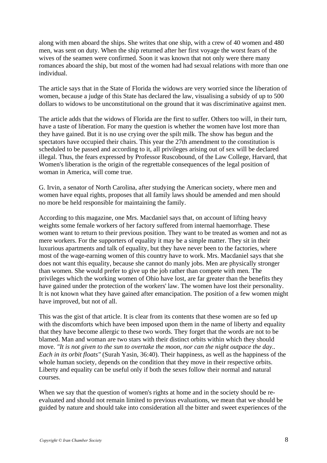along with men aboard the ships. She writes that one ship, with a crew of 40 women and 480 men, was sent on duty. When the ship returned after her first voyage the worst fears of the wives of the seamen were confirmed. Soon it was known that not only were there many romances aboard the ship, but most of the women had had sexual relations with more than one individual.

The article says that in the State of Florida the widows are very worried since the liberation of women, because a judge of this State has declared the law, visualising a subsidy of up to 500 dollars to widows to be unconstitutional on the ground that it was discriminative against men.

The article adds that the widows of Florida are the first to suffer. Others too will, in their turn, have a taste of liberation. For many the question is whether the women have lost more than they have gained. But it is no use crying over the spilt milk. The show has begun and the spectators have occupied their chairs. This year the 27th amendment to the constitution is scheduled to be passed and according to it, all privileges arising out of sex will be declared illegal. Thus, the fears expressed by Professor Ruscobound, of the Law College, Harvard, that Women's liberation is the origin of the regrettable consequences of the legal position of woman in America, will come true.

G. Irvin, a senator of North Carolina, after studying the American society, where men and women have equal rights, proposes that all family laws should be amended and men should no more be held responsible for maintaining the family.

According to this magazine, one Mrs. Macdaniel says that, on account of lifting heavy weights some female workers of her factory suffered from internal haemorrhage. These women want to return to their previous position. They want to be treated as women and not as mere workers. For the supporters of equality it may be a simple matter. They sit in their luxurious apartments and talk of equality, but they have never been to the factories, where most of the wage-earning women of this country have to work. Mrs. Macdaniel says that she does not want this equality, because she cannot do manly jobs. Men are physically stronger than women. She would prefer to give up the job rather than compete with men. The privileges which the working women of Ohio have lost, are far greater than the benefits they have gained under the protection of the workers' law. The women have lost their personality. It is not known what they have gained after emancipation. The position of a few women might have improved, but not of all.

This was the gist of that article. It is clear from its contents that these women are so fed up with the discomforts which have been imposed upon them in the name of liberty and equality that they have become allergic to these two words. They forget that the words are not to be blamed. Man and woman are two stars with their distinct orbits within which they should move. *"It is not given to the sun to overtake the moon, nor can the night outpace the day.. Each in its orbit floats"* (Surah Yasin, 36:40). Their happiness, as well as the happiness of the whole human society, depends on the condition that they move in their respective orbits. Liberty and equality can be useful only if both the sexes follow their normal and natural courses.

When we say that the question of women's rights at home and in the society should be reevaluated and should not remain limited to previous evaluations, we mean that we should be guided by nature and should take into consideration all the bitter and sweet experiences of the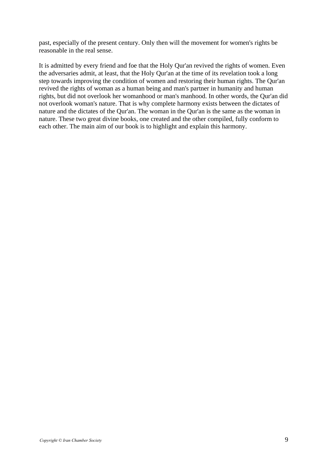past, especially of the present century. Only then will the movement for women's rights be reasonable in the real sense.

It is admitted by every friend and foe that the Holy Qur'an revived the rights of women. Even the adversaries admit, at least, that the Holy Qur'an at the time of its revelation took a long step towards improving the condition of women and restoring their human rights. The Qur'an revived the rights of woman as a human being and man's partner in humanity and human rights, but did not overlook her womanhood or man's manhood. In other words, the Qur'an did not overlook woman's nature. That is why complete harmony exists between the dictates of nature and the dictates of the Qur'an. The woman in the Qur'an is the same as the woman in nature. These two great divine books, one created and the other compiled, fully conform to each other. The main aim of our book is to highlight and explain this harmony.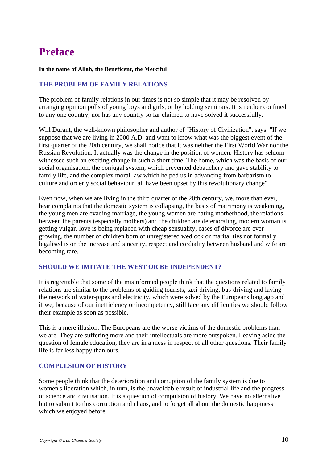### <span id="page-9-0"></span>**Preface**

#### **In the name of Allah, the Beneficent, the Merciful**

#### **THE PROBLEM OF FAMILY RELATIONS**

The problem of family relations in our times is not so simple that it may be resolved by arranging opinion polls of young boys and girls, or by holding seminars. It is neither confined to any one country, nor has any country so far claimed to have solved it successfully.

Will Durant, the well-known philosopher and author of "History of Civilization", says: "If we suppose that we are living in 2000 A.D. and want to know what was the biggest event of the first quarter of the 20th century, we shall notice that it was neither the First World War nor the Russian Revolution. It actually was the change in the position of women. History has seldom witnessed such an exciting change in such a short time. The home, which was the basis of our social organisation, the conjugal system, which prevented debauchery and gave stability to family life, and the complex moral law which helped us in advancing from barbarism to culture and orderly social behaviour, all have been upset by this revolutionary change".

Even now, when we are living in the third quarter of the 20th century, we, more than ever, hear complaints that the domestic system is collapsing, the basis of matrimony is weakening, the young men are evading marriage, the young women are hating motherhood, the relations between the parents (especially mothers) and the children are deteriorating, modern woman is getting vulgar, love is being replaced with cheap sensuality, cases of divorce are ever growing, the number of children born of unregistered wedlock or marital ties not formally legalised is on the increase and sincerity, respect and cordiality between husband and wife are becoming rare.

#### **SHOULD WE IMITATE THE WEST OR BE INDEPENDENT?**

It is regrettable that some of the misinformed people think that the questions related to family relations are similar to the problems of guiding tourists, taxi-driving, bus-driving and laying the network of water-pipes and electricity, which were solved by the Europeans long ago and if we, because of our inefficiency or incompetency, still face any difficulties we should follow their example as soon as possible.

This is a mere illusion. The Europeans are the worse victims of the domestic problems than we are. They are suffering more and their intellectuals are more outspoken. Leaving aside the question of female education, they are in a mess in respect of all other questions. Their family life is far less happy than ours.

#### **COMPULSION OF HISTORY**

Some people think that the deterioration and corruption of the family system is due to women's liberation which, in turn, is the unavoidable result of industrial life and the progress of science and civilisation. It is a question of compulsion of history. We have no alternative but to submit to this corruption and chaos, and to forget all about the domestic happiness which we enjoyed before.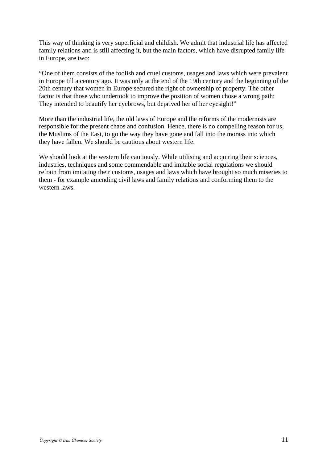This way of thinking is very superficial and childish. We admit that industrial life has affected family relations and is still affecting it, but the main factors, which have disrupted family life in Europe, are two:

"One of them consists of the foolish and cruel customs, usages and laws which were prevalent in Europe till a century ago. It was only at the end of the 19th century and the beginning of the 20th century that women in Europe secured the right of ownership of property. The other factor is that those who undertook to improve the position of women chose a wrong path: They intended to beautify her eyebrows, but deprived her of her eyesight!"

More than the industrial life, the old laws of Europe and the reforms of the modernists are responsible for the present chaos and confusion. Hence, there is no compelling reason for us, the Muslims of the East, to go the way they have gone and fall into the morass into which they have fallen. We should be cautious about western life.

We should look at the western life cautiously. While utilising and acquiring their sciences, industries, techniques and some commendable and imitable social regulations we should refrain from imitating their customs, usages and laws which have brought so much miseries to them - for example amending civil laws and family relations and conforming them to the western laws.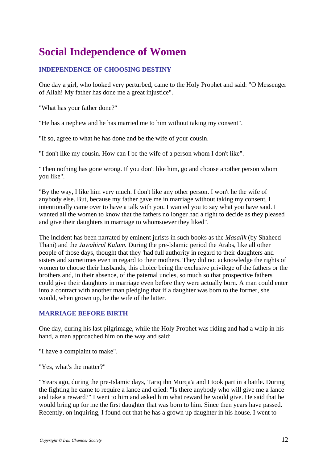### <span id="page-11-0"></span>**Social Independence of Women**

#### **INDEPENDENCE OF CHOOSING DESTINY**

One day a girl, who looked very perturbed, came to the Holy Prophet and said: "O Messenger of Allah! My father has done me a great injustice".

"What has your father done?"

"He has a nephew and he has married me to him without taking my consent".

"If so, agree to what he has done and be the wife of your cousin.

"I don't like my cousin. How can I be the wife of a person whom I don't like".

"Then nothing has gone wrong. If you don't like him, go and choose another person whom you like".

"By the way, I like him very much. I don't like any other person. I won't he the wife of anybody else. But, because my father gave me in marriage without taking my consent, I intentionally came over to have a talk with you. I wanted you to say what you have said. I wanted all the women to know that the fathers no longer had a right to decide as they pleased and give their daughters in marriage to whomsoever they liked".

The incident has been narrated by eminent jurists in such books as the *Masalik* (by Shaheed Thani) and the *Jawahirul Kalam.* During the pre-Islamic period the Arabs, like all other people of those days, thought that they 'had full authority in regard to their daughters and sisters and sometimes even in regard to their mothers. They did not acknowledge the rights of women to choose their husbands, this choice being the exclusive privilege of the fathers or the brothers and, in their absence, of the paternal uncles, so much so that prospective fathers could give their daughters in marriage even before they were actually born. A man could enter into a contract with another man pledging that if a daughter was born to the former, she would, when grown up, be the wife of the latter.

#### **MARRIAGE BEFORE BIRTH**

One day, during his last pilgrimage, while the Holy Prophet was riding and had a whip in his hand, a man approached him on the way and said:

"I have a complaint to make".

"Yes, what's the matter?"

"Years ago, during the pre-Islamic days, Tariq ibn Murqa'a and I took part in a battle. During the fighting he came to require a lance and cried: "Is there anybody who will give me a lance and take a reward?" I went to him and asked him what reward he would give. He said that he would bring up for me the first daughter that was born to him. Since then years have passed. Recently, on inquiring, I found out that he has a grown up daughter in his house. I went to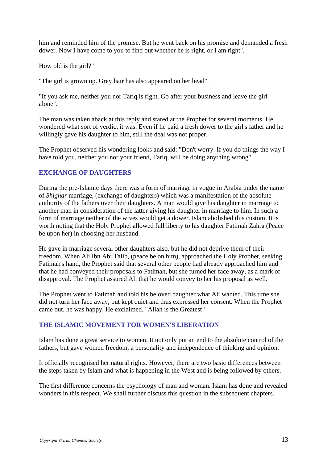him and reminded him of the promise. But he went back on his promise and demanded a fresh dower. Now I have come to you to find out whether he is right, or I am right".

How old is the girl?"

"The girl is grown up. Grey hair has also appeared on her head".

"If you ask me, neither you nor Tariq is right. Go after your business and leave the girl alone".

The man was taken aback at this reply and stared at the Prophet for several moments. He wondered what sort of verdict it was. Even if he paid a fresh dower to the girl's father and he willingly gave his daughter to him, still the deal was not proper.

The Prophet observed his wondering looks and said: "Don't worry. If you do things the way I have told you, neither you nor your friend, Tariq, will be doing anything wrong".

#### **EXCHANGE OF DAUGHTERS**

During the pre-Islamic days there was a form of marriage in vogue in Arabia under the name of *Shighar* marriage, (exchange of daughters) which was a manifestation of the absolute authority of the fathers over their daughters. A man would give his daughter in marriage to another man in consideration of the latter giving his daughter in marriage to him. In such a form of marriage neither of the wives would get a dower. Islam abolished this custom. It is worth noting that the Holy Prophet allowed full liberty to his daughter Fatimah Zahra (Peace be upon her) in choosing her husband.

He gave in marriage several other daughters also, but he did not deprive them of their freedom. When Ali Ibn Abi Talib, (peace be on him), approached the Holy Prophet, seeking Fatimah's hand, the Prophet said that several other people had already approached him and that he had conveyed their proposals to Fatimah, but she turned her face away, as a mark of disapproval. The Prophet assured Ali that he would convey to her his proposal as well.

The Prophet went to Fatimah and told his beloved daughter what Ali wanted. This time she did not turn her face away, but kept quiet and thus expressed her consent. When the Prophet came out, he was happy. He exclaimed, "Allah is the Greatest!"

#### **THE ISLAMIC MOVEMENT FOR WOMEN'S LIBERATION**

Islam has done a great service to women. It not only put an end to the absolute control of the fathers, but gave women freedom, a personality and independence of thinking and opinion.

It officially recognised her natural rights. However, there are two basic differences between the steps taken by Islam and what is happening in the West and is being followed by others.

The first difference concerns the psychology of man and woman. Islam has done and revealed wonders in this respect. We shall further discuss this question in the subsequent chapters.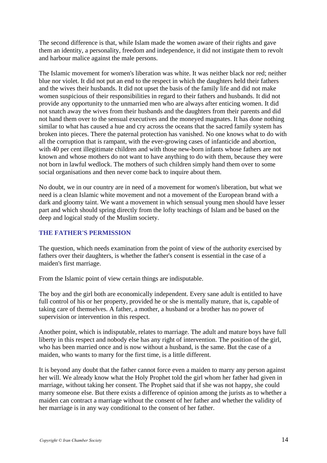The second difference is that, while Islam made the women aware of their rights and gave them an identity, a personality, freedom and independence, it did not instigate them to revolt and harbour malice against the male persons.

The Islamic movement for women's liberation was white. It was neither black nor red; neither blue nor violet. It did not put an end to the respect in which the daughters held their fathers and the wives their husbands. It did not upset the basis of the family life and did not make women suspicious of their responsibilities in regard to their fathers and husbands. It did not provide any opportunity to the unmarried men who are always after enticing women. It did not snatch away the wives from their husbands and the daughters from their parents and did not hand them over to the sensual executives and the moneyed magnates. It has done nothing similar to what has caused a hue and cry across the oceans that the sacred family system has broken into pieces. There the paternal protection has vanished. No one knows what to do with all the corruption that is rampant, with the ever-growing cases of infanticide and abortion, with 40 per cent illegitimate children and with those new-born infants whose fathers are not known and whose mothers do not want to have anything to do with them, because they were not born in lawful wedlock. The mothers of such children simply hand them over to some social organisations and then never come back to inquire about them.

No doubt, we in our country are in need of a movement for women's liberation, but what we need is a clean Islamic white movement and not a movement of the European brand with a dark and gloomy taint. We want a movement in which sensual young men should have lesser part and which should spring directly from the lofty teachings of Islam and be based on the deep and logical study of the Muslim society.

#### **THE FATHER'S PERMISSION**

The question, which needs examination from the point of view of the authority exercised by fathers over their daughters, is whether the father's consent is essential in the case of a maiden's first marriage.

From the Islamic point of view certain things are indisputable.

The boy and the girl both are economically independent. Every sane adult is entitled to have full control of his or her property, provided he or she is mentally mature, that is, capable of taking care of themselves. A father, a mother, a husband or a brother has no power of supervision or intervention in this respect.

Another point, which is indisputable, relates to marriage. The adult and mature boys have full liberty in this respect and nobody else has any right of intervention. The position of the girl, who has been married once and is now without a husband, is the same. But the case of a maiden, who wants to marry for the first time, is a little different.

It is beyond any doubt that the father cannot force even a maiden to marry any person against her will. We already know what the Holy Prophet told the girl whom her father had given in marriage, without taking her consent. The Prophet said that if she was not happy, she could marry someone else. But there exists a difference of opinion among the jurists as to whether a maiden can contract a marriage without the consent of her father and whether the validity of her marriage is in any way conditional to the consent of her father.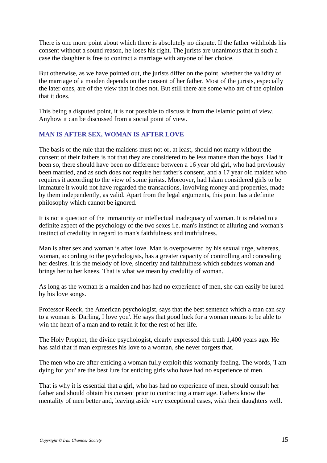There is one more point about which there is absolutely no dispute. If the father withholds his consent without a sound reason, he loses his right. The jurists are unanimous that in such a case the daughter is free to contract a marriage with anyone of her choice.

But otherwise, as we have pointed out, the jurists differ on the point, whether the validity of the marriage of a maiden depends on the consent of her father. Most of the jurists, especially the later ones, are of the view that it does not. But still there are some who are of the opinion that it does.

This being a disputed point, it is not possible to discuss it from the Islamic point of view. Anyhow it can be discussed from a social point of view.

#### **MAN IS AFTER SEX, WOMAN IS AFTER LOVE**

The basis of the rule that the maidens must not or, at least, should not marry without the consent of their fathers is not that they are considered to be less mature than the boys. Had it been so, there should have been no difference between a 16 year old girl, who had previously been married, and as such does not require her father's consent, and a 17 year old maiden who requires it according to the view of some jurists. Moreover, had Islam considered girls to be immature it would not have regarded the transactions, involving money and properties, made by them independently, as valid. Apart from the legal arguments, this point has a definite philosophy which cannot be ignored.

It is not a question of the immaturity or intellectual inadequacy of woman. It is related to a definite aspect of the psychology of the two sexes i.e. man's instinct of alluring and woman's instinct of credulity in regard to man's faithfulness and truthfulness.

Man is after sex and woman is after love. Man is overpowered by his sexual urge, whereas, woman, according to the psychologists, has a greater capacity of controlling and concealing her desires. It is the melody of love, sincerity and faithfulness which subdues woman and brings her to her knees. That is what we mean by credulity of woman.

As long as the woman is a maiden and has had no experience of men, she can easily be lured by his love songs.

Professor Reeck, the American psychologist, says that the best sentence which a man can say to a woman is 'Darling, I love you'. He says that good luck for a woman means to be able to win the heart of a man and to retain it for the rest of her life.

The Holy Prophet, the divine psychologist, clearly expressed this truth 1,400 years ago. He has said that if man expresses his love to a woman, she never forgets that.

The men who are after enticing a woman fully exploit this womanly feeling. The words, 'I am dying for you' are the best lure for enticing girls who have had no experience of men.

That is why it is essential that a girl, who has had no experience of men, should consult her father and should obtain his consent prior to contracting a marriage. Fathers know the mentality of men better and, leaving aside very exceptional cases, wish their daughters well.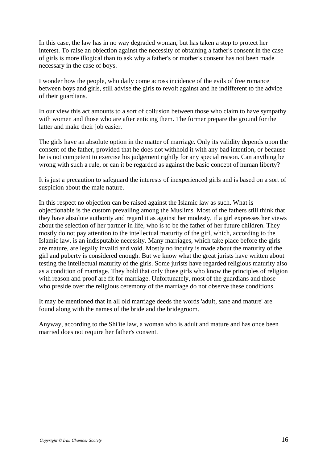In this case, the law has in no way degraded woman, but has taken a step to protect her interest. To raise an objection against the necessity of obtaining a father's consent in the case of girls is more illogical than to ask why a father's or mother's consent has not been made necessary in the case of boys.

I wonder how the people, who daily come across incidence of the evils of free romance between boys and girls, still advise the girls to revolt against and he indifferent to the advice of their guardians.

In our view this act amounts to a sort of collusion between those who claim to have sympathy with women and those who are after enticing them. The former prepare the ground for the latter and make their job easier.

The girls have an absolute option in the matter of marriage. Only its validity depends upon the consent of the father, provided that he does not withhold it with any bad intention, or because he is not competent to exercise his judgement rightly for any special reason. Can anything be wrong with such a rule, or can it be regarded as against the basic concept of human liberty?

It is just a precaution to safeguard the interests of inexperienced girls and is based on a sort of suspicion about the male nature.

In this respect no objection can be raised against the Islamic law as such. What is objectionable is the custom prevailing among the Muslims. Most of the fathers still think that they have absolute authority and regard it as against her modesty, if a girl expresses her views about the selection of her partner in life, who is to be the father of her future children. They mostly do not pay attention to the intellectual maturity of the girl, which, according to the Islamic law, is an indisputable necessity. Many marriages, which take place before the girls are mature, are legally invalid and void. Mostly no inquiry is made about the maturity of the girl and puberty is considered enough. But we know what the great jurists have written about testing the intellectual maturity of the girls. Some jurists have regarded religious maturity also as a condition of marriage. They hold that only those girls who know the principles of religion with reason and proof are fit for marriage. Unfortunately, most of the guardians and those who preside over the religious ceremony of the marriage do not observe these conditions.

It may be mentioned that in all old marriage deeds the words 'adult, sane and mature' are found along with the names of the bride and the bridegroom.

Anyway, according to the Shi'ite law, a woman who is adult and mature and has once been married does not require her father's consent.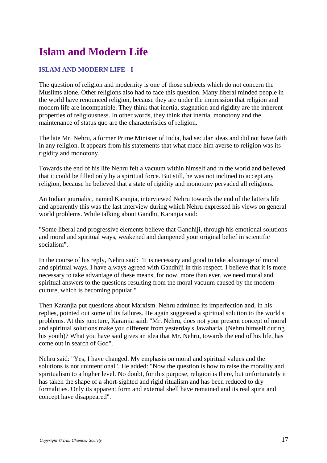## <span id="page-16-0"></span>**Islam and Modern Life**

#### **ISLAM AND MODERN LIFE - I**

The question of religion and modernity is one of those subjects which do not concern the Muslims alone. Other religions also had to face this question. Many liberal minded people in the world have renounced religion, because they are under the impression that religion and modern life are incompatible. They think that inertia, stagnation and rigidity are the inherent properties of religiousness. In other words, they think that inertia, monotony and the maintenance of status quo are the characteristics of religion.

The late Mr. Nehru, a former Prime Minister of India, had secular ideas and did not have faith in any religion. It appears from his statements that what made him averse to religion was its rigidity and monotony.

Towards the end of his life Nehru felt a vacuum within himself and in the world and believed that it could be filled only by a spiritual force. But still, he was not inclined to accept any religion, because he believed that a state of rigidity and monotony pervaded all religions.

An Indian journalist, named Karanjia, interviewed Nehru towards the end of the latter's life and apparently this was the last interview during which Nehru expressed his views on general world problems. While talking about Gandhi, Karanjia said:

"Some liberal and progressive elements believe that Gandhiji, through his emotional solutions and moral and spiritual ways, weakened and dampened your original belief in scientific socialism".

In the course of his reply, Nehru said: "It is necessary and good to take advantage of moral and spiritual ways. I have always agreed with Gandhiji in this respect. I believe that it is more necessary to take advantage of these means, for now, more than ever, we need moral and spiritual answers to the questions resulting from the moral vacuum caused by the modern culture, which is becoming popular."

Then Karanjia put questions about Marxism. Nehru admitted its imperfection and, in his replies, pointed out some of its failures. He again suggested a spiritual solution to the world's problems. At this juncture, Karanjia said: "Mr. Nehru, does not your present concept of moral and spiritual solutions make you different from yesterday's Jawaharlal (Nehru himself during his youth)? What you have said gives an idea that Mr. Nehru, towards the end of his life, has come out in search of God".

Nehru said: "Yes, I have changed. My emphasis on moral and spiritual values and the solutions is not unintentional". He added: "Now the question is how to raise the morality and spiritualism to a higher level. No doubt, for this purpose, religion is there, but unfortunately it has taken the shape of a short-sighted and rigid ritualism and has been reduced to dry formalities. Only its apparent form and external shell have remained and its real spirit and concept have disappeared".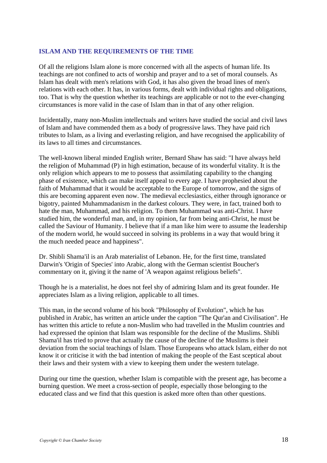#### **ISLAM AND THE REQUIREMENTS OF THE TIME**

Of all the religions Islam alone is more concerned with all the aspects of human life. Its teachings are not confined to acts of worship and prayer and to a set of moral counsels. As Islam has dealt with men's relations with God, it has also given the broad lines of men's relations with each other. It has, in various forms, dealt with individual rights and obligations, too. That is why the question whether its teachings are applicable or not to the ever-changing circumstances is more valid in the case of Islam than in that of any other religion.

Incidentally, many non-Muslim intellectuals and writers have studied the social and civil laws of Islam and have commended them as a body of progressive laws. They have paid rich tributes to Islam, as a living and everlasting religion, and have recognised the applicability of its laws to all times and circumstances.

The well-known liberal minded English writer, Bernard Shaw has said: "I have always held the religion of Muhammad (P) in high estimation, because of its wonderful vitality. It is the only religion which appears to me to possess that assimilating capability to the changing phase of existence, which can make itself appeal to every age. I have prophesied about the faith of Muhammad that it would be acceptable to the Europe of tomorrow, and the signs of this are becoming apparent even now. The medieval ecclesiastics, either through ignorance or bigotry, painted Muhammadanism in the darkest colours. They were, in fact, trained both to hate the man, Muhammad, and his religion. To them Muhammad was anti-Christ. I have studied him, the wonderful man, and, in my opinion, far from being anti-Christ, he must be called the Saviour of Humanity. I believe that if a man like him were to assume the leadership of the modern world, he would succeed in solving its problems in a way that would bring it the much needed peace and happiness".

Dr. Shibli Shama'il is an Arab materialist of Lebanon. He, for the first time, translated Darwin's 'Origin of Species' into Arabic, along with the German scientist Boucher's commentary on it, giving it the name of 'A weapon against religious beliefs".

Though he is a materialist, he does not feel shy of admiring Islam and its great founder. He appreciates Islam as a living religion, applicable to all times.

This man, in the second volume of his book "Philosophy of Evolution", which he has published in Arabic, has written an article under the caption "The Qur'an and Civilisation". He has written this article to refute a non-Muslim who had travelled in the Muslim countries and had expressed the opinion that Islam was responsible for the decline of the Muslims. Shibli Shama'il has tried to prove that actually the cause of the decline of the Muslims is their deviation from the social teachings of Islam. Those Europeans who attack Islam, either do not know it or criticise it with the bad intention of making the people of the East sceptical about their laws and their system with a view to keeping them under the western tutelage.

During our time the question, whether Islam is compatible with the present age, has become a burning question. We meet a cross-section of people, especially those belonging to the educated class and we find that this question is asked more often than other questions.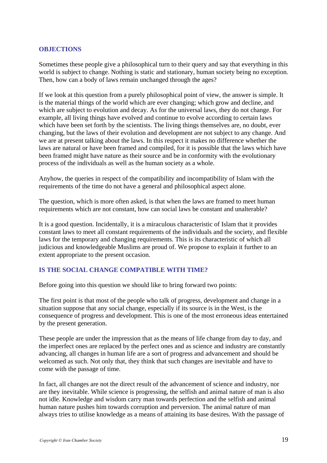#### **OBJECTIONS**

Sometimes these people give a philosophical turn to their query and say that everything in this world is subject to change. Nothing is static and stationary, human society being no exception. Then, how can a body of laws remain unchanged through the ages?

If we look at this question from a purely philosophical point of view, the answer is simple. It is the material things of the world which are ever changing; which grow and decline, and which are subject to evolution and decay. As for the universal laws, they do not change. For example, all living things have evolved and continue to evolve according to certain laws which have been set forth by the scientists. The living things themselves are, no doubt, ever changing, but the laws of their evolution and development are not subject to any change. And we are at present talking about the laws. In this respect it makes no difference whether the laws are natural or have been framed and compiled, for it is possible that the laws which have been framed might have nature as their source and be in conformity with the evolutionary process of the individuals as well as the human society as a whole.

Anyhow, the queries in respect of the compatibility and incompatibility of Islam with the requirements of the time do not have a general and philosophical aspect alone.

The question, which is more often asked, is that when the laws are framed to meet human requirements which are not constant, how can social laws be constant and unalterable?

It is a good question. Incidentally, it is a miraculous characteristic of Islam that it provides constant laws to meet all constant requirements of the individuals and the society, and flexible laws for the temporary and changing requirements. This is its characteristic of which all judicious and knowledgeable Muslims are proud of. We propose to explain it further to an extent appropriate to the present occasion.

#### **IS THE SOCIAL CHANGE COMPATIBLE WITH TIME?**

Before going into this question we should like to bring forward two points:

The first point is that most of the people who talk of progress, development and change in a situation suppose that any social change, especially if its source is in the West, is the consequence of progress and development. This is one of the most erroneous ideas entertained by the present generation.

These people are under the impression that as the means of life change from day to day, and the imperfect ones are replaced by the perfect ones and as science and industry are constantly advancing, all changes in human life are a sort of progress and advancement and should be welcomed as such. Not only that, they think that such changes are inevitable and have to come with the passage of time.

In fact, all changes are not the direct result of the advancement of science and industry, nor are they inevitable. While science is progressing, the selfish and animal nature of man is also not idle. Knowledge and wisdom carry man towards perfection and the selfish and animal human nature pushes him towards corruption and perversion. The animal nature of man always tries to utilise knowledge as a means of attaining its base desires. With the passage of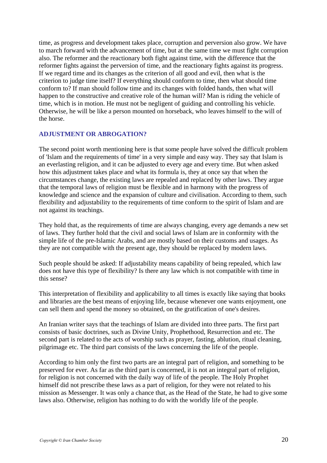time, as progress and development takes place, corruption and perversion also grow. We have to march forward with the advancement of time, but at the same time we must fight corruption also. The reformer and the reactionary both fight against time, with the difference that the reformer fights against the perversion of time, and the reactionary fights against its progress. If we regard time and its changes as the criterion of all good and evil, then what is the criterion to judge time itself? If everything should conform to time, then what should time conform to? If man should follow time and its changes with folded hands, then what will happen to the constructive and creative role of the human will? Man is riding the vehicle of time, which is in motion. He must not be negligent of guiding and controlling his vehicle. Otherwise, he will be like a person mounted on horseback, who leaves himself to the will of the horse.

#### **ADJUSTMENT OR ABROGATION?**

The second point worth mentioning here is that some people have solved the difficult problem of 'Islam and the requirements of time' in a very simple and easy way. They say that Islam is an everlasting religion, and it can be adjusted to every age and every time. But when asked how this adjustment takes place and what its formula is, they at once say that when the circumstances change, the existing laws are repealed and replaced by other laws. They argue that the temporal laws of religion must be flexible and in harmony with the progress of knowledge and science and the expansion of culture and civilisation. According to them, such flexibility and adjustability to the requirements of time conform to the spirit of Islam and are not against its teachings.

They hold that, as the requirements of time are always changing, every age demands a new set of laws. They further hold that the civil and social laws of Islam are in conformity with the simple life of the pre-Islamic Arabs, and are mostly based on their customs and usages. As they are not compatible with the present age, they should be replaced by modern laws.

Such people should be asked: If adjustability means capability of being repealed, which law does not have this type of flexibility? Is there any law which is not compatible with time in this sense?

This interpretation of flexibility and applicability to all times is exactly like saying that books and libraries are the best means of enjoying life, because whenever one wants enjoyment, one can sell them and spend the money so obtained, on the gratification of one's desires.

An Iranian writer says that the teachings of Islam are divided into three parts. The first part consists of basic doctrines, such as Divine Unity, Prophethood, Resurrection and etc. The second part is related to the acts of worship such as prayer, fasting, ablution, ritual cleaning, pilgrimage etc. The third part consists of the laws concerning the life of the people.

According to him only the first two parts are an integral part of religion, and something to be preserved for ever. As far as the third part is concerned, it is not an integral part of religion, for religion is not concerned with the daily way of life of the people. The Holy Prophet himself did not prescribe these laws as a part of religion, for they were not related to his mission as Messenger. It was only a chance that, as the Head of the State, he had to give some laws also. Otherwise, religion has nothing to do with the worldly life of the people.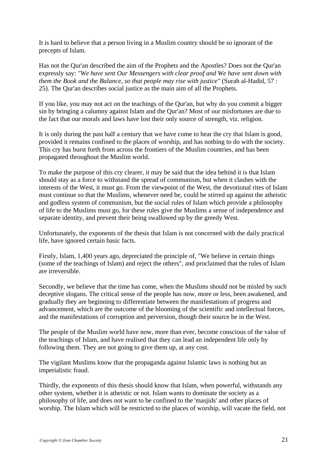It is hard to believe that a person living in a Muslim country should be so ignorant of the precepts of Islam.

Has not the Qur'an described the aim of the Prophets and the Apostles? Does not the Qur'an expressly say: *"We have sent Our Messengers with clear proof and We have sent down with them the Book and the Balance, so that people may rise with justice"* (Surah al-Hadid, 57 : 25). The Qur'an describes social justice as the main aim of all the Prophets.

If you like, you may not act on the teachings of the Qur'an, but why do you commit a bigger sin by bringing a calumny against Islam and the Qur'an? Most of our misfortunes are due to the fact that our morals and laws have lost their only source of strength, viz. religion.

It is only during the past half a century that we have come to hear the cry that Islam is good, provided it remains confined to the places of worship, and has nothing to do with the society. This cry has burst forth from across the frontiers of the Muslim countries, and has been propagated throughout the Muslim world.

To make the purpose of this cry clearer, it may be said that the idea behind it is that Islam should stay as a force to withstand the spread of communism, but when it clashes with the interests of the West, it must go. From the viewpoint of the West, the devotional rites of Islam must continue so that the Muslims, whenever need be, could be stirred up against the atheistic and godless system of communism, but the social rules of Islam which provide a philosophy of life to the Muslims must go, for these rules give the Muslims a sense of independence and separate identity, and prevent their being swallowed up by the greedy West.

Unfortunately, the exponents of the thesis that Islam is not concerned with the daily practical life, have ignored certain basic facts.

Firstly, Islam, 1,400 years ago, depreciated the principle of, "We believe in certain things (some of the teachings of Islam) and reject the others", and proclaimed that the rules of Islam are irreversible.

Secondly, we believe that the time has come, when the Muslims should not be misled by such deceptive slogans. The critical sense of the people has now, more or less, been awakened, and gradually they are beginning to differentiate between the manifestations of progress and advancement, which are the outcome of the blooming of the scientific and intellectual forces, and the manifestations of corruption and perversion, though their source be in the West.

The people of the Muslim world have now, more than ever, become conscious of the value of the teachings of Islam, and have realised that they can lead an independent life only by following them. They are not going to give them up, at any cost.

The vigilant Muslims know that the propaganda against Islamic laws is nothing but an imperialistic fraud.

Thirdly, the exponents of this thesis should know that Islam, when powerful, withstands any other system, whether it is atheistic or not. Islam wants to dominate the society as a philosophy of life, and does not want to be confined to the 'masjids' and other places of worship. The Islam which will be restricted to the places of worship, will vacate the field, not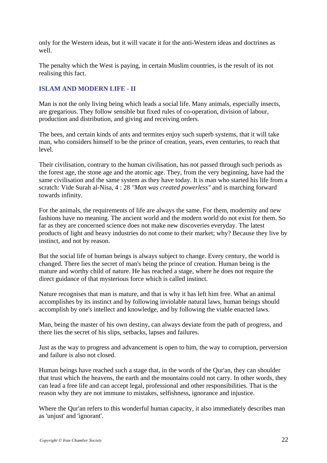only for the Western ideas, but it will vacate it for the anti-Western ideas and doctrines as well.

The penalty which the West is paying, in certain Muslim countries, is the result of its not realising this fact.

#### **ISLAM AND MODERN LIFE - II**

Man is not the only living being which leads a social life. Many animals, especially insects, are gregarious. They follow sensible but fixed rules of co-operation, division of labour, production and distribution, and giving and receiving orders.

The bees, and certain kinds of ants and termites enjoy such superb systems, that it will take man, who considers himself to be the prince of creation, years, even centuries, to reach that level.

Their civilisation, contrary to the human civilisation, has not passed through such periods as the forest age, the stone age and the atomic age. They, from the very beginning, have had the same civilisation and the same system as they have today. It is man who started his life from a scratch: Vide Surah al-Nisa, 4 : 28 *"Man was created powerless"* and is marching forward towards infinity.

For the animals, the requirements of life are always the same. For them, modernity and new fashions have no meaning. The ancient world and the modern world do not exist for them. So far as they are concerned science does not make new discoveries everyday. The latest products of light and heavy industries do not come to their market; why? Because they live by instinct, and not by reason.

But the social life of human beings is always subject to change. Every century, the world is changed. There lies the secret of man's being the prince of creation. Human being is the mature and worthy child of nature. He has reached a stage, where he does not require the direct guidance of that mysterious force which is called instinct.

Nature recognises that man is mature, and that is why it has left him free. What an animal accomplishes by its instinct and by following inviolable natural laws, human beings should accomplish by one's intellect and knowledge, and by following the viable enacted laws.

Man, being the master of his own destiny, can always deviate from the path of progress, and there lies the secret of his slips, setbacks, lapses and failures.

Just as the way to progress and advancement is open to him, the way to corruption, perversion and failure is also not closed.

Human beings have reached such a stage that, in the words of the Qur'an, they can shoulder that trust which the heavens, the earth and the mountains could not carry. In other words, they can lead a free life and can accept legal, professional and other responsibilities. That is the reason why they are not immune to mistakes, selfishness, ignorance and injustice.

Where the Qur'an refers to this wonderful human capacity, it also immediately describes man as 'unjust' and 'ignorant'.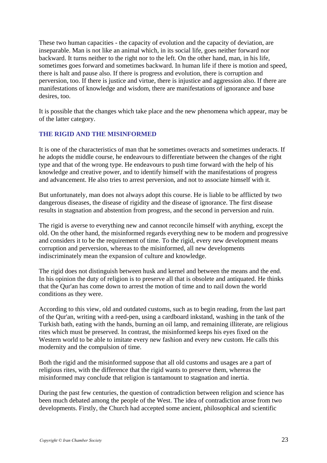These two human capacities - the capacity of evolution and the capacity of deviation, are inseparable. Man is not like an animal which, in its social life, goes neither forward nor backward. It turns neither to the right nor to the left. On the other hand, man, in his life, sometimes goes forward and sometimes backward. In human life if there is motion and speed, there is halt and pause also. If there is progress and evolution, there is corruption and perversion, too. If there is justice and virtue, there is injustice and aggression also. If there are manifestations of knowledge and wisdom, there are manifestations of ignorance and base desires, too.

It is possible that the changes which take place and the new phenomena which appear, may be of the latter category.

#### **THE RIGID AND THE MISINFORMED**

It is one of the characteristics of man that he sometimes overacts and sometimes underacts. If he adopts the middle course, he endeavours to differentiate between the changes of the right type and that of the wrong type. He endeavours to push time forward with the help of his knowledge and creative power, and to identify himself with the manifestations of progress and advancement. He also tries to arrest perversion, and not to associate himself with it.

But unfortunately, man does not always adopt this course. He is liable to be afflicted by two dangerous diseases, the disease of rigidity and the disease of ignorance. The first disease results in stagnation and abstention from progress, and the second in perversion and ruin.

The rigid is averse to everything new and cannot reconcile himself with anything, except the old. On the other hand, the misinformed regards everything new to be modern and progressive and considers it to be the requirement of time. To the rigid, every new development means corruption and perversion, whereas to the misinformed, all new developments indiscriminately mean the expansion of culture and knowledge.

The rigid does not distinguish between husk and kernel and between the means and the end. In his opinion the duty of religion is to preserve all that is obsolete and antiquated. He thinks that the Qur'an has come down to arrest the motion of time and to nail down the world conditions as they were.

According to this view, old and outdated customs, such as to begin reading, from the last part of the Qur'an, writing with a reed-pen, using a cardboard inkstand, washing in the tank of the Turkish bath, eating with the hands, burning an oil lamp, and remaining illiterate, are religious rites which must be preserved. In contrast, the misinformed keeps his eyes fixed on the Western world to be able to imitate every new fashion and every new custom. He calls this modernity and the compulsion of time.

Both the rigid and the misinformed suppose that all old customs and usages are a part of religious rites, with the difference that the rigid wants to preserve them, whereas the misinformed may conclude that religion is tantamount to stagnation and inertia.

During the past few centuries, the question of contradiction between religion and science has been much debated among the people of the West. The idea of contradiction arose from two developments. Firstly, the Church had accepted some ancient, philosophical and scientific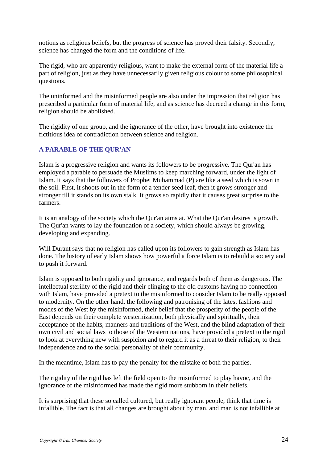notions as religious beliefs, but the progress of science has proved their falsity. Secondly, science has changed the form and the conditions of life.

The rigid, who are apparently religious, want to make the external form of the material life a part of religion, just as they have unnecessarily given religious colour to some philosophical questions.

The uninformed and the misinformed people are also under the impression that religion has prescribed a particular form of material life, and as science has decreed a change in this form, religion should be abolished.

The rigidity of one group, and the ignorance of the other, have brought into existence the fictitious idea of contradiction between science and religion.

#### **A PARABLE OF THE QUR'AN**

Islam is a progressive religion and wants its followers to be progressive. The Qur'an has employed a parable to persuade the Muslims to keep marching forward, under the light of Islam. It says that the followers of Prophet Muhammad (P) are like a seed which is sown in the soil. First, it shoots out in the form of a tender seed leaf, then it grows stronger and stronger till it stands on its own stalk. It grows so rapidly that it causes great surprise to the farmers.

It is an analogy of the society which the Qur'an aims at. What the Qur'an desires is growth. The Qur'an wants to lay the foundation of a society, which should always be growing, developing and expanding.

Will Durant says that no religion has called upon its followers to gain strength as Islam has done. The history of early Islam shows how powerful a force Islam is to rebuild a society and to push it forward.

Islam is opposed to both rigidity and ignorance, and regards both of them as dangerous. The intellectual sterility of the rigid and their clinging to the old customs having no connection with Islam, have provided a pretext to the misinformed to consider Islam to be really opposed to modernity. On the other hand, the following and patronising of the latest fashions and modes of the West by the misinformed, their belief that the prosperity of the people of the East depends on their complete westernization, both physically and spiritually, their acceptance of the habits, manners and traditions of the West, and the blind adaptation of their own civil and social laws to those of the Western nations, have provided a pretext to the rigid to look at everything new with suspicion and to regard it as a threat to their religion, to their independence and to the social personality of their community.

In the meantime, Islam has to pay the penalty for the mistake of both the parties.

The rigidity of the rigid has left the field open to the misinformed to play havoc, and the ignorance of the misinformed has made the rigid more stubborn in their beliefs.

It is surprising that these so called cultured, but really ignorant people, think that time is infallible. The fact is that all changes are brought about by man, and man is not infallible at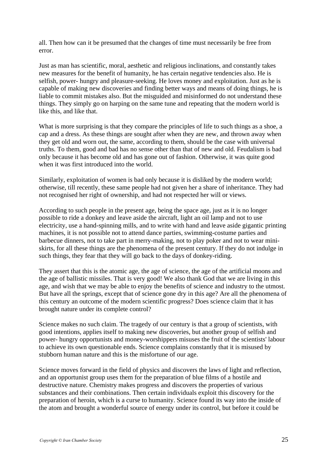all. Then how can it be presumed that the changes of time must necessarily be free from error.

Just as man has scientific, moral, aesthetic and religious inclinations, and constantly takes new measures for the benefit of humanity, he has certain negative tendencies also. He is selfish, power- hungry and pleasure-seeking. He loves money and exploitation. Just as he is capable of making new discoveries and finding better ways and means of doing things, he is liable to commit mistakes also. But the misguided and misinformed do not understand these things. They simply go on harping on the same tune and repeating that the modern world is like this, and like that.

What is more surprising is that they compare the principles of life to such things as a shoe, a cap and a dress. As these things are sought after when they are new, and thrown away when they get old and worn out, the same, according to them, should be the case with universal truths. To them, good and bad has no sense other than that of new and old. Feudalism is bad only because it has become old and has gone out of fashion. Otherwise, it was quite good when it was first introduced into the world.

Similarly, exploitation of women is bad only because it is disliked by the modern world; otherwise, till recently, these same people had not given her a share of inheritance. They had not recognised her right of ownership, and had not respected her will or views.

According to such people in the present age, being the space age, just as it is no longer possible to ride a donkey and leave aside the aircraft, light an oil lamp and not to use electricity, use a hand-spinning mills, and to write with hand and leave aside gigantic printing machines, it is not possible not to attend dance parties, swimming-costume parties and barbecue dinners, not to take part in merry-making, not to play poker and not to wear miniskirts, for all these things are the phenomena of the present century. If they do not indulge in such things, they fear that they will go back to the days of donkey-riding.

They assert that this is the atomic age, the age of science, the age of the artificial moons and the age of ballistic missiles. That is very good! We also thank God that we are living in this age, and wish that we may be able to enjoy the benefits of science and industry to the utmost. But have all the springs, except that of science gone dry in this age? Are all the phenomena of this century an outcome of the modern scientific progress? Does science claim that it has brought nature under its complete control?

Science makes no such claim. The tragedy of our century is that a group of scientists, with good intentions, applies itself to making new discoveries, but another group of selfish and power- hungry opportunists and money-worshippers misuses the fruit of the scientists' labour to achieve its own questionable ends. Science complains constantly that it is misused by stubborn human nature and this is the misfortune of our age.

Science moves forward in the field of physics and discovers the laws of light and reflection, and an opportunist group uses them for the preparation of blue films of a hostile and destructive nature. Chemistry makes progress and discovers the properties of various substances and their combinations. Then certain individuals exploit this discovery for the preparation of heroin, which is a curse to humanity. Science found its way into the inside of the atom and brought a wonderful source of energy under its control, but before it could be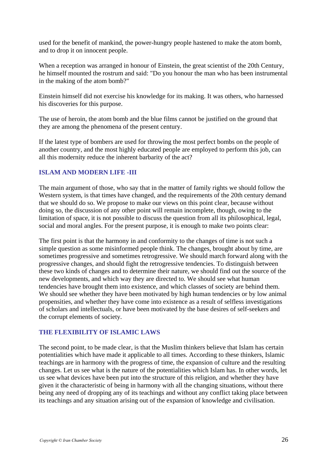used for the benefit of mankind, the power-hungry people hastened to make the atom bomb, and to drop it on innocent people.

When a reception was arranged in honour of Einstein, the great scientist of the 20th Century, he himself mounted the rostrum and said: "Do you honour the man who has been instrumental in the making of the atom bomb?"

Einstein himself did not exercise his knowledge for its making. It was others, who harnessed his discoveries for this purpose.

The use of heroin, the atom bomb and the blue films cannot be justified on the ground that they are among the phenomena of the present century.

If the latest type of bombers are used for throwing the most perfect bombs on the people of another country, and the most highly educated people are employed to perform this job, can all this modernity reduce the inherent barbarity of the act?

#### **ISLAM AND MODERN LIFE -III**

The main argument of those, who say that in the matter of family rights we should follow the Western system, is that times have changed, and the requirements of the 20th century demand that we should do so. We propose to make our views on this point clear, because without doing so, the discussion of any other point will remain incomplete, though, owing to the limitation of space, it is not possible to discuss the question from all its philosophical, legal, social and moral angles. For the present purpose, it is enough to make two points clear:

The first point is that the harmony in and conformity to the changes of time is not such a simple question as some misinformed people think. The changes, brought about by time, are sometimes progressive and sometimes retrogressive. We should march forward along with the progressive changes, and should fight the retrogressive tendencies. To distinguish between these two kinds of changes and to determine their nature, we should find out the source of the new developments, and which way they are directed to. We should see what human tendencies have brought them into existence, and which classes of society are behind them. We should see whether they have been motivated by high human tendencies or by low animal propensities, and whether they have come into existence as a result of selfless investigations of scholars and intellectuals, or have been motivated by the base desires of self-seekers and the corrupt elements of society.

#### **THE FLEXIBILITY OF ISLAMIC LAWS**

The second point, to be made clear, is that the Muslim thinkers believe that Islam has certain potentialities which have made it applicable to all times. According to these thinkers, Islamic teachings are in harmony with the progress of time, the expansion of culture and the resulting changes. Let us see what is the nature of the potentialities which Islam has. In other words, let us see what devices have been put into the structure of this religion, and whether they have given it the characteristic of being in harmony with all the changing situations, without there being any need of dropping any of its teachings and without any conflict taking place between its teachings and any situation arising out of the expansion of knowledge and civilisation.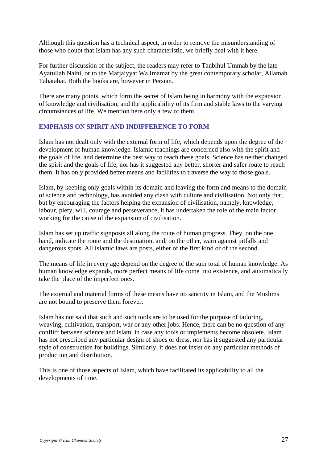Although this question has a technical aspect, in order to remove the misunderstanding of those who doubt that Islam has any such characteristic, we briefly deal with it here.

For further discussion of the subject, the readers may refer to Tanbihul Ummab by the late Ayatullah Naini, or to the Marjaiyyat Wa Imamat by the great contemporary scholar, Allamah Tabatabai. Both the books are, however in Persian.

There are many points, which form the secret of Islam being in harmony with the expansion of knowledge and civilisation, and the applicability of its firm and stable laws to the varying circumstances of life. We mention here only a few of them.

#### **EMPHASIS ON SPIRIT AND INDIFFERENCE TO FORM**

Islam has not dealt only with the external form of life, which depends upon the degree of the development of human knowledge. Islamic teachings are concerned also with the spirit and the goals of life, and determine the best way to reach these goals. Science has neither changed the spirit and the goals of life, nor has it suggested any better, shorter and safer route to reach them. It has only provided better means and facilities to traverse the way to those goals.

Islam, by keeping only goals within its domain and leaving the form and means to the domain of science and technology, has avoided any clash with culture and civilisation. Not only that, but by encouraging the factors helping the expansion of civilisation, namely, knowledge, labour, piety, will, courage and perseverance, it has undertaken the role of the main factor working for the cause of the expansion of civilisation.

Islam has set up traffic signposts all along the route of human progress. They, on the one hand, indicate the route and the destination, and, on the other, warn against pitfalls and dangerous spots. All Islamic laws are posts, either of the first kind or of the second.

The means of life in every age depend on the degree of the sum total of human knowledge. As human knowledge expands, more perfect means of life come into existence, and automatically take the place of the imperfect ones.

The external and material forms of these means have no sanctity in Islam, and the Muslims are not bound to preserve them forever.

Islam has not said that such and such tools are to be used for the purpose of tailoring, weaving, cultivation, transport, war or any other jobs. Hence, there can be no question of any conflict between science and Islam, in case any tools or implements become obsolete. Islam has not prescribed any particular design of shoes or dress, nor has it suggested any particular style of construction for buildings. Similarly, it does not insist on any particular methods of production and distribution.

This is one of those aspects of Islam, which have facilitated its applicability to all the developments of time.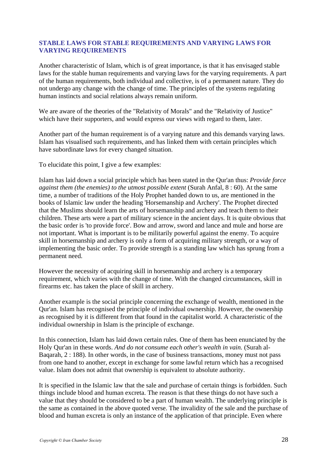#### **STABLE LAWS FOR STABLE REQUIREMENTS AND VARYING LAWS FOR VARYING REQUIREMENTS**

Another characteristic of Islam, which is of great importance, is that it has envisaged stable laws for the stable human requirements and varying laws for the varying requirements. A part of the human requirements, both individual and collective, is of a permanent nature. They do not undergo any change with the change of time. The principles of the systems regulating human instincts and social relations always remain uniform.

We are aware of the theories of the "Relativity of Morals" and the "Relativity of Justice" which have their supporters, and would express our views with regard to them, later.

Another part of the human requirement is of a varying nature and this demands varying laws. Islam has visualised such requirements, and has linked them with certain principles which have subordinate laws for every changed situation.

To elucidate this point, I give a few examples:

Islam has laid down a social principle which has been stated in the Qur'an thus: *Provide force against them (the enemies) to the utmost possible extent (Surah Anfal, 8 : 60). At the same* time, a number of traditions of the Holy Prophet handed down to us, are mentioned in the books of Islamic law under the heading 'Horsemanship and Archery'. The Prophet directed that the Muslims should learn the arts of horsemanship and archery and teach them to their children. These arts were a part of military science in the ancient days. It is quite obvious that the basic order is 'to provide force'. Bow and arrow, sword and lance and mule and horse are not important. What is important is to be militarily powerful against the enemy. To acquire skill in horsemanship and archery is only a form of acquiring military strength, or a way of implementing the basic order. To provide strength is a standing law which has sprung from a permanent need.

However the necessity of acquiring skill in horsemanship and archery is a temporary requirement, which varies with the change of time. With the changed circumstances, skill in firearms etc. has taken the place of skill in archery.

Another example is the social principle concerning the exchange of wealth, mentioned in the Qur'an. Islam has recognised the principle of individual ownership. However, the ownership as recognised by it is different from that found in the capitalist world. A characteristic of the individual ownership in Islam is the principle of exchange.

In this connection, Islam has laid down certain rules. One of them has been enunciated by the Holy Qur'an in these words. *And do not consume each other's wealth in vain.* (Surah al-Baqarah, 2 : 188). In other words, in the case of business transactions, money must not pass from one hand to another, except in exchange for some lawful return which has a recognised value. Islam does not admit that ownership is equivalent to absolute authority.

It is specified in the Islamic law that the sale and purchase of certain things is forbidden. Such things include blood and human excreta. The reason is that these things do not have such a value that they should be considered to be a part of human wealth. The underlying principle is the same as contained in the above quoted verse. The invalidity of the sale and the purchase of blood and human excreta is only an instance of the application of that principle. Even where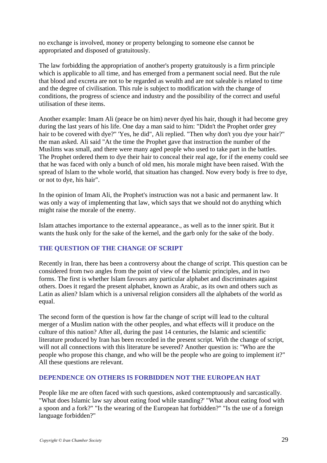no exchange is involved, money or property belonging to someone else cannot be appropriated and disposed of gratuitously.

The law forbidding the appropriation of another's property gratuitously is a firm principle which is applicable to all time, and has emerged from a permanent social need. But the rule that blood and excreta are not to be regarded as wealth and are not saleable is related to time and the degree of civilisation. This rule is subject to modification with the change of conditions, the progress of science and industry and the possibility of the correct and useful utilisation of these items.

Another example: Imam Ali (peace be on him) never dyed his hair, though it had become grey during the last years of his life. One day a man said to him: "Didn't the Prophet order grey hair to be covered with dye?" 'Yes, he did", Ali replied. "Then why don't you dye your hair?" the man asked. Ali said "At the time the Prophet gave that instruction the number of the Muslims was small, and there were many aged people who used to take part in the battles. The Prophet ordered them to dye their hair to conceal their real age, for if the enemy could see that he was faced with only a bunch of old men, his morale might have been raised. With the spread of Islam to the whole world, that situation has changed. Now every body is free to dye, or not to dye, his hair".

In the opinion of Imam Ali, the Prophet's instruction was not a basic and permanent law. It was only a way of implementing that law, which says that we should not do anything which might raise the morale of the enemy.

Islam attaches importance to the external appearance., as well as to the inner spirit. But it wants the husk only for the sake of the kernel, and the garb only for the sake of the body.

#### **THE QUESTION OF THE CHANGE OF SCRIPT**

Recently in Iran, there has been a controversy about the change of script. This question can be considered from two angles from the point of view of the Islamic principles, and in two forms. The first is whether Islam favours any particular alphabet and discriminates against others. Does it regard the present alphabet, known as Arabic, as its own and others such as Latin as alien? Islam which is a universal religion considers all the alphabets of the world as equal.

The second form of the question is how far the change of script will lead to the cultural merger of a Muslim nation with the other peoples, and what effects will it produce on the culture of this nation? After all, during the past 14 centuries, the Islamic and scientific literature produced by Iran has been recorded in the present script. With the change of script, will not all connections with this literature be severed? Another question is: "Who are the people who propose this change, and who will be the people who are going to implement it?" All these questions are relevant.

#### **DEPENDENCE ON OTHERS IS FORBIDDEN NOT THE EUROPEAN HAT**

People like me are often faced with such questions, asked contemptuously and sarcastically. "What does Islamic law say about eating food while standing?' "What about eating food with a spoon and a fork?" "Is the wearing of the European hat forbidden?" "Is the use of a foreign language forbidden?"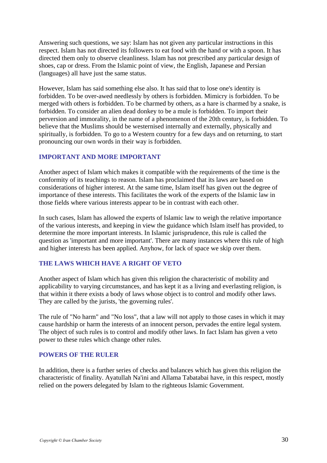Answering such questions, we say: Islam has not given any particular instructions in this respect. Islam has not directed its followers to eat food with the hand or with a spoon. It has directed them only to observe cleanliness. Islam has not prescribed any particular design of shoes, cap or dress. From the Islamic point of view, the English, Japanese and Persian (languages) all have just the same status.

However, Islam has said something else also. It has said that to lose one's identity is forbidden. To be over-awed needlessly by others is forbidden. Mimicry is forbidden. To be merged with others is forbidden. To be charmed by others, as a hare is charmed by a snake, is forbidden. To consider an alien dead donkey to be a mule is forbidden. To import their perversion and immorality, in the name of a phenomenon of the 20th century, is forbidden. To believe that the Muslims should be westernised internally and externally, physically and spiritually, is forbidden. To go to a Western country for a few days and on returning, to start pronouncing our own words in their way is forbidden.

#### **IMPORTANT AND MORE IMPORTANT**

Another aspect of Islam which makes it compatible with the requirements of the time is the conformity of its teachings to reason. Islam has proclaimed that its laws are based on considerations of higher interest. At the same time, Islam itself has given out the degree of importance of these interests. This facilitates the work of the experts of the Islamic law in those fields where various interests appear to be in contrast with each other.

In such cases, Islam has allowed the experts of Islamic law to weigh the relative importance of the various interests, and keeping in view the guidance which Islam itself has provided, to determine the more important interests. In Islamic jurisprudence, this rule is called the question as 'important and more important'. There are many instances where this rule of high and higher interests has been applied. Anyhow, for lack of space we skip over them.

#### **THE LAWS WHICH HAVE A RIGHT OF VETO**

Another aspect of Islam which has given this religion the characteristic of mobility and applicability to varying circumstances, and has kept it as a living and everlasting religion, is that within it there exists a body of laws whose object is to control and modify other laws. They are called by the jurists, 'the governing rules'.

The rule of "No harm" and "No loss", that a law will not apply to those cases in which it may cause hardship or harm the interests of an innocent person, pervades the entire legal system. The object of such rules is to control and modify other laws. In fact Islam has given a veto power to these rules which change other rules.

#### **POWERS OF THE RULER**

In addition, there is a further series of checks and balances which has given this religion the characteristic of finality. Ayatullah Na'ini and Allama Tabatabai have, in this respect, mostly relied on the powers delegated by Islam to the righteous Islamic Government.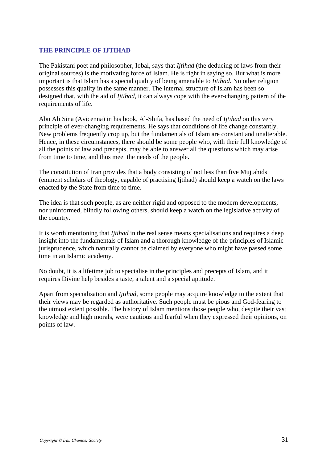#### **THE PRINCIPLE OF IJTIHAD**

The Pakistani poet and philosopher, Iqbal, says that *Ijtihad* (the deducing of laws from their original sources) is the motivating force of Islam. He is right in saying so. But what is more important is that Islam has a special quality of being amenable to *Ijtihad.* No other religion possesses this quality in the same manner. The internal structure of Islam has been so designed that, with the aid of *Ijtihad,* it can always cope with the ever-changing pattern of the requirements of life.

Abu Ali Sina (Avicenna) in his book, Al-Shifa, has based the need of *Ijtihad* on this very principle of ever-changing requirements. He says that conditions of life change constantly. New problems frequently crop up, but the fundamentals of Islam are constant and unalterable. Hence, in these circumstances, there should be some people who, with their full knowledge of all the points of law and precepts, may be able to answer all the questions which may arise from time to time, and thus meet the needs of the people.

The constitution of Iran provides that a body consisting of not less than five Mujtahids (eminent scholars of theology, capable of practising Ijtihad) should keep a watch on the laws enacted by the State from time to time.

The idea is that such people, as are neither rigid and opposed to the modern developments, nor uninformed, blindly following others, should keep a watch on the legislative activity of the country.

It is worth mentioning that *Ijtihad* in the real sense means specialisations and requires a deep insight into the fundamentals of Islam and a thorough knowledge of the principles of Islamic jurisprudence, which naturally cannot be claimed by everyone who might have passed some time in an Islamic academy.

No doubt, it is a lifetime job to specialise in the principles and precepts of Islam, and it requires Divine help besides a taste, a talent and a special aptitude.

Apart from specialisation and *Ijtihad,* some people may acquire knowledge to the extent that their views may be regarded as authoritative. Such people must be pious and God-fearing to the utmost extent possible. The history of Islam mentions those people who, despite their vast knowledge and high morals, were cautious and fearful when they expressed their opinions, on points of law.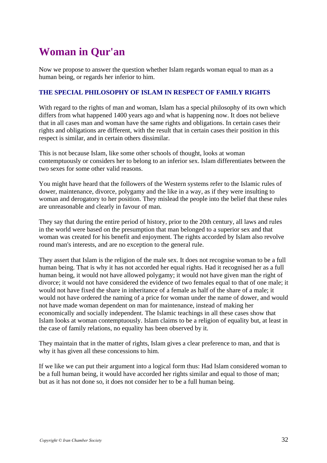## <span id="page-31-0"></span>**Woman in Qur'an**

Now we propose to answer the question whether Islam regards woman equal to man as a human being, or regards her inferior to him.

#### **THE SPECIAL PHILOSOPHY OF ISLAM IN RESPECT OF FAMILY RIGHTS**

With regard to the rights of man and woman, Islam has a special philosophy of its own which differs from what happened 1400 years ago and what is happening now. It does not believe that in all cases man and woman have the same rights and obligations. In certain cases their rights and obligations are different, with the result that in certain cases their position in this respect is similar, and in certain others dissimilar.

This is not because Islam, like some other schools of thought, looks at woman contemptuously or considers her to belong to an inferior sex. Islam differentiates between the two sexes for some other valid reasons.

You might have heard that the followers of the Western systems refer to the Islamic rules of dower, maintenance, divorce, polygamy and the like in a way, as if they were insulting to woman and derogatory to her position. They mislead the people into the belief that these rules are unreasonable and clearly in favour of man.

They say that during the entire period of history, prior to the 20th century, all laws and rules in the world were based on the presumption that man belonged to a superior sex and that woman was created for his benefit and enjoyment. The rights accorded by Islam also revolve round man's interests, and are no exception to the general rule.

They assert that Islam is the religion of the male sex. It does not recognise woman to be a full human being. That is why it has not accorded her equal rights. Had it recognised her as a full human being, it would not have allowed polygamy; it would not have given man the right of divorce; it would not have considered the evidence of two females equal to that of one male; it would not have fixed the share in inheritance of a female as half of the share of a male; it would not have ordered the naming of a price for woman under the name of dower, and would not have made woman dependent on man for maintenance, instead of making her economically and socially independent. The Islamic teachings in all these cases show that Islam looks at woman contemptuously. Islam claims to be a religion of equality but, at least in the case of family relations, no equality has been observed by it.

They maintain that in the matter of rights, Islam gives a clear preference to man, and that is why it has given all these concessions to him.

If we like we can put their argument into a logical form thus: Had Islam considered woman to be a full human being, it would have accorded her rights similar and equal to those of man; but as it has not done so, it does not consider her to be a full human being.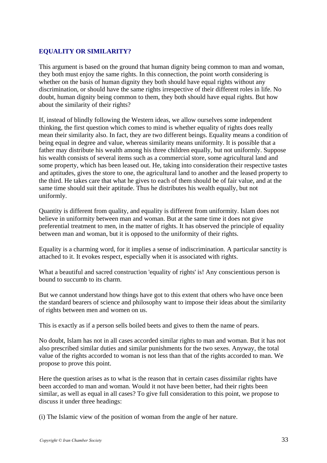#### **EQUALITY OR SIMILARITY?**

This argument is based on the ground that human dignity being common to man and woman, they both must enjoy the same rights. In this connection, the point worth considering is whether on the basis of human dignity they both should have equal rights without any discrimination, or should have the same rights irrespective of their different roles in life. No doubt, human dignity being common to them, they both should have equal rights. But how about the similarity of their rights?

If, instead of blindly following the Western ideas, we allow ourselves some independent thinking, the first question which comes to mind is whether equality of rights does really mean their similarity also. In fact, they are two different beings. Equality means a condition of being equal in degree and value, whereas similarity means uniformity. It is possible that a father may distribute his wealth among his three children equally, but not uniformly. Suppose his wealth consists of several items such as a commercial store, some agricultural land and some property, which has been leased out. He, taking into consideration their respective tastes and aptitudes, gives the store to one, the agricultural land to another and the leased property to the third. He takes care that what he gives to each of them should be of fair value, and at the same time should suit their aptitude. Thus he distributes his wealth equally, but not uniformly.

Quantity is different from quality, and equality is different from uniformity. Islam does not believe in uniformity between man and woman. But at the same time it does not give preferential treatment to men, in the matter of rights. It has observed the principle of equality between man and woman, but it is opposed to the uniformity of their rights.

Equality is a charming word, for it implies a sense of indiscrimination. A particular sanctity is attached to it. It evokes respect, especially when it is associated with rights.

What a beautiful and sacred construction 'equality of rights' is! Any conscientious person is bound to succumb to its charm.

But we cannot understand how things have got to this extent that others who have once been the standard bearers of science and philosophy want to impose their ideas about the similarity of rights between men and women on us.

This is exactly as if a person sells boiled beets and gives to them the name of pears.

No doubt, Islam has not in all cases accorded similar rights to man and woman. But it has not also prescribed similar duties and similar punishments for the two sexes. Anyway, the total value of the rights accorded to woman is not less than that of the rights accorded to man. We propose to prove this point.

Here the question arises as to what is the reason that in certain cases dissimilar rights have been accorded to man and woman. Would it not have been better, had their rights been similar, as well as equal in all cases? To give full consideration to this point, we propose to discuss it under three headings:

(i) The Islamic view of the position of woman from the angle of her nature.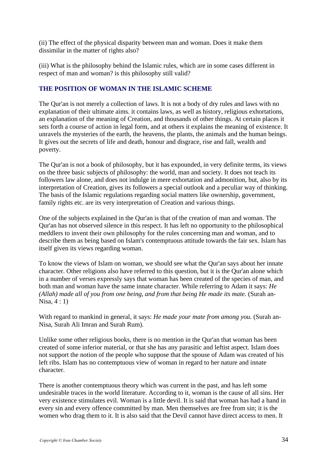(ii) The effect of the physical disparity between man and woman. Does it make them dissimilar in the matter of rights also?

(iii) What is the philosophy behind the Islamic rules, which are in some cases different in respect of man and woman? is this philosophy still valid?

#### **THE POSITION OF WOMAN IN THE ISLAMIC SCHEME**

The Qur'an is not merely a collection of laws. It is not a body of dry rules and laws with no explanation of their ultimate aims. it contains laws, as well as history, religious exhortations, an explanation of the meaning of Creation, and thousands of other things. At certain places it sets forth a course of action in legal form, and at others it explains the meaning of existence. It unravels the mysteries of the earth, the heavens, the plants, the animals and the human beings. It gives out the secrets of life and death, honour and disgrace, rise and fall, wealth and poverty.

The Qur'an is not a book of philosophy, but it has expounded, in very definite terms, its views on the three basic subjects of philosophy: the world, man and society. It does not teach its followers law alone, and does not indulge in mere exhortation and admonition, but, also by its interpretation of Creation, gives its followers a special outlook and a peculiar way of thinking. The basis of the Islamic regulations regarding social matters like ownership, government, family rights etc. are its very interpretation of Creation and various things.

One of the subjects explained in the Qur'an is that of the creation of man and woman. The Qur'an has not observed silence in this respect. It has left no opportunity to the philosophical meddlers to invent their own philosophy for the rules concerning man and woman, and to describe them as being based on Islam's contemptuous attitude towards the fair sex. Islam has itself given its views regarding woman.

To know the views of Islam on woman, we should see what the Qur'an says about her innate character. Other religions also have referred to this question, but it is the Qur'an alone which in a number of verses expressly says that woman has been created of the species of man, and both man and woman have the same innate character. While referring to Adam it says: *He (Allah) made all of you from one being, and from that being He made its mate.* (Surah an-Nisa, 4 : 1)

With regard to mankind in general, it says: *He made your mate from among you.* (Surah an-Nisa, Surah Ali Imran and Surah Rum).

Unlike some other religious books, there is no mention in the Qur'an that woman has been created of some inferior material, or that she has any parasitic and leftist aspect. Islam does not support the notion of the people who suppose that the spouse of Adam was created of his left ribs. Islam has no contemptuous view of woman in regard to her nature and innate character.

There is another contemptuous theory which was current in the past, and has left some undesirable traces in the world literature. According to it, woman is the cause of all sins. Her very existence stimulates evil. Woman is a little devil. It is said that woman has had a hand in every sin and every offence committed by man. Men themselves are free from sin; it is the women who drag them to it. It is also said that the Devil cannot have direct access to men. It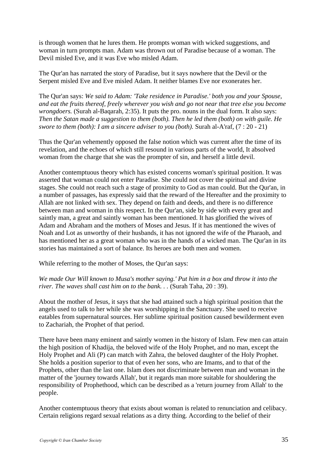is through women that he lures them. He prompts woman with wicked suggestions, and woman in turn prompts man. Adam was thrown out of Paradise because of a woman. The Devil misled Eve, and it was Eve who misled Adam.

The Qur'an has narrated the story of Paradise, but it says nowhere that the Devil or the Serpent misled Eve and Eve misled Adam. It neither blames Eve nor exonerates her.

The Qur'an says: *We said to Adam: 'Take residence in Paradise.' both you and your Spouse, and eat the fruits thereof, freely wherever you wish and go not near that tree else you become wrongdoers.* (Surah al-Baqarah, 2:35). It puts the pro. nouns in the dual form. It also says: *Then the Satan made a suggestion to them (both). Then he led them (both) on with guile. He swore to them (both): I am a sincere adviser to you (both).* Surah al-A'raf, (7 : 20 - 21)

Thus the Qur'an vehemently opposed the false notion which was current after the time of its revelation, and the echoes of which still resound in various parts of the world, It absolved woman from the charge that she was the prompter of sin, and herself a little devil.

Another contemptuous theory which has existed concerns woman's spiritual position. It was asserted that woman could not enter Paradise. She could not cover the spiritual and divine stages. She could not reach such a stage of proximity to God as man could. But the Qur'an, in a number of passages, has expressly said that the reward of the Hereafter and the proximity to Allah are not linked with sex. They depend on faith and deeds, and there is no difference between man and woman in this respect. In the Qur'an, side by side with every great and saintly man, a great and saintly woman has been mentioned. It has glorified the wives of Adam and Abraham and the mothers of Moses and Jesus. If it has mentioned the wives of Noah and Lot as unworthy of their husbands, it has not ignored the wife of the Pharaoh, and has mentioned her as a great woman who was in the hands of a wicked man. The Qur'an in its stories has maintained a sort of balance. Its heroes are both men and women.

While referring to the mother of Moses, the Qur'an says:

#### *We made Our Will known to Musa's mother saying.' Put him in a box and throw it into the river. The waves shall cast him on to the bank...* (Surah Taha, 20:39).

About the mother of Jesus, it says that she had attained such a high spiritual position that the angels used to talk to her while she was worshipping in the Sanctuary. She used to receive eatables from supernatural sources. Her sublime spiritual position caused bewilderment even to Zachariah, the Prophet of that period.

There have been many eminent and saintly women in the history of Islam. Few men can attain the high position of Khadija, the beloved wife of the Holy Prophet, and no man, except the Holy Prophet and Ali (P) can match with Zahra, the beloved daughter of the Holy Prophet. She holds a position superior to that of even her sons, who are Imams, and to that of the Prophets, other than the last one. Islam does not discriminate between man and woman in the matter of the 'journey towards Allah', but it regards man more suitable for shouldering the responsibility of Prophethood, which can be described as a 'return journey from Allah' to the people.

Another contemptuous theory that exists about woman is related to renunciation and celibacy. Certain religions regard sexual relations as a dirty thing. According to the belief of their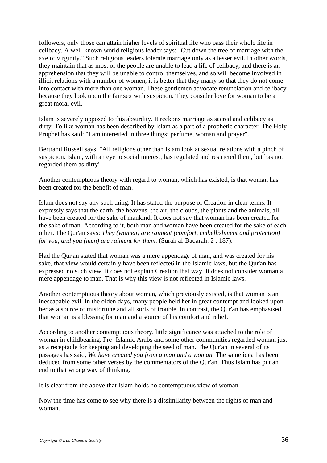followers, only those can attain higher levels of spiritual life who pass their whole life in celibacy. A well-known world religious leader says: "Cut down the tree of marriage with the axe of virginity." Such religious leaders tolerate marriage only as a lesser evil. In other words, they maintain that as most of the people are unable to lead a life of celibacy, and there is an apprehension that they will be unable to control themselves, and so will become involved in illicit relations with a number of women, it is better that they marry so that they do not come into contact with more than one woman. These gentlemen advocate renunciation and celibacy because they look upon the fair sex with suspicion. They consider love for woman to be a great moral evil.

Islam is severely opposed to this absurdity. It reckons marriage as sacred and celibacy as dirty. To like woman has been described by Islam as a part of a prophetic character. The Holy Prophet has said: "I am interested in three things: perfume, woman and prayer".

Bertrand Russell says: "All religions other than Islam look at sexual relations with a pinch of suspicion. Islam, with an eye to social interest, has regulated and restricted them, but has not regarded them as dirty"

Another contemptuous theory with regard to woman, which has existed, is that woman has been created for the benefit of man.

Islam does not say any such thing. It has stated the purpose of Creation in clear terms. It expressly says that the earth, the heavens, the air, the clouds, the plants and the animals, all have been created for the sake of mankind. It does not say that woman has been created for the sake of man. According to it, both man and woman have been created for the sake of each other. The Qur'an says: *They (women) are raiment (comfort, embellishment and protection) for you, and you (men) are raiment for them.* (Surah al-Bagarah: 2 : 187).

Had the Qur'an stated that woman was a mere appendage of man, and was created for his sake, that view would certainly have been reflecte6 in the Islamic laws, but the Qur'an has expressed no such view. It does not explain Creation that way. It does not consider woman a mere appendage to man. That is why this view is not reflected in Islamic laws.

Another contemptuous theory about woman, which previously existed, is that woman is an inescapable evil. In the olden days, many people held her in great contempt and looked upon her as a source of misfortune and all sorts of trouble. In contrast, the Qur'an has emphasised that woman is a blessing for man and a source of his comfort and relief.

According to another contemptuous theory, little significance was attached to the role of woman in childbearing. Pre- Islamic Arabs and some other communities regarded woman just as a receptacle for keeping and developing the seed of man. The Qur'an in several of its passages has said, *We have created you from a man and a woman.* The same idea has been deduced from some other verses by the commentators of the Qur'an. Thus Islam has put an end to that wrong way of thinking.

It is clear from the above that Islam holds no contemptuous view of woman.

Now the time has come to see why there is a dissimilarity between the rights of man and woman.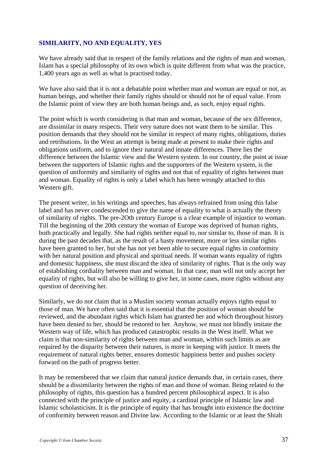#### **SIMILARITY, NO AND EQUALITY, YES**

We have already said that in respect of the family relations and the rights of man and woman. Islam has a special philosophy of its own which is quite different from what was the practice, 1,400 years ago as well as what is practised today.

We have also said that it is not a debatable point whether man and woman are equal or not, as human beings, and whether their family rights should or should not be of equal value. From the Islamic point of view they are both human beings and, as such, enjoy equal rights.

The point which is worth considering is that man and woman, because of the sex difference, are dissimilar in many respects. Their very nature does not want them to be similar. This position demands that they should not be similar in respect of many rights, obligations, duties and retributions. In the West an attempt is being made at present to make their rights and obligations uniform, and to ignore their natural and innate differences. There lies the difference between the Islamic view and the Western system. In our country, the point at issue between the supporters of Islamic rights and the supporters of the Western system, is the question of uniformity and similarity of rights and not that of equality of rights between man and woman. Equality of rights is only a label which has been wrongly attached to this Western gift.

The present writer, in his writings and speeches, has always refrained from using this false label and has never condescended to give the name of equality to what is actually the theory of similarity of rights. The pre-2Oth century Europe is a clear example of injustice to woman. Till the beginning of the 20th century the woman of Europe was deprived of human rights, both practically and legally. She had rights neither equal to, nor similar to, those of man. It is during the past decades that, as the result of a hasty movement, more or less similar rights have been granted to her, but she has not yet been able to secure equal rights in conformity with her natural position and physical and spiritual needs. If woman wants equality of rights and domestic happiness, she must discard the idea of similarity of rights. That is the only way of establishing cordiality between man and woman. In that case, man will not only accept her equality of rights, but will also be willing to give her, in some cases, more rights without any question of deceiving her.

Similarly, we do not claim that in a Muslim society woman actually enjoys rights equal to those of man. We have often said that it is essential that the position of woman should be reviewed, and the abundant rights which Islam has granted her and which throughout history have been denied to her, should be restored to her. Anyhow, we must not blindly imitate the Western way of life, which has produced catastrophic results in the West itself. What we claim is that non-similarity of rights between man and woman, within such limits as are required by the disparity between their natures, is more in keeping with justice. It meets the requirement of natural rights better, ensures domestic happiness better and pushes society forward on the path of progress better.

It may be remembered that we claim that natural justice demands that, in certain cases, there should be a dissimilarity between the rights of man and those of woman. Being related to the philosophy of rights, this question has a hundred percent philosophical aspect. It is also connected with the principle of justice and equity, a cardinal principle of Islamic law and Islamic scholasticism. It is the principle of equity that has brought into existence the doctrine of conformity between reason and Divine law. According to the Islamic or at least the Shiah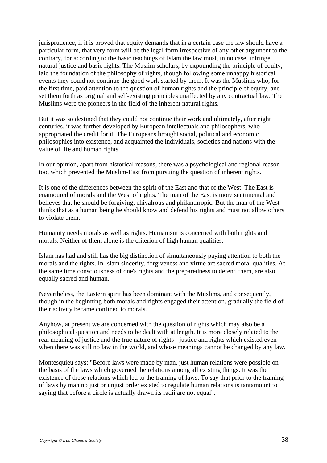jurisprudence, if it is proved that equity demands that in a certain case the law should have a particular form, that very form will be the legal form irrespective of any other argument to the contrary, for according to the basic teachings of Islam the law must, in no case, infringe natural justice and basic rights. The Muslim scholars, by expounding the principle of equity, laid the foundation of the philosophy of rights, though following some unhappy historical events they could not continue the good work started by them. It was the Muslims who, for the first time, paid attention to the question of human rights and the principle of equity, and set them forth as original and self-existing principles unaffected by any contractual law. The Muslims were the pioneers in the field of the inherent natural rights.

But it was so destined that they could not continue their work and ultimately, after eight centuries, it was further developed by European intellectuals and philosophers, who appropriated the credit for it. The Europeans brought social, political and economic philosophies into existence, and acquainted the individuals, societies and nations with the value of life and human rights.

In our opinion, apart from historical reasons, there was a psychological and regional reason too, which prevented the Muslim-East from pursuing the question of inherent rights.

It is one of the differences between the spirit of the East and that of the West. The East is enamoured of morals and the West of rights. The man of the East is more sentimental and believes that he should be forgiving, chivalrous and philanthropic. But the man of the West thinks that as a human being he should know and defend his rights and must not allow others to violate them.

Humanity needs morals as well as rights. Humanism is concerned with both rights and morals. Neither of them alone is the criterion of high human qualities.

Islam has had and still has the big distinction of simultaneously paying attention to both the morals and the rights. In Islam sincerity, forgiveness and virtue are sacred moral qualities. At the same time consciousness of one's rights and the preparedness to defend them, are also equally sacred and human.

Nevertheless, the Eastern spirit has been dominant with the Muslims, and consequently, though in the beginning both morals and rights engaged their attention, gradually the field of their activity became confined to morals.

Anyhow, at present we are concerned with the question of rights which may also be a philosophical question and needs to be dealt with at length. It is more closely related to the real meaning of justice and the true nature of rights - justice and rights which existed even when there was still no law in the world, and whose meanings cannot be changed by any law.

Montesquieu says: "Before laws were made by man, just human relations were possible on the basis of the laws which governed the relations among all existing things. It was the existence of these relations which led to the framing of laws. To say that prior to the framing of laws by man no just or unjust order existed to regulate human relations is tantamount to saying that before a circle is actually drawn its radii are not equal".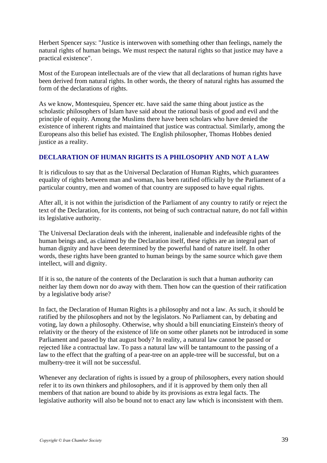Herbert Spencer says: "Justice is interwoven with something other than feelings, namely the natural rights of human beings. We must respect the natural rights so that justice may have a practical existence".

Most of the European intellectuals are of the view that all declarations of human rights have been derived from natural rights. In other words, the theory of natural rights has assumed the form of the declarations of rights.

As we know, Montesquieu, Spencer etc. have said the same thing about justice as the scholastic philosophers of Islam have said about the rational basis of good and evil and the principle of equity. Among the Muslims there have been scholars who have denied the existence of inherent rights and maintained that justice was contractual. Similarly, among the Europeans also this belief has existed. The English philosopher, Thomas Hobbes denied justice as a reality.

## **DECLARATION OF HUMAN RIGHTS IS A PHILOSOPHY AND NOT A LAW**

It is ridiculous to say that as the Universal Declaration of Human Rights, which guarantees equality of rights between man and woman, has been ratified officially by the Parliament of a particular country, men and women of that country are supposed to have equal rights.

After all, it is not within the jurisdiction of the Parliament of any country to ratify or reject the text of the Declaration, for its contents, not being of such contractual nature, do not fall within its legislative authority.

The Universal Declaration deals with the inherent, inalienable and indefeasible rights of the human beings and, as claimed by the Declaration itself, these rights are an integral part of human dignity and have been determined by the powerful hand of nature itself. In other words, these rights have been granted to human beings by the same source which gave them intellect, will and dignity.

If it is so, the nature of the contents of the Declaration is such that a human authority can neither lay them down nor do away with them. Then how can the question of their ratification by a legislative body arise?

In fact, the Declaration of Human Rights is a philosophy and not a law. As such, it should be ratified by the philosophers and not by the legislators. No Parliament can, by debating and voting, lay down a philosophy. Otherwise, why should a bill enunciating Einstein's theory of relativity or the theory of the existence of life on some other planets not be introduced in some Parliament and passed by that august body? In reality, a natural law cannot be passed or rejected like a contractual law. To pass a natural law will be tantamount to the passing of a law to the effect that the grafting of a pear-tree on an apple-tree will be successful, but on a mulberry-tree it will not be successful.

Whenever any declaration of rights is issued by a group of philosophers, every nation should refer it to its own thinkers and philosophers, and if it is approved by them only then all members of that nation are bound to abide by its provisions as extra legal facts. The legislative authority will also be bound not to enact any law which is inconsistent with them.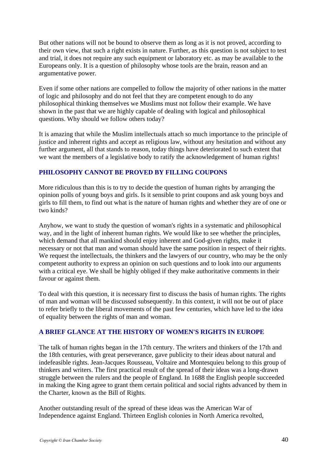But other nations will not be bound to observe them as long as it is not proved, according to their own view, that such a right exists in nature. Further, as this question is not subject to test and trial, it does not require any such equipment or laboratory etc. as may be available to the Europeans only. It is a question of philosophy whose tools are the brain, reason and an argumentative power.

Even if some other nations are compelled to follow the majority of other nations in the matter of logic and philosophy and do not feel that they are competent enough to do any philosophical thinking themselves we Muslims must not follow their example. We have shown in the past that we are highly capable of dealing with logical and philosophical questions. Why should we follow others today?

It is amazing that while the Muslim intellectuals attach so much importance to the principle of justice and inherent rights and accept as religious law, without any hesitation and without any further argument, all that stands to reason, today things have deteriorated to such extent that we want the members of a legislative body to ratify the acknowledgement of human rights!

# **PHILOSOPHY CANNOT BE PROVED BY FILLING COUPONS**

More ridiculous than this is to try to decide the question of human rights by arranging the opinion polls of young boys and girls. Is it sensible to print coupons and ask young boys and girls to fill them, to find out what is the nature of human rights and whether they are of one or two kinds?

Anyhow, we want to study the question of woman's rights in a systematic and philosophical way, and in the light of inherent human rights. We would like to see whether the principles, which demand that all mankind should enjoy inherent and God-given rights, make it necessary or not that man and woman should have the same position in respect of their rights. We request the intellectuals, the thinkers and the lawyers of our country, who may be the only competent authority to express an opinion on such questions and to look into our arguments with a critical eye. We shall be highly obliged if they make authoritative comments in their favour or against them.

To deal with this question, it is necessary first to discuss the basis of human rights. The rights of man and woman will be discussed subsequently. In this context, it will not be out of place to refer briefly to the liberal movements of the past few centuries, which have led to the idea of equality between the rights of man and woman.

# **A BRIEF GLANCE AT THE HISTORY OF WOMEN'S RIGHTS IN EUROPE**

The talk of human rights began in the 17th century. The writers and thinkers of the 17th and the 18th centuries, with great perseverance, gave publicity to their ideas about natural and indefeasible rights. Jean-Jacques Rousseau, Voltaire and Montesquieu belong to this group of thinkers and writers. The first practical result of the spread of their ideas was a long-drawn struggle between the rulers and the people of England. In 1688 the English people succeeded in making the King agree to grant them certain political and social rights advanced by them in the Charter, known as the Bill of Rights.

Another outstanding result of the spread of these ideas was the American War of Independence against England. Thirteen English colonies in North America revolted,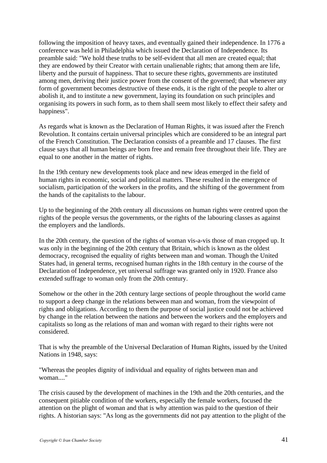following the imposition of heavy taxes, and eventually gained their independence. In 1776 a conference was held in Philadelphia which issued the Declaration of Independence. Its preamble said: "We hold these truths to be self-evident that all men are created equal; that they are endowed by their Creator with certain unalienable rights; that among them are life, liberty and the pursuit of happiness. That to secure these rights, governments are instituted among men, deriving their justice power from the consent of the governed; that whenever any form of government becomes destructive of these ends, it is the right of the people to alter or abolish it, and to institute a new government, laying its foundation on such principles and organising its powers in such form, as to them shall seem most likely to effect their safety and happiness".

As regards what is known as the Declaration of Human Rights, it was issued after the French Revolution. It contains certain universal principles which are considered to be an integral part of the French Constitution. The Declaration consists of a preamble and 17 clauses. The first clause says that all human beings are born free and remain free throughout their life. They are equal to one another in the matter of rights.

In the 19th century new developments took place and new ideas emerged in the field of human rights in economic, social and political matters. These resulted in the emergence of socialism, participation of the workers in the profits, and the shifting of the government from the hands of the capitalists to the labour.

Up to the beginning of the 20th century all discussions on human rights were centred upon the rights of the people versus the governments, or the rights of the labouring classes as against the employers and the landlords.

In the 20th century, the question of the rights of woman vis-a-vis those of man cropped up. It was only in the beginning of the 20th century that Britain, which is known as the oldest democracy, recognised the equality of rights between man and woman. Though the United States had, in general terms, recognised human rights in the 18th century in the course of the Declaration of Independence, yet universal suffrage was granted only in 1920. France also extended suffrage to woman only from the 20th century.

Somehow or the other in the 20th century large sections of people throughout the world came to support a deep change in the relations between man and woman, from the viewpoint of rights and obligations. According to them the purpose of social justice could not be achieved by change in the relation between the nations and between the workers and the employers and capitalists so long as the relations of man and woman with regard to their rights were not considered.

That is why the preamble of the Universal Declaration of Human Rights, issued by the United Nations in 1948, says:

"Whereas the peoples dignity of individual and equality of rights between man and woman...."

The crisis caused by the development of machines in the 19th and the 20th centuries, and the consequent pitiable condition of the workers, especially the female workers, focused the attention on the plight of woman and that is why attention was paid to the question of their rights. A historian says: "As long as the governments did not pay attention to the plight of the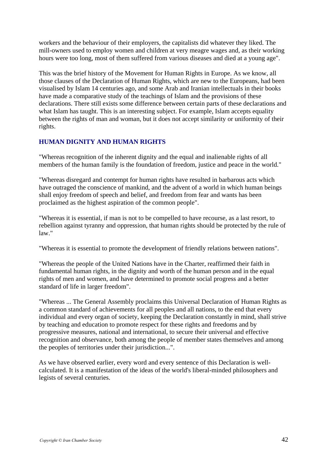workers and the behaviour of their employers, the capitalists did whatever they liked. The mill-owners used to employ women and children at very meagre wages and, as their working hours were too long, most of them suffered from various diseases and died at a young age".

This was the brief history of the Movement for Human Rights in Europe. As we know, all those clauses of the Declaration of Human Rights, which are new to the Europeans, had been visualised by Islam 14 centuries ago, and some Arab and Iranian intellectuals in their books have made a comparative study of the teachings of Islam and the provisions of these declarations. There still exists some difference between certain parts of these declarations and what Islam has taught. This is an interesting subject. For example, Islam accepts equality between the rights of man and woman, but it does not accept similarity or uniformity of their rights.

# **HUMAN DIGNITY AND HUMAN RIGHTS**

"Whereas recognition of the inherent dignity and the equal and inalienable rights of all members of the human family is the foundation of freedom, justice and peace in the world."

"Whereas disregard and contempt for human rights have resulted in barbarous acts which have outraged the conscience of mankind, and the advent of a world in which human beings shall enjoy freedom of speech and belief, and freedom from fear and wants has been proclaimed as the highest aspiration of the common people".

"Whereas it is essential, if man is not to be compelled to have recourse, as a last resort, to rebellion against tyranny and oppression, that human rights should be protected by the rule of law."

"Whereas it is essential to promote the development of friendly relations between nations".

"Whereas the people of the United Nations have in the Charter, reaffirmed their faith in fundamental human rights, in the dignity and worth of the human person and in the equal rights of men and women, and have determined to promote social progress and a better standard of life in larger freedom".

"Whereas ... The General Assembly proclaims this Universal Declaration of Human Rights as a common standard of achievements for all peoples and all nations, to the end that every individual and every organ of society, keeping the Declaration constantly in mind, shall strive by teaching and education to promote respect for these rights and freedoms and by progressive measures, national and international, to secure their universal and effective recognition and observance, both among the people of member states themselves and among the peoples of territories under their jurisdiction...".

As we have observed earlier, every word and every sentence of this Declaration is wellcalculated. It is a manifestation of the ideas of the world's liberal-minded philosophers and legists of several centuries.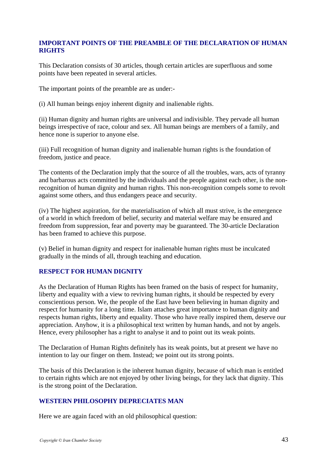## **IMPORTANT POINTS OF THE PREAMBLE OF THE DECLARATION OF HUMAN RIGHTS**

This Declaration consists of 30 articles, though certain articles are superfluous and some points have been repeated in several articles.

The important points of the preamble are as under:-

(i) All human beings enjoy inherent dignity and inalienable rights.

(ii) Human dignity and human rights are universal and indivisible. They pervade all human beings irrespective of race, colour and sex. All human beings are members of a family, and hence none is superior to anyone else.

(iii) Full recognition of human dignity and inalienable human rights is the foundation of freedom, justice and peace.

The contents of the Declaration imply that the source of all the troubles, wars, acts of tyranny and barbarous acts committed by the individuals and the people against each other, is the nonrecognition of human dignity and human rights. This non-recognition compels some to revolt against some others, and thus endangers peace and security.

(iv) The highest aspiration, for the materialisation of which all must strive, is the emergence of a world in which freedom of belief, security and material welfare may be ensured and freedom from suppression, fear and poverty may be guaranteed. The 30-article Declaration has been framed to achieve this purpose.

(v) Belief in human dignity and respect for inalienable human rights must be inculcated gradually in the minds of all, through teaching and education.

## **RESPECT FOR HUMAN DIGNITY**

As the Declaration of Human Rights has been framed on the basis of respect for humanity, liberty and equality with a view to reviving human rights, it should be respected by every conscientious person. We, the people of the East have been believing in human dignity and respect for humanity for a long time. Islam attaches great importance to human dignity and respects human rights, liberty and equality. Those who have really inspired them, deserve our appreciation. Anyhow, it is a philosophical text written by human hands, and not by angels. Hence, every philosopher has a right to analyse it and to point out its weak points.

The Declaration of Human Rights definitely has its weak points, but at present we have no intention to lay our finger on them. Instead; we point out its strong points.

The basis of this Declaration is the inherent human dignity, because of which man is entitled to certain rights which are not enjoyed by other living beings, for they lack that dignity. This is the strong point of the Declaration.

# **WESTERN PHILOSOPHY DEPRECIATES MAN**

Here we are again faced with an old philosophical question: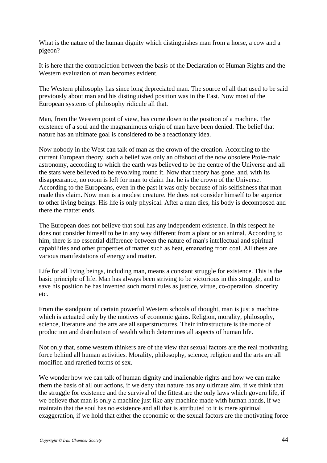What is the nature of the human dignity which distinguishes man from a horse, a cow and a pigeon?

It is here that the contradiction between the basis of the Declaration of Human Rights and the Western evaluation of man becomes evident.

The Western philosophy has since long depreciated man. The source of all that used to be said previously about man and his distinguished position was in the East. Now most of the European systems of philosophy ridicule all that.

Man, from the Western point of view, has come down to the position of a machine. The existence of a soul and the magnanimous origin of man have been denied. The belief that nature has an ultimate goal is considered to be a reactionary idea.

Now nobody in the West can talk of man as the crown of the creation. According to the current European theory, such a belief was only an offshoot of the now obsolete Ptole-maic astronomy, according to which the earth was believed to be the centre of the Universe and all the stars were believed to be revolving round it. Now that theory has gone, and, with its disappearance, no room is left for man to claim that he is the crown of the Universe. According to the Europeans, even in the past it was only because of his selfishness that man made this claim. Now man is a modest creature. He does not consider himself to be superior to other living beings. His life is only physical. After a man dies, his body is decomposed and there the matter ends.

The European does not believe that soul has any independent existence. In this respect he does not consider himself to be in any way different from a plant or an animal. According to him, there is no essential difference between the nature of man's intellectual and spiritual capabilities and other properties of matter such as heat, emanating from coal. All these are various manifestations of energy and matter.

Life for all living beings, including man, means a constant struggle for existence. This is the basic principle of life. Man has always been striving to be victorious in this struggle, and to save his position he has invented such moral rules as justice, virtue, co-operation, sincerity etc.

From the standpoint of certain powerful Western schools of thought, man is just a machine which is actuated only by the motives of economic gains. Religion, morality, philosophy, science, literature and the arts are all superstructures. Their infrastructure is the mode of production and distribution of wealth which determines all aspects of human life.

Not only that, some western thinkers are of the view that sexual factors are the real motivating force behind all human activities. Morality, philosophy, science, religion and the arts are all modified and rarefied forms of sex.

We wonder how we can talk of human dignity and inalienable rights and how we can make them the basis of all our actions, if we deny that nature has any ultimate aim, if we think that the struggle for existence and the survival of the fittest are the only laws which govern life, if we believe that man is only a machine just like any machine made with human hands, if we maintain that the soul has no existence and all that is attributed to it is mere spiritual exaggeration, if we hold that either the economic or the sexual factors are the motivating force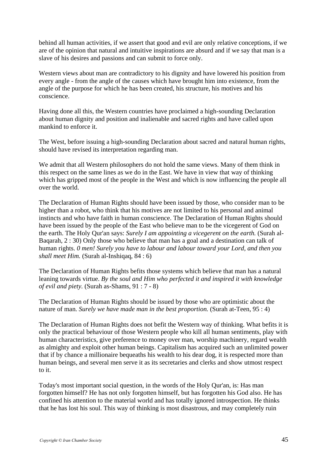behind all human activities, if we assert that good and evil are only relative conceptions, if we are of the opinion that natural and intuitive inspirations are absurd and if we say that man is a slave of his desires and passions and can submit to force only.

Western views about man are contradictory to his dignity and have lowered his position from every angle - from the angle of the causes which have brought him into existence, from the angle of the purpose for which he has been created, his structure, his motives and his conscience.

Having done all this, the Western countries have proclaimed a high-sounding Declaration about human dignity and position and inalienable and sacred rights and have called upon mankind to enforce it.

The West, before issuing a high-sounding Declaration about sacred and natural human rights, should have revised its interpretation regarding man.

We admit that all Western philosophers do not hold the same views. Many of them think in this respect on the same lines as we do in the East. We have in view that way of thinking which has gripped most of the people in the West and which is now influencing the people all over the world.

The Declaration of Human Rights should have been issued by those, who consider man to be higher than a robot, who think that his motives are not limited to his personal and animal instincts and who have faith in human conscience. The Declaration of Human Rights should have been issued by the people of the East who believe man to be the vicegerent of God on the earth. The Holy Qur'an says: *Surely I am appointing a vicegerent on the earth.* (Surah al-Baqarah, 2 : 30) Only those who believe that man has a goal and a destination can talk of human rights. *0 men! Surely you have to labour and labour toward your Lord, and then you shall meet Him.* (Surah al-Inshiqaq, 84 : 6)

The Declaration of Human Rights befits those systems which believe that man has a natural leaning towards virtue. *By the soul and Him who perfected it and inspired it with knowledge of evil and piety.* (Surah as-Shams, 91 : 7 - 8)

The Declaration of Human Rights should be issued by those who are optimistic about the nature of man. *Surely we have made man in the best proportion.* (Surah at-Teen, 95 : 4)

The Declaration of Human Rights does not befit the Western way of thinking. What befits it is only the practical behaviour of those Western people who kill all human sentiments, play with human characteristics, give preference to money over man, worship machinery, regard wealth as almighty and exploit other human beings. Capitalism has acquired such an unlimited power that if by chance a millionaire bequeaths his wealth to his dear dog, it is respected more than human beings, and several men serve it as its secretaries and clerks and show utmost respect to it.

Today's most important social question, in the words of the Holy Qur'an, is: Has man forgotten himself? He has not only forgotten himself, but has forgotten his God also. He has confined his attention to the material world and has totally ignored introspection. He thinks that he has lost his soul. This way of thinking is most disastrous, and may completely ruin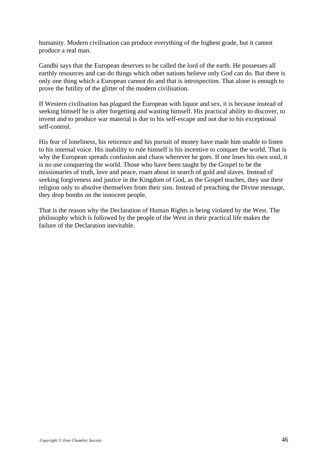humanity. Modern civilisation can produce everything of the highest grade, but it cannot produce a real man.

Gandhi says that the European deserves to be called the lord of the earth. He possesses all earthly resources and can do things which other nations believe only God can do. But there is only one thing which a European cannot do and that is introspection. That alone is enough to prove the futility of the glitter of the modern civilisation.

If Western civilisation has plagued the European with liquor and sex, it is because instead of seeking himself he is after forgetting and wasting himself. His practical ability to discover, to invent and to produce war material is due to his self-escape and not due to his exceptional self-control.

His fear of loneliness, his reticence and his pursuit of money have made him unable to listen to his internal voice. His inability to rule himself is his incentive to conquer the world. That is why the European spreads confusion and chaos wherever he goes. If one loses his own soul, it is no use conquering the world. Those who have been taught by the Gospel to be the missionaries of truth, love and peace, roam about in search of gold and slaves. Instead of seeking forgiveness and justice in the Kingdom of God, as the Gospel teaches, they use their religion only to absolve themselves from their sins. Instead of preaching the Divine message, they drop bombs on the innocent people.

That is the reason why the Declaration of Human Rights is being violated by the West. The philosophy which is followed by the people of the West in their practical life makes the failure of the Declaration inevitable.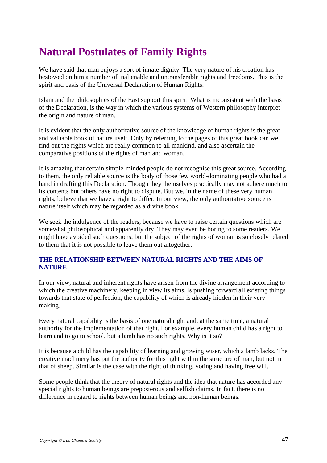# **Natural Postulates of Family Rights**

We have said that man enjoys a sort of innate dignity. The very nature of his creation has bestowed on him a number of inalienable and untransferable rights and freedoms. This is the spirit and basis of the Universal Declaration of Human Rights.

Islam and the philosophies of the East support this spirit. What is inconsistent with the basis of the Declaration, is the way in which the various systems of Western philosophy interpret the origin and nature of man.

It is evident that the only authoritative source of the knowledge of human rights is the great and valuable book of nature itself. Only by referring to the pages of this great book can we find out the rights which are really common to all mankind, and also ascertain the comparative positions of the rights of man and woman.

It is amazing that certain simple-minded people do not recognise this great source. According to them, the only reliable source is the body of those few world-dominating people who had a hand in drafting this Declaration. Though they themselves practically may not adhere much to its contents but others have no right to dispute. But we, in the name of these very human rights, believe that we have a right to differ. In our view, the only authoritative source is nature itself which may be regarded as a divine book.

We seek the indulgence of the readers, because we have to raise certain questions which are somewhat philosophical and apparently dry. They may even be boring to some readers. We might have avoided such questions, but the subject of the rights of woman is so closely related to them that it is not possible to leave them out altogether.

## **THE RELATIONSHIP BETWEEN NATURAL RIGHTS AND THE AIMS OF NATURE**

In our view, natural and inherent rights have arisen from the divine arrangement according to which the creative machinery, keeping in view its aims, is pushing forward all existing things towards that state of perfection, the capability of which is already hidden in their very making.

Every natural capability is the basis of one natural right and, at the same time, a natural authority for the implementation of that right. For example, every human child has a right to learn and to go to school, but a lamb has no such rights. Why is it so?

It is because a child has the capability of learning and growing wiser, which a lamb lacks. The creative machinery has put the authority for this right within the structure of man, but not in that of sheep. Similar is the case with the right of thinking, voting and having free will.

Some people think that the theory of natural rights and the idea that nature has accorded any special rights to human beings are preposterous and selfish claims. In fact, there is no difference in regard to rights between human beings and non-human beings.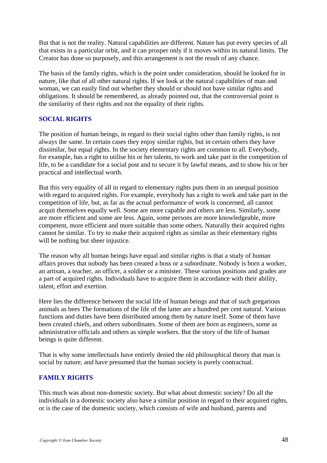But that is not the reality. Natural capabilities are different. Nature has put every species of all that exists in a particular orbit, and it can prosper only if it moves within its natural limits. The Creator has done so purposely, and this arrangement is not the result of any chance.

The basis of the family rights, which is the point under consideration, should be looked for in nature, like that of all other natural rights. If we look at the natural capabilities of man and woman, we can easily find out whether they should or should not have similar rights and obligations. It should be remembered, as already pointed out, that the controversial point is the similarity of their rights and not the equality of their rights.

## **SOCIAL RIGHTS**

The position of human beings, in regard to their social rights other than family rights, is not always the same. In certain cases they enjoy similar rights, but in certain others they have dissimilar, but equal rights. In the society elementary rights are common to all. Everybody, for example, has a right to utilise his or her talents, to work and take part in the competition of life, to be a candidate for a social post and to secure it by lawful means, and to show his or her practical and intellectual worth.

But this very equality of all in regard to elementary rights puts them in an unequal position with regard to acquired rights. For example, everybody has a right to work and take part in the competition of life, but, as far as the actual performance of work is concerned, all cannot acquit themselves equally well. Some are more capable and others are less. Similarly, some are more efficient and some are less. Again, some persons are more knowledgeable, more competent, more efficient and more suitable than some others. Naturally their acquired rights cannot be similar. To try to make their acquired rights as similar as their elementary rights will be nothing but sheer injustice.

The reason why all human beings have equal and similar rights is that a study of human affairs proves that nobody has been created a boss or a subordinate. Nobody is born a worker, an artisan, a teacher, an officer, a soldier or a minister. These various positions and grades are a part of acquired rights. Individuals have to acquire them in accordance with their ability, talent, effort and exertion.

Here lies the difference between the social life of human beings and that of such gregarious animals as bees The formations of the life of the latter are a hundred per cent natural. Various functions and duties have been distributed among them by nature itself. Some of them have been created chiefs, and others subordinates. Some of them are born as engineers, some as administrative officials and others as simple workers. But the story of the life of human beings is quite different.

That is why some intellectuals have entirely denied the old philosophical theory that man is social by nature, and have presumed that the human society is purely contractual.

# **FAMILY RIGHTS**

This much was about non-domestic society. But what about domestic society? Do all the individuals in a domestic society also have a similar position in regard to their acquired rights, or is the case of the domestic society, which consists of wife and husband, parents and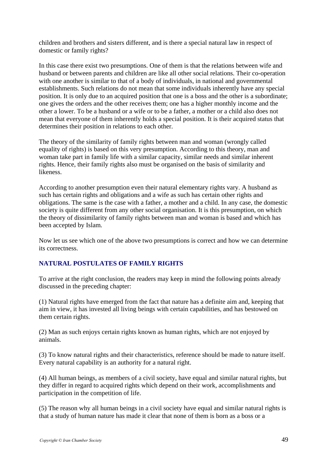children and brothers and sisters different, and is there a special natural law in respect of domestic or family rights?

In this case there exist two presumptions. One of them is that the relations between wife and husband or between parents and children are like all other social relations. Their co-operation with one another is similar to that of a body of individuals, in national and governmental establishments. Such relations do not mean that some individuals inherently have any special position. It is only due to an acquired position that one is a boss and the other is a subordinate; one gives the orders and the other receives them; one has a higher monthly income and the other a lower. To be a husband or a wife or to be a father, a mother or a child also does not mean that everyone of them inherently holds a special position. It is their acquired status that determines their position in relations to each other.

The theory of the similarity of family rights between man and woman (wrongly called equality of rights) is based on this very presumption. According to this theory, man and woman take part in family life with a similar capacity, similar needs and similar inherent rights. Hence, their family rights also must be organised on the basis of similarity and likeness.

According to another presumption even their natural elementary rights vary. A husband as such has certain rights and obligations and a wife as such has certain other rights and obligations. The same is the case with a father, a mother and a child. In any case, the domestic society is quite different from any other social organisation. It is this presumption, on which the theory of dissimilarity of family rights between man and woman is based and which has been accepted by Islam.

Now let us see which one of the above two presumptions is correct and how we can determine its correctness.

## **NATURAL POSTULATES OF FAMILY RIGHTS**

To arrive at the right conclusion, the readers may keep in mind the following points already discussed in the preceding chapter:

(1) Natural rights have emerged from the fact that nature has a definite aim and, keeping that aim in view, it has invested all living beings with certain capabilities, and has bestowed on them certain rights.

(2) Man as such enjoys certain rights known as human rights, which are not enjoyed by animals.

(3) To know natural rights and their characteristics, reference should be made to nature itself. Every natural capability is an authority for a natural right.

(4) All human beings, as members of a civil society, have equal and similar natural rights, but they differ in regard to acquired rights which depend on their work, accomplishments and participation in the competition of life.

(5) The reason why all human beings in a civil society have equal and similar natural rights is that a study of human nature has made it clear that none of them is born as a boss or a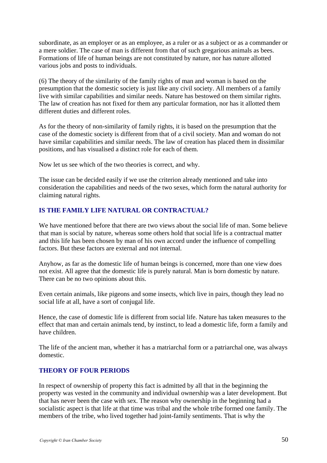subordinate, as an employer or as an employee, as a ruler or as a subject or as a commander or a mere soldier. The case of man is different from that of such gregarious animals as bees. Formations of life of human beings are not constituted by nature, nor has nature allotted various jobs and posts to individuals.

(6) The theory of the similarity of the family rights of man and woman is based on the presumption that the domestic society is just like any civil society. All members of a family live with similar capabilities and similar needs. Nature has bestowed on them similar rights. The law of creation has not fixed for them any particular formation, nor has it allotted them different duties and different roles.

As for the theory of non-similarity of family rights, it is based on the presumption that the case of the domestic society is different from that of a civil society. Man and woman do not have similar capabilities and similar needs. The law of creation has placed them in dissimilar positions, and has visualised a distinct role for each of them.

Now let us see which of the two theories is correct, and why.

The issue can be decided easily if we use the criterion already mentioned and take into consideration the capabilities and needs of the two sexes, which form the natural authority for claiming natural rights.

# **IS THE FAMILY LIFE NATURAL OR CONTRACTUAL?**

We have mentioned before that there are two views about the social life of man. Some believe that man is social by nature, whereas some others hold that social life is a contractual matter and this life has been chosen by man of his own accord under the influence of compelling factors. But these factors are external and not internal.

Anyhow, as far as the domestic life of human beings is concerned, more than one view does not exist. All agree that the domestic life is purely natural. Man is born domestic by nature. There can be no two opinions about this.

Even certain animals, like pigeons and some insects, which live in pairs, though they lead no social life at all, have a sort of conjugal life.

Hence, the case of domestic life is different from social life. Nature has taken measures to the effect that man and certain animals tend, by instinct, to lead a domestic life, form a family and have children.

The life of the ancient man, whether it has a matriarchal form or a patriarchal one, was always domestic.

## **THEORY OF FOUR PERIODS**

In respect of ownership of property this fact is admitted by all that in the beginning the property was vested in the community and individual ownership was a later development. But that has never been the case with sex. The reason why ownership in the beginning had a socialistic aspect is that life at that time was tribal and the whole tribe formed one family. The members of the tribe, who lived together had joint-family sentiments. That is why the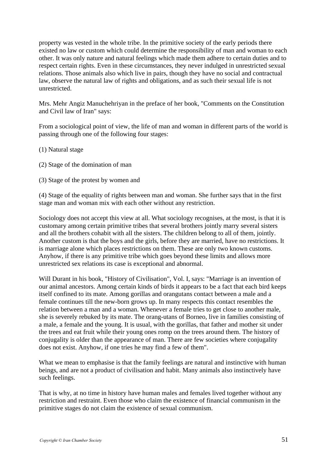property was vested in the whole tribe. In the primitive society of the early periods there existed no law or custom which could determine the responsibility of man and woman to each other. It was only nature and natural feelings which made them adhere to certain duties and to respect certain rights. Even in these circumstances, they never indulged in unrestricted sexual relations. Those animals also which live in pairs, though they have no social and contractual law, observe the natural law of rights and obligations, and as such their sexual life is not unrestricted.

Mrs. Mehr Angiz Manuchehriyan in the preface of her book, "Comments on the Constitution and Civil law of Iran" says:

From a sociological point of view, the life of man and woman in different parts of the world is passing through one of the following four stages:

- (1) Natural stage
- (2) Stage of the domination of man
- (3) Stage of the protest by women and

(4) Stage of the equality of rights between man and woman. She further says that in the first stage man and woman mix with each other without any restriction.

Sociology does not accept this view at all. What sociology recognises, at the most, is that it is customary among certain primitive tribes that several brothers jointly marry several sisters and all the brothers cohabit with all the sisters. The children belong to all of them, jointly. Another custom is that the boys and the girls, before they are married, have no restrictions. It is marriage alone which places restrictions on them. These are only two known customs. Anyhow, if there is any primitive tribe which goes beyond these limits and allows more unrestricted sex relations its case is exceptional and abnormal.

Will Durant in his book, "History of Civilisation", Vol. I, says: "Marriage is an invention of our animal ancestors. Among certain kinds of birds it appears to be a fact that each bird keeps itself confined to its mate. Among gorillas and orangutans contact between a male and a female continues till the new-born grows up. In many respects this contact resembles the relation between a man and a woman. Whenever a female tries to get close to another male, she is severely rebuked by its mate. The orang-utans of Borneo, live in families consisting of a male, a female and the young. It is usual, with the gorillas, that father and mother sit under the trees and eat fruit while their young ones romp on the trees around them. The history of conjugality is older than the appearance of man. There are few societies where conjugality does not exist. Anyhow, if one tries he may find a few of them".

What we mean to emphasise is that the family feelings are natural and instinctive with human beings, and are not a product of civilisation and habit. Many animals also instinctively have such feelings.

That is why, at no time in history have human males and females lived together without any restriction and restraint. Even those who claim the existence of financial communism in the primitive stages do not claim the existence of sexual communism.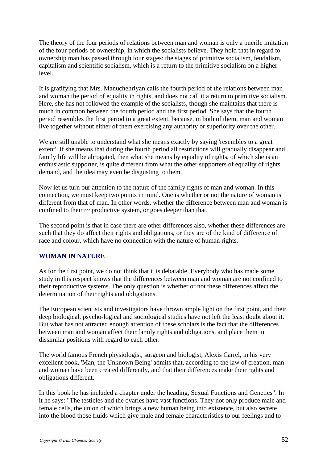The theory of the four periods of relations between man and woman is only a puerile imitation of the four periods of ownership, in which the socialists believe. They hold that in regard to ownership man has passed through four stages: the stages of primitive socialism, feudalism, capitalism and scientific socialism, which is a return to the primitive socialism on a higher level.

It is gratifying that Mrs. Manuchehriyan calls the fourth period of the relations between man and woman the period of equality in rights, and does not call it a return to primitive socialism. Here, she has not followed the example of the socialists, though she maintains that there is much in common between the fourth period and the first period. She says that the fourth period resembles the first period to a great extent, because, in both of them, man and woman live together without either of them exercising any authority or superiority over the other.

We are still unable to understand what she means exactly by saying 'resembles to a great extent'. If she means that during the fourth period all restrictions will gradually disappear and family life will be abrogated, then what she means by equality of rights, of which she is an enthusiastic supporter, is quite different from what the other supporters of equality of rights demand, and the idea may even be disgusting to them.

Now let us turn our attention to the nature of the family rights of man and woman. In this connection, we must keep two points in mind. One is whether or not the nature of woman is different from that of man. In other words, whether the difference between man and woman is confined to their r~ productive system, or goes deeper than that.

The second point is that in case there are other differences also, whether these differences are such that they do affect their rights and obligations, or they are of the kind of difference of race and colour, which have no connection with the nature of human rights.

## **WOMAN IN NATURE**

As for the first point, we do not think that it is debatable. Everybody who has made some study in this respect knows that the differences between man and woman are not confined to their reproductive systems. The only question is whether or not these differences affect the determination of their rights and obligations.

The European scientists and investigators have thrown ample light on the first point, and their deep biological, psycho-logical and sociological studies have not left the least doubt about it. But what has not attracted enough attention of these scholars is the fact that the differences between man and woman affect their family rights and obligations, and place them in dissimilar positions with regard to each other.

The world famous French physiologist, surgeon and biologist, Alexis Carrel, in his very excellent book, 'Man, the Unknown Being' admits that, according to the law of creation, man and woman have been created differently, and that their differences make their rights and obligations different.

In this book he has included a chapter under the heading, Sexual Functions and Genetics". In it he says: "The testicles and the ovaries have vast functions. They not only produce male and female cells, the union of which brings a new human being into existence, but also secrete into the blood those fluids which give male and female characteristics to our feelings and to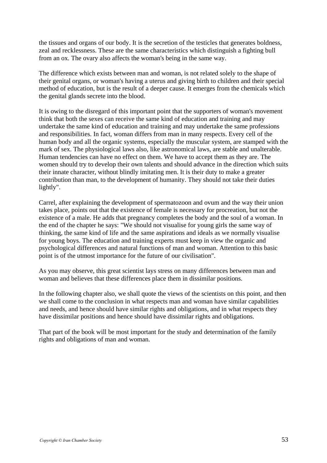the tissues and organs of our body. It is the secretion of the testicles that generates boldness, zeal and recklessness. These are the same characteristics which distinguish a fighting bull from an ox. The ovary also affects the woman's being in the same way.

The difference which exists between man and woman, is not related solely to the shape of their genital organs, or woman's having a uterus and giving birth to children and their special method of education, but is the result of a deeper cause. It emerges from the chemicals which the genital glands secrete into the blood.

It is owing to the disregard of this important point that the supporters of woman's movement think that both the sexes can receive the same kind of education and training and may undertake the same kind of education and training and may undertake the same professions and responsibilities. In fact, woman differs from man in many respects. Every cell of the human body and all the organic systems, especially the muscular system, are stamped with the mark of sex. The physiological laws also, like astronomical laws, are stable and unalterable. Human tendencies can have no effect on them. We have to accept them as they are. The women should try to develop their own talents and should advance in the direction which suits their innate character, without blindly imitating men. It is their duty to make a greater contribution than man, to the development of humanity. They should not take their duties lightly".

Carrel, after explaining the development of spermatozoon and ovum and the way their union takes place, points out that the existence of female is necessary for procreation, but not the existence of a male. He adds that pregnancy completes the body and the soul of a woman. In the end of the chapter he says: "We should not visualise for young girls the same way of thinking, the same kind of life and the same aspirations and ideals as we normally visualise for young boys. The education and training experts must keep in view the organic and psychological differences and natural functions of man and woman. Attention to this basic point is of the utmost importance for the future of our civilisation".

As you may observe, this great scientist lays stress on many differences between man and woman and believes that these differences place them in dissimilar positions.

In the following chapter also, we shall quote the views of the scientists on this point, and then we shall come to the conclusion in what respects man and woman have similar capabilities and needs, and hence should have similar rights and obligations, and in what respects they have dissimilar positions and hence should have dissimilar rights and obligations.

That part of the book will be most important for the study and determination of the family rights and obligations of man and woman.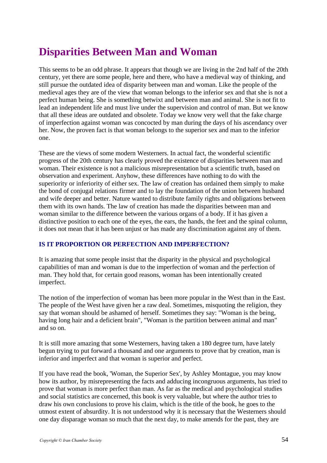# **Disparities Between Man and Woman**

This seems to be an odd phrase. It appears that though we are living in the 2nd half of the 20th century, yet there are some people, here and there, who have a medieval way of thinking, and still pursue the outdated idea of disparity between man and woman. Like the people of the medieval ages they are of the view that woman belongs to the inferior sex and that she is not a perfect human being. She is something betwixt and between man and animal. She is not fit to lead an independent life and must live under the supervision and control of man. But we know that all these ideas are outdated and obsolete. Today we know very well that the fake charge of imperfection against woman was concocted by man during the days of his ascendancy over her. Now, the proven fact is that woman belongs to the superior sex and man to the inferior one.

These are the views of some modern Westerners. In actual fact, the wonderful scientific progress of the 20th century has clearly proved the existence of disparities between man and woman. Their existence is not a malicious misrepresentation but a scientific truth, based on observation and experiment. Anyhow, these differences have nothing to do with the superiority or inferiority of either sex. The law of creation has ordained them simply to make the bond of conjugal relations firmer and to lay the foundation of the union between husband and wife deeper and better. Nature wanted to distribute family rights and obligations between them with its own hands. The law of creation has made the disparities between man and woman similar to the difference between the various organs of a body. If it has given a distinctive position to each one of the eyes, the ears, the hands, the feet and the spinal column, it does not mean that it has been unjust or has made any discrimination against any of them.

## **IS IT PROPORTION OR PERFECTION AND IMPERFECTION?**

It is amazing that some people insist that the disparity in the physical and psychological capabilities of man and woman is due to the imperfection of woman and the perfection of man. They hold that, for certain good reasons, woman has been intentionally created imperfect.

The notion of the imperfection of woman has been more popular in the West than in the East. The people of the West have given her a raw deal. Sometimes, misquoting the religion, they say that woman should be ashamed of herself. Sometimes they say: "Woman is the being, having long hair and a deficient brain", "Woman is the partition between animal and man" and so on.

It is still more amazing that some Westerners, having taken a 180 degree turn, have lately begun trying to put forward a thousand and one arguments to prove that by creation, man is inferior and imperfect and that woman is superior and perfect.

If you have read the book, 'Woman, the Superior Sex', by Ashley Montague, you may know how its author, by misrepresenting the facts and adducing incongruous arguments, has tried to prove that woman is more perfect than man. As far as the medical and psychological studies and social statistics are concerned, this book is very valuable, but where the author tries to draw his own conclusions to prove his claim, which is the title of the book, he goes to the utmost extent of absurdity. It is not understood why it is necessary that the Westerners should one day disparage woman so much that the next day, to make amends for the past, they are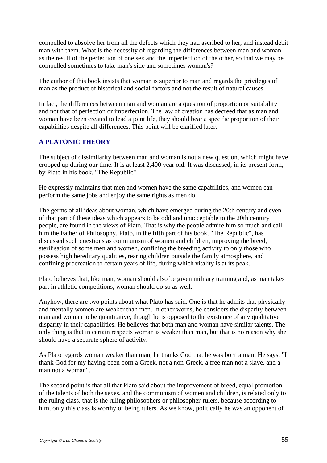compelled to absolve her from all the defects which they had ascribed to her, and instead debit man with them. What is the necessity of regarding the differences between man and woman as the result of the perfection of one sex and the imperfection of the other, so that we may be compelled sometimes to take man's side and sometimes woman's?

The author of this book insists that woman is superior to man and regards the privileges of man as the product of historical and social factors and not the result of natural causes.

In fact, the differences between man and woman are a question of proportion or suitability and not that of perfection or imperfection. The law of creation has decreed that as man and woman have been created to lead a joint life, they should bear a specific proportion of their capabilities despite all differences. This point will be clarified later.

## **A PLATONIC THEORY**

The subject of dissimilarity between man and woman is not a new question, which might have cropped up during our time. It is at least 2,400 year old. It was discussed, in its present form, by Plato in his book, "The Republic".

He expressly maintains that men and women have the same capabilities, and women can perform the same jobs and enjoy the same rights as men do.

The germs of all ideas about woman, which have emerged during the 20th century and even of that part of these ideas which appears to be odd and unacceptable to the 20th century people, are found in the views of Plato. That is why the people admire him so much and call him the Father of Philosophy. Plato, in the fifth part of his book, "The Republic", has discussed such questions as communism of women and children, improving the breed, sterilisation of some men and women, confining the breeding activity to only those who possess high hereditary qualities, rearing children outside the family atmosphere, and confining procreation to certain years of life, during which vitality is at its peak.

Plato believes that, like man, woman should also be given military training and, as man takes part in athletic competitions, woman should do so as well.

Anyhow, there are two points about what Plato has said. One is that he admits that physically and mentally women are weaker than men. In other words, he considers the disparity between man and woman to be quantitative, though he is opposed to the existence of any qualitative disparity in their capabilities. He believes that both man and woman have similar talents. The only thing is that in certain respects woman is weaker than man, but that is no reason why she should have a separate sphere of activity.

As Plato regards woman weaker than man, he thanks God that he was born a man. He says: "I thank God for my having been born a Greek, not a non-Greek, a free man not a slave, and a man not a woman".

The second point is that all that Plato said about the improvement of breed, equal promotion of the talents of both the sexes, and the communism of women and children, is related only to the ruling class, that is the ruling philosophers or philosopher-rulers, because according to him, only this class is worthy of being rulers. As we know, politically he was an opponent of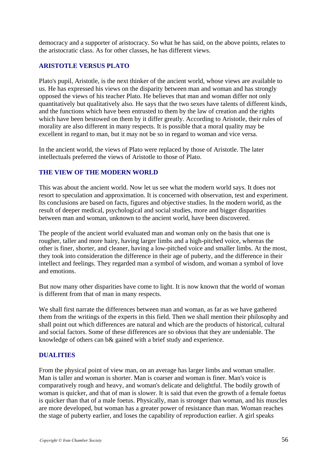democracy and a supporter of aristocracy. So what he has said, on the above points, relates to the aristocratic class. As for other classes, he has different views.

## **ARISTOTLE VERSUS PLATO**

Plato's pupil, Aristotle, is the next thinker of the ancient world, whose views are available to us. He has expressed his views on the disparity between man and woman and has strongly opposed the views of his teacher Plato. He believes that man and woman differ not only quantitatively but qualitatively also. He says that the two sexes have talents of different kinds, and the functions which have been entrusted to them by the law of creation and the rights which have been bestowed on them by it differ greatly. According to Aristotle, their rules of morality are also different in many respects. It is possible that a moral quality may be excellent in regard to man, but it may not be so in regard to woman and vice versa.

In the ancient world, the views of Plato were replaced by those of Aristotle. The later intellectuals preferred the views of Aristotle to those of Plato.

## **THE VIEW OF THE MODERN WORLD**

This was about the ancient world. Now let us see what the modern world says. It does not resort to speculation and approximation. It is concerned with observation, test and experiment. Its conclusions are based on facts, figures and objective studies. In the modern world, as the result of deeper medical, psychological and social studies, more and bigger disparities between man and woman, unknown to the ancient world, have been discovered.

The people of the ancient world evaluated man and woman only on the basis that one is rougher, taller and more hairy, having larger limbs and a high-pitched voice, whereas the other is finer, shorter, and cleaner, having a low-pitched voice and smaller limbs. At the most, they took into consideration the difference in their age of puberty, and the difference in their intellect and feelings. They regarded man a symbol of wisdom, and woman a symbol of love and emotions.

But now many other disparities have come to light. It is now known that the world of woman is different from that of man in many respects.

We shall first narrate the differences between man and woman, as far as we have gathered them from the writings of the experts in this field. Then we shall mention their philosophy and shall point out which differences are natural and which are the products of historical, cultural and social factors. Some of these differences are so obvious that they are undeniable. The knowledge of others can b& gained with a brief study and experience.

#### **DUALITIES**

From the physical point of view man, on an average has larger limbs and woman smaller. Man is taller and woman is shorter. Man is coarser and woman is finer. Man's voice is comparatively rough and heavy, and woman's delicate and delightful. The bodily growth of woman is quicker, and that of man is slower. It is said that even the growth of a female foetus is quicker than that of a male foetus. Physically, man is stronger than woman, and his muscles are more developed, but woman has a greater power of resistance than man. Woman reaches the stage of puberty earlier, and loses the capability of reproduction earlier. A girl speaks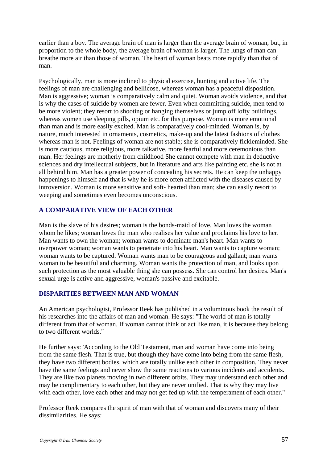earlier than a boy. The average brain of man is larger than the average brain of woman, but, in proportion to the whole body, the average brain of woman is larger. The lungs of man can breathe more air than those of woman. The heart of woman beats more rapidly than that of man.

Psychologically, man is more inclined to physical exercise, hunting and active life. The feelings of man are challenging and bellicose, whereas woman has a peaceful disposition. Man is aggressive; woman is comparatively calm and quiet. Woman avoids violence, and that is why the cases of suicide by women are fewer. Even when committing suicide, men tend to be more violent; they resort to shooting or hanging themselves or jump off lofty buildings, whereas women use sleeping pills, opium etc. for this purpose. Woman is more emotional than man and is more easily excited. Man is comparatively cool-minded. Woman is, by nature, much interested in ornaments, cosmetics, make-up and the latest fashions of clothes whereas man is not. Feelings of woman are not stable; she is comparatively fickleminded. She is more cautious, more religious, more talkative, more fearful and more ceremonious than man. Her feelings are motherly from childhood She cannot compete with man in deductive sciences and dry intellectual subjects, but in literature and arts like painting etc. she is not at all behind him. Man has a greater power of concealing his secrets. He can keep the unhappy happenings to himself and that is why he is more often afflicted with the diseases caused by introversion. Woman is more sensitive and soft- hearted than man; she can easily resort to weeping and sometimes even becomes unconscious.

## **A COMPARATIVE VIEW OF EACH OTHER**

Man is the slave of his desires; woman is the bonds-maid of love. Man loves the woman whom he likes; woman loves the man who realises her value and proclaims his love to her. Man wants to own the woman; woman wants to dominate man's heart. Man wants to overpower woman; woman wants to penetrate into his heart. Man wants to capture woman; woman wants to be captured. Woman wants man to be courageous and gallant; man wants woman to be beautiful and charming. Woman wants the protection of man, and looks upon such protection as the most valuable thing she can possess. She can control her desires. Man's sexual urge is active and aggressive, woman's passive and excitable.

## **DISPARITIES BETWEEN MAN AND WOMAN**

An American psychologist, Professor Reek has published in a voluminous book the result of his researches into the affairs of man and woman. He says: "The world of man is totally different from that of woman. If woman cannot think or act like man, it is because they belong to two different worlds."

He further says: 'According to the Old Testament, man and woman have come into being from the same flesh. That is true, but though they have come into being from the same flesh, they have two different bodies, which are totally unlike each other in composition. They never have the same feelings and never show the same reactions to various incidents and accidents. They are like two planets moving in two different orbits. They may understand each other and may be complimentary to each other, but they are never unified. That is why they may live with each other, love each other and may not get fed up with the temperament of each other."

Professor Reek compares the spirit of man with that of woman and discovers many of their dissimilarities. He says: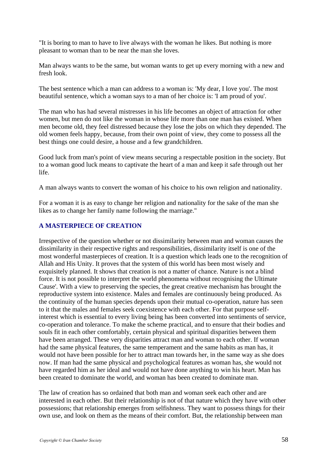"It is boring to man to have to live always with the woman he likes. But nothing is more pleasant to woman than to be near the man she loves.

Man always wants to be the same, but woman wants to get up every morning with a new and fresh look.

The best sentence which a man can address to a woman is: 'My dear, I love you'. The most beautiful sentence, which a woman says to a man of her choice is: 'I am proud of you'.

The man who has had several mistresses in his life becomes an object of attraction for other women, but men do not like the woman in whose life more than one man has existed. When men become old, they feel distressed because they lose the jobs on which they depended. The old women feels happy, because, from their own point of view, they come to possess all the best things one could desire, a house and a few grandchildren.

Good luck from man's point of view means securing a respectable position in the society. But to a woman good luck means to captivate the heart of a man and keep it safe through out her life.

A man always wants to convert the woman of his choice to his own religion and nationality.

For a woman it is as easy to change her religion and nationality for the sake of the man she likes as to change her family name following the marriage."

#### **A MASTERPIECE OF CREATION**

Irrespective of the question whether or not dissimilarity between man and woman causes the dissimilarity in their respective rights and responsibilities, dissimilarity itself is one of the most wonderful masterpieces of creation. It is a question which leads one to the recognition of Allah and His Unity. It proves that the system of this world has been most wisely and exquisitely planned. It shows that creation is not a matter of chance. Nature is not a blind force. It is not possible to interpret the world phenomena without recognising the Ultimate Cause'. With a view to preserving the species, the great creative mechanism has brought the reproductive system into existence. Males and females are continuously being produced. As the continuity of the human species depends upon their mutual co-operation, nature has seen to it that the males and females seek coexistence with each other. For that purpose selfinterest which is essential to every living being has been converted into sentiments of service, co-operation and tolerance. To make the scheme practical, and to ensure that their bodies and souls fit in each other comfortably, certain physical and spiritual disparities between them have been arranged. These very disparities attract man and woman to each other. If woman had the same physical features, the same temperament and the same habits as man has, it would not have been possible for her to attract man towards her, in the same way as she does now. If man had the same physical and psychological features as woman has, she would not have regarded him as her ideal and would not have done anything to win his heart. Man has been created to dominate the world, and woman has been created to dominate man.

The law of creation has so ordained that both man and woman seek each other and are interested in each other. But their relationship is not of that nature which they have with other possessions; that relationship emerges from selfishness. They want to possess things for their own use, and look on them as the means of their comfort. But, the relationship between man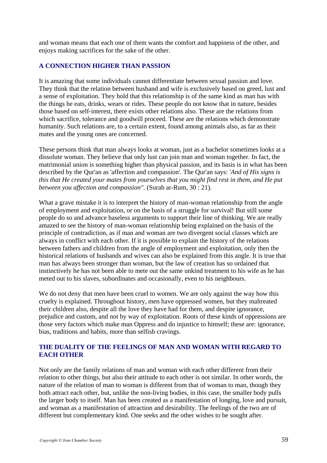and woman means that each one of them wants the comfort and happiness of the other, and enjoys making sacrifices for the sake of the other.

#### **A CONNECTION HIGHER THAN PASSION**

It is amazing that some individuals cannot differentiate between sexual passion and love. They think that the relation between husband and wife is exclusively based on greed, lust and a sense of exploitation. They hold that this relationship is of the same kind as man has with the things he eats, drinks, wears or rides. These people do not know that in nature, besides those based on self-interest, there exists other relations also. These are the relations from which sacrifice, tolerance and goodwill proceed. These are the relations which demonstrate humanity. Such relations are, to a certain extent, found among animals also, as far as their mates and the young ones are concerned.

These persons think that man always looks at woman, just as a bachelor sometimes looks at a dissolute woman. They believe that only lust can join man and woman together. In fact, the matrimonial union is something higher than physical passion, and its basis is in what has been described by the Qur'an as 'affection and compassion'. The Qur'an says: *'And of His signs is this that He created your mates from yourselves that you might find rest in them, and He put between you affection and compassion".* (Surah ar-Rum, 30 : 21).

What a grave mistake it is to interpret the history of man-woman relationship from the angle of employment and exploitation, or on the basis of a struggle for survival! But still some people do so and advance baseless arguments to support their line of thinking. We are really amazed to see the history of man-woman relationship being explained on the basis of the principle of contradiction, as if man and woman are two divergent social classes which are always in conflict with each other. If it is possible to explain the history of the relations between fathers and children from the angle of employment and exploitation, only then the historical relations of husbands and wives can also be explained from this angle. It is true that man has always been stronger than woman, but the law of creation has so ordained that instinctively he has not been able to mete out the same unkind treatment to his wife as he has meted out to his slaves, subordinates and occasionally, even to his neighbours.

We do not deny that men have been cruel to women. We are only against the way how this cruelty is explained. Throughout history, men have oppressed women, but they maltreated their children also, despite all the love they have had for them, and despite ignorance, prejudice and custom, and not by way of exploitation. Roots of these kinds of oppressions are those very factors which make man Oppress and do injustice to himself; these are: ignorance, bias, traditions and habits, more than selfish cravings.

# **THE DUALITY OF THE FEELINGS OF MAN AND WOMAN WITH REGARD TO EACH OTHER**

Not only are the family relations of man and woman with each other different from their relation to other things, but also their attitude to each other is not similar. In other words, the nature of the relation of man to woman is different from that of woman to man, though they both attract each other, but, unlike the non-living bodies, in this case, the smaller body pulls the larger body to itself. Man has been created as a manifestation of longing, love and pursuit, and woman as a manifestation of attraction and desirability. The feelings of the two are of different but complementary kind. One seeks and the other wishes to be sought after.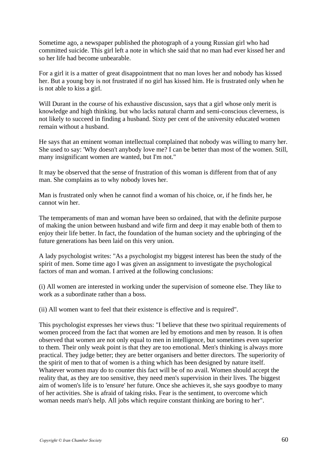Sometime ago, a newspaper published the photograph of a young Russian girl who had committed suicide. This girl left a note in which she said that no man had ever kissed her and so her life had become unbearable.

For a girl it is a matter of great disappointment that no man loves her and nobody has kissed her. But a young boy is not frustrated if no girl has kissed him. He is frustrated only when he is not able to kiss a girl.

Will Durant in the course of his exhaustive discussion, says that a girl whose only merit is knowledge and high thinking. but who lacks natural charm and semi-conscious cleverness, is not likely to succeed in finding a husband. Sixty per cent of the university educated women remain without a husband.

He says that an eminent woman intellectual complained that nobody was willing to marry her. She used to say: 'Why doesn't anybody love me? I can be better than most of the women. Still, many insignificant women are wanted, but I'm not."

It may be observed that the sense of frustration of this woman is different from that of any man. She complains as to why nobody loves her.

Man is frustrated only when he cannot find a woman of his choice, or, if he finds her, he cannot win her.

The temperaments of man and woman have been so ordained, that with the definite purpose of making the union between husband and wife firm and deep it may enable both of them to enjoy their life better. In fact, the foundation of the human society and the upbringing of the future generations has been laid on this very union.

A lady psychologist writes: "As a psychologist my biggest interest has been the study of the spirit of men. Some time ago I was given an assignment to investigate the psychological factors of man and woman. I arrived at the following conclusions:

(i) All women are interested in working under the supervision of someone else. They like to work as a subordinate rather than a boss.

(ii) All women want to feel that their existence is effective and is required".

This psychologist expresses her views thus: "I believe that these two spiritual requirements of women proceed from the fact that women are led by emotions and men by reason. It is often observed that women are not only equal to men in intelligence, but sometimes even superior to them. Their only weak point is that they are too emotional. Men's thinking is always more practical. They judge better; they are better organisers and better directors. The superiority of the spirit of men to that of women is a thing which has been designed by nature itself. Whatever women may do to counter this fact will be of no avail. Women should accept the reality that, as they are too sensitive, they need men's supervision in their lives. The biggest aim of women's life is to 'ensure' her future. Once she achieves it, she says goodbye to many of her activities. She is afraid of taking risks. Fear is the sentiment, to overcome which woman needs man's help. All jobs which require constant thinking are boring to her".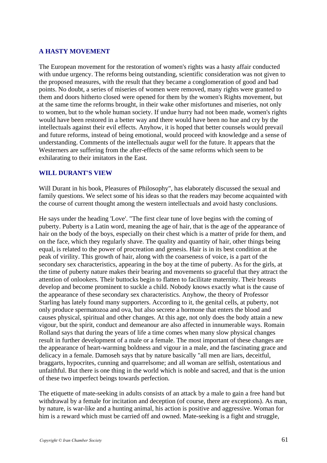#### **A HASTY MOVEMENT**

The European movement for the restoration of women's rights was a hasty affair conducted with undue urgency. The reforms being outstanding, scientific consideration was not given to the proposed measures, with the result that they became a conglomeration of good and bad points. No doubt, a series of miseries of women were removed, many rights were granted to them and doors hitherto closed were opened for them by the women's Rights movement, but at the same time the reforms brought, in their wake other misfortunes and miseries, not only to women, but to the whole human society. If undue hurry had not been made, women's rights would have been restored in a better way and there would have been no hue and cry by the intellectuals against their evil effects. Anyhow, it is hoped that better counsels would prevail and future reforms, instead of being emotional, would proceed with knowledge and a sense of understanding. Comments of the intellectuals augur well for the future. It appears that the Westerners are suffering from the after-effects of the same reforms which seem to be exhilarating to their imitators in the East.

#### **WILL DURANT'S VIEW**

Will Durant in his book, Pleasures of Philosophy", has elaborately discussed the sexual and family questions. We select some of his ideas so that the readers may become acquainted with the course of current thought among the western intellectuals and avoid hasty conclusions.

He says under the heading 'Love'. "The first clear tune of love begins with the coming of puberty. Puberty is a Latin word, meaning the age of hair, that is the age of the appearance of hair on the body of the boys, especially on their chest which is a matter of pride for them, and on the face, which they regularly shave. The quality and quantity of hair, other things being equal, is related to the power of procreation and genesis. Hair is in its best condition at the peak of virility. This growth of hair, along with the coarseness of voice, is a part of the secondary sex characteristics, appearing in the boy at the time of puberty. As for the girls, at the time of puberty nature makes their bearing and movements so graceful that they attract the attention of onlookers. Their buttocks begin to flatten to facilitate maternity. Their breasts develop and become prominent to suckle a child. Nobody knows exactly what is the cause of the appearance of these secondary sex characteristics. Anyhow, the theory of Professor Starling has lately found many supporters. According to it, the genital cells, at puberty, not only produce spermatozoa and ova, but also secrete a hormone that enters the blood and causes physical, spiritual and other changes. At this age, not only does the body attain a new vigour, but the spirit, conduct and demeanour are also affected in innumerable ways. Romain Rolland says that during the years of life a time comes when many slow physical changes result in further development of a male or a female. The most important of these changes are the appearance of heart-warming boldness and vigour in a male, and the fascinating grace and delicacy in a female. Damoseh says that by nature basically "all men are liars, deceitful, braggarts, hypocrites, cunning and quarrelsome; and all woman are selfish, ostentatious and unfaithful. But there is one thing in the world which is noble and sacred, and that is the union of these two imperfect beings towards perfection.

The etiquette of mate-seeking in adults consists of an attack by a male to gain a free hand but withdrawal by a female for incitation and deception (of course, there are exceptions). As man, by nature, is war-like and a hunting animal, his action is positive and aggressive. Woman for him is a reward which must be carried off and owned. Mate-seeking is a fight and struggle,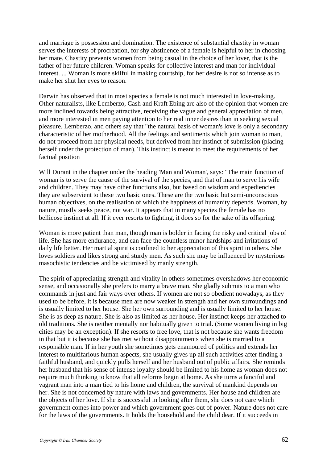and marriage is possession and domination. The existence of substantial chastity in woman serves the interests of procreation, for shy abstinence of a female is helpful to her in choosing her mate. Chastity prevents women from being casual in the choice of her lover, that is the father of her future children. Woman speaks for collective interest and man for individual interest. ... Woman is more skilful in making courtship, for her desire is not so intense as to make her shut her eyes to reason.

Darwin has observed that in most species a female is not much interested in love-making. Other naturalists, like Lemberzo, Cash and Kraft Ebing are also of the opinion that women are more inclined towards being attractive, receiving the vague and general appreciation of men, and more interested in men paying attention to her real inner desires than in seeking sexual pleasure. Lemberzo, and others say that "the natural basis of woman's love is only a secondary characteristic of her motherhood. All the feelings and sentiments which join woman to man, do not proceed from her physical needs, but derived from her instinct of submission (placing herself under the protection of man). This instinct is meant to meet the requirements of her factual position

Will Durant in the chapter under the heading 'Man and Woman', says: "The main function of woman is to serve the cause of the survival of the species, and that of man to serve his wife and children. They may have other functions also, but based on wisdom and expediencies they are subservient to these two basic ones. These are the two basic but semi-unconscious human objectives, on the realisation of which the happiness of humanity depends. Woman, by nature, mostly seeks peace, not war. It appears that in many species the female has no bellicose instinct at all. If it ever resorts to fighting, it does so for the sake of its offspring.

Woman is more patient than man, though man is bolder in facing the risky and critical jobs of life. She has more endurance, and can face the countless minor hardships and irritations of daily life better. Her martial spirit is confined to her appreciation of this spirit in others. She loves soldiers and likes strong and sturdy men. As such she may be influenced by mysterious masochistic tendencies and be victimised by manly strength.

The spirit of appreciating strength and vitality in others sometimes overshadows her economic sense, and occasionally she prefers to marry a brave man. She gladly submits to a man who commands in just and fair ways over others. If women are not so obedient nowadays, as they used to be before, it is because men are now weaker in strength and her own surroundings and is usually limited to her house. She her own surrounding and is usually limited to her house. She is as deep as nature. She is also as limited as her house. Her instinct keeps her attached to old traditions. She is neither mentally nor habitually given to trial. (Some women living in big cities may be an exception). If she resorts to free love, that is not because she wants freedom in that but it is because she has met without disappointments when she is married to a responsible man. If in her youth she sometimes gets enamoured of politics and extends her interest to multifarious human aspects, she usually gives up all such activities after finding a faithful husband, and quickly pulls herself and her husband out of public affairs. She reminds her husband that his sense of intense loyalty should be limited to his home as woman does not require much thinking to know that all reforms begin at home. As she turns a fanciful and vagrant man into a man tied to his home and children, the survival of mankind depends on her. She is not concerned by nature with laws and governments. Her house and children are the objects of her love. If she is successful in looking after them, she does not care which government comes into power and which government goes out of power. Nature does not care for the laws of the governments. It holds the household and the child dear. If it succeeds in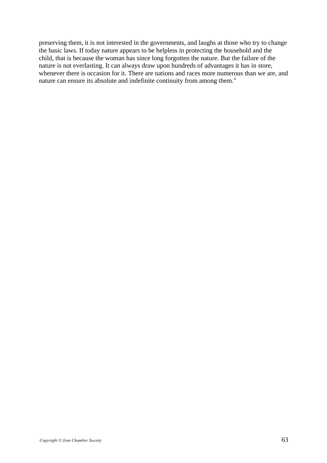preserving them, it is not interested in the governments, and laughs at those who try to change the basic laws. If today nature appears to be helpless in protecting the household and the child, that is because the woman has since long forgotten the nature. But the failure of the nature is not everlasting. It can always draw upon hundreds of advantages it has in store, whenever there is occasion for it. There are nations and races more numerous than we are, and nature can ensure its absolute and indefinite continuity from among them."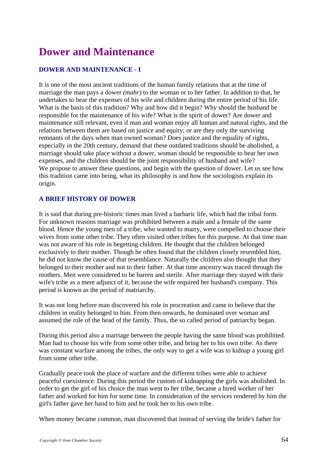# **Dower and Maintenance**

# **DOWER AND MAINTENANCE - I**

It is one of the most ancient traditions of the human family relations that at the time of marriage the man pays a dower *(mahr)* to the woman or to her father. In addition to that, he undertakes to bear the expenses of his wife and children during the entire period of his life. What is the basis of this tradition? Why and how did it begin? Why should the husband be responsible for the maintenance of his wife? What is the spirit of dower? Are dower and maintenance still relevant, even if man and woman enjoy all human and natural rights, and the relations between them are based on justice and equity; or are they only the surviving remnants of the days when man owned woman? Does justice and the equality of rights, especially in the 20th century, demand that these outdated traditions should be abolished, a marriage should take place without a dower, woman should be responsible to bear her own expenses, and the children should be the joint responsibility of husband and wife? We propose to answer these questions, and begin with the question of dower. Let us see how this tradition came into being, what its philosophy is and how the sociologists explain its origin.

## **A BRIEF HISTORY OF DOWER**

It is said that during pre-historic times man lived a barbaric life, which had the tribal form. For unknown reasons marriage was prohibited between a male and a female of the same blood. Hence the young men of a tribe, who wanted to marry, were compelled to choose their wives from some other tribe. They often visited other tribes for this purpose. At that time man was not aware of his role in begetting children. He thought that the children belonged exclusively to their mother. Though he often found that the children closely resembled him, he did not know the cause of that resemblance. Naturally the children also thought that they belonged to their mother and not to their father. At that time ancestry was traced through the mothers. Men were considered to be barren and sterile. After marriage they stayed with their wife's tribe as a mere adjunct of it, because the wife required her husband's company. This period is known as the period of matriarchy.

It was not long before man discovered his role in procreation and came to believe that the children in reality belonged to him. From then onwards, he dominated over woman and assumed the role of the head of the family. Thus, the so called period of patriarchy began.

During this period also a marriage between the people having the same blood was prohibited. Man had to choose his wife from some other tribe, and bring her to his own tribe. As there was constant warfare among the tribes, the only way to get a wife was to kidnap a young girl from some other tribe.

Gradually peace took the place of warfare and the different tribes were able to achieve peaceful coexistence. During this period the custom of kidnapping the girls was abolished. In order to get the girl of his choice the man went to her tribe, became a hired worker of her father and worked for him for some time. In consideration of the services rendered by him the girl's father gave her hand to him and he took her to his own tribe.

When money became common, man discovered that instead of serving the bride's father for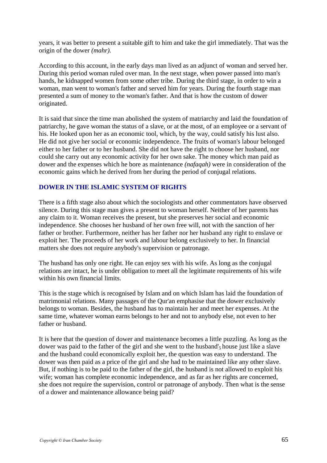years, it was better to present a suitable gift to him and take the girl immediately. That was the origin of the dower *(mahr).*

According to this account, in the early days man lived as an adjunct of woman and served her. During this period woman ruled over man. In the next stage, when power passed into man's hands, he kidnapped women from some other tribe. During the third stage, in order to win a woman, man went to woman's father and served him for years. During the fourth stage man presented a sum of money to the woman's father. And that is how the custom of dower originated.

It is said that since the time man abolished the system of matriarchy and laid the foundation of patriarchy, he gave woman the status of a slave, or at the most, of an employee or a servant of his. He looked upon her as an economic tool, which, by the way, could satisfy his lust also. He did not give her social or economic independence. The fruits of woman's labour belonged either to her father or to her husband. She did not have the right to choose her husband, nor could she carry out any economic activity for her own sake. The money which man paid as dower and the expenses which he bore as maintenance *(nafaqah)* were in consideration of the economic gains which he derived from her during the period of conjugal relations.

#### **DOWER IN THE ISLAMIC SYSTEM OF RIGHTS**

There is a fifth stage also about which the sociologists and other commentators have observed silence. During this stage man gives a present to woman herself. Neither of her parents has any claim to it. Woman receives the present, but she preserves her social and economic independence. She chooses her husband of her own free will, not with the sanction of her father or brother. Furthermore, neither has her father nor her husband any right to enslave or exploit her. The proceeds of her work and labour belong exclusively to her. In financial matters she does not require anybody's supervision or patronage.

The husband has only one right. He can enjoy sex with his wife. As long as the conjugal relations are intact, he is under obligation to meet all the legitimate requirements of his wife within his own financial limits.

This is the stage which is recognised by Islam and on which Islam has laid the foundation of matrimonial relations. Many passages of the Qur'an emphasise that the dower exclusively belongs to woman. Besides, the husband has to maintain her and meet her expenses. At the same time, whatever woman earns belongs to her and not to anybody else, not even to her father or husband.

It is here that the question of dower and maintenance becomes a little puzzling. As long as the dower was paid to the father of the girl and she went to the husband's house just like a slave and the husband could economically exploit her, the question was easy to understand. The dower was then paid as a price of the girl and she had to be maintained like any other slave. But, if nothing is to be paid to the father of the girl, the husband is not allowed to exploit his wife; woman has complete economic independence, and as far as her rights are concerned, she does not require the supervision, control or patronage of anybody. Then what is the sense of a dower and maintenance allowance being paid?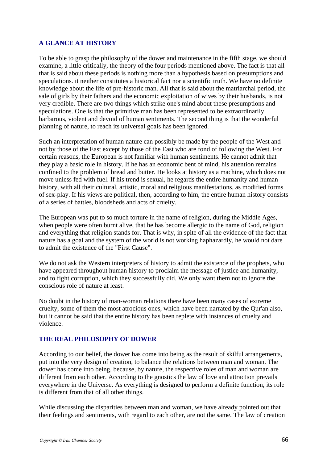## **A GLANCE AT HISTORY**

To be able to grasp the philosophy of the dower and maintenance in the fifth stage, we should examine, a little critically, the theory of the four periods mentioned above. The fact is that all that is said about these periods is nothing more than a hypothesis based on presumptions and speculations. it neither constitutes a historical fact nor a scientific truth. We have no definite knowledge about the life of pre-historic man. All that is said about the matriarchal period, the sale of girls by their fathers and the economic exploitation of wives by their husbands, is not very credible. There are two things which strike one's mind about these presumptions and speculations. One is that the primitive man has been represented to be extraordinarily barbarous, violent and devoid of human sentiments. The second thing is that the wonderful planning of nature, to reach its universal goals has been ignored.

Such an interpretation of human nature can possibly be made by the people of the West and not by those of the East except by those of the East who are fond of following the West. For certain reasons, the European is not familiar with human sentiments. He cannot admit that they play a basic role in history. If he has an economic bent of mind, his attention remains confined to the problem of bread and butter. He looks at history as a machine, which does not move unless fed with fuel. If his trend is sexual, he regards the entire humanity and human history, with all their cultural, artistic, moral and religious manifestations, as modified forms of sex-play. If his views are political, then, according to him, the entire human history consists of a series of battles, bloodsheds and acts of cruelty.

The European was put to so much torture in the name of religion, during the Middle Ages, when people were often burnt alive, that he has become allergic to the name of God, religion and everything that religion stands for. That is why, in spite of all the evidence of the fact that nature has a goal and the system of the world is not working haphazardly, he would not dare to admit the existence of the "First Cause".

We do not ask the Western interpreters of history to admit the existence of the prophets, who have appeared throughout human history to proclaim the message of justice and humanity, and to fight corruption, which they successfully did. We only want them not to ignore the conscious role of nature at least.

No doubt in the history of man-woman relations there have been many cases of extreme cruelty, some of them the most atrocious ones, which have been narrated by the Qur'an also, but it cannot be said that the entire history has been replete with instances of cruelty and violence.

## **THE REAL PHILOSOPHY OF DOWER**

According to our belief, the dower has come into being as the result of skilful arrangements, put into the very design of creation, to balance the relations between man and woman. The dower has come into being, because, by nature, the respective roles of man and woman are different from each other. According to the gnostics the law of love and attraction prevails everywhere in the Universe. As everything is designed to perform a definite function, its role is different from that of all other things.

While discussing the disparities between man and woman, we have already pointed out that their feelings and sentiments, with regard to each other, are not the same. The law of creation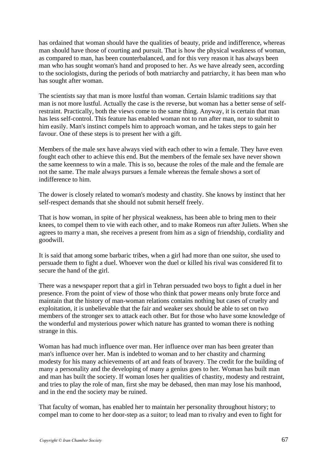has ordained that woman should have the qualities of beauty, pride and indifference, whereas man should have those of courting and pursuit. That is how the physical weakness of woman, as compared to man, has been counterbalanced, and for this very reason it has always been man who has sought woman's hand and proposed to her. As we have already seen, according to the sociologists, during the periods of both matriarchy and patriarchy, it has been man who has sought after woman.

The scientists say that man is more lustful than woman. Certain Islamic traditions say that man is not more lustful. Actually the case is the reverse, but woman has a better sense of selfrestraint. Practically, both the views come to the same thing. Anyway, it is certain that man has less self-control. This feature has enabled woman not to run after man, nor to submit to him easily. Man's instinct compels him to approach woman, and he takes steps to gain her favour. One of these steps is to present her with a gift.

Members of the male sex have always vied with each other to win a female. They have even fought each other to achieve this end. But the members of the female sex have never shown the same keenness to win a male. This is so, because the roles of the male and the female are not the same. The male always pursues a female whereas the female shows a sort of indifference to him.

The dower is closely related to woman's modesty and chastity. She knows by instinct that her self-respect demands that she should not submit herself freely.

That is how woman, in spite of her physical weakness, has been able to bring men to their knees, to compel them to vie with each other, and to make Romeos run after Juliets. When she agrees to marry a man, she receives a present from him as a sign of friendship, cordiality and goodwill.

It is said that among some barbaric tribes, when a girl had more than one suitor, she used to persuade them to fight a duel. Whoever won the duel or killed his rival was considered fit to secure the hand of the girl.

There was a newspaper report that a girl in Tehran persuaded two boys to fight a duel in her presence. From the point of view of those who think that power means only brute force and maintain that the history of man-woman relations contains nothing but cases of cruelty and exploitation, it is unbelievable that the fair and weaker sex should be able to set on two members of the stronger sex to attack each other. But for those who have some knowledge of the wonderful and mysterious power which nature has granted to woman there is nothing strange in this.

Woman has had much influence over man. Her influence over man has been greater than man's influence over her. Man is indebted to woman and to her chastity and charming modesty for his many achievements of art and feats of bravery. The credit for the building of many a personality and the developing of many a genius goes to her. Woman has built man and man has built the society. If woman loses her qualities of chastity, modesty and restraint, and tries to play the role of man, first she may be debased, then man may lose his manhood, and in the end the society may be ruined.

That faculty of woman, has enabled her to maintain her personality throughout history; to compel man to come to her door-step as a suitor; to lead man to rivalry and even to fight for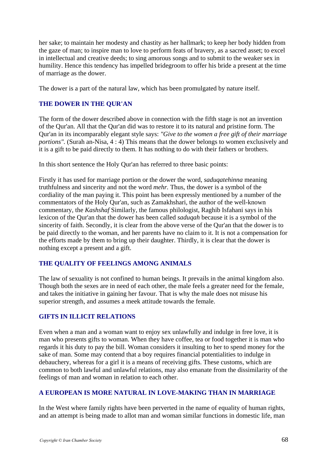her sake; to maintain her modesty and chastity as her hallmark; to keep her body hidden from the gaze of man; to inspire man to love to perform feats of bravery, as a sacred asset; to excel in intellectual and creative deeds; to sing amorous songs and to submit to the weaker sex in humility. Hence this tendency has impelled bridegroom to offer his bride a present at the time of marriage as the dower.

The dower is a part of the natural law, which has been promulgated by nature itself.

## **THE DOWER IN THE QUR'AN**

The form of the dower described above in connection with the fifth stage is not an invention of the Qur'an. All that the Qur'an did was to restore it to its natural and pristine form. The Qur'an in its incomparably elegant style says: *"Give to the women a free gift of their marriage portions".* (Surah an-Nisa, 4 : 4) This means that the dower belongs to women exclusively and it is a gift to be paid directly to them. It has nothing to do with their fathers or brothers.

In this short sentence the Holy Qur'an has referred to three basic points:

Firstly it has used for marriage portion or the dower the word, *saduqatehinna* meaning truthfulness and sincerity and not the word *mehr.* Thus, the dower is a symbol of the cordiality of the man paying it. This point has been expressly mentioned by a number of the commentators of the Holy Qur'an, such as Zamakhshari, the author of the well-known commentary, the *Kashshaf* Similarly, the famous philologist, Raghib Isfahani says in his lexicon of the Qur'an that the dower has been called *saduqah* because it is a symbol of the sincerity of faith. Secondly, it is clear from the above verse of the Qur'an that the dower is to be paid directly to the woman, and her parents have no claim to it. It is not a compensation for the efforts made by them to bring up their daughter. Thirdly, it is clear that the dower is nothing except a present and a gift.

## **THE QUALITY OF FEELINGS AMONG ANIMALS**

The law of sexuality is not confined to human beings. It prevails in the animal kingdom also. Though both the sexes are in need of each other, the male feels a greater need for the female, and takes the initiative in gaining her favour. That is why the male does not misuse his superior strength, and assumes a meek attitude towards the female.

## **GIFTS IN ILLICIT RELATIONS**

Even when a man and a woman want to enjoy sex unlawfully and indulge in free love, it is man who presents gifts to woman. When they have coffee, tea or food together it is man who regards it his duty to pay the bill. Woman considers it insulting to her to spend money for the sake of man. Some may contend that a boy requires financial potentialities to indulge in debauchery, whereas for a girl it is a means of receiving gifts. These customs, which are common to both lawful and unlawful relations, may also emanate from the dissimilarity of the feelings of man and woman in relation to each other.

## **A EUROPEAN IS MORE NATURAL IN LOVE-MAKING THAN IN MARRIAGE**

In the West where family rights have been perverted in the name of equality of human rights, and an attempt is being made to allot man and woman similar functions in domestic life, man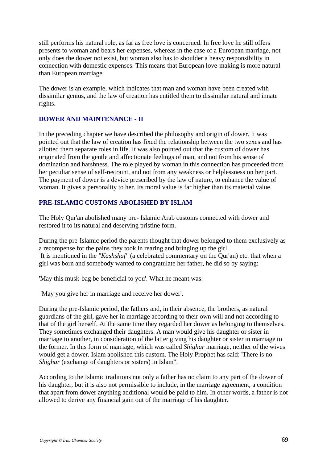still performs his natural role, as far as free love is concerned. In free love he still offers presents to woman and bears her expenses, whereas in the case of a European marriage, not only does the dower not exist, but woman also has to shoulder a heavy responsibility in connection with domestic expenses. This means that European love-making is more natural than European marriage.

The dower is an example, which indicates that man and woman have been created with dissimilar genius, and the law of creation has entitled them to dissimilar natural and innate rights.

## **DOWER AND MAINTENANCE - II**

In the preceding chapter we have described the philosophy and origin of dower. It was pointed out that the law of creation has fixed the relationship between the two sexes and has allotted them separate roles in life. It was also pointed out that the custom of dower has originated from the gentle and affectionate feelings of man, and not from his sense of domination and harshness. The role played by woman in this connection has proceeded from her peculiar sense of self-restraint, and not from any weakness or helplessness on her part. The payment of dower is a device prescribed by the law of nature, to enhance the value of woman. It gives a personality to her. Its moral value is far higher than its material value.

## **PRE-ISLAMIC CUSTOMS ABOLISHED BY ISLAM**

The Holy Qur'an abolished many pre- Islamic Arab customs connected with dower and restored it to its natural and deserving pristine form.

During the pre-Islamic period the parents thought that dower belonged to them exclusively as a recompense for the pains they took in rearing and bringing up the girl. It is mentioned in the *"Kashshaf"* (a celebrated commentary on the Qur'an) etc. that when a girl was born and somebody wanted to congratulate her father, he did so by saying:

'May this musk-bag be beneficial to you'. What he meant was:

'May you give her in marriage and receive her dower'.

During the pre-Islamic period, the fathers and, in their absence, the brothers, as natural guardians of the girl, gave her in marriage according to their own will and not according to that of the girl herself. At the same time they regarded her dower as belonging to themselves. They sometimes exchanged their daughters. A man would give his daughter or sister in marriage to another, in consideration of the latter giving his daughter or sister in marriage to the former. In this form of marriage, which was called *Shighar* marriage, neither of the wives would get a dower. Islam abolished this custom. The Holy Prophet has said: 'There is no *Shighar* (exchange of daughters or sisters) in Islam".

According to the Islamic traditions not only a father has no claim to any part of the dower of his daughter, but it is also not permissible to include, in the marriage agreement, a condition that apart from dower anything additional would be paid to him. In other words, a father is not allowed to derive any financial gain out of the marriage of his daughter.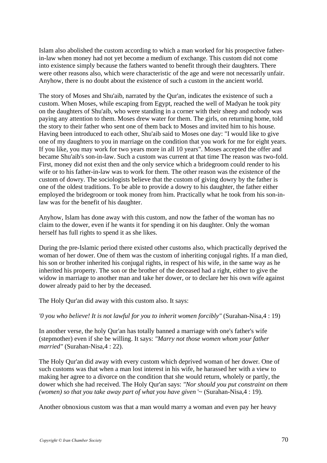Islam also abolished the custom according to which a man worked for his prospective fatherin-law when money had not yet become a medium of exchange. This custom did not come into existence simply because the fathers wanted to benefit through their daughters. There were other reasons also, which were characteristic of the age and were not necessarily unfair. Anyhow, there is no doubt about the existence of such a custom in the ancient world.

The story of Moses and Shu'aib, narrated by the Qur'an, indicates the existence of such a custom. When Moses, while escaping from Egypt, reached the well of Madyan he took pity on the daughters of Shu'aib, who were standing in a corner with their sheep and nobody was paying any attention to them. Moses drew water for them. The girls, on returning home, told the story to their father who sent one of them back to Moses and invited him to his house. Having been introduced to each other, Shu'aib said to Moses one day: "I would like to give one of my daughters to you in marriage on the condition that you work for me for eight years. If you like, you may work for two years more in all 10 years". Moses accepted the offer and became Shu'aib's son-in-law. Such a custom was current at that time The reason was two-fold. First, money did not exist then and the only service which a bridegroom could render to his wife or to his father-in-law was to work for them. The other reason was the existence of the custom of dowry. The sociologists believe that the custom of giving dowry by the father is one of the oldest traditions. To be able to provide a dowry to his daughter, the father either employed the bridegroom or took money from him. Practically what he took from his son-inlaw was for the benefit of his daughter.

Anyhow, Islam has done away with this custom, and now the father of the woman has no claim to the dower, even if he wants it for spending it on his daughter. Only the woman herself has full rights to spend it as she likes.

During the pre-Islamic period there existed other customs also, which practically deprived the woman of her dower. One of them was the custom of inheriting conjugal rights. If a man died, his son or brother inherited his conjugal rights, in respect of his wife, in the same way as he inherited his property. The son or the brother of the deceased had a right, either to give the widow in marriage to another man and take her dower, or to declare her his own wife against dower already paid to her by the deceased.

The Holy Qur'an did away with this custom also. It says:

*'0 you who believe! It is not lawful for you to inherit women forcibly"* (Surahan-Nisa,4 : 19)

In another verse, the holy Qur'an has totally banned a marriage with one's father's wife (stepmother) even if she be willing. It says: *"Marry not those women whom your father married"* (Surahan-Nisa,4 : 22).

The Holy Qur'an did away with every custom which deprived woman of her dower. One of such customs was that when a man lost interest in his wife, he harassed her with a view to making her agree to a divorce on the condition that she would return, wholely or partly, the dower which she had received. The Holy Qur'an says: *"Nor should you put constraint on them (women) so that you take away part of what you have given '~ (Surahan-Nisa, 4 : 19).* 

Another obnoxious custom was that a man would marry a woman and even pay her heavy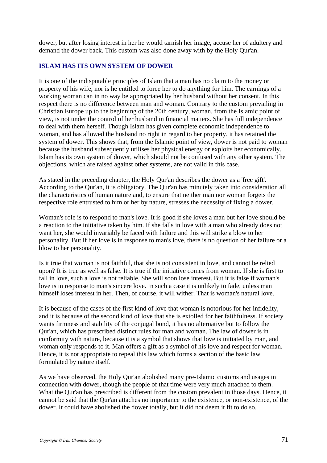dower, but after losing interest in her he would tarnish her image, accuse her of adultery and demand the dower back. This custom was also done away with by the Holy Qur'an.

## **ISLAM HAS ITS OWN SYSTEM OF DOWER**

It is one of the indisputable principles of Islam that a man has no claim to the money or property of his wife, nor is he entitled to force her to do anything for him. The earnings of a working woman can in no way be appropriated by her husband without her consent. In this respect there is no difference between man and woman. Contrary to the custom prevailing in Christian Europe up to the beginning of the 20th century, woman, from the Islamic point of view, is not under the control of her husband in financial matters. She has full independence to deal with them herself. Though Islam has given complete economic independence to woman, and has allowed the husband no right in regard to her property, it has retained the system of dower. This shows that, from the Islamic point of view, dower is not paid to woman because the husband subsequently utilises her physical energy or exploits her economically. Islam has its own system of dower, which should not be confused with any other system. The objections, which are raised against other systems, are not valid in this case.

As stated in the preceding chapter, the Holy Qur'an describes the dower as a 'free gift'. According to the Qur'an, it is obligatory. The Qur'an has minutely taken into consideration all the characteristics of human nature and, to ensure that neither man nor woman forgets the respective role entrusted to him or her by nature, stresses the necessity of fixing a dower.

Woman's role is to respond to man's love. It is good if she loves a man but her love should be a reaction to the initiative taken by him. If she falls in love with a man who already does not want her, she would invariably be faced with failure and this will strike a blow to her personality. But if her love is in response to man's love, there is no question of her failure or a blow to her personality.

Is it true that woman is not faithful, that she is not consistent in love, and cannot be relied upon? It is true as well as false. It is true if the initiative comes from woman. If she is first to fall in love, such a love is not reliable. She will soon lose interest. But it is false if woman's love is in response to man's sincere love. In such a case it is unlikely to fade, unless man himself loses interest in her. Then, of course, it will wither. That is woman's natural love.

It is because of the cases of the first kind of love that woman is notorious for her infidelity, and it is because of the second kind of love that she is extolled for her faithfulness. If society wants firmness and stability of the conjugal bond, it has no alternative but to follow the Qur'an, which has prescribed distinct rules for man and woman. The law of dower is in conformity with nature, because it is a symbol that shows that love is initiated by man, and woman only responds to it. Man offers a gift as a symbol of his love and respect for woman. Hence, it is not appropriate to repeal this law which forms a section of the basic law formulated by nature itself.

As we have observed, the Holy Qur'an abolished many pre-Islamic customs and usages in connection with dower, though the people of that time were very much attached to them. What the Qur'an has prescribed is different from the custom prevalent in those days. Hence, it cannot be said that the Qur'an attaches no importance to the existence, or non-existence, of the dower. It could have abolished the dower totally, but it did not deem it fit to do so.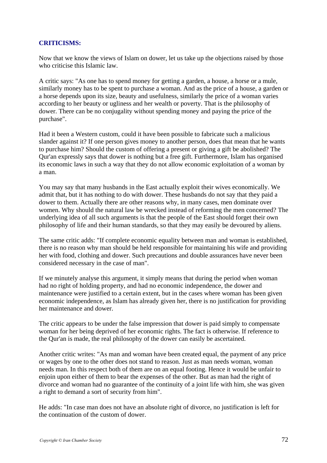#### **CRITICISMS:**

Now that we know the views of Islam on dower, let us take up the objections raised by those who criticise this Islamic law.

A critic says: "As one has to spend money for getting a garden, a house, a horse or a mule, similarly money has to be spent to purchase a woman. And as the price of a house, a garden or a horse depends upon its size, beauty and usefulness, similarly the price of a woman varies according to her beauty or ugliness and her wealth or poverty. That is the philosophy of dower. There can be no conjugality without spending money and paying the price of the purchase".

Had it been a Western custom, could it have been possible to fabricate such a malicious slander against it? If one person gives money to another person, does that mean that he wants to purchase him? Should the custom of offering a present or giving a gift be abolished? The Qur'an expressly says that dower is nothing but a free gift. Furthermore, Islam has organised its economic laws in such a way that they do not allow economic exploitation of a woman by a man.

You may say that many husbands in the East actually exploit their wives economically. We admit that, but it has nothing to do with dower. These husbands do not say that they paid a dower to them. Actually there are other reasons why, in many cases, men dominate over women. Why should the natural law be wrecked instead of reforming the men concerned? The underlying idea of all such arguments is that the people of the East should forget their own philosophy of life and their human standards, so that they may easily be devoured by aliens.

The same critic adds: "If complete economic equality between man and woman is established, there is no reason why man should be held responsible for maintaining his wife and providing her with food, clothing and dower. Such precautions and double assurances have never been considered necessary in the case of man".

If we minutely analyse this argument, it simply means that during the period when woman had no right of holding property, and had no economic independence, the dower and maintenance were justified to a certain extent, but in the cases where woman has been given economic independence, as Islam has already given her, there is no justification for providing her maintenance and dower.

The critic appears to be under the false impression that dower is paid simply to compensate woman for her being deprived of her economic rights. The fact is otherwise. If reference to the Qur'an is made, the real philosophy of the dower can easily be ascertained.

Another critic writes: "As man and woman have been created equal, the payment of any price or wages by one to the other does not stand to reason. Just as man needs woman, woman needs man. In this respect both of them are on an equal footing. Hence it would be unfair to enjoin upon either of them to bear the expenses of the other. But as man had the right of divorce and woman had no guarantee of the continuity of a joint life with him, she was given a right to demand a sort of security from him".

He adds: "In case man does not have an absolute right of divorce, no justification is left for the continuation of the custom of dower.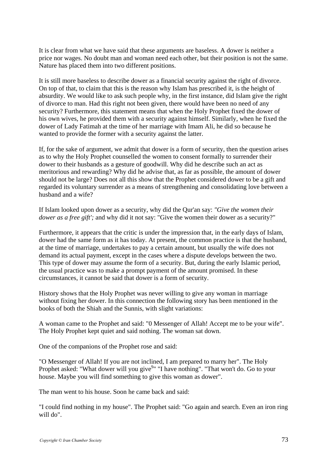It is clear from what we have said that these arguments are baseless. A dower is neither a price nor wages. No doubt man and woman need each other, but their position is not the same. Nature has placed them into two different positions.

It is still more baseless to describe dower as a financial security against the right of divorce. On top of that, to claim that this is the reason why Islam has prescribed it, is the height of absurdity. We would like to ask such people why, in the first instance, did Islam give the right of divorce to man. Had this right not been given, there would have been no need of any security? Furthermore, this statement means that when the Holy Prophet fixed the dower of his own wives, he provided them with a security against himself. Similarly, when he fixed the dower of Lady Fatimah at the time of her marriage with Imam Ali, he did so because he wanted to provide the former with a security against the latter.

If, for the sake of argument, we admit that dower is a form of security, then the question arises as to why the Holy Prophet counselled the women to consent formally to surrender their dower to their husbands as a gesture of goodwill. Why did he describe such an act as meritorious and rewarding? Why did he advise that, as far as possible, the amount of dower should not be large? Does not all this show that the Prophet considered dower to be a gift and regarded its voluntary surrender as a means of strengthening and consolidating love between a husband and a wife?

If Islam looked upon dower as a security, why did the Qur'an say: *"Give the women their dower as a free gift'*; and why did it not say: "Give the women their dower as a security?"

Furthermore, it appears that the critic is under the impression that, in the early days of Islam, dower had the same form as it has today. At present, the common practice is that the husband, at the time of marriage, undertakes to pay a certain amount, but usually the wife does not demand its actual payment, except in the cases where a dispute develops between the two. This type of dower may assume the form of a security. But, during the early Islamic period, the usual practice was to make a prompt payment of the amount promised. In these circumstances, it cannot be said that dower is a form of security.

History shows that the Holy Prophet was never willing to give any woman in marriage without fixing her dower. In this connection the following story has been mentioned in the books of both the Shiah and the Sunnis, with slight variations:

A woman came to the Prophet and said: "0 Messenger of Allah! Accept me to be your wife". The Holy Prophet kept quiet and said nothing. The woman sat down.

One of the companions of the Prophet rose and said:

"O Messenger of Allah! If you are not inclined, I am prepared to marry her". The Holy Prophet asked: "What dower will you give<sup>9</sup>" "I have nothing". "That won't do. Go to your house. Maybe you will find something to give this woman as dower".

The man went to his house. Soon he came back and said:

"I could find nothing in my house". The Prophet said: "Go again and search. Even an iron ring will do".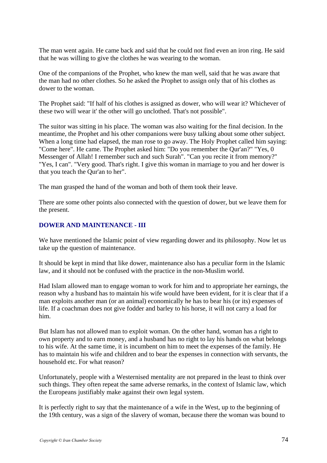The man went again. He came back and said that he could not find even an iron ring. He said that he was willing to give the clothes he was wearing to the woman.

One of the companions of the Prophet, who knew the man well, said that he was aware that the man had no other clothes. So he asked the Prophet to assign only that of his clothes as dower to the woman.

The Prophet said: "If half of his clothes is assigned as dower, who will wear it? Whichever of these two will wear it' the other will go unclothed. That's not possible".

The suitor was sitting in his place. The woman was also waiting for the final decision. In the meantime, the Prophet and his other companions were busy talking about some other subject. When a long time had elapsed, the man rose to go away. The Holy Prophet called him saying: "Come here". He came. The Prophet asked him: "Do you remember the Qur'an?" "Yes, 0 Messenger of Allah! I remember such and such Surah". "Can you recite it from memory?" "Yes, I can". "Very good. That's right. I give this woman in marriage to you and her dower is that you teach the Qur'an to her".

The man grasped the hand of the woman and both of them took their leave.

There are some other points also connected with the question of dower, but we leave them for the present.

#### **DOWER AND MAINTENANCE - III**

We have mentioned the Islamic point of view regarding dower and its philosophy. Now let us take up the question of maintenance.

It should be kept in mind that like dower, maintenance also has a peculiar form in the Islamic law, and it should not be confused with the practice in the non-Muslim world.

Had Islam allowed man to engage woman to work for him and to appropriate her earnings, the reason why a husband has to maintain his wife would have been evident, for it is clear that if a man exploits another man (or an animal) economically he has to bear his (or its) expenses of life. If a coachman does not give fodder and barley to his horse, it will not carry a load for him.

But Islam has not allowed man to exploit woman. On the other hand, woman has a right to own property and to earn money, and a husband has no right to lay his hands on what belongs to his wife. At the same time, it is incumbent on him to meet the expenses of the family. He has to maintain his wife and children and to bear the expenses in connection with servants, the household etc. For what reason?

Unfortunately, people with a Westernised mentality are not prepared in the least to think over such things. They often repeat the same adverse remarks, in the context of Islamic law, which the Europeans justifiably make against their own legal system.

It is perfectly right to say that the maintenance of a wife in the West, up to the beginning of the 19th century, was a sign of the slavery of woman, because there the woman was bound to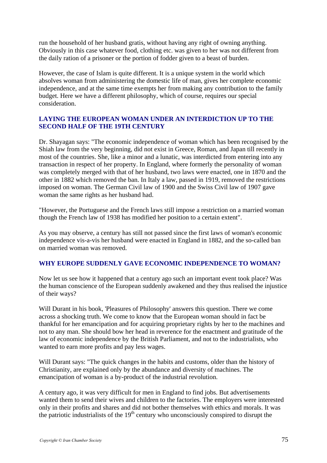run the household of her husband gratis, without having any right of owning anything. Obviously in this case whatever food, clothing etc. was given to her was not different from the daily ration of a prisoner or the portion of fodder given to a beast of burden.

However, the case of Islam is quite different. It is a unique system in the world which absolves woman from administering the domestic life of man, gives her complete economic independence, and at the same time exempts her from making any contribution to the family budget. Here we have a different philosophy, which of course, requires our special consideration.

#### **LAYING THE EUROPEAN WOMAN UNDER AN INTERDICTION UP TO THE SECOND HALF OF THE 19TH CENTURY**

Dr. Shayagan says: "The economic independence of woman which has been recognised by the Shiah law from the very beginning, did not exist in Greece, Roman, and Japan till recently in most of the countries. She, like a minor and a lunatic, was interdicted from entering into any transaction in respect of her property. In England, where formerly the personality of woman was completely merged with that of her husband, two laws were enacted, one in 1870 and the other in 1882 which removed the ban. In Italy a law, passed in 1919, removed the restrictions imposed on woman. The German Civil law of 1900 and the Swiss Civil law of 1907 gave woman the same rights as her husband had.

"However, the Portuguese and the French laws still impose a restriction on a married woman though the French law of 1938 has modified her position to a certain extent".

As you may observe, a century has still not passed since the first laws of woman's economic independence vis-a-vis her husband were enacted in England in 1882, and the so-called ban on married woman was removed.

#### **WHY EUROPE SUDDENLY GAVE ECONOMIC INDEPENDENCE TO WOMAN?**

Now let us see how it happened that a century ago such an important event took place? Was the human conscience of the European suddenly awakened and they thus realised the injustice of their ways?

Will Durant in his book, 'Pleasures of Philosophy' answers this question. There we come across a shocking truth. We come to know that the European woman should in fact be thankful for her emancipation and for acquiring proprietary rights by her to the machines and not to any man. She should bow her head in reverence for the enactment and gratitude of the law of economic independence by the British Parliament, and not to the industrialists, who wanted to earn more profits and pay less wages.

Will Durant says: "The quick changes in the habits and customs, older than the history of Christianity, are explained only by the abundance and diversity of machines. The emancipation of woman is a by-product of the industrial revolution.

A century ago, it was very difficult for men in England to find jobs. But advertisements wanted them to send their wives and children to the factories. The employers were interested only in their profits and shares and did not bother themselves with ethics and morals. It was the patriotic industrialists of the  $19<sup>th</sup>$  century who unconsciously conspired to disrupt the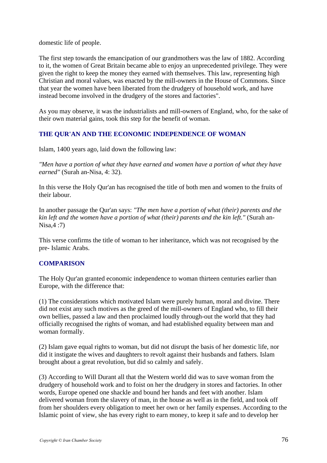domestic life of people.

The first step towards the emancipation of our grandmothers was the law of 1882. According to it, the women of Great Britain became able to enjoy an unprecedented privilege. They were given the right to keep the money they earned with themselves. This law, representing high Christian and moral values, was enacted by the mill-owners in the House of Commons. Since that year the women have been liberated from the drudgery of household work, and have instead become involved in the drudgery of the stores and factories".

As you may observe, it was the industrialists and mill-owners of England, who, for the sake of their own material gains, took this step for the benefit of woman.

# **THE QUR'AN AND THE ECONOMIC INDEPENDENCE OF WOMAN**

Islam, 1400 years ago, laid down the following law:

*"Men have a portion of what they have earned and women have a portion of what they have earned"* (Surah an-Nisa, 4: 32).

In this verse the Holy Qur'an has recognised the title of both men and women to the fruits of their labour.

In another passage the Qur'an says: *"The men have a portion of what (their) parents and the kin left and the women have a portion of what (their) parents and the kin left."* (Surah an-Nisa,4 :7)

This verse confirms the title of woman to her inheritance, which was not recognised by the pre- Islamic Arabs.

#### **COMPARISON**

The Holy Qur'an granted economic independence to woman thirteen centuries earlier than Europe, with the difference that:

(1) The considerations which motivated Islam were purely human, moral and divine. There did not exist any such motives as the greed of the mill-owners of England who, to fill their own bellies, passed a law and then proclaimed loudly through-out the world that they had officially recognised the rights of woman, and had established equality between man and woman formally.

(2) Islam gave equal rights to woman, but did not disrupt the basis of her domestic life, nor did it instigate the wives and daughters to revolt against their husbands and fathers. Islam brought about a great revolution, but did so calmly and safely.

(3) According to Will Durant all that the Western world did was to save woman from the drudgery of household work and to foist on her the drudgery in stores and factories. In other words, Europe opened one shackle and bound her hands and feet with another. Islam delivered woman from the slavery of man, in the house as well as in the field, and took off from her shoulders every obligation to meet her own or her family expenses. According to the Islamic point of view, she has every right to earn money, to keep it safe and to develop her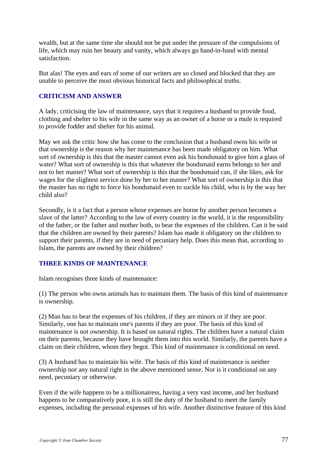wealth, but at the same time she should not be put under the pressure of the compulsions of life, which may ruin her beauty and vanity, which always go hand-in-hand with mental satisfaction.

But alas! The eyes and ears of some of our writers are so closed and blocked that they are unable to perceive the most obvious historical facts and philosophical truths.

## **CRITICISM AND ANSWER**

A lady, criticising the law of maintenance, says that it requires a husband to provide food, clothing and shelter to his wife in the same way as an owner of a horse or a mule is required to provide fodder and shelter for his animal.

May we ask the critic how she has come to the conclusion that a husband owns his wife or that ownership is the reason why her maintenance has been made obligatory on him. What sort of ownership is this that the master cannot even ask his bondsmaid to give him a glass of water? What sort of ownership is this that whatever the bondsmaid earns belongs to her and not to her master? What sort of ownership is this that the bondsmaid can, if she likes, ask for wages for the slightest service done by her to her master? What sort of ownership is this that the master has no right to force his bondsmaid even to suckle his child, who is by the way her child also?

Secondly, is it a fact that a person whose expenses are borne by another person becomes a slave of the latter? According to the law of every country in the world, it is the responsibility of the father, or the father and mother both, to bear the expenses of the children. Can it be said that the children are owned by their parents? Islam has made it obligatory on the children to support their parents, if they are in need of pecuniary help. Does this mean that, according to Islam, the parents are owned by their children?

#### **THREE KINDS OF MAINTENANCE**

Islam recognises three kinds of maintenance:

(1) The person who owns animals has to maintain them. The basis of this kind of maintenance is ownership.

(2) Man has to bear the expenses of his children, if they are minors or if they are poor. Similarly, one has to maintain one's parents if they are poor. The basis of this kind of maintenance is not ownership. It is based on natural rights. The children have a natural claim on their parents, because they have brought them into this world. Similarly, the parents have a claim on their children, whom they begot. This kind of maintenance is conditional on need.

(3) A husband has to maintain his wife. The basis of this kind of maintenance is neither ownership nor any natural right in the above mentioned sense. Nor is it conditional on any need, pecuniary or otherwise.

Even if the wife happens to be a millionairess, having a very vast income, and her husband happens to be comparatively poor, it is still the duty of the husband to meet the family expenses, including the personal expenses of his wife. Another distinctive feature of this kind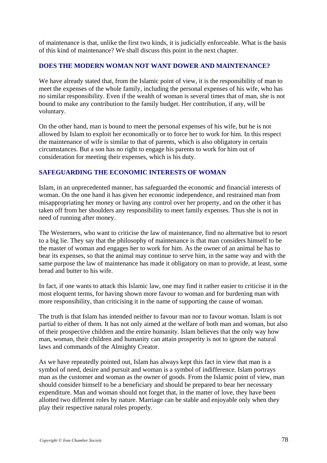of maintenance is that, unlike the first two kinds, it is judicially enforceable. What is the basis of this kind of maintenance? We shall discuss this point in the next chapter.

#### **DOES THE MODERN WOMAN NOT WANT DOWER AND MAINTENANCE?**

We have already stated that, from the Islamic point of view, it is the responsibility of man to meet the expenses of the whole family, including the personal expenses of his wife, who has no similar responsibility. Even if the wealth of woman is several times that of man, she is not bound to make any contribution to the family budget. Her contribution, if any, will be voluntary.

On the other hand, man is bound to meet the personal expenses of his wife, but he is not allowed by Islam to exploit her economically or to force her to work for him. In this respect the maintenance of wife is similar to that of parents, which is also obligatory in certain circumstances. But a son has no right to engage his parents to work for him out of consideration for meeting their expenses, which is his duty.

#### **SAFEGUARDING THE ECONOMIC INTERESTS OF WOMAN**

Islam, in an unprecedented manner, has safeguarded the economic and financial interests of woman. On the one hand it has given her economic independence, and restrained man from misappropriating her money or having any control over her property, and on the other it has taken off from her shoulders any responsibility to meet family expenses. Thus she is not in need of running after money.

The Westerners, who want to criticise the law of maintenance, find no alternative but to resort to a big lie. They say that the philosophy of maintenance is that man considers himself to be the master of woman and engages her to work for him. As the owner of an animal he has to bear its expenses, so that the animal may continue to serve him, in the same way and with the same purpose the law of maintenance has made it obligatory on man to provide, at least, some bread and butter to his wife.

In fact, if one wants to attack this Islamic law, one may find it rather easier to criticise it in the most eloquent terms, for having shown more favour to woman and for burdening man with more responsibility, than criticising it in the name of supporting the cause of woman.

The truth is that Islam has intended neither to favour man nor to favour woman. Islam is not partial to either of them. It has not only aimed at the welfare of both man and woman, but also of their prospective children and the entire humanity. Islam believes that the only way how man, woman, their children and humanity can attain prosperity is not to ignore the natural laws and commands of the Almighty Creator.

As we have repeatedly pointed out, Islam has always kept this fact in view that man is a symbol of need, desire and pursuit and woman is a symbol of indifference. Islam portrays man as the customer and woman as the owner of goods. From the Islamic point of view, man should consider himself to be a beneficiary and should be prepared to bear her necessary expenditure. Man and woman should not forget that, in the matter of love, they have been allotted two different roles by nature. Marriage can be stable and enjoyable only when they play their respective natural roles properly.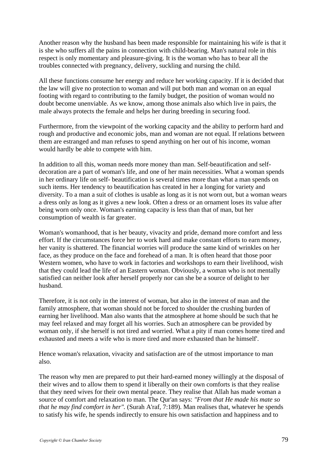Another reason why the husband has been made responsible for maintaining his wife is that it is she who suffers all the pains in connection with child-bearing. Man's natural role in this respect is only momentary and pleasure-giving. It is the woman who has to bear all the troubles connected with pregnancy, delivery, suckling and nursing the child.

All these functions consume her energy and reduce her working capacity. If it is decided that the law will give no protection to woman and will put both man and woman on an equal footing with regard to contributing to the family budget, the position of woman would no doubt become unenviable. As we know, among those animals also which live in pairs, the male always protects the female and helps her during breeding in securing food.

Furthermore, from the viewpoint of the working capacity and the ability to perform hard and rough and productive and economic jobs, man and woman are not equal. If relations between them are estranged and man refuses to spend anything on her out of his income, woman would hardly be able to compete with him.

In addition to all this, woman needs more money than man. Self-beautification and selfdecoration are a part of woman's life, and one of her main necessities. What a woman spends in her ordinary life on self- beautification is several times more than what a man spends on such items. Her tendency to beautification has created in her a longing for variety and diversity. To a man a suit of clothes is usable as long as it is not worn out, but a woman wears a dress only as long as it gives a new look. Often a dress or an ornament loses its value after being worn only once. Woman's earning capacity is less than that of man, but her consumption of wealth is far greater.

Woman's womanhood, that is her beauty, vivacity and pride, demand more comfort and less effort. If the circumstances force her to work hard and make constant efforts to earn money, her vanity is shattered. The financial worries will produce the same kind of wrinkles on her face, as they produce on the face and forehead of a man. It is often heard that those poor Western women, who have to work in factories and workshops to earn their livelihood, wish that they could lead the life of an Eastern woman. Obviously, a woman who is not mentally satisfied can neither look after herself properly nor can she be a source of delight to her husband.

Therefore, it is not only in the interest of woman, but also in the interest of man and the family atmosphere, that woman should not be forced to shoulder the crushing burden of earning her livelihood. Man also wants that the atmosphere at home should be such that he may feel relaxed and may forget all his worries. Such an atmosphere can be provided by woman only, if she herself is not tired and worried. What a pity if man comes home tired and exhausted and meets a wife who is more tired and more exhausted than he himself'.

Hence woman's relaxation, vivacity and satisfaction are of the utmost importance to man also.

The reason why men are prepared to put their hard-earned money willingly at the disposal of their wives and to allow them to spend it liberally on their own comforts is that they realise that they need wives for their own mental peace. They realise that Allah has made woman a source of comfort and relaxation to man. The Qur'an says: *"From that He made his mate so that he may find comfort in her".* (Surah A'raf, 7:189). Man realises that, whatever he spends to satisfy his wife, he spends indirectly to ensure his own satisfaction and happiness and to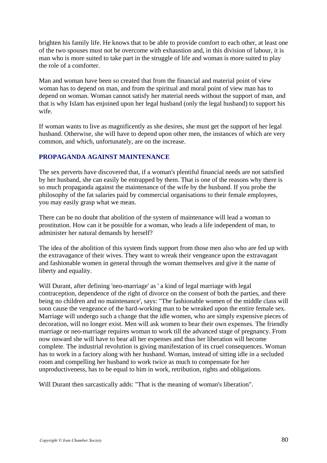brighten his family life. He knows that to be able to provide comfort to each other, at least one of the two spouses must not be overcome with exhaustion and, in this division of labour, it is man who is more suited to take part in the struggle of life and woman is more suited to play the role of a comforter.

Man and woman have been so created that from the financial and material point of view woman has to depend on man, and from the spiritual and moral point of view man has to depend on woman. Woman cannot satisfy her material needs without the support of man, and that is why Islam has enjoined upon her legal husband (only the legal husband) to support his wife.

If woman wants to live as magnificently as she desires, she must get the support of her legal husband. Otherwise, she will have to depend upon other men, the instances of which are very common, and which, unfortunately, are on the increase.

#### **PROPAGANDA AGAINST MAINTENANCE**

The sex perverts have discovered that, if a woman's plentiful financial needs are not satisfied by her husband, she can easily be entrapped by them. That is one of the reasons why there is so much propaganda against the maintenance of the wife by the husband. If you probe the philosophy of the fat salaries paid by commercial organisations to their female employees, you may easily grasp what we mean.

There can be no doubt that abolition of the system of maintenance will lead a woman to prostitution. How can it be possible for a woman, who leads a life independent of man, to administer her natural demands by herself?

The idea of the abolition of this system finds support from those men also who are fed up with the extravagance of their wives. They want to wreak their vengeance upon the extravagant and fashionable women in general through the woman themselves and give it the name of liberty and equality.

Will Durant, after defining 'neo-marriage' as ' a kind of legal marriage with legal contraception, dependence of the right of divorce on the consent of both the parties, and there being no children and no maintenance', says: "The fashionable women of the middle class will soon cause the vengeance of the hard-working man to be wreaked upon the entire female sex. Marriage will undergo such a change that the idle women, who are simply expensive pieces of decoration, will no longer exist. Men will ask women to bear their own expenses. The friendly marriage or neo-marriage requires woman to work till the advanced stage of pregnancy. From now onward she will have to bear all her expenses and thus her liberation will become complete. The industrial revolution is giving manifestation of its cruel consequences. Woman has to work in a factory along with her husband. Woman, instead of sitting idle in a secluded room and compelling her husband to work twice as much to compensate for her unproductiveness, has to be equal to him in work, retribution, rights and obligations.

Will Durant then sarcastically adds: "That is the meaning of woman's liberation".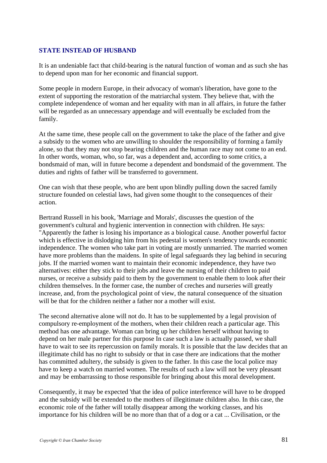#### **STATE INSTEAD OF HUSBAND**

It is an undeniable fact that child-bearing is the natural function of woman and as such she has to depend upon man for her economic and financial support.

Some people in modern Europe, in their advocacy of woman's liberation, have gone to the extent of supporting the restoration of the matriarchal system. They believe that, with the complete independence of woman and her equality with man in all affairs, in future the father will be regarded as an unnecessary appendage and will eventually be excluded from the family.

At the same time, these people call on the government to take the place of the father and give a subsidy to the women who are unwilling to shoulder the responsibility of forming a family alone, so that they may not stop bearing children and the human race may not come to an end. In other words, woman, who, so far, was a dependent and, according to some critics, a bondsmaid of man, will in future become a dependent and bondsmaid of the government. The duties and rights of father will be transferred to government.

One can wish that these people, who are bent upon blindly pulling down the sacred family structure founded on celestial laws, had given some thought to the consequences of their action.

Bertrand Russell in his book, 'Marriage and Morals', discusses the question of the government's cultural and hygienic intervention in connection with children. He says: "Apparently the father is losing his importance as a biological cause. Another powerful factor which is effective in dislodging him from his pedestal is women's tendency towards economic independence. The women who take part in voting are mostly unmarried. The married women have more problems than the maidens. In spite of legal safeguards they lag behind in securing jobs. If the married women want to maintain their economic independence, they have two alternatives: either they stick to their jobs and leave the nursing of their children to paid nurses, or receive a subsidy paid to them by the government to enable them to look after their children themselves. In the former case, the number of creches and nurseries will greatly increase, and, from the psychological point of view, the natural consequence of the situation will be that for the children neither a father nor a mother will exist.

The second alternative alone will not do. It has to be supplemented by a legal provision of compulsory re-employment of the mothers, when their children reach a particular age. This method has one advantage. Woman can bring up her children herself without having to depend on her male partner for this purpose In case such a law is actually passed, we shall have to wait to see its repercussion on family morals. It is possible that the law decides that an illegitimate child has no right to subsidy or that in case there are indications that the mother has committed adultery, the subsidy is given to the father. In this case the local police may have to keep a watch on married women. The results of such a law will not be very pleasant and may be embarrassing to those responsible for bringing about this moral development.

Consequently, it may be expected 'that the idea of police interference will have to be dropped and the subsidy will be extended to the mothers of illegitimate children also. In this case, the economic role of the father will totally disappear among the working classes, and his importance for his children will be no more than that of a dog or a cat ... Civilisation, or the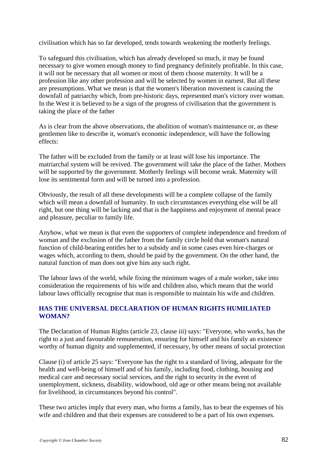civilisation which has so far developed, tends towards weakening the motherly feelings.

To safeguard this civilisation, which has already developed so much, it may be found necessary to give women enough money to find pregnancy definitely profitable. In this case, it will not be necessary that all women or most of them choose maternity. It will be a profession like any other profession and will be selected by women in earnest. But all these are presumptions. What we mean is that the women's liberation movement is causing the downfall of patriarchy which, from pre-historic days, represented man's victory over woman. In the West it is believed to be a sign of the progress of civilisation that the government is taking the place of the father

As is clear from the above observations, the abolition of woman's maintenance or, as these gentlemen like to describe it, woman's economic independence, will have the following effects:

The father will be excluded from the family or at least will lose his importance. The matriarchal system will be revived. The government will take the place of the father. Mothers will be supported by the government. Motherly feelings will become weak. Maternity will lose its sentimental form and will be turned into a profession.

Obviously, the result of all these developments will be a complete collapse of the family which will mean a downfall of humanity. In such circumstances everything else will be all right, but one thing will be lacking and that is the happiness and enjoyment of mental peace and pleasure, peculiar to family life.

Anyhow, what we mean is that even the supporters of complete independence and freedom of woman and the exclusion of the father from the family circle hold that woman's natural function of child-bearing entitles her to a subsidy and in some cases even hire-charges or wages which, according to them, should be paid by the government. On the other hand, the natural function of man does not give him any such right.

The labour laws of the world, while fixing the minimum wages of a male worker, take into consideration the requirements of his wife and children also, which means that the world labour laws officially recognise that man is responsible to maintain his wife and children.

#### **HAS THE UNIVERSAL DECLARATION OF HUMAN RIGHTS HUMILIATED WOMAN?**

The Declaration of Human Rights (article 23, clause iii) says: "Everyone, who works, has the right to a just and favourable remuneration, ensuring for himself and his family an existence worthy of human dignity and supplemented, if necessary, by other means of social protection

Clause (i) of article 25 says: "Everyone has the right to a standard of living, adequate for the health and well-being of himself and of his family, including food, clothing, housing and medical care and necessary social services, and the right to security in the event of unemployment, sickness, disability, widowhood, old age or other means being not available for livelihood, in circumstances beyond his control".

These two articles imply that every man, who forms a family, has to bear the expenses of his wife and children and that their expenses are considered to be a part of his own expenses.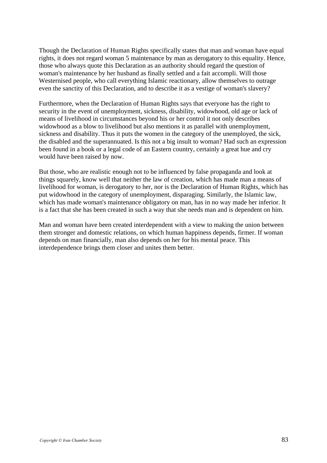Though the Declaration of Human Rights specifically states that man and woman have equal rights, it does not regard woman 5 maintenance by man as derogatory to this equality. Hence, those who always quote this Declaration as an authority should regard the question of woman's maintenance by her husband as finally settled and a fait accompli. Will those Westernised people, who call everything Islamic reactionary, allow themselves to outrage even the sanctity of this Declaration, and to describe it as a vestige of woman's slavery?

Furthermore, when the Declaration of Human Rights says that everyone has the right to security in the event of unemployment, sickness, disability, widowhood, old age or lack of means of livelihood in circumstances beyond his or her control it not only describes widowhood as a blow to livelihood but also mentions it as parallel with unemployment, sickness and disability. Thus it puts the women in the category of the unemployed, the sick, the disabled and the superannuated. Is this not a big insult to woman? Had such an expression been found in a book or a legal code of an Eastern country, certainly a great hue and cry would have been raised by now.

But those, who are realistic enough not to be influenced by false propaganda and look at things squarely, know well that neither the law of creation, which has made man a means of livelihood for woman, is derogatory to her, nor is the Declaration of Human Rights, which has put widowhood in the category of unemployment, disparaging. Similarly, the Islamic law, which has made woman's maintenance obligatory on man, has in no way made her inferior. It is a fact that she has been created in such a way that she needs man and is dependent on him.

Man and woman have been created interdependent with a view to making the union between them stronger and domestic relations, on which human happiness depends, firmer. If woman depends on man financially, man also depends on her for his mental peace. This interdependence brings them closer and unites them better.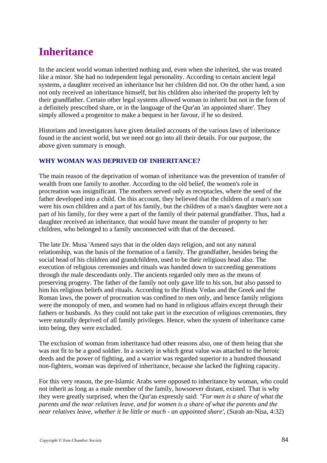# **Inheritance**

In the ancient world woman inherited nothing and, even when she inherited, she was treated like a minor. She had no independent legal personality. According to certain ancient legal systems, a daughter received an inheritance but her children did not. On the other hand, a son not only received an inheritance himself, but his children also inherited the property left by their grandfather. Certain other legal systems allowed woman to inherit but not in the form of a definitely prescribed share, or in the language of the Qur'an 'an appointed share'. They simply allowed a progenitor to make a bequest in her favour, if he so desired.

Historians and investigators have given detailed accounts of the various laws of inheritance found in the ancient world, but we need not go into all their details. For our purpose, the above given summary is enough.

#### **WHY WOMAN WAS DEPRIVED OF INHERITANCE?**

The main reason of the deprivation of woman of inheritance was the prevention of transfer of wealth from one family to another. According to the old belief, the women's role in procreation was insignificant. The mothers served only as receptacles, where the seed of the father developed into a child. On this account, they believed that the children of a man's son were his own children and a part of his family, but the children of a man's daughter were not a part of his family, for they were a part of the family of their paternal grandfather. Thus, had a daughter received an inheritance, that would have meant the transfer of property to her children, who belonged to a family unconnected with that of the deceased.

The late Dr. Musa 'Ameed says that in the olden days religion, and not any natural relationship, was the basis of the formation of a family. The grandfather, besides being the social head of his children and grandchildren, used to be their religious head also. The execution of religious ceremonies and rituals was handed down to succeeding generations through the male descendants only. The ancients regarded only men as the means of preserving progeny. The father of the family not only gave life to his son, but also passed to him his religious beliefs and rituals. According to the Hindu Vedas and the Greek and the Roman laws, the power of procreation was confined to men only, and hence family religions were the monopoly of men, and women had no hand in religious affairs except through their fathers or husbands. As they could not take part in the execution of religious ceremonies, they were naturally deprived of all family privileges. Hence, when the system of inheritance came into being, they were excluded.

The exclusion of woman from inheritance had other reasons also, one of them being that she was not fit to be a good soldier. In a society in which great value was attached to the heroic deeds and the power of fighting, and a warrior was regarded superior to a hundred thousand non-fighters, woman was deprived of inheritance, because she lacked the fighting capacity.

For this very reason, the pre-Islamic Arabs were opposed to inheritance by woman, who could not inherit as long as a male member of the family, howsoever distant, existed. That is why they were greatly surprised, when the Qur'an expressly said: *"For men is a share of what the parents and the near relatives leave, and for women is a share of what the parents and the near relatives leave, whether it be little or much - an appointed share', (Surah an-Nisa, 4:32)*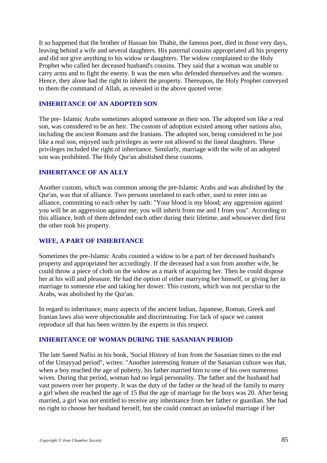It so happened that the brother of Hassan bin Thabit, the famous poet, died in those very days, leaving behind a wife and several daughters. His paternal cousins appropriated all his property and did not give anything to his widow or daughters. The widow complained to the Holy Prophet who called her deceased husband's cousins. They said that a woman was unable to carry arms and to fight the enemy. It was the men who defended themselves and the women. Hence, they alone had the right to inherit the property. Thereupon, the Holy Prophet conveyed to them the command of Allah, as revealed in the above quoted verse.

#### **INHERITANCE OF AN ADOPTED SON**

The pre- Islamic Arabs sometimes adopted someone as their son. The adopted son like a real son, was considered to be an heir. The custom of adoption existed among other nations also, including the ancient Romans and the Iranians. The adopted son, being considered to be just like a real son, enjoyed such privileges as were not allowed to the lineal daughters. These privileges included the right of inheritance. Similarly, marriage with the wife of an adopted son was prohibited. The Holy Qur'an abolished these customs.

#### **INHERITANCE OF AN ALLY**

Another custom, which was common among the pre-Islamic Arabs and was abolished by the Qur'an, was that of alliance. Two persons unrelated to each other, used to enter into an alliance, committing to each other by oath: "Your blood is my blood; any aggression against you will be an aggression against me; you will inherit from me and I from you". According to this alliance, both of them defended each other during their lifetime, and whosoever died first the other took his property.

#### **WIFE, A PART OF INHERITANCE**

Sometimes the pre-Islamic Arabs counted a widow to be a part of her deceased husband's property and appropriated her accordingly. If the deceased had a son from another wife, he could throw a piece of cloth on the widow as a mark of acquiring her. Then he could dispose her at his will and pleasure. He had the option of either marrying her himself, or giving her in marriage to someone else and taking her dower. This custom, which was not peculiar to the Arabs, was abolished by the Qur'an.

In regard to inheritance, many aspects of the ancient Indian, Japanese, Roman, Greek and Iranian laws also were objectionable and discriminating. For lack of space we cannot reproduce all that has been written by the experts in this respect.

#### **INHERITANCE OF WOMAN DURING THE SASANIAN PERIOD**

The late Saeed Nafisi in his book, 'Social History of Iran from the Sasanian times to the end of the Umayyad period", writes: "Another interesting feature of the Sasanian culture was that, when a boy reached the age of puberty, his father married him to one of his own numerous wives. During that period, woman had no legal personality. The father and the husband had vast powers over her property. It was the duty of the father or the head of the family to marry a girl when she reached the age of 15 But the age of marriage for the boys was 20. After being married, a girl was not entitled to receive any inheritance from her father or guardian. She had no right to choose her husband herself, but she could contract an unlawful marriage if her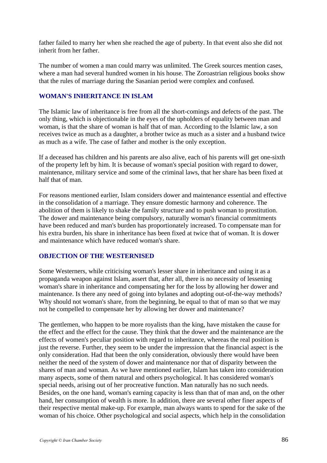father failed to marry her when she reached the age of puberty. In that event also she did not inherit from her father.

The number of women a man could marry was unlimited. The Greek sources mention cases, where a man had several hundred women in his house. The Zoroastrian religious books show that the rules of marriage during the Sasanian period were complex and confused.

#### **WOMAN'S INHERITANCE IN ISLAM**

The Islamic law of inheritance is free from all the short-comings and defects of the past. The only thing, which is objectionable in the eyes of the upholders of equality between man and woman, is that the share of woman is half that of man. According to the Islamic law, a son receives twice as much as a daughter, a brother twice as much as a sister and a husband twice as much as a wife. The case of father and mother is the only exception.

If a deceased has children and his parents are also alive, each of his parents will get one-sixth of the property left by him. It is because of woman's special position with regard to dower, maintenance, military service and some of the criminal laws, that her share has been fixed at half that of man.

For reasons mentioned earlier, Islam considers dower and maintenance essential and effective in the consolidation of a marriage. They ensure domestic harmony and coherence. The abolition of them is likely to shake the family structure and to push woman to prostitution. The dower and maintenance being compulsory, naturally woman's financial commitments have been reduced and man's burden has proportionately increased. To compensate man for his extra burden, his share in inheritance has been fixed at twice that of woman. It is dower and maintenance which have reduced woman's share.

#### **OBJECTION OF THE WESTERNISED**

Some Westerners, while criticising woman's lesser share in inheritance and using it as a propaganda weapon against Islam, assert that, after all, there is no necessity of lessening woman's share in inheritance and compensating her for the loss by allowing her dower and maintenance. Is there any need of going into bylanes and adopting out-of-the-way methods? Why should not woman's share, from the beginning, be equal to that of man so that we may not he compelled to compensate her by allowing her dower and maintenance?

The gentlemen, who happen to be more royalists than the king, have mistaken the cause for the effect and the effect for the cause. They think that the dower and the maintenance are the effects of women's peculiar position with regard to inheritance, whereas the real position is just the reverse. Further, they seem to be under the impression that the financial aspect is the only consideration. Had that been the only consideration, obviously there would have been neither the need of the system of dower and maintenance nor that of disparity between the shares of man and woman. As we have mentioned earlier, Islam has taken into consideration many aspects, some of them natural and others psychological. It has considered woman's special needs, arising out of her procreative function. Man naturally has no such needs. Besides, on the one hand, woman's earning capacity is less than that of man and, on the other hand, her consumption of wealth is more. In addition, there are several other finer aspects of their respective mental make-up. For example, man always wants to spend for the sake of the woman of his choice. Other psychological and social aspects, which help in the consolidation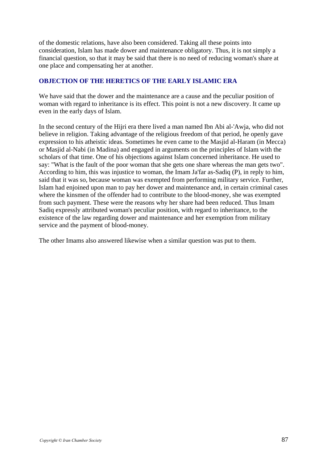of the domestic relations, have also been considered. Taking all these points into consideration, Islam has made dower and maintenance obligatory. Thus, it is not simply a financial question, so that it may be said that there is no need of reducing woman's share at one place and compensating her at another.

#### **OBJECTION OF THE HERETICS OF THE EARLY ISLAMIC ERA**

We have said that the dower and the maintenance are a cause and the peculiar position of woman with regard to inheritance is its effect. This point is not a new discovery. It came up even in the early days of Islam.

In the second century of the Hijri era there lived a man named Ibn Abi al-'Awja, who did not believe in religion. Taking advantage of the religious freedom of that period, he openly gave expression to his atheistic ideas. Sometimes he even came to the Masjid al-Haram (in Mecca) or Masjid al-Nabi (in Madina) and engaged in arguments on the principles of Islam with the scholars of that time. One of his objections against Islam concerned inheritance. He used to say: "What is the fault of the poor woman that she gets one share whereas the man gets two". According to him, this was injustice to woman, the Imam Ja'far as-Sadiq (P), in reply to him, said that it was so, because woman was exempted from performing military service. Further, Islam had enjoined upon man to pay her dower and maintenance and, in certain criminal cases where the kinsmen of the offender had to contribute to the blood-money, she was exempted from such payment. These were the reasons why her share had been reduced. Thus Imam Sadiq expressly attributed woman's peculiar position, with regard to inheritance, to the existence of the law regarding dower and maintenance and her exemption from military service and the payment of blood-money.

The other Imams also answered likewise when a similar question was put to them.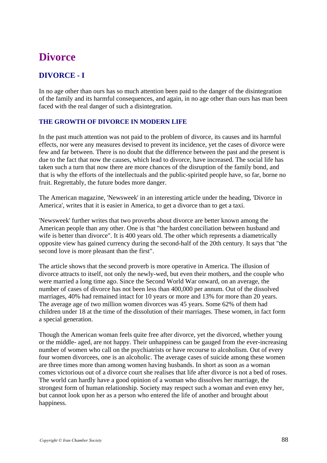# **Divorce**

# **DIVORCE - I**

In no age other than ours has so much attention been paid to the danger of the disintegration of the family and its harmful consequences, and again, in no age other than ours has man been faced with the real danger of such a disintegration.

#### **THE GROWTH OF DIVORCE IN MODERN LIFE**

In the past much attention was not paid to the problem of divorce, its causes and its harmful effects, nor were any measures devised to prevent its incidence, yet the cases of divorce were few and far between. There is no doubt that the difference between the past and the present is due to the fact that now the causes, which lead to divorce, have increased. The social life has taken such a turn that now there are more chances of the disruption of the family bond, and that is why the efforts of the intellectuals and the public-spirited people have, so far, borne no fruit. Regrettably, the future bodes more danger.

The American magazine, 'Newsweek' in an interesting article under the heading, 'Divorce in America', writes that it is easier in America, to get a divorce than to get a taxi.

'Newsweek' further writes that two proverbs about divorce are better known among the American people than any other. One is that "the hardest conciliation between husband and wife is better than divorce". It is 400 years old. The other which represents a diametrically opposite view has gained currency during the second-half of the 20th century. It says that "the second love is more pleasant than the first".

The article shows that the second proverb is more operative in America. The illusion of divorce attracts to itself, not only the newly-wed, but even their mothers, and the couple who were married a long time ago. Since the Second World War onward, on an average, the number of cases of divorce has not been less than 400,000 per annum. Out of the dissolved marriages, 40% had remained intact for 10 years or more and 13% for more than 20 years. The average age of two million women divorces was 45 years. Some 62% of them had children under 18 at the time of the dissolution of their marriages. These women, in fact form a special generation.

Though the American woman feels quite free after divorce, yet the divorced, whether young or the middle- aged, are not happy. Their unhappiness can be gauged from the ever-increasing number of women who call on the psychiatrists or have recourse to alcoholism. Out of every four women divorcees, one is an alcoholic. The average cases of suicide among these women are three times more than among women having husbands. In short as soon as a woman comes victorious out of a divorce court she realises that life after divorce is not a bed of roses. The world can hardly have a good opinion of a woman who dissolves her marriage, the strongest form of human relationship. Society may respect such a woman and even envy her, but cannot look upon her as a person who entered the life of another and brought about happiness.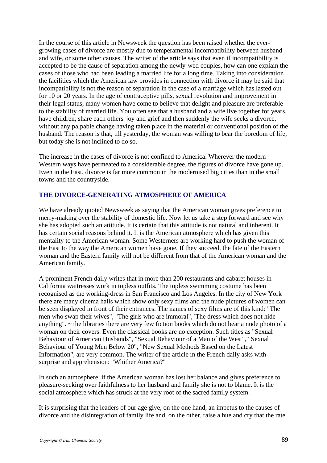In the course of this article in Newsweek the question has been raised whether the evergrowing cases of divorce are mostly due to temperamental incompatibility between husband and wife, or some other causes. The writer of the article says that even if incompatibility is accepted to be the cause of separation among the newly-wed couples, how can one explain the cases of those who had been leading a married life for a long time. Taking into consideration the facilities which the American law provides in connection with divorce it may be said that incompatibility is not the reason of separation in the case of a marriage which has lasted out for 10 or 20 years. In the age of contraceptive pills, sexual revolution and improvement in their legal status, many women have come to believe that delight and pleasure are preferable to the stability of married life. You often see that a husband and a wife live together for years, have children, share each others' joy and grief and then suddenly the wife seeks a divorce, without any palpable change having taken place in the material or conventional position of the husband. The reason is that, till yesterday, the woman was willing to bear the boredom of life, but today she is not inclined to do so.

The increase in the cases of divorce is not confined to America. Wherever the modern Western ways have permeated to a considerable degree, the figures of divorce have gone up. Even in the East, divorce is far more common in the modernised big cities than in the small towns and the countryside.

# **THE DIVORCE-GENERATING ATMOSPHERE OF AMERICA**

We have already quoted Newsweek as saying that the American woman gives preference to merry-making over the stability of domestic life. Now let us take a step forward and see why she has adopted such an attitude. It is certain that this attitude is not natural and inherent. It has certain social reasons behind it. It is the American atmosphere which has given this mentality to the American woman. Some Westerners are working hard to push the woman of the East to the way the American women have gone. If they succeed, the fate of the Eastern woman and the Eastern family will not be different from that of the American woman and the American family.

A prominent French daily writes that in more than 200 restaurants and cabaret houses in California waitresses work in topless outfits. The topless swimming costume has been recognised as the working-dress in San Francisco and Los Angeles. In the city of New York there are many cinema halls which show only sexy films and the nude pictures of women can be seen displayed in front of their entrances. The names of sexy films are of this kind: "The men who swap their wives", "The girls who are immoral", 'The dress which does not hide anything". ~ the libraries there are very few fiction books which do not bear a nude photo of a woman on their covers. Even the classical books are no exception. Such titles as "Sexual Behaviour of American Husbands", "Sexual Behaviour of a Man of the West", ' Sexual Behaviour of Young Men Below 20", "New Sexual Methods Based on the Latest Information", are very common. The writer of the article in the French daily asks with surprise and apprehension: "Whither America?"

In such an atmosphere, if the American woman has lost her balance and gives preference to pleasure-seeking over faithfulness to her husband and family she is not to blame. It is the social atmosphere which has struck at the very root of the sacred family system.

It is surprising that the leaders of our age give, on the one hand, an impetus to the causes of divorce and the disintegration of family life and, on the other, raise a hue and cry that the rate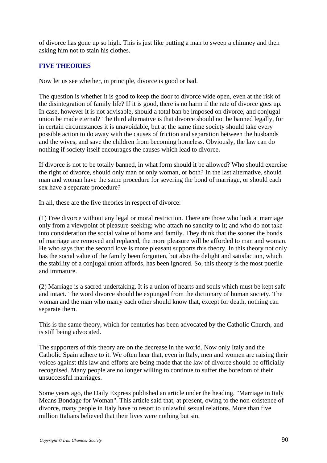of divorce has gone up so high. This is just like putting a man to sweep a chimney and then asking him not to stain his clothes.

## **FIVE THEORIES**

Now let us see whether, in principle, divorce is good or bad.

The question is whether it is good to keep the door to divorce wide open, even at the risk of the disintegration of family life? If it is good, there is no harm if the rate of divorce goes up. In case, however it is not advisable, should a total ban be imposed on divorce, and conjugal union be made eternal? The third alternative is that divorce should not be banned legally, for in certain circumstances it is unavoidable, but at the same time society should take every possible action to do away with the causes of friction and separation between the husbands and the wives, and save the children from becoming homeless. Obviously, the law can do nothing if society itself encourages the causes which lead to divorce.

If divorce is not to be totally banned, in what form should it be allowed? Who should exercise the right of divorce, should only man or only woman, or both? In the last alternative, should man and woman have the same procedure for severing the bond of marriage, or should each sex have a separate procedure?

In all, these are the five theories in respect of divorce:

(1) Free divorce without any legal or moral restriction. There are those who look at marriage only from a viewpoint of pleasure-seeking; who attach no sanctity to it; and who do not take into consideration the social value of home and family. They think that the sooner the bonds of marriage are removed and replaced, the more pleasure will be afforded to man and woman. He who says that the second love is more pleasant supports this theory. In this theory not only has the social value of the family been forgotten, but also the delight and satisfaction, which the stability of a conjugal union affords, has been ignored. So, this theory is the most puerile and immature.

(2) Marriage is a sacred undertaking. It is a union of hearts and souls which must be kept safe and intact. The word divorce should be expunged from the dictionary of human society. The woman and the man who marry each other should know that, except for death, nothing can separate them.

This is the same theory, which for centuries has been advocated by the Catholic Church, and is still being advocated.

The supporters of this theory are on the decrease in the world. Now only Italy and the Catholic Spain adhere to it. We often hear that, even in Italy, men and women are raising their voices against this law and efforts are being made that the law of divorce should be officially recognised. Many people are no longer willing to continue to suffer the boredom of their unsuccessful marriages.

Some years ago, the Daily Express published an article under the heading, "Marriage in Italy Means Bondage for Woman". This article said that, at present, owing to the non-existence of divorce, many people in Italy have to resort to unlawful sexual relations. More than five million Italians believed that their lives were nothing but sin.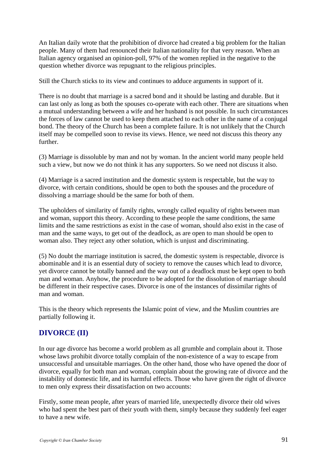An Italian daily wrote that the prohibition of divorce had created a big problem for the Italian people. Many of them had renounced their Italian nationality for that very reason. When an Italian agency organised an opinion-poll, 97% of the women replied in the negative to the question whether divorce was repugnant to the religious principles.

Still the Church sticks to its view and continues to adduce arguments in support of it.

There is no doubt that marriage is a sacred bond and it should be lasting and durable. But it can last only as long as both the spouses co-operate with each other. There are situations when a mutual understanding between a wife and her husband is not possible. In such circumstances the forces of law cannot be used to keep them attached to each other in the name of a conjugal bond. The theory of the Church has been a complete failure. It is not unlikely that the Church itself may be compelled soon to revise its views. Hence, we need not discuss this theory any further.

(3) Marriage is dissoluble by man and not by woman. In the ancient world many people held such a view, but now we do not think it has any supporters. So we need not discuss it also.

(4) Marriage is a sacred institution and the domestic system is respectable, but the way to divorce, with certain conditions, should be open to both the spouses and the procedure of dissolving a marriage should be the same for both of them.

The upholders of similarity of family rights, wrongly called equality of rights between man and woman, support this theory. According to these people the same conditions, the same limits and the same restrictions as exist in the case of woman, should also exist in the case of man and the same ways, to get out of the deadlock, as are open to man should be open to woman also. They reject any other solution, which is unjust and discriminating.

(5) No doubt the marriage institution is sacred, the domestic system is respectable, divorce is abominable and it is an essential duty of society to remove the causes which lead to divorce, yet divorce cannot be totally banned and the way out of a deadlock must be kept open to both man and woman. Anyhow, the procedure to be adopted for the dissolution of marriage should be different in their respective cases. Divorce is one of the instances of dissimilar rights of man and woman.

This is the theory which represents the Islamic point of view, and the Muslim countries are partially following it.

# **DIVORCE (II)**

In our age divorce has become a world problem as all grumble and complain about it. Those whose laws prohibit divorce totally complain of the non-existence of a way to escape from unsuccessful and unsuitable marriages. On the other hand, those who have opened the door of divorce, equally for both man and woman, complain about the growing rate of divorce and the instability of domestic life, and its harmful effects. Those who have given the right of divorce to men only express their dissatisfaction on two accounts:

Firstly, some mean people, after years of married life, unexpectedly divorce their old wives who had spent the best part of their youth with them, simply because they suddenly feel eager to have a new wife.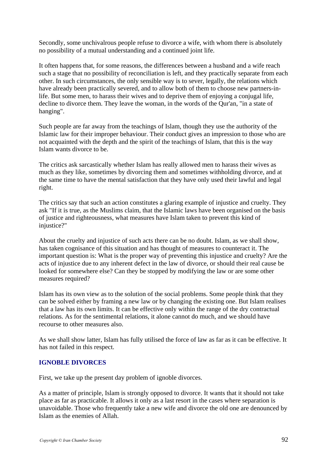Secondly, some unchivalrous people refuse to divorce a wife, with whom there is absolutely no possibility of a mutual understanding and a continued joint life.

It often happens that, for some reasons, the differences between a husband and a wife reach such a stage that no possibility of reconciliation is left, and they practically separate from each other. In such circumstances, the only sensible way is to sever, legally, the relations which have already been practically severed, and to allow both of them to choose new partners-inlife. But some men, to harass their wives and to deprive them of enjoying a conjugal life, decline to divorce them. They leave the woman, in the words of the Qur'an, "in a state of hanging".

Such people are far away from the teachings of Islam, though they use the authority of the Islamic law for their improper behaviour. Their conduct gives an impression to those who are not acquainted with the depth and the spirit of the teachings of Islam, that this is the way Islam wants divorce to be.

The critics ask sarcastically whether Islam has really allowed men to harass their wives as much as they like, sometimes by divorcing them and sometimes withholding divorce, and at the same time to have the mental satisfaction that they have only used their lawful and legal right.

The critics say that such an action constitutes a glaring example of injustice and cruelty. They ask "If it is true, as the Muslims claim, that the Islamic laws have been organised on the basis of justice and righteousness, what measures have Islam taken to prevent this kind of injustice?"

About the cruelty and injustice of such acts there can be no doubt. Islam, as we shall show, has taken cognisance of this situation and has thought of measures to counteract it. The important question is: What is the proper way of preventing this injustice and cruelty? Are the acts of injustice due to any inherent defect in the law of divorce, or should their real cause be looked for somewhere else? Can they be stopped by modifying the law or are some other measures required?

Islam has its own view as to the solution of the social problems. Some people think that they can be solved either by framing a new law or by changing the existing one. But Islam realises that a law has its own limits. It can be effective only within the range of the dry contractual relations. As for the sentimental relations, it alone cannot do much, and we should have recourse to other measures also.

As we shall show latter, Islam has fully utilised the force of law as far as it can be effective. It has not failed in this respect.

#### **IGNOBLE DIVORCES**

First, we take up the present day problem of ignoble divorces.

As a matter of principle, Islam is strongly opposed to divorce. It wants that it should not take place as far as practicable. It allows it only as a last resort in the cases where separation is unavoidable. Those who frequently take a new wife and divorce the old one are denounced by Islam as the enemies of Allah.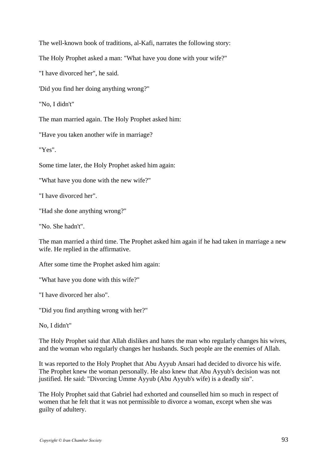The well-known book of traditions, al-Kafi, narrates the following story:

The Holy Prophet asked a man: "What have you done with your wife?"

"I have divorced her", he said.

'Did you find her doing anything wrong?"

"No, I didn't"

The man married again. The Holy Prophet asked him:

"Have you taken another wife in marriage?

"Yes".

Some time later, the Holy Prophet asked him again:

"What have you done with the new wife?"

"I have divorced her".

"Had she done anything wrong?"

"No. She hadn't".

The man married a third time. The Prophet asked him again if he had taken in marriage a new wife. He replied in the affirmative.

After some time the Prophet asked him again:

"What have you done with this wife?"

"I have divorced her also".

"Did you find anything wrong with her?"

No, I didn't"

The Holy Prophet said that Allah dislikes and hates the man who regularly changes his wives, and the woman who regularly changes her husbands. Such people are the enemies of Allah.

It was reported to the Holy Prophet that Abu Ayyub Ansari had decided to divorce his wife. The Prophet knew the woman personally. He also knew that Abu Ayyub's decision was not justified. He said: "Divorcing Umme Ayyub (Abu Ayyub's wife) is a deadly sin".

The Holy Prophet said that Gabriel had exhorted and counselled him so much in respect of women that he felt that it was not permissible to divorce a woman, except when she was guilty of adultery.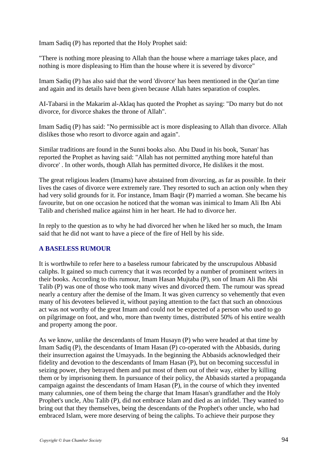Imam Sadiq (P) has reported that the Holy Prophet said:

"There is nothing more pleasing to Allah than the house where a marriage takes place, and nothing is more displeasing to Him than the house where it is severed by divorce"

Imam Sadiq (P) has also said that the word 'divorce' has been mentioned in the Qur'an time and again and its details have been given because Allah hates separation of couples.

AI-Tabarsi in the Makarim al-Aklaq has quoted the Prophet as saying: "Do marry but do not divorce, for divorce shakes the throne of Allah".

Imam Sadiq (P) has said: "No permissible act is more displeasing to Allah than divorce. Allah dislikes those who resort to divorce again and again".

Similar traditions are found in the Sunni books also. Abu Daud in his book, 'Sunan' has reported the Prophet as having said: "Allah has not permitted anything more hateful than divorce' . In other words, though Allah has permitted divorce, He dislikes it the most.

The great religious leaders (Imams) have abstained from divorcing, as far as possible. In their lives the cases of divorce were extremely rare. They resorted to such an action only when they had very solid grounds for it. For instance, Imam Baqir (P) married a woman. She became his favourite, but on one occasion he noticed that the woman was inimical to Imam Ali Ibn Abi Talib and cherished malice against him in her heart. He had to divorce her.

In reply to the question as to why he had divorced her when he liked her so much, the Imam said that he did not want to have a piece of the fire of Hell by his side.

#### **A BASELESS RUMOUR**

It is worthwhile to refer here to a baseless rumour fabricated by the unscrupulous Abbasid caliphs. It gained so much currency that it was recorded by a number of prominent writers in their books. According to this rumour, Imam Hasan Mujtaba (P), son of Imam Ali Ibn Abi Talib (P) was one of those who took many wives and divorced them. The rumour was spread nearly a century after the demise of the Imam. It was given currency so vehemently that even many of his devotees believed it, without paying attention to the fact that such an obnoxious act was not worthy of the great Imam and could not be expected of a person who used to go on pilgrimage on foot, and who, more than twenty times, distributed 50% of his entire wealth and property among the poor.

As we know, unlike the descendants of Imam Husayn (P) who were headed at that time by Imam Sadiq (P), the descendants of Imam Hasan (P) co-operated with the Abbasids, during their insurrection against the Umayyads. In the beginning the Abbasids acknowledged their fidelity and devotion to the descendants of Imam Hasan (P), but on becoming successful in seizing power, they betrayed them and put most of them out of their way, either by killing them or by imprisoning them. In pursuance of their policy, the Abbasids started a propaganda campaign against the descendants of Imam Hasan (P), in the course of which they invented many calumnies, one of them being the charge that Imam Hasan's grandfather and the Holy Prophet's uncle, Abu Talib (P), did not embrace Islam and died as an infidel. They wanted to bring out that they themselves, being the descendants of the Prophet's other uncle, who had embraced Islam, were more deserving of being the caliphs. To achieve their purpose they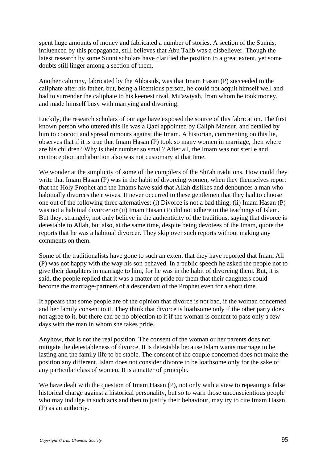spent huge amounts of money and fabricated a number of stories. A section of the Sunnis, influenced by this propaganda, still believes that Abu Talib was a disbeliever. Though the latest research by some Sunni scholars have clarified the position to a great extent, yet some doubts still linger among a section of them.

Another calumny, fabricated by the Abbasids, was that Imam Hasan (P) succeeded to the caliphate after his father, but, being a licentious person, he could not acquit himself well and had to surrender the caliphate to his keenest rival, Mu'awiyah, from whom he took money, and made himself busy with marrying and divorcing.

Luckily, the research scholars of our age have exposed the source of this fabrication. The first known person who uttered this lie was a Qazi appointed by Caliph Mansur, and detailed by him to concoct and spread rumours against the Imam. A historian, commenting on this lie, observes that if it is true that Imam Hasan (P) took so many women in marriage, then where are his children? Why is their number so small? After all, the Imam was not sterile and contraception and abortion also was not customary at that time.

We wonder at the simplicity of some of the compilers of the Shi'ah traditions. How could they write that Imam Hasan (P) was in the habit of divorcing women, when they themselves report that the Holy Prophet and the Imams have said that Allah dislikes and denounces a man who habitually divorces their wives. It never occurred to these gentlemen that they had to choose one out of the following three alternatives: (i) Divorce is not a bad thing; (ii) Imam Hasan (P) was not a habitual divorcer or (ii) Imam Hasan (P) did not adhere to the teachings of Islam. But they, strangely, not only believe in the authenticity of the traditions, saying that divorce is detestable to Allah, but also, at the same time, despite being devotees of the Imam, quote the reports that he was a habitual divorcer. They skip over such reports without making any comments on them.

Some of the traditionalists have gone to such an extent that they have reported that Imam Ali (P) was not happy with the way his son behaved. In a public speech he asked the people not to give their daughters in marriage to him, for he was in the habit of divorcing them. But, it is said, the people replied that it was a matter of pride for them that their daughters could become the marriage-partners of a descendant of the Prophet even for a short time.

It appears that some people are of the opinion that divorce is not bad, if the woman concerned and her family consent to it. They think that divorce is loathsome only if the other party does not agree to it, but there can be no objection to it if the woman is content to pass only a few days with the man in whom she takes pride.

Anyhow, that is not the real position. The consent of the woman or her parents does not mitigate the detestableness of divorce. It is detestable because Islam wants marriage to be lasting and the family life to be stable. The consent of the couple concerned does not make the position any different. Islam does not consider divorce to be loathsome only for the sake of any particular class of women. It is a matter of principle.

We have dealt with the question of Imam Hasan (P), not only with a view to repeating a false historical charge against a historical personality, but so to warn those unconscientious people who may indulge in such acts and then to justify their behaviour, may try to cite Imam Hasan (P) as an authority.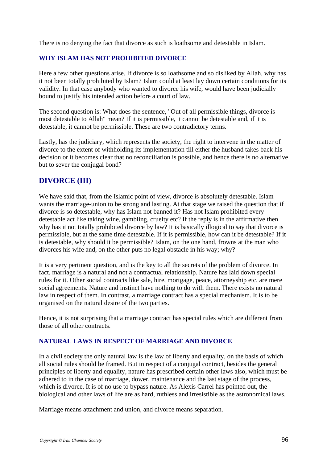There is no denying the fact that divorce as such is loathsome and detestable in Islam.

#### **WHY ISLAM HAS NOT PROHIBITED DIVORCE**

Here a few other questions arise. If divorce is so loathsome and so disliked by Allah, why has it not been totally prohibited by Islam? Islam could at least lay down certain conditions for its validity. In that case anybody who wanted to divorce his wife, would have been judicially bound to justify his intended action before a court of law.

The second question is: What does the sentence, "Out of all permissible things, divorce is most detestable to Allah" mean? If it is permissible, it cannot be detestable and, if it is detestable, it cannot be permissible. These are two contradictory terms.

Lastly, has the judiciary, which represents the society, the right to intervene in the matter of divorce to the extent of withholding its implementation till either the husband takes back his decision or it becomes clear that no reconciliation is possible, and hence there is no alternative but to sever the conjugal bond?

# **DIVORCE (III)**

We have said that, from the Islamic point of view, divorce is absolutely detestable. Islam wants the marriage-union to be strong and lasting. At that stage we raised the question that if divorce is so detestable, why has Islam not banned it? Has not Islam prohibited every detestable act like taking wine, gambling, cruelty etc? If the reply is in the affirmative then why has it not totally prohibited divorce by law? It is basically illogical to say that divorce is permissible, but at the same time detestable. If it is permissible, how can it be detestable? If it is detestable, why should it be permissible? Islam, on the one hand, frowns at the man who divorces his wife and, on the other puts no legal obstacle in his way; why?

It is a very pertinent question, and is the key to all the secrets of the problem of divorce. In fact, marriage is a natural and not a contractual relationship. Nature has laid down special rules for it. Other social contracts like sale, hire, mortgage, peace, attorneyship etc. are mere social agreements. Nature and instinct have nothing to do with them. There exists no natural law in respect of them. In contrast, a marriage contract has a special mechanism. It is to be organised on the natural desire of the two parties.

Hence, it is not surprising that a marriage contract has special rules which are different from those of all other contracts.

#### **NATURAL LAWS IN RESPECT OF MARRIAGE AND DIVORCE**

In a civil society the only natural law is the law of liberty and equality, on the basis of which all social rules should be framed. But in respect of a conjugal contract, besides the general principles of liberty and equality, nature has prescribed certain other laws also, which must be adhered to in the case of marriage, dower, maintenance and the last stage of the process, which is divorce. It is of no use to bypass nature. As Alexis Carrel has pointed out, the biological and other laws of life are as hard, ruthless and irresistible as the astronomical laws.

Marriage means attachment and union, and divorce means separation.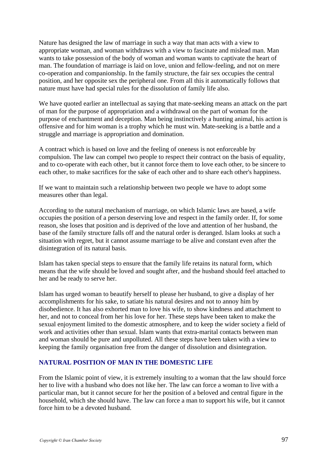Nature has designed the law of marriage in such a way that man acts with a view to appropriate woman, and woman withdraws with a view to fascinate and mislead man. Man wants to take possession of the body of woman and woman wants to captivate the heart of man. The foundation of marriage is laid on love, union and fellow-feeling, and not on mere co-operation and companionship. In the family structure, the fair sex occupies the central position, and her opposite sex the peripheral one. From all this it automatically follows that nature must have had special rules for the dissolution of family life also.

We have quoted earlier an intellectual as saying that mate-seeking means an attack on the part of man for the purpose of appropriation and a withdrawal on the part of woman for the purpose of enchantment and deception. Man being instinctively a hunting animal, his action is offensive and for him woman is a trophy which he must win. Mate-seeking is a battle and a struggle and marriage is appropriation and domination.

A contract which is based on love and the feeling of oneness is not enforceable by compulsion. The law can compel two people to respect their contract on the basis of equality, and to co-operate with each other, but it cannot force them to love each other, to be sincere to each other, to make sacrifices for the sake of each other and to share each other's happiness.

If we want to maintain such a relationship between two people we have to adopt some measures other than legal.

According to the natural mechanism of marriage, on which Islamic laws are based, a wife occupies the position of a person deserving love and respect in the family order. If, for some reason, she loses that position and is deprived of the love and attention of her husband, the base of the family structure falls off and the natural order is deranged. Islam looks at such a situation with regret, but it cannot assume marriage to be alive and constant even after the disintegration of its natural basis.

Islam has taken special steps to ensure that the family life retains its natural form, which means that the wife should be loved and sought after, and the husband should feel attached to her and be ready to serve her.

Islam has urged woman to beautify herself to please her husband, to give a display of her accomplishments for his sake, to satiate his natural desires and not to annoy him by disobedience. It has also exhorted man to love his wife, to show kindness and attachment to her, and not to conceal from her his love for her. These steps have been taken to make the sexual enjoyment limited to the domestic atmosphere, and to keep the wider society a field of work and activities other than sexual. Islam wants that extra-marital contacts between man and woman should be pure and unpolluted. All these steps have been taken with a view to keeping the family organisation free from the danger of dissolution and disintegration.

#### **NATURAL POSITION OF MAN IN THE DOMESTIC LIFE**

From the Islamic point of view, it is extremely insulting to a woman that the law should force her to live with a husband who does not like her. The law can force a woman to live with a particular man, but it cannot secure for her the position of a beloved and central figure in the household, which she should have. The law can force a man to support his wife, but it cannot force him to be a devoted husband.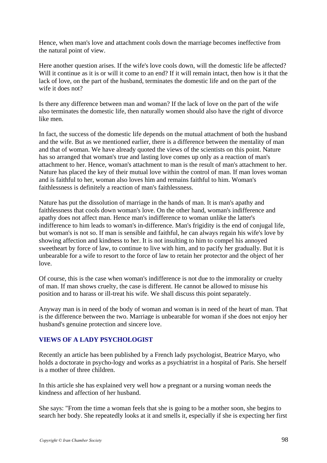Hence, when man's love and attachment cools down the marriage becomes ineffective from the natural point of view.

Here another question arises. If the wife's love cools down, will the domestic life be affected? Will it continue as it is or will it come to an end? If it will remain intact, then how is it that the lack of love, on the part of the husband, terminates the domestic life and on the part of the wife it does not?

Is there any difference between man and woman? If the lack of love on the part of the wife also terminates the domestic life, then naturally women should also have the right of divorce like men.

In fact, the success of the domestic life depends on the mutual attachment of both the husband and the wife. But as we mentioned earlier, there is a difference between the mentality of man and that of woman. We have already quoted the views of the scientists on this point. Nature has so arranged that woman's true and lasting love comes up only as a reaction of man's attachment to her. Hence, woman's attachment to man is the result of man's attachment to her. Nature has placed the key of their mutual love within the control of man. If man loves woman and is faithful to her, woman also loves him and remains faithful to him. Woman's faithlessness is definitely a reaction of man's faithlessness.

Nature has put the dissolution of marriage in the hands of man. It is man's apathy and faithlessness that cools down woman's love. On the other hand, woman's indifference and apathy does not affect man. Hence man's indifference to woman unlike the latter's indifference to him leads to woman's in-difference. Man's frigidity is the end of conjugal life, but woman's is not so. If man is sensible and faithful, he can always regain his wife's love by showing affection and kindness to her. It is not insulting to him to compel his annoyed sweetheart by force of law, to continue to live with him, and to pacify her gradually. But it is unbearable for a wife to resort to the force of law to retain her protector and the object of her love.

Of course, this is the case when woman's indifference is not due to the immorality or cruelty of man. If man shows cruelty, the case is different. He cannot be allowed to misuse his position and to harass or ill-treat his wife. We shall discuss this point separately.

Anyway man is in need of the body of woman and woman is in need of the heart of man. That is the difference between the two. Marriage is unbearable for woman if she does not enjoy her husband's genuine protection and sincere love.

#### **VIEWS OF A LADY PSYCHOLOGIST**

Recently an article has been published by a French lady psychologist, Beatrice Maryo, who holds a doctorate in psycho-logy and works as a psychiatrist in a hospital of Paris. She herself is a mother of three children.

In this article she has explained very well how a pregnant or a nursing woman needs the kindness and affection of her husband.

She says: "From the time a woman feels that she is going to be a mother soon, she begins to search her body. She repeatedly looks at it and smells it, especially if she is expecting her first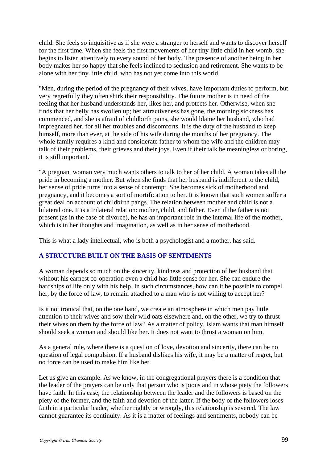child. She feels so inquisitive as if she were a stranger to herself and wants to discover herself for the first time. When she feels the first movements of her tiny little child in her womb, she begins to listen attentively to every sound of her body. The presence of another being in her body makes her so happy that she feels inclined to seclusion and retirement. She wants to be alone with her tiny little child, who has not yet come into this world

"Men, during the period of the pregnancy of their wives, have important duties to perform, but very regretfully they often shirk their responsibility. The future mother is in need of the feeling that her husband understands her, likes her, and protects her. Otherwise, when she finds that her belly has swollen up; her attractiveness has gone, the morning sickness has commenced, and she is afraid of childbirth pains, she would blame her husband, who had impregnated her, for all her troubles and discomforts. It is the duty of the husband to keep himself, more than ever, at the side of his wife during the months of her pregnancy. The whole family requires a kind and considerate father to whom the wife and the children may talk of their problems, their grieves and their joys. Even if their talk be meaningless or boring, it is still important."

"A pregnant woman very much wants others to talk to her of her child. A woman takes all the pride in becoming a mother. But when she finds that her husband is indifferent to the child, her sense of pride turns into a sense of contempt. She becomes sick of motherhood and pregnancy, and it becomes a sort of mortification to her. It is known that such women suffer a great deal on account of childbirth pangs. The relation between mother and child is not a bilateral one. It is a trilateral relation: mother, child, and father. Even if the father is not present (as in the case of divorce), he has an important role in the internal life of the mother, which is in her thoughts and imagination, as well as in her sense of motherhood.

This is what a lady intellectual, who is both a psychologist and a mother, has said.

#### **A STRUCTURE BUILT ON THE BASIS OF SENTIMENTS**

A woman depends so much on the sincerity, kindness and protection of her husband that without his earnest co-operation even a child has little sense for her. She can endure the hardships of life only with his help. In such circumstances, how can it be possible to compel her, by the force of law, to remain attached to a man who is not willing to accept her?

Is it not ironical that, on the one hand, we create an atmosphere in which men pay little attention to their wives and sow their wild oats elsewhere and, on the other, we try to thrust their wives on them by the force of law? As a matter of policy, Islam wants that man himself should seek a woman and should like her. It does not want to thrust a woman on him.

As a general rule, where there is a question of love, devotion and sincerity, there can be no question of legal compulsion. If a husband dislikes his wife, it may be a matter of regret, but no force can be used to make him like her.

Let us give an example. As we know, in the congregational prayers there is a condition that the leader of the prayers can be only that person who is pious and in whose piety the followers have faith. In this case, the relationship between the leader and the followers is based on the piety of the former, and the faith and devotion of the latter. If the body of the followers loses faith in a particular leader, whether rightly or wrongly, this relationship is severed. The law cannot guarantee its continuity. As it is a matter of feelings and sentiments, nobody can be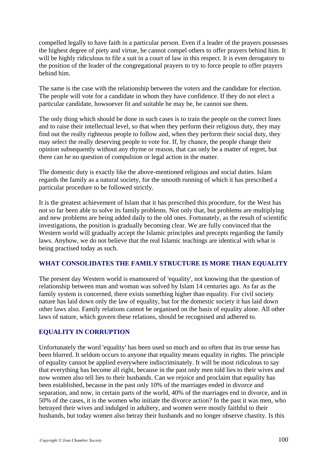compelled legally to have faith in a particular person. Even if a leader of the prayers possesses the highest degree of piety and virtue, he cannot compel others to offer prayers behind him. It will be highly ridiculous to file a suit in a court of law in this respect. It is even derogatory to the position of the leader of the congregational prayers to try to force people to offer prayers behind him.

The same is the case with the relationship between the voters and the candidate for election. The people will vote for a candidate in whom they have confidence. If they do not elect a particular candidate, howsoever fit and suitable he may be, he cannot sue them.

The only thing which should be done in such cases is to train the people on the correct lines and to raise their intellectual level, so that when they perform their religious duty, they may find out the really righteous people to follow and, when they perform their social duty, they may select the really deserving people to vote for. If, by chance, the people change their opinion subsequently without any rhyme or reason, that can only be a matter of regret, but there can he no question of compulsion or legal action in the matter.

The domestic duty is exactly like the above-mentioned religious and social duties. Islam regards the family as a natural society, for the smooth running of which it has prescribed a particular procedure to be followed strictly.

It is the greatest achievement of Islam that it has prescribed this procedure, for the West has not so far been able to solve its family problems. Not only that, but problems are multiplying and new problems are being added daily to the old ones. Fortunately, as the result of scientific investigations, the position is gradually becoming clear. We are fully convinced that the Western world will gradually accept the Islamic principles and precepts regarding the family laws. Anyhow, we do not believe that the real Islamic teachings are identical with what is being practised today as such.

#### **WHAT CONSOLIDATES THE FAMILY STRUCTURE IS MORE THAN EQUALITY**

The present day Western world is enamoured of 'equality', not knowing that the question of relationship between man and woman was solved by Islam 14 centuries ago. As far as the family system is concerned, there exists something higher than equality. For civil society nature has laid down only the law of equality, but for the domestic society it has laid down other laws also. Family relations cannot be organised on the basis of equality alone. All other laws of nature, which govern these relations, should be recognised and adhered to.

#### **EQUALITY IN CORRUPTION**

Unfortunately the word 'equality' has been used so much and so often that its true sense has been blurred. It seldom occurs to anyone that equality means equality in rights. The principle of equality cannot be applied everywhere indiscriminately. It will be most ridiculous to say that everything has become all right, because in the past only men told lies to their wives and now women also tell lies to their husbands. Can we rejoice and proclaim that equality has been established, because in the past only 10% of the marriages ended in divorce and separation, and now, in certain parts of the world, 40% of the marriages end in divorce, and in 50% of the cases, it is the women who initiate the divorce action? In the past it was men, who betrayed their wives and indulged in adultery, and women were mostly faithful to their husbands, but today women also betray their husbands and no longer observe chastity. Is this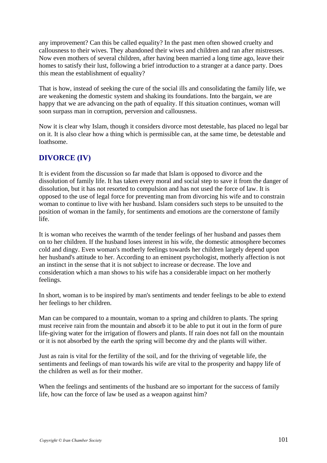any improvement? Can this be called equality? In the past men often showed cruelty and callousness to their wives. They abandoned their wives and children and ran after mistresses. Now even mothers of several children, after having been married a long time ago, leave their homes to satisfy their lust, following a brief introduction to a stranger at a dance party. Does this mean the establishment of equality?

That is how, instead of seeking the cure of the social ills and consolidating the family life, we are weakening the domestic system and shaking its foundations. Into the bargain, we are happy that we are advancing on the path of equality. If this situation continues, woman will soon surpass man in corruption, perversion and callousness.

Now it is clear why Islam, though it considers divorce most detestable, has placed no legal bar on it. It is also clear how a thing which is permissible can, at the same time, be detestable and loathsome.

# **DIVORCE (IV)**

It is evident from the discussion so far made that Islam is opposed to divorce and the dissolution of family life. It has taken every moral and social step to save it from the danger of dissolution, but it has not resorted to compulsion and has not used the force of law. It is opposed to the use of legal force for preventing man from divorcing his wife and to constrain woman to continue to live with her husband. Islam considers such steps to be unsuited to the position of woman in the family, for sentiments and emotions are the cornerstone of family life.

It is woman who receives the warmth of the tender feelings of her husband and passes them on to her children. If the husband loses interest in his wife, the domestic atmosphere becomes cold and dingy. Even woman's motherly feelings towards her children largely depend upon her husband's attitude to her. According to an eminent psychologist, motherly affection is not an instinct in the sense that it is not subject to increase or decrease. The love and consideration which a man shows to his wife has a considerable impact on her motherly feelings.

In short, woman is to be inspired by man's sentiments and tender feelings to be able to extend her feelings to her children.

Man can be compared to a mountain, woman to a spring and children to plants. The spring must receive rain from the mountain and absorb it to be able to put it out in the form of pure life-giving water for the irrigation of flowers and plants. If rain does not fall on the mountain or it is not absorbed by the earth the spring will become dry and the plants will wither.

Just as rain is vital for the fertility of the soil, and for the thriving of vegetable life, the sentiments and feelings of man towards his wife are vital to the prosperity and happy life of the children as well as for their mother.

When the feelings and sentiments of the husband are so important for the success of family life, how can the force of law be used as a weapon against him?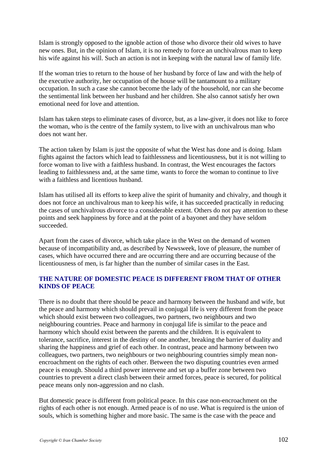Islam is strongly opposed to the ignoble action of those who divorce their old wives to have new ones. But, in the opinion of Islam, it is no remedy to force an unchivalrous man to keep his wife against his will. Such an action is not in keeping with the natural law of family life.

If the woman tries to return to the house of her husband by force of law and with the help of the executive authority, her occupation of the house will be tantamount to a military occupation. In such a case she cannot become the lady of the household, nor can she become the sentimental link between her husband and her children. She also cannot satisfy her own emotional need for love and attention.

Islam has taken steps to eliminate cases of divorce, but, as a law-giver, it does not like to force the woman, who is the centre of the family system, to live with an unchivalrous man who does not want her.

The action taken by Islam is just the opposite of what the West has done and is doing. Islam fights against the factors which lead to faithlessness and licentiousness, but it is not willing to force woman to live with a faithless husband. In contrast, the West encourages the factors leading to faithlessness and, at the same time, wants to force the woman to continue to live with a faithless and licentious husband.

Islam has utilised all its efforts to keep alive the spirit of humanity and chivalry, and though it does not force an unchivalrous man to keep his wife, it has succeeded practically in reducing the cases of unchivalrous divorce to a considerable extent. Others do not pay attention to these points and seek happiness by force and at the point of a bayonet and they have seldom succeeded.

Apart from the cases of divorce, which take place in the West on the demand of women because of incompatibility and, as described by Newsweek, love of pleasure, the number of cases, which have occurred there and are occurring there and are occurring because of the licentiousness of men, is far higher than the number of similar cases in the East.

# **THE NATURE OF DOMESTIC PEACE IS DIFFERENT FROM THAT OF OTHER KINDS OF PEACE**

There is no doubt that there should be peace and harmony between the husband and wife, but the peace and harmony which should prevail in conjugal life is very different from the peace which should exist between two colleagues, two partners, two neighbours and two neighbouring countries. Peace and harmony in conjugal life is similar to the peace and harmony which should exist between the parents and the children. It is equivalent to tolerance, sacrifice, interest in the destiny of one another, breaking the barrier of duality and sharing the happiness and grief of each other. In contrast, peace and harmony between two colleagues, two partners, two neighbours or two neighbouring countries simply mean nonencroachment on the rights of each other. Between the two disputing countries even armed peace is enough. Should a third power intervene and set up a buffer zone between two countries to prevent a direct clash between their armed forces, peace is secured, for political peace means only non-aggression and no clash.

But domestic peace is different from political peace. In this case non-encroachment on the rights of each other is not enough. Armed peace is of no use. What is required is the union of souls, which is something higher and more basic. The same is the case with the peace and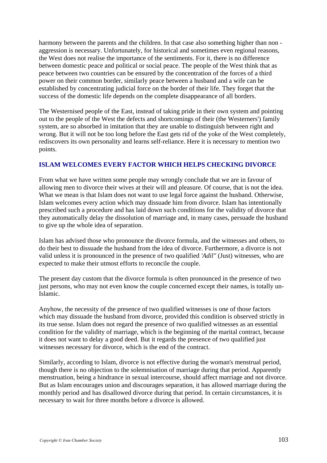harmony between the parents and the children. In that case also something higher than non aggression is necessary. Unfortunately, for historical and sometimes even regional reasons, the West does not realise the importance of the sentiments. For it, there is no difference between domestic peace and political or social peace. The people of the West think that as peace between two countries can be ensured by the concentration of the forces of a third power on their common border, similarly peace between a husband and a wife can be established by concentrating judicial force on the border of their life. They forget that the success of the domestic life depends on the complete disappearance of all borders.

The Westernised people of the East, instead of taking pride in their own system and pointing out to the people of the West the defects and shortcomings of their (the Westerners') family system, are so absorbed in imitation that they are unable to distinguish between right and wrong. But it will not be too long before the East gets rid of the yoke of the West completely, rediscovers its own personality and learns self-reliance. Here it is necessary to mention two points.

#### **ISLAM WELCOMES EVERY FACTOR WHICH HELPS CHECKING DIVORCE**

From what we have written some people may wrongly conclude that we are in favour of allowing men to divorce their wives at their will and pleasure. Of course, that is not the idea. What we mean is that Islam does not want to use legal force against the husband. Otherwise, Islam welcomes every action which may dissuade him from divorce. Islam has intentionally prescribed such a procedure and has laid down such conditions for the validity of divorce that they automatically delay the dissolution of marriage and, in many cases, persuade the husband to give up the whole idea of separation.

Islam has advised those who pronounce the divorce formula, and the witnesses and others, to do their best to dissuade the husband from the idea of divorce. Furthermore, a divorce is not valid unless it is pronounced in the presence of two qualified *'Adil"* (Just) witnesses, who are expected to make their utmost efforts to reconcile the couple.

The present day custom that the divorce formula is often pronounced in the presence of two just persons, who may not even know the couple concerned except their names, is totally un-Islamic.

Anyhow, the necessity of the presence of two qualified witnesses is one of those factors which may dissuade the husband from divorce, provided this condition is observed strictly in its true sense. Islam does not regard the presence of two qualified witnesses as an essential condition for the validity of marriage, which is the beginning of the marital contract, because it does not want to delay a good deed. But it regards the presence of two qualified just witnesses necessary for divorce, which is the end of the contract.

Similarly, according to Islam, divorce is not effective during the woman's menstrual period, though there is no objection to the solemnisation of marriage during that period. Apparently menstruation, being a hindrance in sexual intercourse, should affect marriage and not divorce. But as Islam encourages union and discourages separation, it has allowed marriage during the monthly period and has disallowed divorce during that period. In certain circumstances, it is necessary to wait for three months before a divorce is allowed.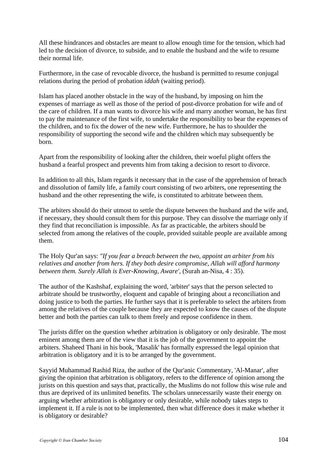All these hindrances and obstacles are meant to allow enough time for the tension, which had led to the decision of divorce, to subside, and to enable the husband and the wife to resume their normal life.

Furthermore, in the case of revocable divorce, the husband is permitted to resume conjugal relations during the period of probation *iddah* (waiting period).

Islam has placed another obstacle in the way of the husband, by imposing on him the expenses of marriage as well as those of the period of post-divorce probation for wife and of the care of children. If a man wants to divorce his wife and marry another woman, he has first to pay the maintenance of the first wife, to undertake the responsibility to bear the expenses of the children, and to fix the dower of the new wife. Furthermore, he has to shoulder the responsibility of supporting the second wife and the children which may subsequently be born.

Apart from the responsibility of looking after the children, their woeful plight offers the husband a fearful prospect and prevents him from taking a decision to resort to divorce.

In addition to all this, Islam regards it necessary that in the case of the apprehension of breach and dissolution of family life, a family court consisting of two arbiters, one representing the husband and the other representing the wife, is constituted to arbitrate between them.

The arbiters should do their utmost to settle the dispute between the husband and the wife and, if necessary, they should consult them for this purpose. They can dissolve the marriage only if they find that reconciliation is impossible. As far as practicable, the arbiters should be selected from among the relatives of the couple, provided suitable people are available among them.

The Holy Qur'an says: *"If you fear a breach between the two, appoint an arbiter from his relatives and another from hers. If they both desire compromise, Allah will afford harmony between them. Surely Allah is Ever-Knowing, Aware',* (Surah an-Nisa, 4 : 35).

The author of the Kashshaf, explaining the word, 'arbiter' says that the person selected to arbitrate should be trustworthy, eloquent and capable of bringing about a reconciliation and doing justice to both the parties. He further says that it is preferable to select the arbiters from among the relatives of the couple because they are expected to know the causes of the dispute better and both the parties can talk to them freely and repose confidence in them.

The jurists differ on the question whether arbitration is obligatory or only desirable. The most eminent among them are of the view that it is the job of the government to appoint the arbiters. Shaheed Thani in his book, 'Masalik' has formally expressed the legal opinion that arbitration is obligatory and it is to be arranged by the government.

Sayyid Muhammad Rashid Riza, the author of the Qur'anic Commentary, 'Al-Manar', after giving the opinion that arbitration is obligatory, refers to the difference of opinion among the jurists on this question and says that, practically, the Muslims do not follow this wise rule and thus are deprived of its unlimited benefits. The scholars unnecessarily waste their energy on arguing whether arbitration is obligatory or only desirable, while nobody takes steps to implement it. If a rule is not to be implemented, then what difference does it make whether it is obligatory or desirable?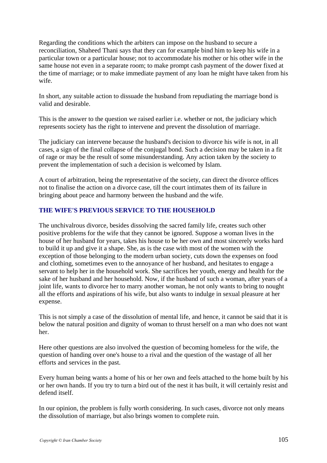Regarding the conditions which the arbiters can impose on the husband to secure a reconciliation, Shaheed Thani says that they can for example bind him to keep his wife in a particular town or a particular house; not to accommodate his mother or his other wife in the same house not even in a separate room; to make prompt cash payment of the dower fixed at the time of marriage; or to make immediate payment of any loan he might have taken from his wife.

In short, any suitable action to dissuade the husband from repudiating the marriage bond is valid and desirable.

This is the answer to the question we raised earlier i.e. whether or not, the judiciary which represents society has the right to intervene and prevent the dissolution of marriage.

The judiciary can intervene because the husband's decision to divorce his wife is not, in all cases, a sign of the final collapse of the conjugal bond. Such a decision may be taken in a fit of rage or may be the result of some misunderstanding. Any action taken by the society to prevent the implementation of such a decision is welcomed by Islam.

A court of arbitration, being the representative of the society, can direct the divorce offices not to finalise the action on a divorce case, till the court intimates them of its failure in bringing about peace and harmony between the husband and the wife.

# **THE WIFE'S PREVIOUS SERVICE TO THE HOUSEHOLD**

The unchivalrous divorce, besides dissolving the sacred family life, creates such other positive problems for the wife that they cannot be ignored. Suppose a woman lives in the house of her husband for years, takes his house to be her own and most sincerely works hard to build it up and give it a shape. She, as is the case with most of the women with the exception of those belonging to the modern urban society, cuts down the expenses on food and clothing, sometimes even to the annoyance of her husband, and hesitates to engage a servant to help her in the household work. She sacrifices her youth, energy and health for the sake of her husband and her household. Now, if the husband of such a woman, after years of a joint life, wants to divorce her to marry another woman, he not only wants to bring to nought all the efforts and aspirations of his wife, but also wants to indulge in sexual pleasure at her expense.

This is not simply a case of the dissolution of mental life, and hence, it cannot be said that it is below the natural position and dignity of woman to thrust herself on a man who does not want her.

Here other questions are also involved the question of becoming homeless for the wife, the question of handing over one's house to a rival and the question of the wastage of all her efforts and services in the past.

Every human being wants a home of his or her own and feels attached to the home built by his or her own hands. If you try to turn a bird out of the nest it has built, it will certainly resist and defend itself.

In our opinion, the problem is fully worth considering. In such cases, divorce not only means the dissolution of marriage, but also brings women to complete ruin.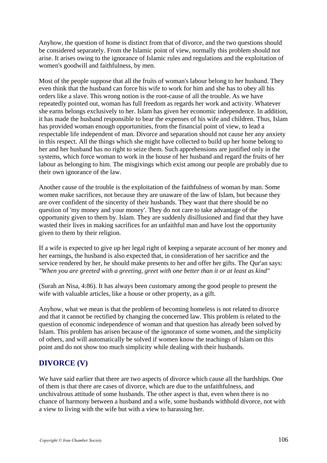Anyhow, the question of home is distinct from that of divorce, and the two questions should be considered separately. From the Islamic point of view, normally this problem should not arise. It arises owing to the ignorance of Islamic rules and regulations and the exploitation of women's goodwill and faithfulness, by men.

Most of the people suppose that all the fruits of woman's labour belong to her husband. They even think that the husband can force his wife to work for him and she has to obey all his orders like a slave. This wrong notion is the root-cause of all the trouble. As we have repeatedly pointed out, woman has full freedom as regards her work and activity. Whatever she earns belongs exclusively to her. Islam has given her economic independence. In addition, it has made the husband responsible to bear the expenses of his wife and children. Thus, Islam has provided woman enough opportunities, from the financial point of view, to lead a respectable life independent of man. Divorce and separation should not cause her any anxiety in this respect. All the things which she might have collected to build up her home belong to her and her husband has no right to seize them. Such apprehensions are justified only in the systems, which force woman to work in the house of her husband and regard the fruits of her labour as belonging to him. The misgivings which exist among our people are probably due to their own ignorance of the law.

Another cause of the trouble is the exploitation of the faithfulness of woman by man. Some women make sacrifices, not because they are unaware of the law of Islam, but because they are over confident of the sincerity of their husbands. They want that there should be no question of 'my money and your money'. They do not care to take advantage of the opportunity given to them by. Islam. They are suddenly disillusioned and find that they have wasted their lives in making sacrifices for an unfaithful man and have lost the opportunity given to them by their religion.

If a wife is expected to give up her legal right of keeping a separate account of her money and her earnings, the husband is also expected that, in consideration of her sacrifice and the service rendered by her, he should make presents to her and offer her gifts. The Qur'an says: *"When you are greeted with a greeting, greet with one better than it or at least as kind"*

(Surah an Nisa, 4:86). It has always been customary among the good people to present the wife with valuable articles, like a house or other property, as a gift.

Anyhow, what we mean is that the problem of becoming homeless is not related to divorce and that it cannot be rectified by changing the concerned law. This problem is related to the question of economic independence of woman and that question has already been solved by Islam. This problem has arisen because of the ignorance of some women, and the simplicity of others, and will automatically be solved if women know the teachings of Islam on this point and do not show too much simplicity while dealing with their husbands.

# **DIVORCE (V)**

We have said earlier that there are two aspects of divorce which cause all the hardships. One of them is that there are cases of divorce, which are due to the unfaithfulness, and unchivalrous attitude of some husbands. The other aspect is that, even when there is no chance of harmony between a husband and a wife, some husbands withhold divorce, not with a view to living with the wife but with a view to harassing her.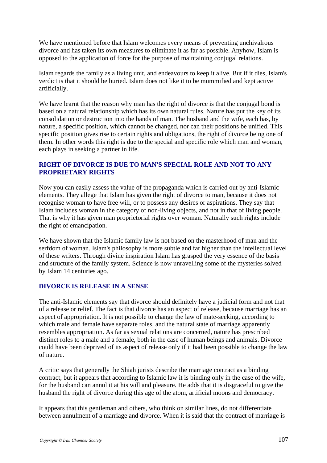We have mentioned before that Islam welcomes every means of preventing unchivalrous divorce and has taken its own measures to eliminate it as far as possible. Anyhow, Islam is opposed to the application of force for the purpose of maintaining conjugal relations.

Islam regards the family as a living unit, and endeavours to keep it alive. But if it dies, Islam's verdict is that it should be buried. Islam does not like it to be mummified and kept active artificially.

We have learnt that the reason why man has the right of divorce is that the conjugal bond is based on a natural relationship which has its own natural rules. Nature has put the key of its consolidation or destruction into the hands of man. The husband and the wife, each has, by nature, a specific position, which cannot be changed, nor can their positions be unified. This specific position gives rise to certain rights and obligations, the right of divorce being one of them. In other words this right is due to the special and specific role which man and woman, each plays in seeking a partner in life.

## **RIGHT OF DIVORCE IS DUE TO MAN'S SPECIAL ROLE AND NOT TO ANY PROPRIETARY RIGHTS**

Now you can easily assess the value of the propaganda which is carried out by anti-Islamic elements. They allege that Islam has given the right of divorce to man, because it does not recognise woman to have free will, or to possess any desires or aspirations. They say that Islam includes woman in the category of non-living objects, and not in that of living people. That is why it has given man proprietorial rights over woman. Naturally such rights include the right of emancipation.

We have shown that the Islamic family law is not based on the masterhood of man and the serfdom of woman. Islam's philosophy is more subtle and far higher than the intellectual level of these writers. Through divine inspiration Islam has grasped the very essence of the basis and structure of the family system. Science is now unravelling some of the mysteries solved by Islam 14 centuries ago.

#### **DIVORCE IS RELEASE IN A SENSE**

The anti-Islamic elements say that divorce should definitely have a judicial form and not that of a release or relief. The fact is that divorce has an aspect of release, because marriage has an aspect of appropriation. It is not possible to change the law of mate-seeking, according to which male and female have separate roles, and the natural state of marriage apparently resembles appropriation. As far as sexual relations are concerned, nature has prescribed distinct roles to a male and a female, both in the case of human beings and animals. Divorce could have been deprived of its aspect of release only if it had been possible to change the law of nature.

A critic says that generally the Shiah jurists describe the marriage contract as a binding contract, but it appears that according to Islamic law it is binding only in the case of the wife, for the husband can annul it at his will and pleasure. He adds that it is disgraceful to give the husband the right of divorce during this age of the atom, artificial moons and democracy.

It appears that this gentleman and others, who think on similar lines, do not differentiate between annulment of a marriage and divorce. When it is said that the contract of marriage is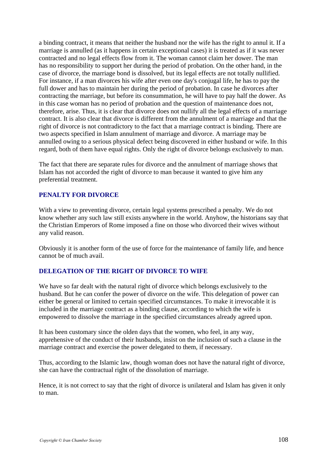a binding contract, it means that neither the husband nor the wife has the right to annul it. If a marriage is annulled (as it happens in certain exceptional cases) it is treated as if it was never contracted and no legal effects flow from it. The woman cannot claim her dower. The man has no responsibility to support her during the period of probation. On the other hand, in the case of divorce, the marriage bond is dissolved, but its legal effects are not totally nullified. For instance, if a man divorces his wife after even one day's conjugal life, he has to pay the full dower and has to maintain her during the period of probation. In case he divorces after contracting the marriage, but before its consummation, he will have to pay half the dower. As in this case woman has no period of probation and the question of maintenance does not, therefore, arise. Thus, it is clear that divorce does not nullify all the legal effects of a marriage contract. It is also clear that divorce is different from the annulment of a marriage and that the right of divorce is not contradictory to the fact that a marriage contract is binding. There are two aspects specified in Islam annulment of marriage and divorce. A marriage may be annulled owing to a serious physical defect being discovered in either husband or wife. In this regard, both of them have equal rights. Only the right of divorce belongs exclusively to man.

The fact that there are separate rules for divorce and the annulment of marriage shows that Islam has not accorded the right of divorce to man because it wanted to give him any preferential treatment.

# **PENALTY FOR DIVORCE**

With a view to preventing divorce, certain legal systems prescribed a penalty. We do not know whether any such law still exists anywhere in the world. Anyhow, the historians say that the Christian Emperors of Rome imposed a fine on those who divorced their wives without any valid reason.

Obviously it is another form of the use of force for the maintenance of family life, and hence cannot be of much avail.

#### **DELEGATION OF THE RIGHT OF DIVORCE TO WIFE**

We have so far dealt with the natural right of divorce which belongs exclusively to the husband. But he can confer the power of divorce on the wife. This delegation of power can either be general or limited to certain specified circumstances. To make it irrevocable it is included in the marriage contract as a binding clause, according to which the wife is empowered to dissolve the marriage in the specified circumstances already agreed upon.

It has been customary since the olden days that the women, who feel, in any way, apprehensive of the conduct of their husbands, insist on the inclusion of such a clause in the marriage contract and exercise the power delegated to them, if necessary.

Thus, according to the Islamic law, though woman does not have the natural right of divorce, she can have the contractual right of the dissolution of marriage.

Hence, it is not correct to say that the right of divorce is unilateral and Islam has given it only to man.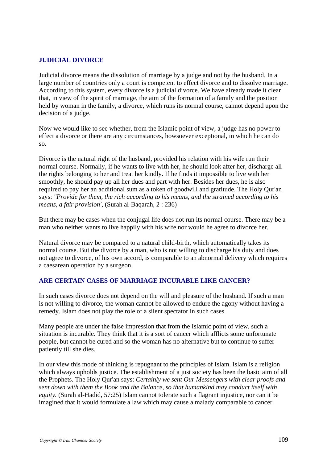## **JUDICIAL DIVORCE**

Judicial divorce means the dissolution of marriage by a judge and not by the husband. In a large number of countries only a court is competent to effect divorce and to dissolve marriage. According to this system, every divorce is a judicial divorce. We have already made it clear that, in view of the spirit of marriage, the aim of the formation of a family and the position held by woman in the family, a divorce, which runs its normal course, cannot depend upon the decision of a judge.

Now we would like to see whether, from the Islamic point of view, a judge has no power to effect a divorce or there are any circumstances, howsoever exceptional, in which he can do so.

Divorce is the natural right of the husband, provided his relation with his wife run their normal course. Normally, if he wants to live with her, he should look after her, discharge all the rights belonging to her and treat her kindly. If he finds it impossible to live with her smoothly, he should pay up all her dues and part with her. Besides her dues, he is also required to pay her an additional sum as a token of goodwill and gratitude. The Holy Qur'an says: *"Provide for them, the rich according to his means, and the strained according to his means, a fair provision',* (Surah al-Baqarah, 2 : 236)

But there may be cases when the conjugal life does not run its normal course. There may be a man who neither wants to live happily with his wife nor would he agree to divorce her.

Natural divorce may be compared to a natural child-birth, which automatically takes its normal course. But the divorce by a man, who is not willing to discharge his duty and does not agree to divorce, of his own accord, is comparable to an abnormal delivery which requires a caesarean operation by a surgeon.

## **ARE CERTAIN CASES OF MARRIAGE INCURABLE LIKE CANCER?**

In such cases divorce does not depend on the will and pleasure of the husband. If such a man is not willing to divorce, the woman cannot be allowed to endure the agony without having a remedy. Islam does not play the role of a silent spectator in such cases.

Many people are under the false impression that from the Islamic point of view, such a situation is incurable. They think that it is a sort of cancer which afflicts some unfortunate people, but cannot be cured and so the woman has no alternative but to continue to suffer patiently till she dies.

In our view this mode of thinking is repugnant to the principles of Islam. Islam is a religion which always upholds justice. The establishment of a just society has been the basic aim of all the Prophets. The Holy Qur'an says: *Certainly we sent Our Messengers with clear proofs and sent down with them the Book and the Balance, so that humankind may conduct itself with equity.* (Surah al-Hadid, 57:25) Islam cannot tolerate such a flagrant injustice, nor can it be imagined that it would formulate a law which may cause a malady comparable to cancer.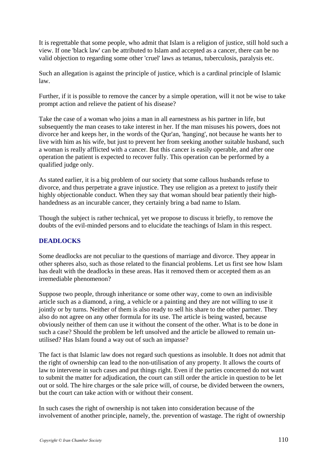It is regrettable that some people, who admit that Islam is a religion of justice, still hold such a view. If one 'black law' can be attributed to Islam and accepted as a cancer, there can be no valid objection to regarding some other 'cruel' laws as tetanus, tuberculosis, paralysis etc.

Such an allegation is against the principle of justice, which is a cardinal principle of Islamic law.

Further, if it is possible to remove the cancer by a simple operation, will it not be wise to take prompt action and relieve the patient of his disease?

Take the case of a woman who joins a man in all earnestness as his partner in life, but subsequently the man ceases to take interest in her. If the man misuses his powers, does not divorce her and keeps her, in the words of the Qur'an, 'hanging', not because he wants her to live with him as his wife, but just to prevent her from seeking another suitable husband, such a woman is really afflicted with a cancer. But this cancer is easily operable, and after one operation the patient is expected to recover fully. This operation can be performed by a qualified judge only.

As stated earlier, it is a big problem of our society that some callous husbands refuse to divorce, and thus perpetrate a grave injustice. They use religion as a pretext to justify their highly objectionable conduct. When they say that woman should bear patiently their highhandedness as an incurable cancer, they certainly bring a bad name to Islam.

Though the subject is rather technical, yet we propose to discuss it briefly, to remove the doubts of the evil-minded persons and to elucidate the teachings of Islam in this respect.

# **DEADLOCKS**

Some deadlocks are not peculiar to the questions of marriage and divorce. They appear in other spheres also, such as those related to the financial problems. Let us first see how Islam has dealt with the deadlocks in these areas. Has it removed them or accepted them as an irremediable phenomenon?

Suppose two people, through inheritance or some other way, come to own an indivisible article such as a diamond, a ring, a vehicle or a painting and they are not willing to use it jointly or by turns. Neither of them is also ready to sell his share to the other partner. They also do not agree on any other formula for its use. The article is being wasted, because obviously neither of them can use it without the consent of the other. What is to be done in such a case? Should the problem be left unsolved and the article be allowed to remain unutilised? Has Islam found a way out of such an impasse?

The fact is that Islamic law does not regard such questions as insoluble. It does not admit that the right of ownership can lead to the non-utilisation of any property. It allows the courts of law to intervene in such cases and put things right. Even if the parties concerned do not want to submit the matter for adjudication, the court can still order the article in question to be let out or sold. The hire charges or the sale price will, of course, be divided between the owners, but the court can take action with or without their consent.

In such cases the right of ownership is not taken into consideration because of the involvement of another principle, namely, the. prevention of wastage. The right of ownership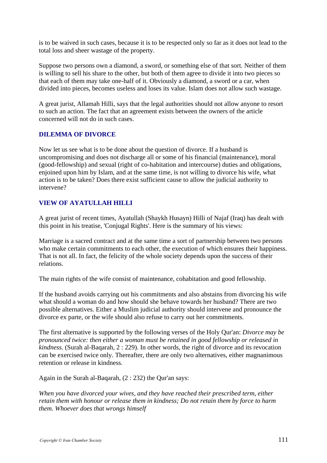is to be waived in such cases, because it is to be respected only so far as it does not lead to the total loss and sheer wastage of the property.

Suppose two persons own a diamond, a sword, or something else of that sort. Neither of them is willing to sell his share to the other, but both of them agree to divide it into two pieces so that each of them may take one-half of it. Obviously a diamond, a sword or a car, when divided into pieces, becomes useless and loses its value. Islam does not allow such wastage.

A great jurist, Allamah Hilli, says that the legal authorities should not allow anyone to resort to such an action. The fact that an agreement exists between the owners of the article concerned will not do in such cases.

## **DILEMMA OF DIVORCE**

Now let us see what is to be done about the question of divorce. If a husband is uncompromising and does not discharge all or some of his financial (maintenance), moral (good-fellowship) and sexual (right of co-habitation and intercourse) duties and obligations, enjoined upon him by Islam, and at the same time, is not willing to divorce his wife, what action is to be taken? Does there exist sufficient cause to allow the judicial authority to intervene?

# **VIEW OF AYATULLAH HILLI**

A great jurist of recent times, Ayatullah (Shaykh Husayn) Hilli of Najaf (Iraq) has dealt with this point in his treatise, 'Conjugal Rights'. Here is the summary of his views:

Marriage is a sacred contract and at the same time a sort of partnership between two persons who make certain commitments to each other, the execution of which ensures their happiness. That is not all. In fact, the felicity of the whole society depends upon the success of their relations.

The main rights of the wife consist of maintenance, cohabitation and good fellowship.

If the husband avoids carrying out his commitments and also abstains from divorcing his wife what should a woman do and how should she behave towards her husband? There are two possible alternatives. Either a Muslim judicial authority should intervene and pronounce the divorce ex parte, or the wife should also refuse to carry out her commitments.

The first alternative is supported by the following verses of the Holy Qur'an: *Divorce may be pronounced twice: then either a woman must be retained in good fellowship or released in kindness.* (Surah al-Baqarah, 2 : 229). In other words, the right of divorce and its revocation can be exercised twice only. Thereafter, there are only two alternatives, either magnanimous retention or release in kindness.

Again in the Surah al-Baqarah, (2 : 232) the Qur'an says:

*When you have divorced your wives, and they have reached their prescribed term, either retain them with honour or release them in kindness; Do not retain them by force to harm them. Whoever does that wrongs himself*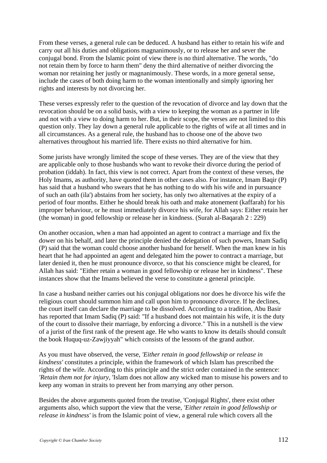From these verses, a general rule can be deduced. A husband has either to retain his wife and carry out all his duties and obligations magnanimously, or to release her and sever the conjugal bond. From the Islamic point of view there is no third alternative. The words, "do not retain them by force to harm them" deny the third alternative of neither divorcing the woman nor retaining her justly or magnanimously. These words, in a more general sense, include the cases of both doing harm to the woman intentionally and simply ignoring her rights and interests by not divorcing her.

These verses expressly refer to the question of the revocation of divorce and lay down that the revocation should be on a solid basis, with a view to keeping the woman as a partner in life and not with a view to doing harm to her. But, in their scope, the verses are not limited to this question only. They lay down a general rule applicable to the rights of wife at all times and in all circumstances. As a general rule, the husband has to choose one of the above two alternatives throughout his married life. There exists no third alternative for him.

Some jurists have wrongly limited the scope of these verses. They are of the view that they are applicable only to those husbands who want to revoke their divorce during the period of probation (iddah). In fact, this view is not correct. Apart from the context of these verses, the Holy Imams, as authority, have quoted them in other cases also. For instance, Imam Baqir (P) has said that a husband who swears that he has nothing to do with his wife and in pursuance of such an oath (ila') abstains from her society, has only two alternatives at the expiry of a period of four months. Either he should break his oath and make atonement (kaffarah) for his improper behaviour, or he must immediately divorce his wife, for Allah says: Either retain her (the woman) in good fellowship or release her in kindness. (Surah al-Baqarah 2 : 229)

On another occasion, when a man had appointed an agent to contract a marriage and fix the dower on his behalf, and later the principle denied the delegation of such powers, Imam Sadiq (P) said that the woman could choose another husband for herself. When the man knew in his heart that he had appointed an agent and delegated him the power to contract a marriage, but later denied it, then he must pronounce divorce, so that his conscience might be cleared, for Allah has said: "Either retain a woman in good fellowship or release her in kindness". These instances show that the Imams believed the verse to constitute a general principle.

In case a husband neither carries out his conjugal obligations nor does he divorce his wife the religious court should summon him and call upon him to pronounce divorce. If he declines, the court itself can declare the marriage to be dissolved. According to a tradition, Abu Basir has reported that Imam Sadiq (P) said: "If a husband does not maintain his wife, it is the duty of the court to dissolve their marriage, by enforcing a divorce." This in a nutshell is the view of a jurist of the first rank of the present age. He who wants to know its details should consult the book Huquq-uz-Zawjiyyah" which consists of the lessons of the grand author.

As you must have observed, the verse, *'Either retain in good fellowship or release in kindness'* constitutes a principle, within the framework of which Islam has prescribed the rights of the wife. According to this principle and the strict order contained in the sentence: *'Retain them not for injury,* 'Islam does not allow any wicked man to misuse his powers and to keep any woman in straits to prevent her from marrying any other person.

Besides the above arguments quoted from the treatise, 'Conjugal Rights', there exist other arguments also, which support the view that the verse, *'Either retain in good fellowship or release in kindness'* is from the Islamic point of view, a general rule which covers all the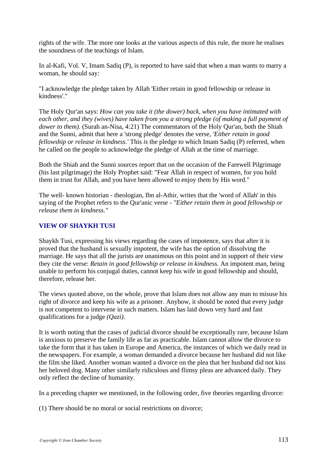rights of the wife. The more one looks at the various aspects of this rule, the more he realises the soundness of the teachings of Islam.

In al-Kafi, Vol. V, Imam Sadiq (P), is reported to have said that when a man wants to marry a woman, he should say:

"I acknowledge the pledge taken by Allah 'Either retain in good fellowship or release in kindness'."

The Holy Qur'an says: *How can you take it (the dower) back, when you have intimated with each other, and they (wives) have taken from you a strong pledge (of making a full payment of dower to them).* (Surah an-Nisa, 4:21) The commentators of the Holy Qur'an, both the Shiah and the Sunni, admit that here a 'strong pledge' denotes the verse, *'Either retain in good fellowship or release in kindness.'* This *is* the pledge to which Imam Sadiq (P) referred, when he called on the people to acknowledge the pledge of Allah at the time of marriage.

Both the Shiah and the Sunni sources report that on the occasion of the Farewell Pilgrimage (his last pilgrimage) the Holy Prophet said: "Fear Allah in respect of women, for you hold them in trust for Allah, and you have been allowed to enjoy them by His word."

The well- known historian - theologian, Ibn al-Athir, writes that the 'word of Allah' in this saying of the Prophet refers to the Qur'anic verse - *"Either retain them in good fellowship or release them in kindness."*

# **VIEW OF SHAYKH TUSI**

Shaykh Tusi, expressing his views regarding the cases of impotence, says that after it is proved that the husband is sexually impotent, the wife has the option of dissolving the marriage. He says that all the jurists are unanimous on this point and in support of their view they cite the verse: *Retain in good fellowship or release in kindness.* An impotent man, being unable to perform his conjugal duties, cannot keep his wife in good fellowship and should, therefore, release her.

The views quoted above, on the whole, prove that Islam does not allow any man to misuse his right of divorce and keep his wife as a prisoner. Anyhow, it should be noted that every judge is not competent to intervene in such matters. Islam has laid down very hard and fast qualifications for a judge *(Qazi).*

It is worth noting that the cases of judicial divorce should be exceptionally rare, because Islam is anxious to preserve the family life as far as practicable. Islam cannot allow the divorce to take the form that it has taken in Europe and America, the instances of which we daily read in the newspapers. For example, a woman demanded a divorce because her husband did not like the film she liked. Another woman wanted a divorce on the plea that her husband did not kiss her beloved dog. Many other similarly ridiculous and flimsy pleas are advanced daily. They only reflect the decline of humanity.

In a preceding chapter we mentioned, in the following order, five theories regarding divorce:

(1) There should be no moral or social restrictions on divorce;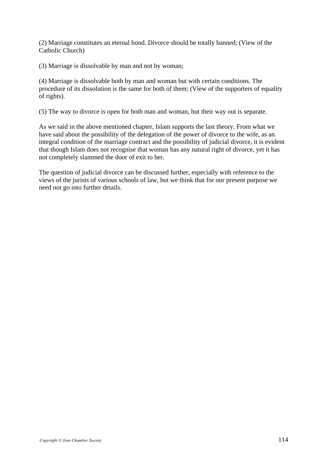(2) Marriage constitutes an eternal bond. Divorce should be totally banned; (View of the Catholic Church)

(3) Marriage is dissolvable by man and not by woman;

(4) Marriage is dissolvable both by man and woman but with certain conditions. The procedure of its dissolution is the same for both of them; (View of the supporters of equality of rights).

(5) The way to divorce is open for both man and woman, but their way out is separate.

As we said in the above mentioned chapter, Islam supports the last theory. From what we have said about the possibility of the delegation of the power of divorce to the wife, as an integral condition of the marriage contract and the possibility of judicial divorce, it is evident that though Islam does not recognise that woman has any natural right of divorce, yet it has not completely slammed the door of exit to her.

The question of judicial divorce can be discussed further, especially with reference to the views of the jurists of various schools of law, but we think that for our present purpose we need not go into further details.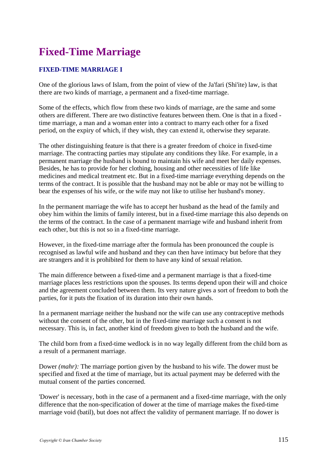# **Fixed-Time Marriage**

# **FIXED-TIME MARRIAGE I**

One of the glorious laws of Islam, from the point of view of the Ja'fari (Shi'ite) law, is that there are two kinds of marriage, a permanent and a fixed-time marriage.

Some of the effects, which flow from these two kinds of marriage, are the same and some others are different. There are two distinctive features between them. One is that in a fixed time marriage, a man and a woman enter into a contract to marry each other for a fixed period, on the expiry of which, if they wish, they can extend it, otherwise they separate.

The other distinguishing feature is that there is a greater freedom of choice in fixed-time marriage. The contracting parties may stipulate any conditions they like. For example, in a permanent marriage the husband is bound to maintain his wife and meet her daily expenses. Besides, he has to provide for her clothing, housing and other necessities of life like medicines and medical treatment etc. But in a fixed-time marriage everything depends on the terms of the contract. It is possible that the husband may not be able or may not be willing to bear the expenses of his wife, or the wife may not like to utilise her husband's money.

In the permanent marriage the wife has to accept her husband as the head of the family and obey him within the limits of family interest, but in a fixed-time marriage this also depends on the terms of the contract. In the case of a permanent marriage wife and husband inherit from each other, but this is not so in a fixed-time marriage.

However, in the fixed-time marriage after the formula has been pronounced the couple is recognised as lawful wife and husband and they can then have intimacy but before that they are strangers and it is prohibited for them to have any kind of sexual relation.

The main difference between a fixed-time and a permanent marriage is that a fixed-time marriage places less restrictions upon the spouses. Its terms depend upon their will and choice and the agreement concluded between them. Its very nature gives a sort of freedom to both the parties, for it puts the fixation of its duration into their own hands.

In a permanent marriage neither the husband nor the wife can use any contraceptive methods without the consent of the other, but in the fixed-time marriage such a consent is not necessary. This is, in fact, another kind of freedom given to both the husband and the wife.

The child born from a fixed-time wedlock is in no way legally different from the child born as a result of a permanent marriage.

Dower *(mahr):* The marriage portion given by the husband to his wife. The dower must be specified and fixed at the time of marriage, but its actual payment may be deferred with the mutual consent of the parties concerned.

'Dower' is necessary, both in the case of a permanent and a fixed-time marriage, with the only difference that the non-specification of dower at the time of marriage makes the fixed-time marriage void (batil), but does not affect the validity of permanent marriage. If no dower is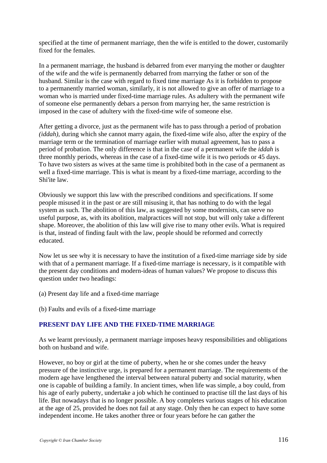specified at the time of permanent marriage, then the wife is entitled to the dower, customarily fixed for the females.

In a permanent marriage, the husband is debarred from ever marrying the mother or daughter of the wife and the wife is permanently debarred from marrying the father or son of the husband. Similar is the case with regard to fixed time marriage As it is forbidden to propose to a permanently married woman, similarly, it is not allowed to give an offer of marriage to a woman who is married under fixed-time marriage rules. As adultery with the permanent wife of someone else permanently debars a person from marrying her, the same restriction is imposed in the case of adultery with the fixed-time wife of someone else.

After getting a divorce, just as the permanent wife has to pass through a period of probation *(iddah),* during which she cannot marry again, the fixed-time wife also, after the expiry of the marriage term or the termination of marriage earlier with mutual agreement, has to pass a period of probation. The only difference is that in the case of a permanent wife the *iddah* is three monthly periods, whereas in the case of a fixed-time wife it is two periods or 45 days. To have two sisters as wives at the same time is prohibited both in the case of a permanent as well a fixed-time marriage. This is what is meant by a fixed-time marriage, according to the Shi'ite law.

Obviously we support this law with the prescribed conditions and specifications. If some people misused it in the past or are still misusing it, that has nothing to do with the legal system as such. The abolition of this law, as suggested by some modernists, can serve no useful purpose, as, with its abolition, malpractices will not stop, but will only take a different shape. Moreover, the abolition of this law will give rise to many other evils. What is required is that, instead of finding fault with the law, people should be reformed and correctly educated.

Now let us see why it is necessary to have the institution of a fixed-time marriage side by side with that of a permanent marriage. If a fixed-time marriage is necessary, is it compatible with the present day conditions and modern-ideas of human values? We propose to discuss this question under two headings:

(a) Present day life and a fixed-time marriage

(b) Faults and evils of a fixed-time marriage

# **PRESENT DAY LIFE AND THE FIXED-TIME MARRIAGE**

As we learnt previously, a permanent marriage imposes heavy responsibilities and obligations both on husband and wife.

However, no boy or girl at the time of puberty, when he or she comes under the heavy pressure of the instinctive urge, is prepared for a permanent marriage. The requirements of the modern age have lengthened the interval between natural puberty and social maturity, when one is capable of building a family. In ancient times, when life was simple, a boy could, from his age of early puberty, undertake a job which he continued to practise till the last days of his life. But nowadays that is no longer possible. A boy completes various stages of his education at the age of 25, provided he does not fail at any stage. Only then he can expect to have some independent income. He takes another three or four years before he can gather the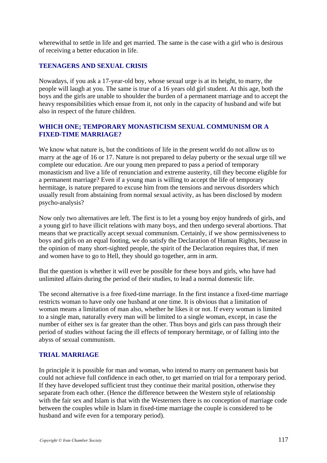wherewithal to settle in life and get married. The same is the case with a girl who is desirous of receiving a better education in life.

## **TEENAGERS AND SEXUAL CRISIS**

Nowadays, if you ask a 17-year-old boy, whose sexual urge is at its height, to marry, the people will laugh at you. The same is true of a 16 years old girl student. At this age, both the boys and the girls are unable to shoulder the burden of a permanent marriage and to accept the heavy responsibilities which ensue from it, not only in the capacity of husband and wife but also in respect of the future children.

# **WHICH ONE; TEMPORARY MONASTICISM SEXUAL COMMUNISM OR A FIXED-TIME MARRIAGE?**

We know what nature is, but the conditions of life in the present world do not allow us to marry at the age of 16 or 17. Nature is not prepared to delay puberty or the sexual urge till we complete our education. Are our young men prepared to pass a period of temporary monasticism and live a life of renunciation and extreme austerity, till they become eligible for a permanent marriage? Even if a young man is willing to accept the life of temporary hermitage, is nature prepared to excuse him from the tensions and nervous disorders which usually result from abstaining from normal sexual activity, as has been disclosed by modern psycho-analysis?

Now only two alternatives are left. The first is to let a young boy enjoy hundreds of girls, and a young girl to have illicit relations with many boys, and then undergo several abortions. That means that we practically accept sexual communism. Certainly, if we show permissiveness to boys and girls on an equal footing, we do satisfy the Declaration of Human Rights, because in the opinion of many short-sighted people, the spirit of the Declaration requires that, if men and women have to go to Hell, they should go together, arm in arm.

But the question is whether it will ever be possible for these boys and girls, who have had unlimited affairs during the period of their studies, to lead a normal domestic life.

The second alternative is a free fixed-time marriage. In the first instance a fixed-time marriage restricts woman to have only one husband at one time. It is obvious that a limitation of woman means a limitation of man also, whether he likes it or not. If every woman is limited to a single man, naturally every man will be limited to a single woman, except, in case the number of either sex is far greater than the other. Thus boys and girls can pass through their period of studies without facing the ill effects of temporary hermitage, or of falling into the abyss of sexual communism.

## **TRIAL MARRIAGE**

In principle it is possible for man and woman, who intend to marry on permanent basis but could not achieve full confidence in each other, to get married on trial for a temporary period. If they have developed sufficient trust they continue their marital position, otherwise they separate from each other. (Hence the difference between the Western style of relationship with the fair sex and Islam is that with the Westerners there is no conception of marriage code between the couples while in Islam in fixed-time marriage the couple is considered to be husband and wife even for a temporary period).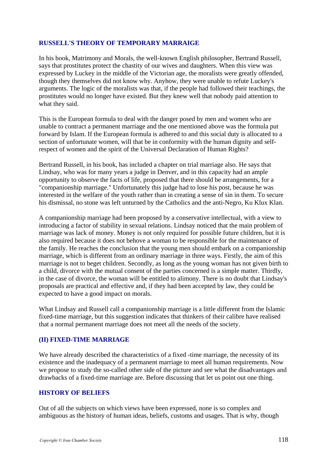## **RUSSELL'S THEORY OF TEMPORARY MARRAIGE**

In his book, Matrimony and Morals, the well-known English philosopher, Bertrand Russell, says that prostitutes protect the chastity of our wives and daughters. When this view was expressed by Luckey in the middle of the Victorian age, the moralists were greatly offended, though they themselves did not know why. Anyhow, they were unable to refute Luckey's arguments. The logic of the moralists was that, if the people had followed their teachings, the prostitutes would no longer have existed. But they knew well that nobody paid attention to what they said.

This is the European formula to deal with the danger posed by men and women who are unable to contract a permanent marriage and the one mentioned above was the formula put forward by Islam. If the European formula is adhered to and this social duty is allocated to a section of unfortunate women, will that be in conformity with the human dignity and selfrespect of women and the spirit of the Universal Declaration of Human Rights?

Bertrand Russell, in his book, has included a chapter on trial marriage also. He says that Lindsay, who was for many years a judge in Denver, and in this capacity had an ample opportunity to observe the facts of life, proposed that there should be arrangements, for a "companionship marriage." Unfortunately this judge had to lose his post, because he was interested in the welfare of the youth rather than in creating a sense of sin in them. To secure his dismissal, no stone was left unturned by the Catholics and the anti-Negro, Ku Klux Klan.

A companionship marriage had been proposed by a conservative intellectual, with a view to introducing a factor of stability in sexual relations. Lindsay noticed that the main problem of marriage was lack of money. Money is not only required for possible future children, but it is also required because it does not behove a woman to be responsible for the maintenance of the family. He reaches the conclusion that the young men should embark on a companionship marriage, which is different from an ordinary marriage in three ways. Firstly, the aim of this marriage is not to beget children. Secondly, as long as the young woman has not given birth to a child, divorce with the mutual consent of the parties concerned is a simple matter. Thirdly, in the case of divorce, the woman will be entitled to alimony. There is no doubt that Lindsay's proposals are practical and effective and, if they had been accepted by law, they could be expected to have a good impact on morals.

What Lindsay and Russell call a companionship marriage is a little different from the Islamic fixed-time marriage, but this suggestion indicates that thinkers of their calibre have realised that a normal permanent marriage does not meet all the needs of the society.

## **(II) FIXED-TIME MARRIAGE**

We have already described the characteristics of a fixed -time marriage, the necessity of its existence and the inadequacy of a permanent marriage to meet all human requirements. Now we propose to study the so-called other side of the picture and see what the disadvantages and drawbacks of a fixed-time marriage are. Before discussing that let us point out one thing.

## **HISTORY OF BELIEFS**

Out of all the subjects on which views have been expressed, none is so complex and ambiguous as the history of human ideas, beliefs, customs and usages. That is why, though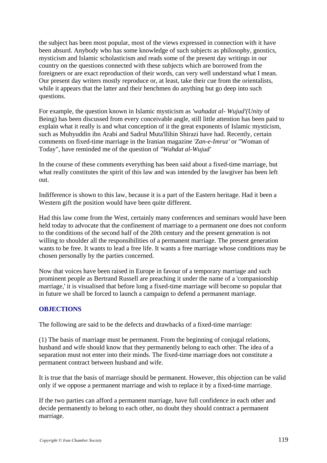the subject has been most popular, most of the views expressed in connection with it have been absurd. Anybody who has some knowledge of such subjects as philosophy, gnostics, mysticism and Islamic scholasticism and reads some of the present day writings in our country on the questions connected with these subjects which are borrowed from the foreigners or are exact reproduction of their words, can very well understand what I mean. Our present day writers mostly reproduce or, at least, take their cue from the orientalists, while it appears that the latter and their henchmen do anything but go deep into such questions.

For example, the question known in Islamic mysticism as *'wahadat al- Wujud'(Unity* of Being) has been discussed from every conceivable angle, still little attention has been paid to explain what it really is and what conception of it the great exponents of Islamic mysticism, such as Muhyuddin ibn Arabi and Sadrul Muta'llihin Shirazi have had. Recently, certain comments on fixed-time marriage in the Iranian magazine *'Zan-e-Imruz'* or "Woman of Today", have reminded me of the question of *"Wahdat al-Wujud'*

In the course of these comments everything has been said about a fixed-time marriage, but what really constitutes the spirit of this law and was intended by the lawgiver has been left out.

Indifference is shown to this law, because it is a part of the Eastern heritage. Had it been a Western gift the position would have been quite different.

Had this law come from the West, certainly many conferences and seminars would have been held today to advocate that the confinement of marriage to a permanent one does not conform to the conditions of the second half of the 20th century and the present generation is not willing to shoulder all the responsibilities of a permanent marriage. The present generation wants to be free. It wants to lead a free life. It wants a free marriage whose conditions may be chosen personally by the parties concerned.

Now that voices have been raised in Europe in favour of a temporary marriage and such prominent people as Bertrand Russell are preaching it under the name of a 'companionship marriage,' it is visualised that before long a fixed-time marriage will become so popular that in future we shall be forced to launch a campaign to defend a permanent marriage.

## **OBJECTIONS**

The following are said to be the defects and drawbacks of a fixed-time marriage:

(1) The basis of marriage must be permanent. From the beginning of conjugal relations, husband and wife should know that they permanently belong to each other. The idea of a separation must not enter into their minds. The fixed-time marriage does not constitute a permanent contract between husband and wife.

It is true that the basis of marriage should be permanent. However, this objection can be valid only if we oppose a permanent marriage and wish to replace it by a fixed-time marriage.

If the two parties can afford a permanent marriage, have full confidence in each other and decide permanently to belong to each other, no doubt they should contract a permanent marriage.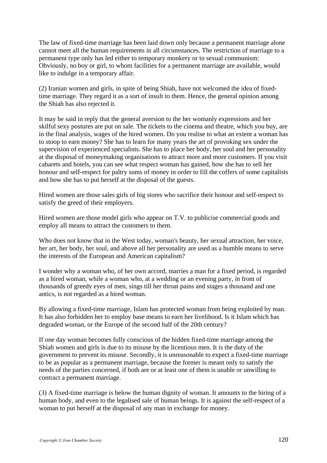The law of fixed-time marriage has been laid down only because a permanent marriage alone cannot meet all the human requirements in all circumstances. The restriction of marriage to a permanent type only has led either to temporary monkery or to sexual communism: Obviously, no boy or girl, to whom facilities for a permanent marriage are available, would like to indulge in a temporary affair.

(2) Iranian women and girls, in spite of being Shiah, have not welcomed the idea of fixedtime marriage. They regard it as a sort of insult to them. Hence, the general opinion among the Shiah has also rejected it.

It may be said in reply that the general aversion to the her womanly expressions and her skilful sexy postures are put on sale. The tickets to the cinema and theatre, which you buy, are in the final analysis, wages of the hired women. Do you realise to what an extent a woman has to stoop to earn money? She has to learn for many years the art of provoking sex under the supervision of experienced specialists. She has to place her body, her soul and her personality at the disposal of moneymaking organisations to attract more and more customers. If you visit cabarets and hotels, you can see what respect woman has gained, how she has to sell her honour and self-respect for paltry sums of money in order to fill the coffers of some capitalists and how she has to put herself at the disposal of the guests.

Hired women are those sales girls of big stores who sacrifice their honour and self-respect to satisfy the greed of their employers.

Hired women are those model girls who appear on T.V. to publicise commercial goods and employ all means to attract the customers to them.

Who does not know that in the West today, woman's beauty, her sexual attraction, her voice, her art, her body, her soul, and above all her personality are used as a humble means to serve the interests of the European and American capitalism?

I wonder why a woman who, of her own accord, marries a man for a fixed period, is regarded as a hired woman, while a woman who, at a wedding or an evening party, in front of thousands of greedy eyes of men, sings till her throat pains and stages a thousand and one antics, is not regarded as a hired woman.

By allowing a fixed-time marriage, Islam has protected woman from being exploited by man. It has also forbidden her to employ base means to earn her livelihood. Is it Islam which has degraded woman, or the Europe of the second half of the 20th century?

If one day woman becomes fully conscious of the hidden fixed-time marriage among the Shiah women and girls is due to its misuse by the licentious men. It is the duty of the government to prevent its misuse. Secondly, it is unreasonable to expect a fixed-time marriage to be as popular as a permanent marriage, because the former is meant only to satisfy the needs of the parties concerned, if both are or at least one of them is unable or unwilling to contract a permanent marriage.

(3) A fixed-time marriage is below the human dignity of woman. It amounts to the hiring of a human body, and even to the legalised sale of human beings. It is against the self-respect of a woman to put herself at the disposal of any man in exchange for money.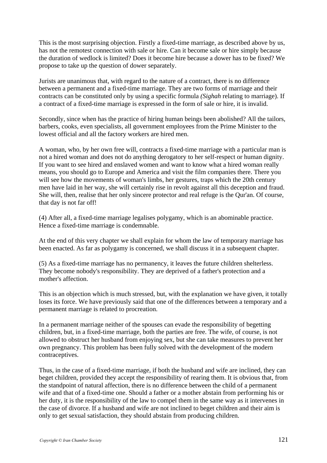This is the most surprising objection. Firstly a fixed-time marriage, as described above by us, has not the remotest connection with sale or hire. Can it become sale or hire simply because the duration of wedlock is limited? Does it become hire because a dower has to be fixed? We propose to take up the question of dower separately.

Jurists are unanimous that, with regard to the nature of a contract, there is no difference between a permanent and a fixed-time marriage. They are two forms of marriage and their contracts can be constituted only by using a specific formula *(Sighah* relating to marriage). If a contract of a fixed-time marriage is expressed in the form of sale or hire, it is invalid.

Secondly, since when has the practice of hiring human beings been abolished? All the tailors, barbers, cooks, even specialists, all government employees from the Prime Minister to the lowest official and all the factory workers are hired men.

A woman, who, by her own free will, contracts a fixed-time marriage with a particular man is not a hired woman and does not do anything derogatory to her self-respect or human dignity. If you want to see hired and enslaved women and want to know what a hired woman really means, you should go to Europe and America and visit the film companies there. There you will see how the movements of woman's limbs, her gestures, traps which the 20th century men have laid in her way, she will certainly rise in revolt against all this deception and fraud. She will, then, realise that her only sincere protector and real refuge is the Qur'an. Of course, that day is not far off!

(4) After all, a fixed-time marriage legalises polygamy, which is an abominable practice. Hence a fixed-time marriage is condemnable.

At the end of this very chapter we shall explain for whom the law of temporary marriage has been enacted. As far as polygamy is concerned, we shall discuss it in a subsequent chapter.

(5) As a fixed-time marriage has no permanency, it leaves the future children shelterless. They become nobody's responsibility. They are deprived of a father's protection and a mother's affection.

This is an objection which is much stressed, but, with the explanation we have given, it totally loses its force. We have previously said that one of the differences between a temporary and a permanent marriage is related to procreation.

In a permanent marriage neither of the spouses can evade the responsibility of begetting children, but, in a fixed-time marriage, both the parties are free. The wife, of course, is not allowed to obstruct her husband from enjoying sex, but she can take measures to prevent her own pregnancy. This problem has been fully solved with the development of the modern contraceptives.

Thus, in the case of a fixed-time marriage, if both the husband and wife are inclined, they can beget children, provided they accept the responsibility of rearing them. It is obvious that, from the standpoint of natural affection, there is no difference between the child of a permanent wife and that of a fixed-time one. Should a father or a mother abstain from performing his or her duty, it is the responsibility of the law to compel them in the same way as it intervenes in the case of divorce. If a husband and wife are not inclined to beget children and their aim is only to get sexual satisfaction, they should abstain from producing children.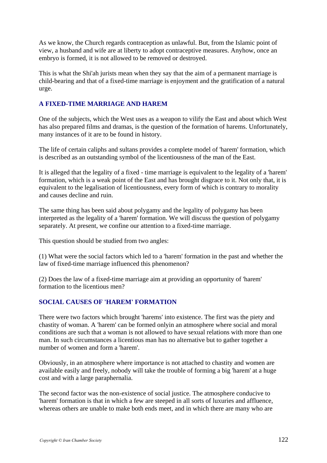As we know, the Church regards contraception as unlawful. But, from the Islamic point of view, a husband and wife are at liberty to adopt contraceptive measures. Anyhow, once an embryo is formed, it is not allowed to be removed or destroyed.

This is what the Shi'ah jurists mean when they say that the aim of a permanent marriage is child-bearing and that of a fixed-time marriage is enjoyment and the gratification of a natural urge.

# **A FIXED-TIME MARRIAGE AND HAREM**

One of the subjects, which the West uses as a weapon to vilify the East and about which West has also prepared films and dramas, is the question of the formation of harems. Unfortunately, many instances of it are to be found in history.

The life of certain caliphs and sultans provides a complete model of 'harem' formation, which is described as an outstanding symbol of the licentiousness of the man of the East.

It is alleged that the legality of a fixed - time marriage is equivalent to the legality of a 'harem' formation, which is a weak point of the East and has brought disgrace to it. Not only that, it is equivalent to the legalisation of licentiousness, every form of which is contrary to morality and causes decline and ruin.

The same thing has been said about polygamy and the legality of polygamy has been interpreted as the legality of a 'harem' formation. We will discuss the question of polygamy separately. At present, we confine our attention to a fixed-time marriage.

This question should be studied from two angles:

(1) What were the social factors which led to a 'harem' formation in the past and whether the law of fixed-time marriage influenced this phenomenon?

(2) Does the law of a fixed-time marriage aim at providing an opportunity of 'harem' formation to the licentious men?

# **SOCIAL CAUSES OF 'HAREM' FORMATION**

There were two factors which brought 'harems' into existence. The first was the piety and chastity of woman. A 'harem' can be formed onlyin an atmosphere where social and moral conditions are such that a woman is not allowed to have sexual relations with more than one man. In such circumstances a licentious man has no alternative but to gather together a number of women and form a 'harem'.

Obviously, in an atmosphere where importance is not attached to chastity and women are available easily and freely, nobody will take the trouble of forming a big 'harem' at a huge cost and with a large paraphernalia.

The second factor was the non-existence of social justice. The atmosphere conducive to 'harem' formation is that in which a few are steeped in all sorts of luxuries and affluence, whereas others are unable to make both ends meet, and in which there are many who are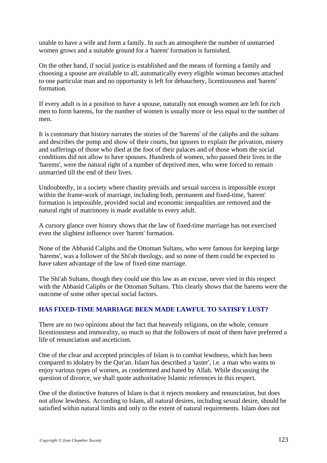unable to have a wife and form a family. In such an atmosphere the number of unmarried women grows and a suitable ground for a 'harem' formation is furnished.

On the other hand, if social justice is established and the means of forming a family and choosing a spouse are available to all, automatically every eligible woman becomes attached to one particular man and no opportunity is left for debauchery, licentiousness and 'harem' formation.

If every adult is in a position to have a spouse, naturally not enough women are left for rich men to form harems, for the number of women is usually more or less equal to the number of men.

It is customary that history narrates the stories of the 'harems' of the caliphs and the sultans and describes the pomp and show of their courts, but ignores to explain the privation, misery and sufferings of those who died at the foot of their palaces and of those whom the social conditions did not allow to have spouses. Hundreds of women, who passed their lives in the 'harems', were the natural right of a number of deprived men, who were forced to remain unmarried till the end of their lives.

Undoubtedly, in a society where chastity prevails and sexual success is impossible except within the frame-work of marriage, including both, permanent and fixed-time, 'harem' formation is impossible, provided social and economic inequalities are removed and the natural right of matrimony is made available to every adult.

A cursory glance over history shows that the law of fixed-time marriage has not exercised even the slightest influence over 'harem' formation.

None of the Abbasid Caliphs and the Ottoman Sultans, who were famous for keeping large 'harems', was a follower of the Shi'ah theology, and so none of them could be expected to have taken advantage of the law of fixed-time marriage.

The Shi'ah Sultans, though they could use this law as an excuse, never vied in this respect with the Abbasid Caliphs or the Ottoman Sultans. This clearly shows that the harems were the outcome of some other special social factors.

# **HAS FIXED-TIME MARRIAGE BEEN MADE LAWFUL TO SATISFY LUST?**

There are no two opinions about the fact that heavenly religions, on the whole, censure licentiousness and immorality, so much so that the followers of most of them have preferred a life of renunciation and asceticism.

One of the clear and accepted principles of Islam is to combat lewdness, which has been compared to idolatry by the Qur'an. Islam has described a 'taster', i.e. a man who wants to enjoy various types of women, as condemned and hated by Allah. While discussing the question of divorce, we shall quote authoritative Islamic references in this respect.

One of the distinctive features of Islam is that it rejects monkery and renunciation, but does not allow lewdness. According to Islam, all natural desires, including sexual desire, should be satisfied within natural limits and only to the extent of natural requirements. Islam does not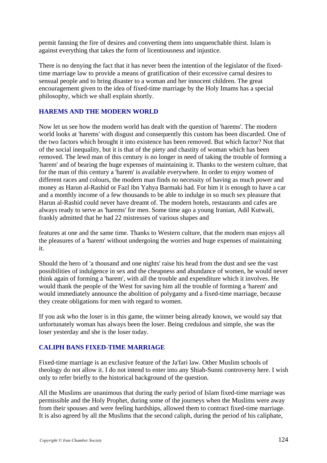permit fanning the fire of desires and converting them into unquenchable thirst. Islam is against everything that takes the form of licentiousness and injustice.

There is no denying the fact that it has never been the intention of the legislator of the fixedtime marriage law to provide a means of gratification of their excessive carnal desires to sensual people and to bring disaster to a woman and her innocent children. The great encouragement given to the idea of fixed-time marriage by the Holy Imams has a special philosophy, which we shall explain shortly.

# **HAREMS AND THE MODERN WORLD**

Now let us see how the modern world has dealt with the question of 'harems'. The modern world looks at 'harems' with disgust and consequently this custom has been discarded. One of the two factors which brought it into existence has been removed. But which factor? Not that of the social inequality, but it is that of the piety and chastity of woman which has been removed. The lewd man of this century is no longer in need of taking the trouble of forming a 'harem' and of bearing the huge expenses of maintaining it. Thanks to the western culture, that for the man of this century a 'harem' is available everywhere. In order to enjoy women of different races and colours, the modern man finds no necessity of having as much power and money as Harun al-Rashid or Fazl ibn Yahya Barmaki had. For him it is enough to have a car and a monthly income of a few thousands to be able to indulge in so much sex pleasure that Harun al-Rashid could never have dreamt of. The modern hotels, restaurants and cafes are always ready to serve as 'harems' for men. Some time ago a young Iranian, Adil Kutwali, frankly admitted that he had 22 mistresses of various shapes and

features at one and the same time. Thanks to Western culture, that the modern man enjoys all the pleasures of a 'harem' without undergoing the worries and huge expenses of maintaining it.

Should the hero of 'a thousand and one nights' raise his head from the dust and see the vast possibilities of indulgence in sex and the cheapness and abundance of women, he would never think again of forming a 'harem', with all the trouble and expenditure which it involves. He would thank the people of the West for saving him all the trouble of forming a 'harem' and would immediately announce the abolition of polygamy and a fixed-time marriage, because they create obligations for men with regard to women.

If you ask who the loser is in this game, the winner being already known, we would say that unfortunately woman has always been the loser. Being credulous and simple, she was the loser yesterday and she is the loser today.

# **CALIPH BANS FIXED-TIME MARRIAGE**

Fixed-time marriage is an exclusive feature of the Ja'fari law. Other Muslim schools of theology do not allow it. I do not intend to enter into any Shiah-Sunni controversy here. I wish only to refer briefly to the historical background of the question.

All the Muslims are unanimous that during the early period of Islam fixed-time marriage was permissible and the Holy Prophet, during some of the journeys when the Muslims were away from their spouses and were feeling hardships, allowed them to contract fixed-time marriage. It is also agreed by all the Muslims that the second caliph, during the period of his caliphate,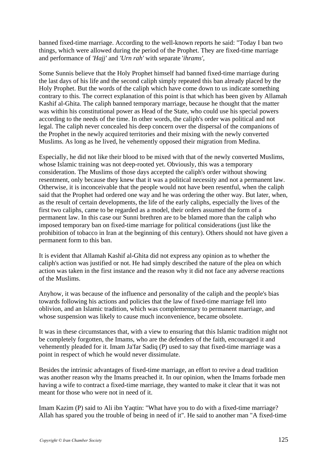banned fixed-time marriage. According to the well-known reports he said: "Today I ban two things, which were allowed during the period of the Prophet. They are fixed-time marriage and performance of *'Hajj'* and *'Urn rah'* with separate '*ihrams',*

Some Sunnis believe that the Holy Prophet himself had banned fixed-time marriage during the last days of his life and the second caliph simply repeated this ban already placed by the Holy Prophet. But the words of the caliph which have come down to us indicate something contrary to this. The correct explanation of this point is that which has been given by Allamah Kashif al-Ghita. The caliph banned temporary marriage, because he thought that the matter was within his constitutional power as Head of the State, who could use his special powers according to the needs of the time. In other words, the caliph's order was political and not legal. The caliph never concealed his deep concern over the dispersal of the companions of the Prophet in the newly acquired territories and their mixing with the newly converted Muslims. As long as he lived, he vehemently opposed their migration from Medina.

Especially, he did not like their blood to be mixed with that of the newly converted Muslims, whose Islamic training was not deep-rooted yet. Obviously, this was a temporary consideration. The Muslims of those days accepted the caliph's order without showing resentment, only because they knew that it was a political necessity and not a permanent law. Otherwise, it is inconceivable that the people would not have been resentful, when the caliph said that the Prophet had ordered one way and he was ordering the other way. But later, when, as the result of certain developments, the life of the early caliphs, especially the lives of the first two caliphs, came to be regarded as a model, their orders assumed the form of a permanent law. In this case our Sunni brethren are to be blamed more than the caliph who imposed temporary ban on fixed-time marriage for political considerations (just like the prohibition of tobacco in Iran at the beginning of this century). Others should not have given a permanent form to this ban.

It is evident that Allamah Kashif al-Ghita did not express any opinion as to whether the caliph's action was justified or not. He had simply described the nature of the plea on which action was taken in the first instance and the reason why it did not face any adverse reactions of the Muslims.

Anyhow, it was because of the influence and personality of the caliph and the people's bias towards following his actions and policies that the law of fixed-time marriage fell into oblivion, and an Islamic tradition, which was complementary to permanent marriage, and whose suspension was likely to cause much inconvenience, became obsolete.

It was in these circumstances that, with a view to ensuring that this Islamic tradition might not be completely forgotten, the Imams, who are the defenders of the faith, encouraged it and vehemently pleaded for it. Imam Ja'far Sadiq (P) used to say that fixed-time marriage was a point in respect of which he would never dissimulate.

Besides the intrinsic advantages of fixed-time marriage, an effort to revive a dead tradition was another reason why the Imams preached it. In our opinion, when the Imams forbade men having a wife to contract a fixed-time marriage, they wanted to make it clear that it was not meant for those who were not in need of it.

Imam Kazim (P) said to Ali ibn Yaqtin: "What have you to do with a fixed-time marriage? Allah has spared you the trouble of being in need of it". He said to another man "A fixed-time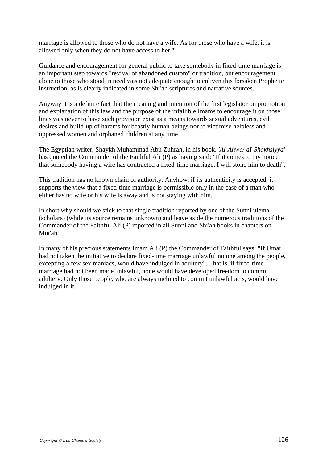marriage is allowed to those who do not have a wife. As for those who have a wife, it is allowed only when they do not have access to her."

Guidance and encouragement for general public to take somebody in fixed-time marriage is an important step towards "revival of abandoned custom" or tradition, but encouragement alone to those who stood in need was not adequate enough to enliven this forsaken Prophetic instruction, as is clearly indicated in some Shi'ah scriptures and narrative sources.

Anyway it is a definite fact that the meaning and intention of the first legislator on promotion and explanation of this law and the purpose of the infallible Imams to encourage it on those lines was never to have such provision exist as a means towards sexual adventures, evil desires and build-up of harems for beastly human beings nor to victimise helpless and oppressed women and orphaned children at any time.

The Egyptian writer, Shaykh Muhammad Abu Zuhrah, in his book, *'Al-Ahwa/ aI-Shakhsiyya'*  has quoted the Commander of the Faithful Ali (P) as having said: "If it comes to my notice that somebody having a wife has contracted a fixed-time marriage, I will stone him to death".

This tradition has no known chain of authority. Anyhow, if its authenticity is accepted, it supports the view that a fixed-time marriage is permissible only in the case of a man who either has no wife or his wife is away and is not staying with him.

In short why should we stick to that single tradition reported by one of the Sunni ulema (scholars) (while its source remains unknown) and leave aside the numerous traditions of the Commander of the Faithful Ali (P) reported in all Sunni and Shi'ah books in chapters on Mut'ah.

In many of his precious statements Imam Ali (P) the Commander of Faithful says: "If Umar had not taken the initiative to declare fixed-time marriage unlawful no one among the people, excepting a few sex maniacs, would have indulged in adultery". That is, if fixed-time marriage had not been made unlawful, none would have developed freedom to commit adultery. Only those people, who are always inclined to commit unlawful acts, would have indulged in it.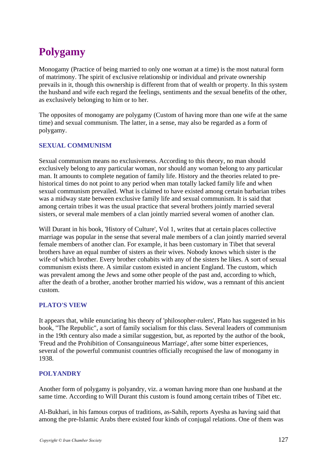# **Polygamy**

Monogamy (Practice of being married to only one woman at a time) is the most natural form of matrimony. The spirit of exclusive relationship or individual and private ownership prevails in it, though this ownership is different from that of wealth or property. In this system the husband and wife each regard the feelings, sentiments and the sexual benefits of the other, as exclusively belonging to him or to her.

The opposites of monogamy are polygamy (Custom of having more than one wife at the same time) and sexual communism. The latter, in a sense, may also be regarded as a form of polygamy.

# **SEXUAL COMMUNISM**

Sexual communism means no exclusiveness. According to this theory, no man should exclusively belong to any particular woman, nor should any woman belong to any particular man. It amounts to complete negation of family life. History and the theories related to prehistorical times do not point to any period when man totally lacked family life and when sexual communism prevailed. What is claimed to have existed among certain barbarian tribes was a midway state between exclusive family life and sexual communism. It is said that among certain tribes it was the usual practice that several brothers jointly married several sisters, or several male members of a clan jointly married several women of another clan.

Will Durant in his book, 'History of Culture', Vol 1, writes that at certain places collective marriage was popular in the sense that several male members of a clan jointly married several female members of another clan. For example, it has been customary in Tibet that several brothers have an equal number of sisters as their wives. Nobody knows which sister is the wife of which brother. Every brother cohabits with any of the sisters he likes. A sort of sexual communism exists there. A similar custom existed in ancient England. The custom, which was prevalent among the Jews and some other people of the past and, according to which, after the death of a brother, another brother married his widow, was a remnant of this ancient custom.

# **PLATO'S VIEW**

It appears that, while enunciating his theory of 'philosopher-rulers', Plato has suggested in his book, "The Republic", a sort of family socialism for this class. Several leaders of communism in the 19th century also made a similar suggestion, but, as reported by the author of the book, 'Freud and the Prohibition of Consanguineous Marriage', after some bitter experiences, several of the powerful communist countries officially recognised the law of monogamy in 1938.

# **POLYANDRY**

Another form of polygamy is polyandry, viz. a woman having more than one husband at the same time. According to Will Durant this custom is found among certain tribes of Tibet etc.

Al-Bukhari, in his famous corpus of traditions, as-Sahih, reports Ayesha as having said that among the pre-Islamic Arabs there existed four kinds of conjugal relations. One of them was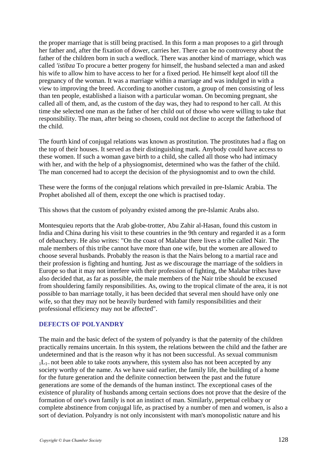the proper marriage that is still being practised. In this form a man proposes to a girl through her father and, after the fixation of dower, carries her. There can be no controversy about the father of the children born in such a wedlock. There was another kind of marriage, which was called *'istibza* To procure a better progeny for himself, the husband selected a man and asked his wife to allow him to have access to her for a fixed period. He himself kept aloof till the pregnancy of the woman. It was a marriage within a marriage and was indulged in with a view to improving the breed. According to another custom, a group of men consisting of less than ten people, established a liaison with a particular woman. On becoming pregnant, she called all of them, and, as the custom of the day was, they had to respond to her call. At this time she selected one man as the father of her child out of those who were willing to take that responsibility. The man, after being so chosen, could not decline to accept the fatherhood of the child.

The fourth kind of conjugal relations was known as prostitution. The prostitutes had a flag on the top of their houses. It served as their distinguishing mark. Anybody could have access to these women. If such a woman gave birth to a child, she called all those who had intimacy with her, and with the help of a physiognomist, determined who was the father of the child. The man concerned had to accept the decision of the physiognomist and to own the child.

These were the forms of the conjugal relations which prevailed in pre-Islamic Arabia. The Prophet abolished all of them, except the one which is practised today.

This shows that the custom of polyandry existed among the pre-Islamic Arabs also.

Montesquieu reports that the Arab globe-trotter, Abu Zahir al-Hasan, found this custom in India and China during his visit to these countries in the 9th century and regarded it as a form of debauchery. He also writes: "On the coast of Malabar there lives a tribe called Nair. The male members of this tribe cannot have more than one wife, but the women are allowed to choose several husbands. Probably the reason is that the Nairs belong to a martial race and their profession is fighting and hunting. Just as we discourage the marriage of the soldiers in Europe so that it may not interfere with their profession of fighting, the Malabar tribes have also decided that, as far as possible, the male members of the Nair tribe should be excused from shouldering family responsibilities. As, owing to the tropical climate of the area, it is not possible to ban marriage totally, it has been decided that several men should have only one wife, so that they may not be heavily burdened with family responsibilities and their professional efficiency may not be affected".

## **DEFECTS OF POLYANDRY**

The main and the basic defect of the system of polyandry is that the paternity of the children practically remains uncertain. In this system, the relations between the child and the father are undetermined and that is the reason why it has not been successful. As sexual communism  $1_{1}L_{1}$  not been able to take roots anywhere, this system also has not been accepted by any society worthy of the name. As we have said earlier, the family life, the building of a home for the future generation and the definite connection between the past and the future generations are some of the demands of the human instinct. The exceptional cases of the existence of plurality of husbands among certain sections does not prove that the desire of the formation of one's own family is not an instinct of man. Similarly, perpetual celibacy or complete abstinence from conjugal life, as practised by a number of men and women, is also a sort of deviation. Polyandry is not only inconsistent with man's monopolistic nature and his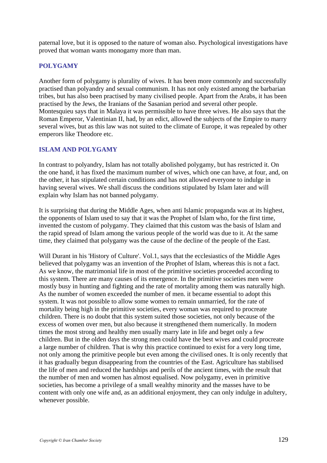paternal love, but it is opposed to the nature of woman also. Psychological investigations have proved that woman wants monogamy more than man.

# **POLYGAMY**

Another form of polygamy is plurality of wives. It has been more commonly and successfully practised than polyandry and sexual communism. It has not only existed among the barbarian tribes, but has also been practised by many civilised people. Apart from the Arabs, it has been practised by the Jews, the Iranians of the Sasanian period and several other people. Montesquieu says that in Malaya it was permissible to have three wives. He also says that the Roman Emperor, Valentinian II, had, by an edict, allowed the subjects of the Empire to marry several wives, but as this law was not suited to the climate of Europe, it was repealed by other emperors like Theodore etc.

# **ISLAM AND POLYGAMY**

In contrast to polyandry, Islam has not totally abolished polygamy, but has restricted it. On the one hand, it has fixed the maximum number of wives, which one can have, at four, and, on the other, it has stipulated certain conditions and has not allowed everyone to indulge in having several wives. We shall discuss the conditions stipulated by Islam later and will explain why Islam has not banned polygamy.

It is surprising that during the Middle Ages, when anti Islamic propaganda was at its highest, the opponents of Islam used to say that it was the Prophet of Islam who, for the first time, invented the custom of polygamy. They claimed that this custom was the basis of Islam and the rapid spread of Islam among the various people of the world was due to it. At the same time, they claimed that polygamy was the cause of the decline of the people of the East.

Will Durant in his 'History of Culture'. Vol.1, says that the ecclesiastics of the Middle Ages believed that polygamy was an invention of the Prophet of Islam, whereas this is not a fact. As we know, the matrimonial life in most of the primitive societies proceeded according to this system. There are many causes of its emergence. In the primitive societies men were mostly busy in hunting and fighting and the rate of mortality among them was naturally high. As the number of women exceeded the number of men. it became essential to adopt this system. It was not possible to allow some women to remain unmarried, for the rate of mortality being high in the primitive societies, every woman was required to procreate children. There is no doubt that this system suited those societies, not only because of the excess of women over men, but also because it strengthened them numerically. In modern times the most strong and healthy men usually marry late in life and beget only a few children. But in the olden days the strong men could have the best wives and could procreate a large number of children. That is why this practice continued to exist for a very long time, not only among the primitive people but even among the civilised ones. It is only recently that it has gradually begun disappearing from the countries of the East. Agriculture has stabilised the life of men and reduced the hardships and perils of the ancient times, with the result that the number of men and women has almost equalised. Now polygamy, even in primitive societies, has become a privilege of a small wealthy minority and the masses have to be content with only one wife and, as an additional enjoyment, they can only indulge in adultery, whenever possible.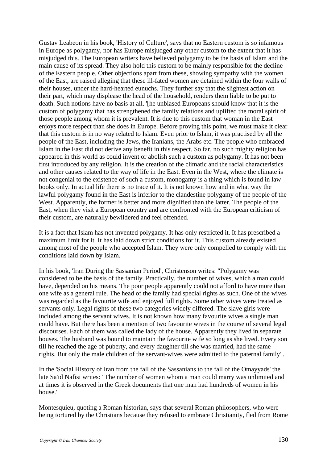Gustav Leabeon in his book, 'History of Culture', says that no Eastern custom is so infamous in Europe as polygamy, nor has Europe misjudged any other custom to the extent that it has misjudged this. The European writers have believed polygamy to be the basis of Islam and the main cause of its spread. They also hold this custom to be mainly responsible for the decline of the Eastern people. Other objections apart from these, showing sympathy with the women of the East, are raised alleging that these ill-fated women are detained within the four walls of their houses, under the hard-hearted eunuchs. They further say that the slightest action on their part, which may displease the head of the household, renders them liable to be put to death. Such notions have no basis at all. '[he unbiased Europeans should know that it is the custom of polygamy that has strengthened the family relations and uplifted the moral spirit of those people among whom it is prevalent. It is due to this custom that woman in the East enjoys more respect than she does in Europe. Before proving this point, we must make it clear that this custom is in no way related to Islam. Even prior to Islam, it was practised by all the people of the East, including the Jews, the Iranians, the Arabs etc. The people who embraced Islam in the East did not derive any benefit in this respect. So far, no such mighty religion has appeared in this world as could invent or abolish such a custom as polygamy. It has not been first introduced by any religion. It is the creation of the climatic and the racial characteristics and other causes related to the way of life in the East. Even in the West, where the climate is not congenial to the existence of such a custom, monogamy is a thing which is found in law books only. In actual life there is no trace of it. It is not known how and in what way the lawful polygamy found in the East is inferior to the clandestine polygamy of the people of the West. Apparently, the former is better and more dignified than the latter. The people of the East, when they visit a European country and are confronted with the European criticism of their custom, are naturally bewildered and feel offended.

It is a fact that Islam has not invented polygamy. It has only restricted it. It has prescribed a maximum limit for it. It has laid down strict conditions for it. This custom already existed among most of the people who accepted Islam. They were only compelled to comply with the conditions laid down by Islam.

In his book, 'Iran During the Sassanian Period', Christenson writes: "Polygamy was considered to be the basis of the family. Practically, the number of wives, which a man could have, depended on his means. The poor people apparently could not afford to have more than one wife as a general rule. The head of the family had special rights as such. One of the wives was regarded as the favourite wife and enjoyed full rights. Some other wives were treated as servants only. Legal rights of these two categories widely differed. The slave girls were included among the servant wives. It is not known how many favourite wives a single man could have. But there has been a mention of two favourite wives in the course of several legal discourses. Each of them was called the lady of the house. Apparently they lived in separate houses. The husband was bound to maintain the favourite wife so long as she lived. Every son till he reached the age of puberty, and every daughter till she was married, had the same rights. But only the male children of the servant-wives were admitted to the paternal family".

In the 'Social History of Iran from the fall of the Sassanians to the fall of the Omayyads' the late Sa'id Nafisi writes: "The number of women whom a man could marry was unlimited and at times it is observed in the Greek documents that one man had hundreds of women in his house."

Montesquieu, quoting a Roman historian, says that several Roman philosophers, who were being tortured by the Christians because they refused to embrace Christianity, fled from Rome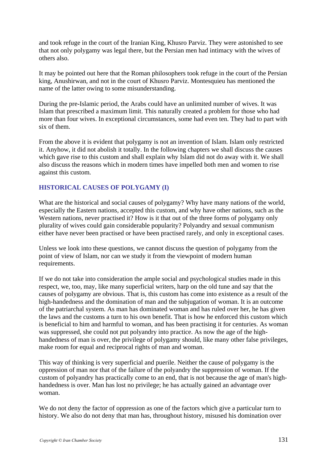and took refuge in the court of the Iranian King, Khusro Parviz. They were astonished to see that not only polygamy was legal there, but the Persian men had intimacy with the wives of others also.

It may be pointed out here that the Roman philosophers took refuge in the court of the Persian king, Anushirwan, and not in the court of Khusro Parviz. Montesquieu has mentioned the name of the latter owing to some misunderstanding.

During the pre-Islamic period, the Arabs could have an unlimited number of wives. It was Islam that prescribed a maximum limit. This naturally created a problem for those who had more than four wives. In exceptional circumstances, some had even ten. They had to part with six of them.

From the above it is evident that polygamy is not an invention of Islam. Islam only restricted it. Anyhow, it did not abolish it totally. In the following chapters we shall discuss the causes which gave rise to this custom and shall explain why Islam did not do away with it. We shall also discuss the reasons which in modern times have impelled both men and women to rise against this custom.

# **HISTORICAL CAUSES OF POLYGAMY (I)**

What are the historical and social causes of polygamy? Why have many nations of the world, especially the Eastern nations, accepted this custom, and why have other nations, such as the Western nations, never practised it? How is it that out of the three forms of polygamy only plurality of wives could gain considerable popularity? Polyandry and sexual communism either have never been practised or have been practised rarely, and only in exceptional cases.

Unless we look into these questions, we cannot discuss the question of polygamy from the point of view of Islam, nor can we study it from the viewpoint of modern human requirements.

If we do not take into consideration the ample social and psychological studies made in this respect, we, too, may, like many superficial writers, harp on the old tune and say that the causes of polygamy are obvious. That is, this custom has come into existence as a result of the high-handedness and the domination of man and the subjugation of woman. It is an outcome of the patriarchal system. As man has dominated woman and has ruled over her, he has given the laws and the customs a turn to his own benefit. That is how he enforced this custom which is beneficial to him and harmful to woman, and has been practising it for centuries. As woman was suppressed, she could not put polyandry into practice. As now the age of the highhandedness of man is over, the privilege of polygamy should, like many other false privileges, make room for equal and reciprocal rights of man and woman.

This way of thinking is very superficial and puerile. Neither the cause of polygamy is the oppression of man nor that of the failure of the polyandry the suppression of woman. If the custom of polyandry has practically come to an end, that is not because the age of man's highhandedness is over. Man has lost no privilege; he has actually gained an advantage over woman.

We do not deny the factor of oppression as one of the factors which give a particular turn to history. We also do not deny that man has, throughout history, misused his domination over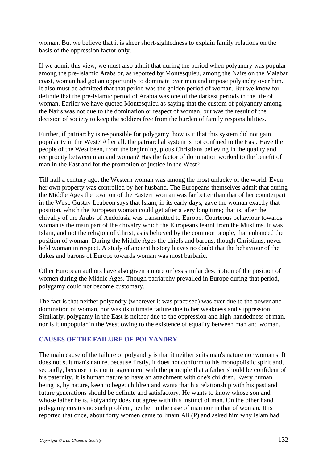woman. But we believe that it is sheer short-sightedness to explain family relations on the basis of the oppression factor only.

If we admit this view, we must also admit that during the period when polyandry was popular among the pre-Islamic Arabs or, as reported by Montesquieu, among the Nairs on the Malabar coast, woman had got an opportunity to dominate over man and impose polyandry over him. It also must be admitted that that period was the golden period of woman. But we know for definite that the pre-Islamic period of Arabia was one of the darkest periods in the life of woman. Earlier we have quoted Montesquieu as saying that the custom of polyandry among the Nairs was not due to the domination or respect of woman, but was the result of the decision of society to keep the soldiers free from the burden of family responsibilities.

Further, if patriarchy is responsible for polygamy, how is it that this system did not gain popularity in the West? After all, the patriarchal system is not confined to the East. Have the people of the West been, from the beginning, pious Christians believing in the quality and reciprocity between man and woman? Has the factor of domination worked to the benefit of man in the East and for the promotion of justice in the West?

Till half a century ago, the Western woman was among the most unlucky of the world. Even her own property was controlled by her husband. The Europeans themselves admit that during the Middle Ages the position of the Eastern woman was far better than that of her counterpart in the West. Gustav Leabeon says that Islam, in its early days, gave the woman exactly that position, which the European woman could get after a very long time; that is, after the chivalry of the Arabs of Andolusia was transmitted to Europe. Courteous behaviour towards woman is the main part of the chivalry which the Europeans learnt from the Muslims. It was Islam, and not the religion of Christ, as is believed by the common people, that enhanced the position of woman. During the Middle Ages the chiefs and barons, though Christians, never held woman in respect. A study of ancient history leaves no doubt that the behaviour of the dukes and barons of Europe towards woman was most barbaric.

Other European authors have also given a more or less similar description of the position of women during the Middle Ages. Though patriarchy prevailed in Europe during that period, polygamy could not become customary.

The fact is that neither polyandry (wherever it was practised) was ever due to the power and domination of woman, nor was its ultimate failure due to her weakness and suppression. Similarly, polygamy in the East is neither due to the oppression and high-handedness of man, nor is it unpopular in the West owing to the existence of equality between man and woman.

# **CAUSES OF THE FAILURE OF POLYANDRY**

The main cause of the failure of polyandry is that it neither suits man's nature nor woman's. It does not suit man's nature, because firstly, it does not conform to his monopolistic spirit and, secondly, because it is not in agreement with the principle that a father should be confident of his paternity. It is human nature to have an attachment with one's children. Every human being is, by nature, keen to beget children and wants that his relationship with his past and future generations should be definite and satisfactory. He wants to know whose son and whose father he is. Polyandry does not agree with this instinct of man. On the other hand polygamy creates no such problem, neither in the case of man nor in that of woman. It is reported that once, about forty women came to Imam Ali (P) and asked him why Islam had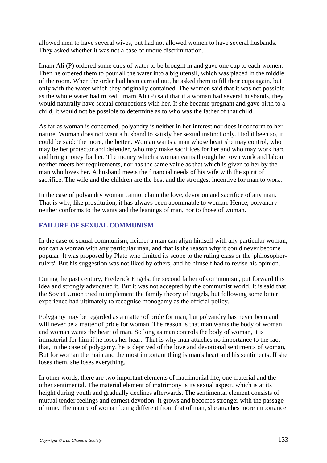allowed men to have several wives, but had not allowed women to have several husbands. They asked whether it was not a case of undue discrimination.

Imam Ali (P) ordered some cups of water to be brought in and gave one cup to each women. Then he ordered them to pour all the water into a big utensil, which was placed in the middle of the room. When the order had been carried out, he asked them to fill their cups again, but only with the water which they originally contained. The women said that it was not possible as the whole water had mixed. Imam Ali (P) said that if a woman had several husbands, they would naturally have sexual connections with her. If she became pregnant and gave birth to a child, it would not be possible to determine as to who was the father of that child.

As far as woman is concerned, polyandry is neither in her interest nor does it conform to her nature. Woman does not want a husband to satisfy her sexual instinct only. Had it been so, it could be said: 'the more, the better'. Woman wants a man whose heart she may control, who may be her protector and defender, who may make sacrifices for her and who may work hard and bring money for her. The money which a woman earns through her own work and labour neither meets her requirements, nor has the same value as that which is given to her by the man who loves her. A husband meets the financial needs of his wife with the spirit of sacrifice. The wife and the children are the best and the strongest incentive for man to work.

In the case of polyandry woman cannot claim the love, devotion and sacrifice of any man. That is why, like prostitution, it has always been abominable to woman. Hence, polyandry neither conforms to the wants and the leanings of man, nor to those of woman.

# **FAILURE OF SEXUAL COMMUNISM**

In the case of sexual communism, neither a man can align himself with any particular woman, nor can a woman with any particular man, and that is the reason why it could never become popular. It was proposed by Plato who limited its scope to the ruling class or the 'philosopherrulers'. But his suggestion was not liked by others, and he himself had to revise his opinion.

During the past century, Frederick Engels, the second father of communism, put forward this idea and strongly advocated it. But it was not accepted by the communist world. It is said that the Soviet Union tried to implement the family theory of Engels, but following some bitter experience had ultimately to recognise monogamy as the official policy.

Polygamy may be regarded as a matter of pride for man, but polyandry has never been and will never be a matter of pride for woman. The reason is that man wants the body of woman and woman wants the heart of man. So long as man controls the body of woman, it is immaterial for him if he loses her heart. That is why man attaches no importance to the fact that, in the case of polygamy, he is deprived of the love and devotional sentiments of woman, But for woman the main and the most important thing is man's heart and his sentiments. If she loses them, she loses everything.

In other words, there are two important elements of matrimonial life, one material and the other sentimental. The material element of matrimony is its sexual aspect, which is at its height during youth and gradually declines afterwards. The sentimental element consists of mutual tender feelings and earnest devotion. It grows and becomes stronger with the passage of time. The nature of woman being different from that of man, she attaches more importance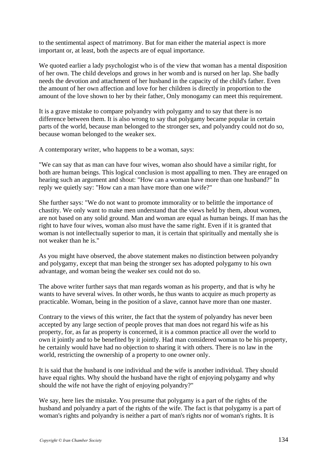to the sentimental aspect of matrimony. But for man either the material aspect is more important or, at least, both the aspects are of equal importance.

We quoted earlier a lady psychologist who is of the view that woman has a mental disposition of her own. The child develops and grows in her womb and is nursed on her lap. She badly needs the devotion and attachment of her husband in the capacity of the child's father. Even the amount of her own affection and love for her children is directly in proportion to the amount of the love shown to her by their father, Only monogamy can meet this requirement.

It is a grave mistake to compare polyandry with polygamy and to say that there is no difference between them. It is also wrong to say that polygamy became popular in certain parts of the world, because man belonged to the stronger sex, and polyandry could not do so, because woman belonged to the weaker sex.

A contemporary writer, who happens to be a woman, says:

"We can say that as man can have four wives, woman also should have a similar right, for both are human beings. This logical conclusion is most appalling to men. They are enraged on hearing such an argument and shout: "How can a woman have more than one husband?" In reply we quietly say: "How can a man have more than one wife?"

She further says: "We do not want to promote immorality or to belittle the importance of chastity. We only want to make men understand that the views held by them, about women, are not based on any solid ground. Man and woman are equal as human beings. If man has the right to have four wives, woman also must have the same right. Even if it is granted that woman is not intellectually superior to man, it is certain that spiritually and mentally she is not weaker than he is."

As you might have observed, the above statement makes no distinction between polyandry and polygamy, except that man being the stronger sex has adopted polygamy to his own advantage, and woman being the weaker sex could not do so.

The above writer further says that man regards woman as his property, and that is why he wants to have several wives. In other words, he thus wants to acquire as much property as practicable. Woman, being in the position of a slave, cannot have more than one master.

Contrary to the views of this writer, the fact that the system of polyandry has never been accepted by any large section of people proves that man does not regard his wife as his property, for, as far as property is concerned, it is a common practice all over the world to own it jointly and to be benefited by it jointly. Had man considered woman to be his property, he certainly would have had no objection to sharing it with others. There is no law in the world, restricting the ownership of a property to one owner only.

It is said that the husband is one individual and the wife is another individual. They should have equal rights. Why should the husband have the right of enjoying polygamy and why should the wife not have the right of enjoying polyandry?"

We say, here lies the mistake. You presume that polygamy is a part of the rights of the husband and polyandry a part of the rights of the wife. The fact is that polygamy is a part of woman's rights and polyandry is neither a part of man's rights nor of woman's rights. It is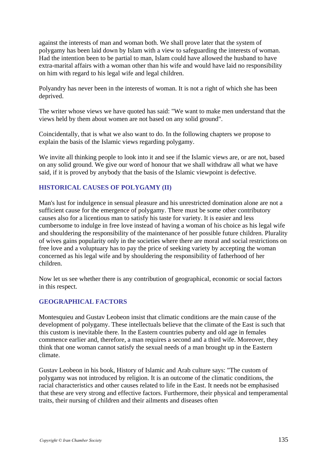against the interests of man and woman both. We shall prove later that the system of polygamy has been laid down by Islam with a view to safeguarding the interests of woman. Had the intention been to be partial to man, Islam could have allowed the husband to have extra-marital affairs with a woman other than his wife and would have laid no responsibility on him with regard to his legal wife and legal children.

Polyandry has never been in the interests of woman. It is not a right of which she has been deprived.

The writer whose views we have quoted has said: "We want to make men understand that the views held by them about women are not based on any solid ground".

Coincidentally, that is what we also want to do. In the following chapters we propose to explain the basis of the Islamic views regarding polygamy.

We invite all thinking people to look into it and see if the Islamic views are, or are not, based on any solid ground. We give our word of honour that we shall withdraw all what we have said, if it is proved by anybody that the basis of the Islamic viewpoint is defective.

# **HISTORICAL CAUSES OF POLYGAMY (II)**

Man's lust for indulgence in sensual pleasure and his unrestricted domination alone are not a sufficient cause for the emergence of polygamy. There must be some other contributory causes also for a licentious man to satisfy his taste for variety. It is easier and less cumbersome to indulge in free love instead of having a woman of his choice as his legal wife and shouldering the responsibility of the maintenance of her possible future children. Plurality of wives gains popularity only in the societies where there are moral and social restrictions on free love and a voluptuary has to pay the price of seeking variety by accepting the woman concerned as his legal wife and by shouldering the responsibility of fatherhood of her children.

Now let us see whether there is any contribution of geographical, economic or social factors in this respect.

## **GEOGRAPHICAL FACTORS**

Montesquieu and Gustav Leobeon insist that climatic conditions are the main cause of the development of polygamy. These intellectuals believe that the climate of the East is such that this custom is inevitable there. In the Eastern countries puberty and old age in females commence earlier and, therefore, a man requires a second and a third wife. Moreover, they think that one woman cannot satisfy the sexual needs of a man brought up in the Eastern climate.

Gustav Leobeon in his book, History of Islamic and Arab culture says: "The custom of polygamy was not introduced by religion. It is an outcome of the climatic conditions, the racial characteristics and other causes related to life in the East. It needs not be emphasised that these are very strong and effective factors. Furthermore, their physical and temperamental traits, their nursing of children and their ailments and diseases often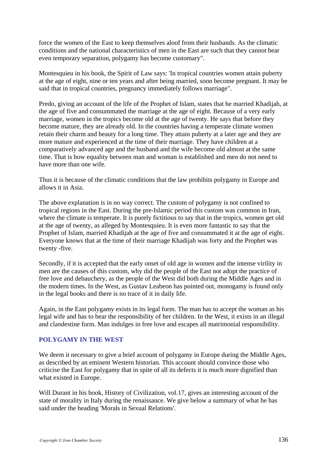force the women of the East to keep themselves aloof from their husbands. As the climatic conditions and the national characteristics of men in the East are such that they cannot bear even temporary separation, polygamy has become customary".

Montesquieu in his book, the Spirit of Law says: 'In tropical countries women attain puberty at the age of eight, nine or ten years and after being married, soon become pregnant. It may be said that in tropical countries, pregnancy immediately follows marriage".

Predo, giving an account of the life of the Prophet of Islam, states that he married Khadijah, at the age of five and consummated the marriage at the age of eight. Because of a very early marriage, women in the tropics become old at the age of twenty. He says that before they become mature, they are already old. In the countries having a temperate climate women retain their charm and beauty for a long time. They attain puberty at a later age and they are more mature and experienced at the time of their marriage. They have children at a comparatively advanced age and the husband and the wife become old almost at the same time. That is how equality between man and woman is established and men do not need to have more than one wife.

Thus it is because of the climatic conditions that the law prohibits polygamy in Europe and allows it in Asia.

The above explanation is in no way correct. The custom of polygamy is not confined to tropical regions in the East. During the pre-Islamic period this custom was common in Iran, where the climate is temperate. It is purely fictitious to say that in the tropics, women get old at the age of twenty, as alleged by Montesquieu. It is even more fantastic to say that the Prophet of Islam, married Khadijah at the age of five and consummated it at the age of eight. Everyone knows that at the time of their marriage Khadijah was forty and the Prophet was twenty -five.

Secondly, if it is accepted that the early onset of old age in women and the intense virility in men are the causes of this custom, why did the people of the East not adopt the practice of free love and debauchery, as the people of the West did both during the Middle Ages and in the modern times. In the West, as Gustav Leabeon has pointed out, monogamy is found only in the legal books and there is no trace of it in daily life.

Again, in the East polygamy exists in its legal form. The man has to accept the woman as his legal wife and has to bear the responsibility of her children. In the West, it exists in an illegal and clandestine form. Man indulges in free love and escapes all matrimonial responsibility.

## **POLYGAMY IN THE WEST**

We deem it necessary to give a brief account of polygamy in Europe during the Middle Ages, as described by an eminent Western historian. This account should convince those who criticise the East for polygamy that in spite of all its defects it is much more dignified than what existed in Europe.

Will Durant in his book, History of Civilization, vol.17, gives an interesting account of the state of morality in Italy during the renaissance. We give below a summary of what he has said under the heading 'Morals in Sexual Relations'.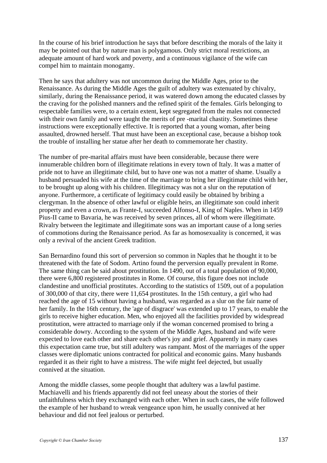In the course of his brief introduction he says that before describing the morals of the laity it may be pointed out that by nature man is polygamous. Only strict moral restrictions, an adequate amount of hard work and poverty, and a continuous vigilance of the wife can compel him to maintain monogamy.

Then he says that adultery was not uncommon during the Middle Ages, prior to the Renaissance. As during the Middle Ages the guilt of adultery was extenuated by chivalry, similarly, during the Renaissance period, it was watered down among the educated classes by the craving for the polished manners and the refined spirit of the females. Girls belonging to respectable families were, to a certain extent, kept segregated from the males not connected with their own family and were taught the merits of pre-marital chastity. Sometimes these instructions were exceptionally effective. It is reported that a young woman, after being assaulted, drowned herself. That must have been an exceptional case, because a bishop took the trouble of installing her statue after her death to commemorate her chastity.

The number of pre-marital affairs must have been considerable, because there were innumerable children born of illegitimate relations in every town of Italy. It was a matter of pride not to have an illegitimate child, but to have one was not a matter of shame. Usually a husband persuaded his wife at the time of the marriage to bring her illegitimate child with her, to be brought up along with his children. Illegitimacy was not a slur on the reputation of anyone. Furthermore, a certificate of legitimacy could easily be obtained by bribing a clergyman. In the absence of other lawful or eligible heirs, an illegitimate son could inherit property and even a crown, as Frante-I, succeeded Alfonso-I, King of Naples. When in 1459 Pius-II came to Bavaria, he was received by seven princes, all of whom were illegitimate. Rivalry between the legitimate and illegitimate sons was an important cause of a long series of commotions during the Renaissance period. As far as homosexuality is concerned, it was only a revival of the ancient Greek tradition.

San Bernardino found this sort of perversion so common in Naples that he thought it to be threatened with the fate of Sodom. Artino found the perversion equally prevalent in Rome. The same thing can be said about prostitution. In 1490, out of a total population of 90,000, there were 6,800 registered prostitutes in Rome. Of course, this figure does not include clandestine and unofficial prostitutes. According to the statistics of 1509, out of a population of 300,000 of that city, there were 11,654 prostitutes. In the 15th century, a girl who had reached the age of 15 without having a husband, was regarded as a slur on the fair name of her family. In the 16th century, the 'age of disgrace' was extended up to 17 years, to enable the girls to receive higher education. Men, who enjoyed all the facilities provided by widespread prostitution, were attracted to marriage only if the woman concerned promised to bring a considerable dowry. According to the system of the Middle Ages, husband and wife were expected to love each other and share each other's joy and grief. Apparently in many cases this expectation came true, but still adultery was rampant. Most of the marriages of the upper classes were diplomatic unions contracted for political and economic gains. Many husbands regarded it as their right to have a mistress. The wife might feel dejected, but usually connived at the situation.

Among the middle classes, some people thought that adultery was a lawful pastime. Machiavelli and his friends apparently did not feel uneasy about the stories of their unfaithfulness which they exchanged with each other. When in such cases, the wife followed the example of her husband to wreak vengeance upon him, he usually connived at her behaviour and did not feel jealous or perturbed.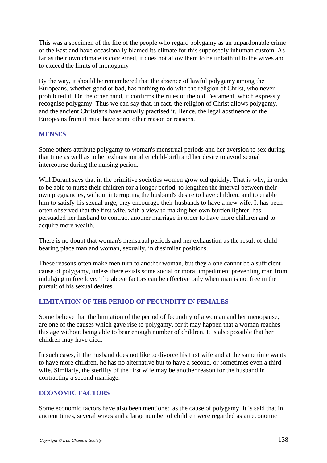This was a specimen of the life of the people who regard polygamy as an unpardonable crime of the East and have occasionally blamed its climate for this supposedly inhuman custom. As far as their own climate is concerned, it does not allow them to be unfaithful to the wives and to exceed the limits of monogamy!

By the way, it should be remembered that the absence of lawful polygamy among the Europeans, whether good or bad, has nothing to do with the religion of Christ, who never prohibited it. On the other hand, it confirms the rules of the old Testament, which expressly recognise polygamy. Thus we can say that, in fact, the religion of Christ allows polygamy, and the ancient Christians have actually practised it. Hence, the legal abstinence of the Europeans from it must have some other reason or reasons.

## **MENSES**

Some others attribute polygamy to woman's menstrual periods and her aversion to sex during that time as well as to her exhaustion after child-birth and her desire to avoid sexual intercourse during the nursing period.

Will Durant says that in the primitive societies women grow old quickly. That is why, in order to be able to nurse their children for a longer period, to lengthen the interval between their own pregnancies, without interrupting the husband's desire to have children, and to enable him to satisfy his sexual urge, they encourage their husbands to have a new wife. It has been often observed that the first wife, with a view to making her own burden lighter, has persuaded her husband to contract another marriage in order to have more children and to acquire more wealth.

There is no doubt that woman's menstrual periods and her exhaustion as the result of childbearing place man and woman, sexually, in dissimilar positions.

These reasons often make men turn to another woman, but they alone cannot be a sufficient cause of polygamy, unless there exists some social or moral impediment preventing man from indulging in free love. The above factors can be effective only when man is not free in the pursuit of his sexual desires.

# **LIMITATION OF THE PERIOD OF FECUNDITY IN FEMALES**

Some believe that the limitation of the period of fecundity of a woman and her menopause, are one of the causes which gave rise to polygamy, for it may happen that a woman reaches this age without being able to bear enough number of children. It is also possible that her children may have died.

In such cases, if the husband does not like to divorce his first wife and at the same time wants to have more children, he has no alternative but to have a second, or sometimes even a third wife. Similarly, the sterility of the first wife may be another reason for the husband in contracting a second marriage.

# **ECONOMIC FACTORS**

Some economic factors have also been mentioned as the cause of polygamy. It is said that in ancient times, several wives and a large number of children were regarded as an economic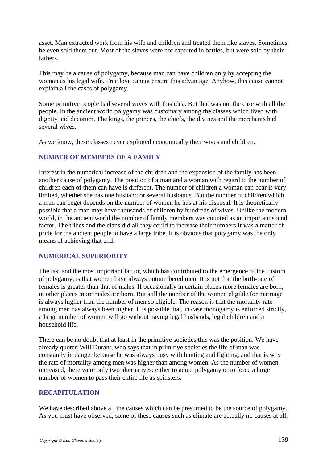asset. Man extracted work from his wife and children and treated them like slaves. Sometimes he even sold them out. Most of the slaves were not captured in battles, but were sold by their fathers.

This may be a cause of polygamy, because man can have children only by accepting the woman as his legal wife. Free love cannot ensure this advantage. Anyhow, this cause cannot explain all the cases of polygamy.

Some primitive people had several wives with this idea. But that was not the case with all the people. In the ancient world polygamy was customary among the classes which lived with dignity and decorum. The kings, the princes, the chiefs, the divines and the merchants had several wives.

As we know, these classes never exploited economically their wives and children.

# **NUMBER OF MEMBERS OF A FAMILY**

Interest in the numerical increase of the children and the expansion of the family has been another cause of polygamy. The position of a man and a woman with regard to the number of children each of them can have is different. The number of children a woman can bear is very limited, whether she has one husband or several husbands. But the number of children which a man can beget depends on the number of women he has at his disposal. It is theoretically possible that a man may have thousands of children by hundreds of wives. Unlike the modern world, in the ancient world the number of family members was counted as an important social factor. The tribes and the clans did all they could to increase their numbers It was a matter of pride for the ancient people to have a large tribe. It is obvious that polygamy was the only means of achieving that end.

## **NUMERICAL SUPERIORITY**

The last and the most important factor, which has contributed to the emergence of the custom of polygamy, is that women have always outnumbered men. It is not that the birth-rate of females is greater than that of males. If occasionally in certain places more females are born, in other places more males are born. But still the number of the women eligible for marriage is always higher than the number of men so eligible. The reason is that the mortality rate among men has always been higher. It is possible that, in case monogamy is enforced strictly, a large number of women will go without having legal husbands, legal children and a household life.

There can be no doubt that at least in the primitive societies this was the position. We have already quoted Will Durant, who says that in primitive societies the life of man was constantly in danger because he was always busy with hunting and fighting, and that is why the rate of mortality among men was higher than among women. As the number of women increased, there were only two alternatives: either to adopt polygamy or to force a large number of women to pass their entire life as spinsters.

# **RECAPITULATION**

We have described above all the causes which can be presumed to be the source of polygamy. As you must have observed, some of these causes such as climate are actually no causes at all.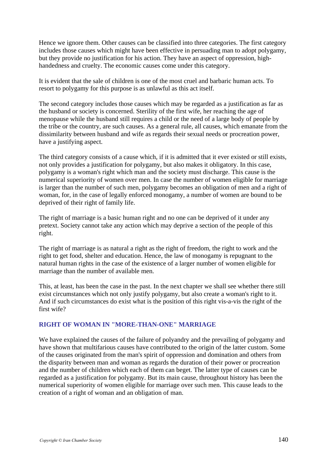Hence we ignore them. Other causes can be classified into three categories. The first category includes those causes which might have been effective in persuading man to adopt polygamy, but they provide no justification for his action. They have an aspect of oppression, highhandedness and cruelty. The economic causes come under this category.

It is evident that the sale of children is one of the most cruel and barbaric human acts. To resort to polygamy for this purpose is as unlawful as this act itself.

The second category includes those causes which may be regarded as a justification as far as the husband or society is concerned. Sterility of the first wife, her reaching the age of menopause while the husband still requires a child or the need of a large body of people by the tribe or the country, are such causes. As a general rule, all causes, which emanate from the dissimilarity between husband and wife as regards their sexual needs or procreation power, have a justifying aspect.

The third category consists of a cause which, if it is admitted that it ever existed or still exists, not only provides a justification for polygamy, but also makes it obligatory. In this case, polygamy is a woman's right which man and the society must discharge. This cause is the numerical superiority of women over men. In case the number of women eligible for marriage is larger than the number of such men, polygamy becomes an obligation of men and a right of woman, for, in the case of legally enforced monogamy, a number of women are bound to be deprived of their right of family life.

The right of marriage is a basic human right and no one can be deprived of it under any pretext. Society cannot take any action which may deprive a section of the people of this right.

The right of marriage is as natural a right as the right of freedom, the right to work and the right to get food, shelter and education. Hence, the law of monogamy is repugnant to the natural human rights in the case of the existence of a larger number of women eligible for marriage than the number of available men.

This, at least, has been the case in the past. In the next chapter we shall see whether there still exist circumstances which not only justify polygamy, but also create a woman's right to it. And if such circumstances do exist what is the position of this right vis-a-vis the right of the first wife?

# **RIGHT OF WOMAN IN "MORE-THAN-ONE" MARRIAGE**

We have explained the causes of the failure of polyandry and the prevailing of polygamy and have shown that multifarious causes have contributed to the origin of the latter custom. Some of the causes originated from the man's spirit of oppression and domination and others from the disparity between man and woman as regards the duration of their power or procreation and the number of children which each of them can beget. The latter type of causes can be regarded as a justification for polygamy. But its main cause, throughout history has been the numerical superiority of women eligible for marriage over such men. This cause leads to the creation of a right of woman and an obligation of man.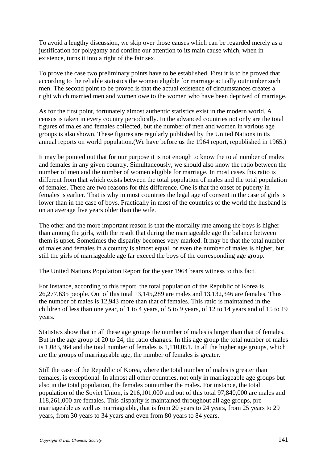To avoid a lengthy discussion, we skip over those causes which can be regarded merely as a justification for polygamy and confine our attention to its main cause which, when in existence, turns it into a right of the fair sex.

To prove the case two preliminary points have to be established. First it is to be proved that according to the reliable statistics the women eligible for marriage actually outnumber such men. The second point to be proved is that the actual existence of circumstances creates a right which married men and women owe to the women who have been deprived of marriage.

As for the first point, fortunately almost authentic statistics exist in the modern world. A census is taken in every country periodically. In the advanced countries not only are the total figures of males and females collected, but the number of men and women in various age groups is also shown. These figures are regularly published by the United Nations in its annual reports on world population.(We have before us the 1964 report, republished in 1965.)

It may be pointed out that for our purpose it is not enough to know the total number of males and females in any given country. Simultaneously, we should also know the ratio between the number of men and the number of women eligible for marriage. In most cases this ratio is different from that which exists between the total population of males and the total population of females. There are two reasons for this difference. One is that the onset of puberty in females is earlier. That is why in most countries the legal age of consent in the case of girls is lower than in the case of boys. Practically in most of the countries of the world the husband is on an average five years older than the wife.

The other and the more important reason is that the mortality rate among the boys is higher than among the girls, with the result that during the marriageable age the balance between them is upset. Sometimes the disparity becomes very marked. It may be that the total number of males and females in a country is almost equal, or even the number of males is higher, but still the girls of marriageable age far exceed the boys of the corresponding age group.

The United Nations Population Report for the year 1964 bears witness to this fact.

For instance, according to this report, the total population of the Republic of Korea is 26,277,635 people. Out of this total 13,145,289 are males and 13,132,346 are females. Thus the number of males is 12,943 more than that of females. This ratio is maintained in the children of less than one year, of 1 to 4 years, of 5 to 9 years, of 12 to 14 years and of 15 to 19 years.

Statistics show that in all these age groups the number of males is larger than that of females. But in the age group of 20 to 24, the ratio changes. In this age group the total number of males is 1,083,364 and the total number of females is 1,110,051. In all the higher age groups, which are the groups of marriageable age, the number of females is greater.

Still the case of the Republic of Korea, where the total number of males is greater than females, is exceptional. In almost all other countries, not only in marriageable age groups but also in the total population, the females outnumber the males. For instance, the total population of the Soviet Union, is 216,101,000 and out of this total 97,840,000 are males and 118,261,000 are females. This disparity is maintained throughout all age groups, premarriageable as well as marriageable, that is from 20 years to 24 years, from 25 years to 29 years, from 30 years to 34 years and even from 80 years to 84 years.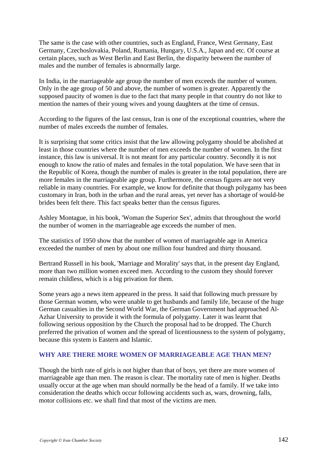The same is the case with other countries, such as England, France, West Germany, East Germany, Czechoslovakia, Poland, Rumania, Hungary, U.S.A., Japan and etc. Of course at certain places, such as West Berlin and East Berlin, the disparity between the number of males and the number of females is abnormally large.

In India, in the marriageable age group the number of men exceeds the number of women. Only in the age group of 50 and above, the number of women is greater. Apparently the supposed paucity of women is due to the fact that many people in that country do not like to mention the names of their young wives and young daughters at the time of census.

According to the figures of the last census, Iran is one of the exceptional countries, where the number of males exceeds the number of females.

It is surprising that some critics insist that the law allowing polygamy should be abolished at least in those countries where the number of men exceeds the number of women. In the first instance, this law is universal. It is not meant for any particular country. Secondly it is not enough to know the ratio of males and females in the total population. We have seen that in the Republic of Korea, though the number of males is greater in the total population, there are more females in the marriageable age group. Furthermore, the census figures are not very reliable in many countries. For example, we know for definite that though polygamy has been customary in Iran, both in the urban and the rural areas, yet never has a shortage of would-be brides been felt there. This fact speaks better than the census figures.

Ashley Montague, in his book, 'Woman the Superior Sex', admits that throughout the world the number of women in the marriageable age exceeds the number of men.

The statistics of 1950 show that the number of women of marriageable age in America exceeded the number of men by about one million four hundred and thirty thousand.

Bertrand Russell in his book, 'Marriage and Morality' says that, in the present day England, more than two million women exceed men. According to the custom they should forever remain childless, which is a big privation for them.

Some years ago a news item appeared in the press. It said that following much pressure by those German women, who were unable to get husbands and family life, because of the huge German casualties in the Second World War, the German Government had approached Al-Azhar University to provide it with the formula of polygamy. Later it was learnt that following serious opposition by the Church the proposal had to be dropped. The Church preferred the privation of women and the spread of licentiousness to the system of polygamy, because this system is Eastern and Islamic.

## **WHY ARE THERE MORE WOMEN OF MARRIAGEABLE AGE THAN MEN?**

Though the birth rate of girls is not higher than that of boys, yet there are more women of marriageable age than men. The reason is clear. The mortality rate of men is higher. Deaths usually occur at the age when man should normally be the head of a family. If we take into consideration the deaths which occur following accidents such as, wars, drowning, falls, motor collisions etc. we shall find that most of the victims are men.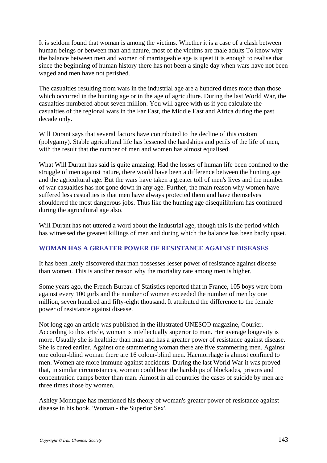It is seldom found that woman is among the victims. Whether it is a case of a clash between human beings or between man and nature, most of the victims are male adults To know why the balance between men and women of marriageable age is upset it is enough to realise that since the beginning of human history there has not been a single day when wars have not been waged and men have not perished.

The casualties resulting from wars in the industrial age are a hundred times more than those which occurred in the hunting age or in the age of agriculture. During the last World War, the casualties numbered about seven million. You will agree with us if you calculate the casualties of the regional wars in the Far East, the Middle East and Africa during the past decade only.

Will Durant says that several factors have contributed to the decline of this custom (polygamy). Stable agricultural life has lessened the hardships and perils of the life of men, with the result that the number of men and women has almost equalised.

What Will Durant has said is quite amazing. Had the losses of human life been confined to the struggle of men against nature, there would have been a difference between the hunting age and the agricultural age. But the wars have taken a greater toll of men's lives and the number of war casualties has not gone down in any age. Further, the main reason why women have suffered less casualties is that men have always protected them and have themselves shouldered the most dangerous jobs. Thus like the hunting age disequilibrium has continued during the agricultural age also.

Will Durant has not uttered a word about the industrial age, though this is the period which has witnessed the greatest killings of men and during which the balance has been badly upset.

# **WOMAN HAS A GREATER POWER OF RESISTANCE AGAINST DISEASES**

It has been lately discovered that man possesses lesser power of resistance against disease than women. This is another reason why the mortality rate among men is higher.

Some years ago, the French Bureau of Statistics reported that in France, 105 boys were born against every 100 girls and the number of women exceeded the number of men by one million, seven hundred and fifty-eight thousand. It attributed the difference to the female power of resistance against disease.

Not long ago an article was published in the illustrated UNESCO magazine, Courier. According to this article, woman is intellectually superior to man. Her average longevity is more. Usually she is healthier than man and has a greater power of resistance against disease. She is cured earlier. Against one stammering woman there are five stammering men. Against one colour-blind woman there are 16 colour-blind men. Haemorrhage is almost confined to men. Women are more immune against accidents. During the last World War it was proved that, in similar circumstances, woman could bear the hardships of blockades, prisons and concentration camps better than man. Almost in all countries the cases of suicide by men are three times those by women.

Ashley Montague has mentioned his theory of woman's greater power of resistance against disease in his book, 'Woman - the Superior Sex'.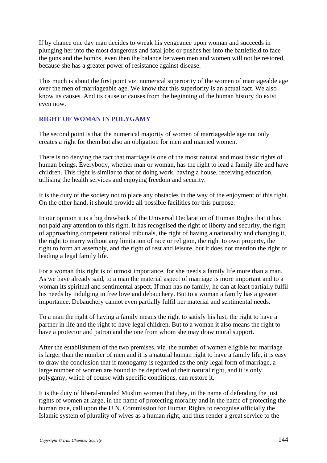If by chance one day man decides to wreak his vengeance upon woman and succeeds in plunging her into the most dangerous and fatal jobs or pushes her into the battlefield to face the guns and the bombs, even then the balance between men and women will not be restored, because she has a greater power of resistance against disease.

This much is about the first point viz. numerical superiority of the women of marriageable age over the men of marriageable age. We know that this superiority is an actual fact. We also know its causes. And its cause or causes from the beginning of the human history do exist even now.

# **RIGHT OF WOMAN IN POLYGAMY**

The second point is that the numerical majority of women of marriageable age not only creates a right for them but also an obligation for men and married women.

There is no denying the fact that marriage is one of the most natural and most basic rights of human beings. Everybody, whether man or woman, has the right to lead a family life and have children. This right is similar to that of doing work, having a house, receiving education, utilising the health services and enjoying freedom and security.

It is the duty of the society not to place any obstacles in the way of the enjoyment of this right. On the other hand, it should provide all possible facilities for this purpose.

In our opinion it is a big drawback of the Universal Declaration of Human Rights that it has not paid any attention to this right. It has recognised the right of liberty and security, the right of approaching competent national tribunals, the right of having a nationality and changing it, the right to marry without any limitation of race or religion, the right to own property, the right to form an assembly, and the right of rest and leisure, but it does not mention the right of leading a legal family life.

For a woman this right is of utmost importance, for she needs a family life more than a man. As we have already said, to a man the material aspect of marriage is more important and to a woman its spiritual and sentimental aspect. If man has no family, he can at least partially fulfil his needs by indulging in free love and debauchery. But to a woman a family has a greater importance. Debauchery cannot even partially fulfil her material and sentimental needs.

To a man the right of having a family means the right to satisfy his lust, the right to have a partner in life and the right to have legal children. But to a woman it also means the right to have a protector and patron and the one from whom she may draw moral support.

After the establishment of the two premises, viz. the number of women eligible for marriage is larger than the number of men and it is a natural human right to have a family life, it is easy to draw the conclusion that if monogamy is regarded as the only legal form of marriage, a large number of women are bound to be deprived of their natural right, and it is only polygamy, which of course with specific conditions, can restore it.

It is the duty of liberal-minded Muslim women that they, in the name of defending the just rights of women at large, in the name of protecting morality and in the name of protecting the human race, call upon the U.N. Commission for Human Rights to recognise officially the Islamic system of plurality of wives as a human right, and thus render a great service to the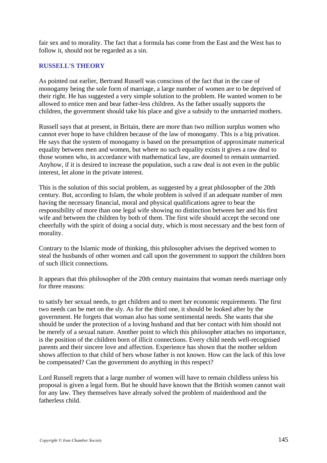fair sex and to morality. The fact that a formula has come from the East and the West has to follow it, should not be regarded as a sin.

### **RUSSELL'S THEORY**

As pointed out earlier, Bertrand Russell was conscious of the fact that in the case of monogamy being the sole form of marriage, a large number of women are to be deprived of their right. He has suggested a very simple solution to the problem. He wanted women to be allowed to entice men and bear father-less children. As the father usually supports the children, the government should take his place and give a subsidy to the unmarried mothers.

Russell says that at present, in Britain, there are more than two million surplus women who cannot ever hope to have children because of the law of monogamy. This is a big privation. He says that the system of monogamy is based on the presumption of approximate numerical equality between men and women, but where no such equality exists it gives a raw deal to those women who, in accordance with mathematical law, are doomed to remain unmarried. Anyhow, if it is desired to increase the population, such a raw deal is not even in the public interest, let alone in the private interest.

This is the solution of this social problem, as suggested by a great philosopher of the 20th century. But, according to Islam, the whole problem is solved if an adequate number of men having the necessary financial, moral and physical qualifications agree to bear the responsibility of more than one legal wife showing no distinction between her and his first wife and between the children by both of them. The first wife should accept the second one cheerfully with the spirit of doing a social duty, which is most necessary and the best form of morality.

Contrary to the Islamic mode of thinking, this philosopher advises the deprived women to steal the husbands of other women and call upon the government to support the children born of such illicit connections.

It appears that this philosopher of the 20th century maintains that woman needs marriage only for three reasons:

to satisfy her sexual needs, to get children and to meet her economic requirements. The first two needs can be met on the sly. As for the third one, it should be looked after by the government. He forgets that woman also has some sentimental needs. She wants that she should be under the protection of a loving husband and that her contact with him should not be merely of a sexual nature. Another point to which this philosopher attaches no importance, is the position of the children born of illicit connections. Every child needs well-recognised parents and their sincere love and affection. Experience has shown that the mother seldom shows affection to that child of hers whose father is not known. How can the lack of this love be compensated? Can the government do anything in this respect?

Lord Russell regrets that a large number of women will have to remain childless unless his proposal is given a legal form. But he should have known that the British women cannot wait for any law. They themselves have already solved the problem of maidenhood and the fatherless child.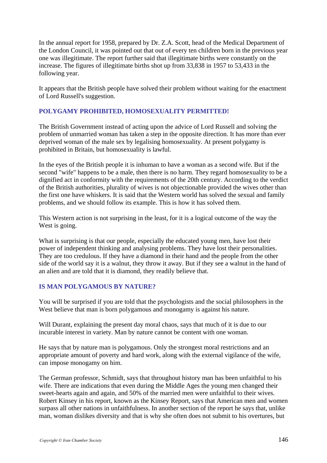In the annual report for 1958, prepared by Dr. Z.A. Scott, head of the Medical Department of the London Council, it was pointed out that out of every ten children born in the previous year one was illegitimate. The report further said that illegitimate births were constantly on the increase. The figures of illegitimate births shot up from 33,838 in 1957 to 53,433 in the following year.

It appears that the British people have solved their problem without waiting for the enactment of Lord Russell's suggestion.

## **POLYGAMY PROHIBITED, HOMOSEXUALITY PERMITTED!**

The British Government instead of acting upon the advice of Lord Russell and solving the problem of unmarried woman has taken a step in the opposite direction. It has more than ever deprived woman of the male sex by legalising homosexuality. At present polygamy is prohibited in Britain, but homosexuality is lawful.

In the eyes of the British people it is inhuman to have a woman as a second wife. But if the second "wife" happens to be a male, then there is no harm. They regard homosexuality to be a dignified act in conformity with the requirements of the 20th century. According to the verdict of the British authorities, plurality of wives is not objectionable provided the wives other than the first one have whiskers. It is said that the Western world has solved the sexual and family problems, and we should follow its example. This is how it has solved them.

This Western action is not surprising in the least, for it is a logical outcome of the way the West is going.

What is surprising is that our people, especially the educated young men, have lost their power of independent thinking and analysing problems. They have lost their personalities. They are too credulous. If they have a diamond in their hand and the people from the other side of the world say it is a walnut, they throw it away. But if they see a walnut in the hand of an alien and are told that it is diamond, they readily believe that.

## **IS MAN POLYGAMOUS BY NATURE?**

You will be surprised if you are told that the psychologists and the social philosophers in the West believe that man is born polygamous and monogamy is against his nature.

Will Durant, explaining the present day moral chaos, says that much of it is due to our incurable interest in variety. Man by nature cannot be content with one woman.

He says that by nature man is polygamous. Only the strongest moral restrictions and an appropriate amount of poverty and hard work, along with the external vigilance of the wife, can impose monogamy on him.

The German professor, Schmidt, says that throughout history man has been unfaithful to his wife. There are indications that even during the Middle Ages the young men changed their sweet-hearts again and again, and 50% of the married men were unfaithful to their wives. Robert Kinsey in his report, known as the Kinsey Report, says that American men and women surpass all other nations in unfaithfulness. In another section of the report he says that, unlike man, woman dislikes diversity and that is why she often does not submit to his overtures, but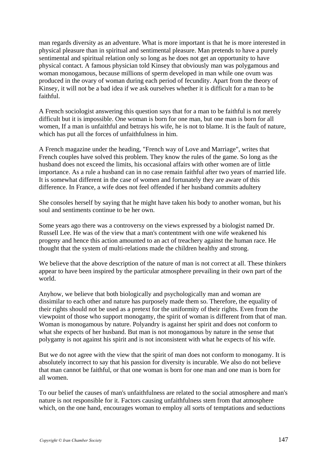man regards diversity as an adventure. What is more important is that he is more interested in physical pleasure than in spiritual and sentimental pleasure. Man pretends to have a purely sentimental and spiritual relation only so long as he does not get an opportunity to have physical contact. A famous physician told Kinsey that obviously man was polygamous and woman monogamous, because millions of sperm developed in man while one ovum was produced in the ovary of woman during each period of fecundity. Apart from the theory of Kinsey, it will not be a bad idea if we ask ourselves whether it is difficult for a man to be faithful.

A French sociologist answering this question says that for a man to be faithful is not merely difficult but it is impossible. One woman is born for one man, but one man is born for all women, If a man is unfaithful and betrays his wife, he is not to blame. It is the fault of nature, which has put all the forces of unfaithfulness in him.

A French magazine under the heading, "French way of Love and Marriage", writes that French couples have solved this problem. They know the rules of the game. So long as the husband does not exceed the limits, his occasional affairs with other women are of little importance. As a rule a husband can in no case remain faithful after two years of married life. It is somewhat different in the case of women and fortunately they are aware of this difference. In France, a wife does not feel offended if her husband commits adultery

She consoles herself by saying that he might have taken his body to another woman, but his soul and sentiments continue to be her own.

Some years ago there was a controversy on the views expressed by a biologist named Dr. Russell Lee. He was of the view that a man's contentment with one wife weakened his progeny and hence this action amounted to an act of treachery against the human race. He thought that the system of multi-relations made the children healthy and strong.

We believe that the above description of the nature of man is not correct at all. These thinkers appear to have been inspired by the particular atmosphere prevailing in their own part of the world.

Anyhow, we believe that both biologically and psychologically man and woman are dissimilar to each other and nature has purposely made them so. Therefore, the equality of their rights should not be used as a pretext for the uniformity of their rights. Even from the viewpoint of those who support monogamy, the spirit of woman is different from that of man. Woman is monogamous by nature. Polyandry is against her spirit and does not conform to what she expects of her husband. But man is not monogamous by nature in the sense that polygamy is not against his spirit and is not inconsistent with what he expects of his wife.

But we do not agree with the view that the spirit of man does not conform to monogamy. It is absolutely incorrect to say that his passion for diversity is incurable. We also do not believe that man cannot be faithful, or that one woman is born for one man and one man is born for all women.

To our belief the causes of man's unfaithfulness are related to the social atmosphere and man's nature is not responsible for it. Factors causing unfaithfulness stem from that atmosphere which, on the one hand, encourages woman to employ all sorts of temptations and seductions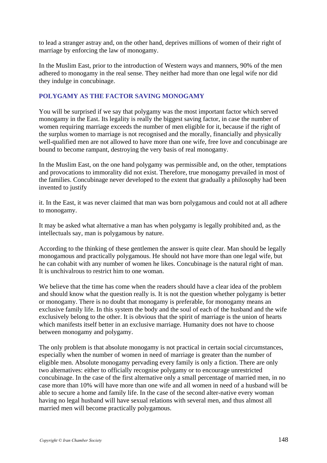to lead a stranger astray and, on the other hand, deprives millions of women of their right of marriage by enforcing the law of monogamy.

In the Muslim East, prior to the introduction of Western ways and manners, 90% of the men adhered to monogamy in the real sense. They neither had more than one legal wife nor did they indulge in concubinage.

### **POLYGAMY AS THE FACTOR SAVING MONOGAMY**

You will be surprised if we say that polygamy was the most important factor which served monogamy in the East. Its legality is really the biggest saving factor, in case the number of women requiring marriage exceeds the number of men eligible for it, because if the right of the surplus women to marriage is not recognised and the morally, financially and physically well-qualified men are not allowed to have more than one wife, free love and concubinage are bound to become rampant, destroying the very basis of real monogamy.

In the Muslim East, on the one hand polygamy was permissible and, on the other, temptations and provocations to immorality did not exist. Therefore, true monogamy prevailed in most of the families. Concubinage never developed to the extent that gradually a philosophy had been invented to justify

it. In the East, it was never claimed that man was born polygamous and could not at all adhere to monogamy.

It may be asked what alternative a man has when polygamy is legally prohibited and, as the intellectuals say, man is polygamous by nature.

According to the thinking of these gentlemen the answer is quite clear. Man should be legally monogamous and practically polygamous. He should not have more than one legal wife, but he can cohabit with any number of women he likes. Concubinage is the natural right of man. It is unchivalrous to restrict him to one woman.

We believe that the time has come when the readers should have a clear idea of the problem and should know what the question really is. It is not the question whether polygamy is better or monogamy. There is no doubt that monogamy is preferable, for monogamy means an exclusive family life. In this system the body and the soul of each of the husband and the wife exclusively belong to the other. It is obvious that the spirit of marriage is the union of hearts which manifests itself better in an exclusive marriage. Humanity does not have to choose between monogamy and polygamy.

The only problem is that absolute monogamy is not practical in certain social circumstances, especially when the number of women in need of marriage is greater than the number of eligible men. Absolute monogamy pervading every family is only a fiction. There are only two alternatives: either to officially recognise polygamy or to encourage unrestricted concubinage. In the case of the first alternative only a small percentage of married men, in no case more than 10% will have more than one wife and all women in need of a husband will be able to secure a home and family life. In the case of the second alter-native every woman having no legal husband will have sexual relations with several men, and thus almost all married men will become practically polygamous.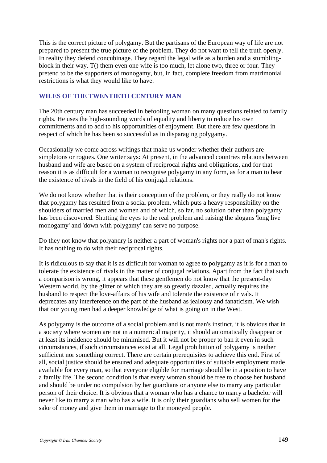This is the correct picture of polygamy. But the partisans of the European way of life are not prepared to present the true picture of the problem. They do not want to tell the truth openly. In reality they defend concubinage. They regard the legal wife as a burden and a stumblingblock in their way. T() them even one wife is too much, let alone two, three or four. They pretend to be the supporters of monogamy, but, in fact, complete freedom from matrimonial restrictions is what they would like to have.

# **WILES OF THE TWENTIETH CENTURY MAN**

The 20th century man has succeeded in befooling woman on many questions related to family rights. He uses the high-sounding words of equality and liberty to reduce his own commitments and to add to his opportunities of enjoyment. But there are few questions in respect of which he has been so successful as in disparaging polygamy.

Occasionally we come across writings that make us wonder whether their authors are simpletons or rogues. One writer says: At present, in the advanced countries relations between husband and wife are based on a system of reciprocal rights and obligations, and for that reason it is as difficult for a woman to recognise polygamy in any form, as for a man to bear the existence of rivals in the field of his conjugal relations.

We do not know whether that is their conception of the problem, or they really do not know that polygamy has resulted from a social problem, which puts a heavy responsibility on the shoulders of married men and women and of which, so far, no solution other than polygamy has been discovered. Shutting the eyes to the real problem and raising the slogans 'long live monogamy' and 'down with polygamy' can serve no purpose.

Do they not know that polyandry is neither a part of woman's rights nor a part of man's rights. It has nothing to do with their reciprocal rights.

It is ridiculous to say that it is as difficult for woman to agree to polygamy as it is for a man to tolerate the existence of rivals in the matter of conjugal relations. Apart from the fact that such a comparison is wrong, it appears that these gentlemen do not know that the present-day Western world, by the glitter of which they are so greatly dazzled, actually requires the husband to respect the love-affairs of his wife and tolerate the existence of rivals. It deprecates any interference on the part of the husband as jealousy and fanaticism. We wish that our young men had a deeper knowledge of what is going on in the West.

As polygamy is the outcome of a social problem and is not man's instinct, it is obvious that in a society where women are not in a numerical majority, it should automatically disappear or at least its incidence should be minimised. But it will not be proper to ban it even in such circumstances, if such circumstances exist at all. Legal prohibition of polygamy is neither sufficient nor something correct. There are certain prerequisites to achieve this end. First of all, social justice should be ensured and adequate opportunities of suitable employment made available for every man, so that everyone eligible for marriage should be in a position to have a family life. The second condition is that every woman should be free to choose her husband and should be under no compulsion by her guardians or anyone else to marry any particular person of their choice. It is obvious that a woman who has a chance to marry a bachelor will never like to marry a man who has a wife. It is only their guardians who sell women for the sake of money and give them in marriage to the moneyed people.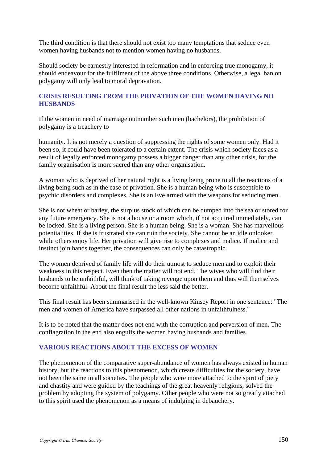The third condition is that there should not exist too many temptations that seduce even women having husbands not to mention women having no husbands.

Should society be earnestly interested in reformation and in enforcing true monogamy, it should endeavour for the fulfilment of the above three conditions. Otherwise, a legal ban on polygamy will only lead to moral depravation.

## **CRISIS RESULTING FROM THE PRIVATION OF THE WOMEN HAVING NO HUSBANDS**

If the women in need of marriage outnumber such men (bachelors), the prohibition of polygamy is a treachery to

humanity. It is not merely a question of suppressing the rights of some women only. Had it been so, it could have been tolerated to a certain extent. The crisis which society faces as a result of legally enforced monogamy possess a bigger danger than any other crisis, for the family organisation is more sacred than any other organisation.

A woman who is deprived of her natural right is a living being prone to all the reactions of a living being such as in the case of privation. She is a human being who is susceptible to psychic disorders and complexes. She is an Eve armed with the weapons for seducing men.

She is not wheat or barley, the surplus stock of which can be dumped into the sea or stored for any future emergency. She is not a house or a room which, if not acquired immediately, can be locked. She is a living person. She is a human being. She is a woman. She has marvellous potentialities. If she is frustrated she can ruin the society. She cannot be an idle onlooker while others enjoy life. Her privation will give rise to complexes and malice. If malice and instinct join hands together, the consequences can only be catastrophic.

The women deprived of family life will do their utmost to seduce men and to exploit their weakness in this respect. Even then the matter will not end. The wives who will find their husbands to be unfaithful, will think of taking revenge upon them and thus will themselves become unfaithful. About the final result the less said the better.

This final result has been summarised in the well-known Kinsey Report in one sentence: "The men and women of America have surpassed all other nations in unfaithfulness."

It is to be noted that the matter does not end with the corruption and perversion of men. The conflagration in the end also engulfs the women having husbands and families.

## **VARIOUS REACTIONS ABOUT THE EXCESS OF WOMEN**

The phenomenon of the comparative super-abundance of women has always existed in human history, but the reactions to this phenomenon, which create difficulties for the society, have not been the same in all societies. The people who were more attached to the spirit of piety and chastity and were guided by the teachings of the great heavenly religions, solved the problem by adopting the system of polygamy. Other people who were not so greatly attached to this spirit used the phenomenon as a means of indulging in debauchery.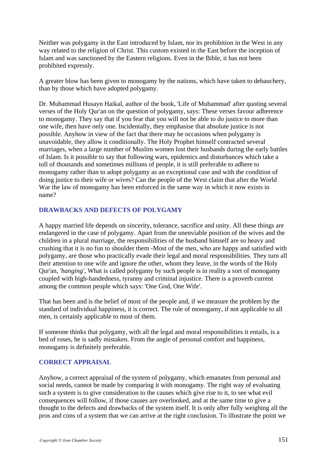Neither was polygamy in the East introduced by Islam, nor its prohibition in the West in any way related to the religion of Christ. This custom existed in the East before the inception of Islam and was sanctioned by the Eastern religions. Even in the Bible, it has not been prohibited expressly.

A greater blow has been given to monogamy by the nations, which have taken to debauchery, than by those which have adopted polygamy.

Dr. Muhammad Husayn Haikal, author of the book, 'Life of Muhammad' after quoting several verses of the Holy Qur'an on the question of polygamy, says: These verses favour adherence to monogamy. They say that if you fear that you will not be able to do justice to more than one wife, then have only one. Incidentally, they emphasise that absolute justice is not possible. Anyhow in view of the fact that there may be occasions when polygamy is unavoidable, they allow it conditionally. The Holy Prophet himself contracted several marriages, when a large number of Muslim women lost their husbands during the early battles of Islam. Is it possible to say that following wars, epidemics and disturbances which take a toll of thousands and sometimes millions of people, it is still preferable to adhere to monogamy rather than to adopt polygamy as an exceptional case and with the condition of doing justice to their wife or wives? Can the people of the West claim that after the World War the law of monogamy has been enforced in the same way in which it now exists in name?

### **DRAWBACKS AND DEFECTS OF POLYGAMY**

A happy married life depends on sincerity, tolerance, sacrifice and unity. All these things are endangered in the case of polygamy. Apart from the unenviable position of the wives and the children in a plural marriage, the responsibilities of the husband himself are so heavy and crushing that it is no fun to shoulder them -Most of the men, who are happy and satisfied with polygamy, are those who practically evade their legal and moral responsibilities. They turn all their attention to one wife and ignore the other, whom they leave, in the words of the Holy Qur'an, *'hanging',* What is called polygamy by such people is in reality a sort of monogamy coupled with high-handedness, tyranny and criminal injustice. There is a proverb current among the common people which says: 'One God, One Wife'.

That has been and is the belief of most of the people and, if we measure the problem by the standard of individual happiness, it is correct. The rule of monogamy, if not applicable to all men, is certainly applicable to most of them.

If someone thinks that polygamy, with all the legal and moral responsibilities it entails, is a bed of roses, he is sadly mistaken. From the angle of personal comfort and happiness, monogamy is definitely preferable.

#### **CORRECT APPRAISAL**

Anyhow, a correct appraisal of the system of polygamy, which emanates from personal and social needs, cannot be made by comparing it with monogamy. The right way of evaluating such a system is to give consideration to the causes which give rise to it, to see what evil consequences will follow, if those causes are overlooked, and at the same time to give a thought to the defects and drawbacks of the system itself. It is only after fully weighing all the pros and cons of a system that we can arrive at the right conclusion. To illustrate the point we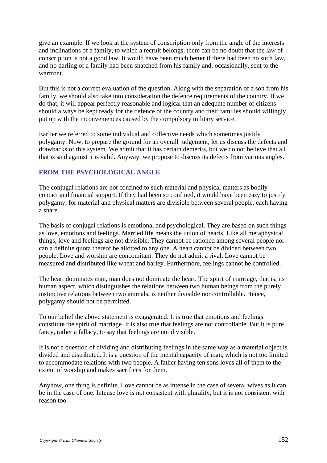give an example. If we look at the system of conscription only from the angle of the interests and inclinations of a family, to which a recruit belongs, there can be no doubt that the law of conscription is not a good law. It would have been much better if there had been no such law, and no darling of a family had been snatched from his family and, occasionally, sent to the warfront.

But this is not a correct evaluation of the question. Along with the separation of a son from his family, we should also take into consideration the defence requirements of the country. If we do that, it will appear perfectly reasonable and logical that an adequate number of citizens should always be kept ready for the defence of the country and their families should willingly put up with the inconveniences caused by the compulsory military service.

Earlier we referred to some individual and collective needs which sometimes justify polygamy. Now, to prepare the ground for an overall judgement, let us discuss the defects and drawbacks of this system. We admit that it has certain demerits, but we do not believe that all that is said against it is valid. Anyway, we propose to discuss its defects from various angles.

## **FROM THE PSYCHOLOGICAL ANGLE**

The conjugal relations are not confined to such material and physical matters as bodily contact and financial support. If they had been so confined, it would have been easy to justify polygamy, for material and physical matters are divisible between several people, each having a share.

The basis of conjugal relations is emotional and psychological. They are based on such things as love, emotions and feelings. Married life means the union of hearts. Like all metaphysical things, love and feelings are not divisible. They cannot be rationed among several people nor can a definite quota thereof be allotted to any one. A heart cannot be divided between two people. Love and worship are concomitant. They do not admit a rival. Love cannot be measured and distributed like wheat and barley. Furthermore, feelings cannot be controlled.

The heart dominates man, man does not dominate the heart. The spirit of marriage, that is, its human aspect, which distinguishes the relations between two human beings from the purely instinctive relations between two animals, is neither divisible nor controllable. Hence, polygamy should not be permitted.

To our belief the above statement is exaggerated. It is true that emotions and feelings constitute the spirit of marriage. It is also true that feelings are not controllable. But it is pure fancy, rather a fallacy, to say that feelings are not divisible.

It is not a question of dividing and distributing feelings in the same way as a material object is divided and distributed. It is a question of the mental capacity of man, which is not too limited to accommodate relations with two people. A father having ten sons loves all of them to the extent of worship and makes sacrifices for them.

Anyhow, one thing is definite. Love cannot be as intense in the case of several wives as it can be in the case of one. Intense love is not consistent with plurality, but it is not consistent with reason too.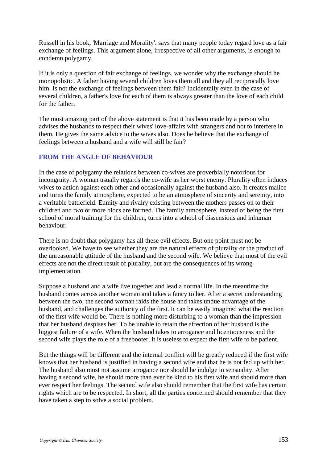Russell in his book, 'Marriage and Morality'. says that many people today regard love as a fair exchange of feelings. This argument alone, irrespective of all other arguments, is enough to condemn polygamy.

If it is only a question of fair exchange of feelings. we wonder why the exchange should he monopolistic. A father having several children loves them all and they all reciprocally love him. Is not the exchange of feelings between them fair? Incidentally even in the case of several children, a father's love for each of them is always greater than the love of each child for the father.

The most amazing part of the above statement is that it has been made by a person who advises the husbands to respect their wives' love-affairs with strangers and not to interfere in them. He gives the same advice to the wives also. Does he believe that the exchange of feelings between a husband and a wife will still be fair?

### **FROM THE ANGLE OF BEHAVIOUR**

In the case of polygamy the relations between co-wives are proverbially notorious for incongruity. A woman usually regards the co-wife as her worst enemy. Plurality often induces wives to action against each other and occasionally against the husband also. It creates malice and turns the family atmosphere, expected to be an atmosphere of sincerity and serenity, into a veritable battlefield. Enmity and rivalry existing between the mothers passes on to their children and two or more blocs are formed. The family atmosphere, instead of being the first school of moral training for the children, turns into a school of dissensions and inhuman behaviour.

There is no doubt that polygamy has all these evil effects. But one point must not be overlooked. We have to see whether they are the natural effects of plurality or the product of the unreasonable attitude of the husband and the second wife. We believe that most of the evil effects are not the direct result of plurality, but are the consequences of its wrong implementation.

Suppose a husband and a wife live together and lead a normal life. In the meantime the husband comes across another woman and takes a fancy to her. After a secret understanding between the two, the second woman raids the house and takes undue advantage of the husband, and challenges the authority of the first. It can be easily imagined what the reaction of the first wife would be. There is nothing more disturbing to a woman than the impression that her husband despises her. To be unable to retain the affection of her husband is the biggest failure of a wife. When the husband takes to arrogance and licentiousness and the second wife plays the role of a freebooter, it is useless to expect the first wife to be patient.

But the things will be different and the internal conflict will be greatly reduced if the first wife knows that her husband is justified in having a second wife and that he is not fed up with her. The husband also must not assume arrogance nor should he indulge in sensuality. After having a second wife, he should more than ever be kind to his first wife and should more than ever respect her feelings. The second wife also should remember that the first wife has certain rights which are to be respected. In short, all the parties concerned should remember that they have taken a step to solve a social problem.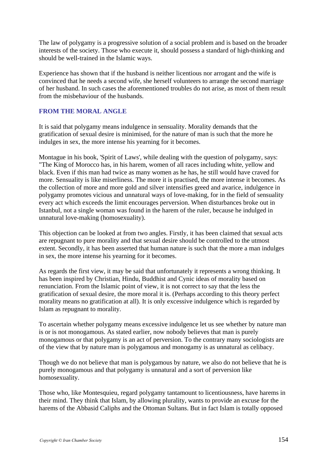The law of polygamy is a progressive solution of a social problem and is based on the broader interests of the society. Those who execute it, should possess a standard of high-thinking and should be well-trained in the Islamic ways.

Experience has shown that if the husband is neither licentious nor arrogant and the wife is convinced that he needs a second wife, she herself volunteers to arrange the second marriage of her husband. In such cases the aforementioned troubles do not arise, as most of them result from the misbehaviour of the husbands.

# **FROM THE MORAL ANGLE**

It is said that polygamy means indulgence in sensuality. Morality demands that the gratification of sexual desire is minimised, for the nature of man is such that the more he indulges in sex, the more intense his yearning for it becomes.

Montague in his book, 'Spirit of Laws', while dealing with the question of polygamy, says: "The King of Morocco has, in his harem, women of all races including white, yellow and black. Even if this man had twice as many women as he has, he still would have craved for more. Sensuality is like miserliness. The more it is practised, the more intense it becomes. As the collection of more and more gold and silver intensifies greed and avarice, indulgence in polygamy promotes vicious and unnatural ways of love-making, for in the field of sensuality every act which exceeds the limit encourages perversion. When disturbances broke out in Istanbul, not a single woman was found in the harem of the ruler, because he indulged in unnatural love-making (homosexuality).

This objection can be looked at from two angles. Firstly, it has been claimed that sexual acts are repugnant to pure morality and that sexual desire should be controlled to the utmost extent. Secondly, it has been asserted that human nature is such that the more a man indulges in sex, the more intense his yearning for it becomes.

As regards the first view, it may be said that unfortunately it represents a wrong thinking. It has been inspired by Christian, Hindu, Buddhist and Cynic ideas of morality based on renunciation. From the Islamic point of view, it is not correct to say that the less the gratification of sexual desire, the more moral it is. (Perhaps according to this theory perfect morality means no gratification at all). It is only excessive indulgence which is regarded by Islam as repugnant to morality.

To ascertain whether polygamy means excessive indulgence let us see whether by nature man is or is not monogamous. As stated earlier, now nobody believes that man is purely monogamous or that polygamy is an act of perversion. To the contrary many sociologists are of the view that by nature man is polygamous and monogamy is as unnatural as celibacy.

Though we do not believe that man is polygamous by nature, we also do not believe that he is purely monogamous and that polygamy is unnatural and a sort of perversion like homosexuality.

Those who, like Montesquieu, regard polygamy tantamount to licentiousness, have harems in their mind. They think that Islam, by allowing plurality, wants to provide an excuse for the harems of the Abbasid Caliphs and the Ottoman Sultans. But in fact Islam is totally opposed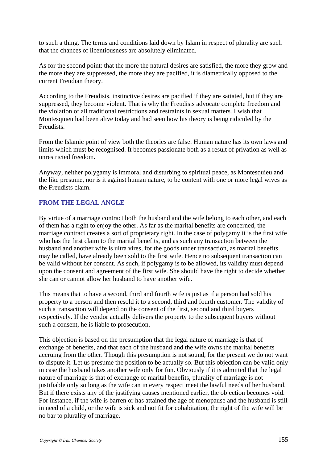to such a thing. The terms and conditions laid down by Islam in respect of plurality are such that the chances of licentiousness are absolutely eliminated.

As for the second point: that the more the natural desires are satisfied, the more they grow and the more they are suppressed, the more they are pacified, it is diametrically opposed to the current Freudian theory.

According to the Freudists, instinctive desires are pacified if they are satiated, hut if they are suppressed, they become violent. That is why the Freudists advocate complete freedom and the violation of all traditional restrictions and restraints in sexual matters. I wish that Montesquieu had been alive today and had seen how his theory is being ridiculed by the Freudists.

From the Islamic point of view both the theories are false. Human nature has its own laws and limits which must be recognised. It becomes passionate both as a result of privation as well as unrestricted freedom.

Anyway, neither polygamy is immoral and disturbing to spiritual peace, as Montesquieu and the like presume, nor is it against human nature, to be content with one or more legal wives as the Freudists claim.

### **FROM THE LEGAL ANGLE**

By virtue of a marriage contract both the husband and the wife belong to each other, and each of them has a right to enjoy the other. As far as the marital benefits are concerned, the marriage contract creates a sort of proprietary right. In the case of polygamy it is the first wife who has the first claim to the marital benefits, and as such any transaction between the husband and another wife is ultra vires, for the goods under transaction, as marital benefits may be called, have already been sold to the first wife. Hence no subsequent transaction can be valid without her consent. As such, if polygamy is to be allowed, its validity must depend upon the consent and agreement of the first wife. She should have the right to decide whether she can or cannot allow her husband to have another wife.

This means that to have a second, third and fourth wife is just as if a person had sold his property to a person and then resold it to a second, third and fourth customer. The validity of such a transaction will depend on the consent of the first, second and third buyers respectively. If the vendor actually delivers the property to the subsequent buyers without such a consent, he is liable to prosecution.

This objection is based on the presumption that the legal nature of marriage is that of exchange of benefits, and that each of the husband and the wife owns the marital benefits accruing from the other. Though this presumption is not sound, for the present we do not want to dispute it. Let us presume the position to be actually so. But this objection can be valid only in case the husband takes another wife only for fun. Obviously if it is admitted that the legal nature of marriage is that of exchange of marital benefits, plurality of marriage is not justifiable only so long as the wife can in every respect meet the lawful needs of her husband. But if there exists any of the justifying causes mentioned earlier, the objection becomes void. For instance, if the wife is barren or has attained the age of menopause and the husband is still in need of a child, or the wife is sick and not fit for cohabitation, the right of the wife will be no bar to plurality of marriage.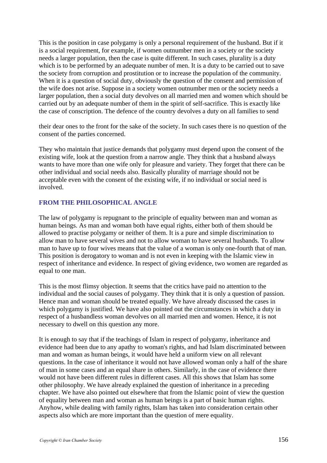This is the position in case polygamy is only a personal requirement of the husband. But if it is a social requirement, for example, if women outnumber men in a society or the society needs a larger population, then the case is quite different. In such cases, plurality is a duty which is to be performed by an adequate number of men. It is a duty to be carried out to save the society from corruption and prostitution or to increase the population of the community. When it is a question of social duty, obviously the question of the consent and permission of the wife does not arise. Suppose in a society women outnumber men or the society needs a larger population, then a social duty devolves on all married men and women which should be carried out by an adequate number of them in the spirit of self-sacrifice. This is exactly like the case of conscription. The defence of the country devolves a duty on all families to send

their dear ones to the front for the sake of the society. In such cases there is no question of the consent of the parties concerned.

They who maintain that justice demands that polygamy must depend upon the consent of the existing wife, look at the question from a narrow angle. They think that a husband always wants to have more than one wife only for pleasure and variety. They forget that there can be other individual and social needs also. Basically plurality of marriage should not be acceptable even with the consent of the existing wife, if no individual or social need is involved.

## **FROM THE PHILOSOPHICAL ANGLE**

The law of polygamy is repugnant to the principle of equality between man and woman as human beings. As man and woman both have equal rights, either both of them should be allowed to practise polygamy or neither of them. It is a pure and simple discrimination to allow man to have several wives and not to allow woman to have several husbands. To allow man to have up to four wives means that the value of a woman is only one-fourth that of man. This position is derogatory to woman and is not even in keeping with the Islamic view in respect of inheritance and evidence. In respect of giving evidence, two women are regarded as equal to one man.

This is the most flimsy objection. It seems that the critics have paid no attention to the individual and the social causes of polygamy. They think that it is only a question of passion. Hence man and woman should be treated equally. We have already discussed the cases in which polygamy is justified. We have also pointed out the circumstances in which a duty in respect of a husbandless woman devolves on all married men and women. Hence, it is not necessary to dwell on this question any more.

It is enough to say that if the teachings of Islam in respect of polygamy, inheritance and evidence had been due to any apathy to woman's rights, and had Islam discriminated between man and woman as human beings, it would have held a uniform view on all relevant questions. In the case of inheritance it would not have allowed woman only a half of the share of man in some cases and an equal share in others. Similarly, in the case of evidence there would not have been different rules in different cases. All this shows that Islam has some other philosophy. We have already explained the question of inheritance in a preceding chapter. We have also pointed out elsewhere that from the Islamic point of view the question of equality between man and woman as human beings is a part of basic human rights. Anyhow, while dealing with family rights, Islam has taken into consideration certain other aspects also which are more important than the question of mere equality.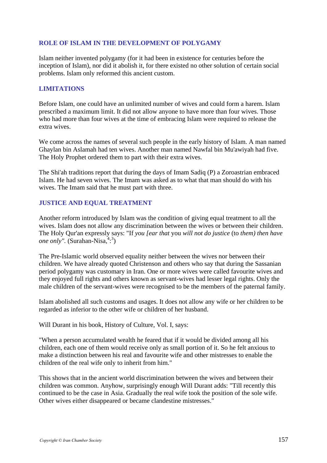## **ROLE OF ISLAM IN THE DEVELOPMENT OF POLYGAMY**

Islam neither invented polygamy (for it had been in existence for centuries before the inception of Islam), nor did it abolish it, for there existed no other solution of certain social problems. Islam only reformed this ancient custom.

### **LIMITATIONS**

Before Islam, one could have an unlimited number of wives and could form a harem. Islam prescribed a maximum limit. It did not allow anyone to have more than four wives. Those who had more than four wives at the time of embracing Islam were required to release the extra wives.

We come across the names of several such people in the early history of Islam. A man named Ghaylan bin Aslamah had ten wives. Another man named Nawfal bin Mu'awiyah had five. The Holy Prophet ordered them to part with their extra wives.

The Shi'ah traditions report that during the days of Imam Sadiq (P) a Zoroastrian embraced Islam. He had seven wives. The Imam was asked as to what that man should do with his wives. The Imam said that he must part with three.

## **JUSTICE AND EQUAL TREATMENT**

Another reform introduced by Islam was the condition of giving equal treatment to all the wives. Islam does not allow any discrimination between the wives or between their children. The Holy Qur'an expressly says: "If *you [ear that* you *will not do justice* (to *them) then have one only".* (Surahan-Nisa,<sup>4</sup>:<sup>3</sup>)

The Pre-Islamic world observed equality neither between the wives nor between their children. We have already quoted Christenson and others who say that during the Sassanian period polygamy was customary in Iran. One or more wives were called favourite wives and they enjoyed full rights and others known as servant-wives had lesser legal rights. Only the male children of the servant-wives were recognised to be the members of the paternal family.

Islam abolished all such customs and usages. It does not allow any wife or her children to be regarded as inferior to the other wife or children of her husband.

Will Durant in his book, History of Culture, Vol. I, says:

"When a person accumulated wealth he feared that if it would be divided among all his children, each one of them would receive only as small portion of it. So he felt anxious to make a distinction between his real and favourite wife and other mistresses to enable the children of the real wife only to inherit from him."

This shows that in the ancient world discrimination between the wives and between their children was common. Anyhow, surprisingly enough Will Durant adds: "Till recently this continued to be the case in Asia. Gradually the real wife took the position of the sole wife. Other wives either disappeared or became clandestine mistresses."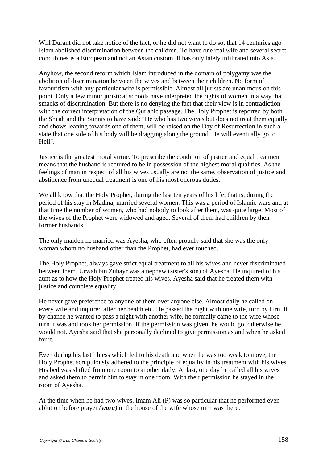Will Durant did not take notice of the fact, or he did not want to do so, that 14 centuries ago Islam abolished discrimination between the children. To have one real wife and several secret concubines is a European and not an Asian custom. It has only lately infiltrated into Asia.

Anyhow, the second reform which Islam introduced in the domain of polygamy was the abolition of discrimination between the wives and between their children. No form of favouritism with any particular wife is permissible. Almost all jurists are unanimous on this point. Only a few minor juristical schools have interpreted the rights of women in a way that smacks of discrimination. But there is no denying the fact that their view is in contradiction with the correct interpretation of the Qur'anic passage. The Holy Prophet is reported by both the Shi'ah and the Sunnis to have said: "He who has two wives but does not treat them equally and shows leaning towards one of them, will be raised on the Day of Resurrection in such a state that one side of his body will be dragging along the ground. He will eventually go to Hell".

Justice is the greatest moral virtue. To prescribe the condition of justice and equal treatment means that the husband is required to be in possession of the highest moral qualities. As the feelings of man in respect of all his wives usually are not the same, observation of justice and abstinence from unequal treatment is one of his most onerous duties.

We all know that the Holy Prophet, during the last ten years of his life, that is, during the period of his stay in Madina, married several women. This was a period of Islamic wars and at that time the number of women, who had nobody to look after them, was quite large. Most of the wives of the Prophet were widowed and aged. Several of them had children by their former husbands.

The only maiden he married was Ayesha, who often proudly said that she was the only woman whom no husband other than the Prophet, had ever touched.

The Holy Prophet, always gave strict equal treatment to all his wives and never discriminated between them. Urwah bin Zubayr was a nephew (sister's son) of Ayesha. He inquired of his aunt as to how the Holy Prophet treated his wives. Ayesha said that he treated them with justice and complete equality.

He never gave preference to anyone of them over anyone else. Almost daily he called on every wife and inquired after her health etc. He passed the night with one wife, turn by turn. If by chance he wanted to pass a night with another wife, he formally came to the wife whose turn it was and took her permission. If the permission was given, he would go, otherwise he would not. Ayesha said that she personally declined to give permission as and when he asked for it.

Even during his last illness which led to his death and when he was too weak to move, the Holy Prophet scrupulously adhered to the principle of equality in his treatment with his wives. His bed was shifted from one room to another daily. At last, one day he called all his wives and asked them to permit him to stay in one room. With their permission he stayed in the room of Ayesha.

At the time when he had two wives, Imam Ali (P) was so particular that he performed even ablution before prayer *(wuzu)* in the house of the wife whose turn was there.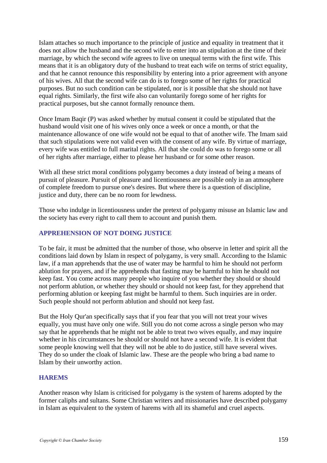Islam attaches so much importance to the principle of justice and equality in treatment that it does not allow the husband and the second wife to enter into an stipulation at the time of their marriage, by which the second wife agrees to live on unequal terms with the first wife. This means that it is an obligatory duty of the husband to treat each wife on terms of strict equality, and that he cannot renounce this responsibility by entering into a prior agreement with anyone of his wives. All that the second wife can do is to forego some of her rights for practical purposes. But no such condition can be stipulated, nor is it possible that she should not have equal rights. Similarly, the first wife also can voluntarily forego some of her rights for practical purposes, but she cannot formally renounce them.

Once Imam Baqir (P) was asked whether by mutual consent it could be stipulated that the husband would visit one of his wives only once a week or once a month, or that the maintenance allowance of one wife would not be equal to that of another wife. The Imam said that such stipulations were not valid even with the consent of any wife. By virtue of marriage, every wife was entitled to full marital rights. All that she could do was to forego some or all of her rights after marriage, either to please her husband or for some other reason.

With all these strict moral conditions polygamy becomes a duty instead of being a means of pursuit of pleasure. Pursuit of pleasure and licentiousness are possible only in an atmosphere of complete freedom to pursue one's desires. But where there is a question of discipline, justice and duty, there can be no room for lewdness.

Those who indulge in licentiousness under the pretext of polygamy misuse an Islamic law and the society has every right to call them to account and punish them.

## **APPREHENSION OF NOT DOING JUSTICE**

To be fair, it must be admitted that the number of those, who observe in letter and spirit all the conditions laid down by Islam in respect of polygamy, is very small. According to the Islamic law, if a man apprehends that the use of water may be harmful to him he should not perform ablution for prayers, and if he apprehends that fasting may be harmful to him he should not keep fast. You come across many people who inquire of you whether they should or should not perform ablution, or whether they should or should not keep fast, for they apprehend that performing ablution or keeping fast might be harmful to them. Such inquiries are in order. Such people should not perform ablution and should not keep fast.

But the Holy Qur'an specifically says that if you fear that you will not treat your wives equally, you must have only one wife. Still you do not come across a single person who may say that he apprehends that he might not be able to treat two wives equally, and may inquire whether in his circumstances he should or should not have a second wife. It is evident that some people knowing well that they will not be able to do justice, still have several wives. They do so under the cloak of Islamic law. These are the people who bring a bad name to Islam by their unworthy action.

## **HAREMS**

Another reason why Islam is criticised for polygamy is the system of harems adopted by the former caliphs and sultans. Some Christian writers and missionaries have described polygamy in Islam as equivalent to the system of harems with all its shameful and cruel aspects.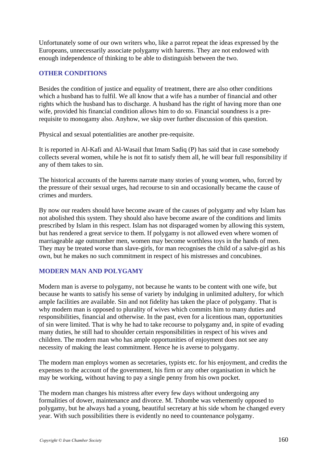Unfortunately some of our own writers who, like a parrot repeat the ideas expressed by the Europeans, unnecessarily associate polygamy with harems. They are not endowed with enough independence of thinking to be able to distinguish between the two.

### **OTHER CONDITIONS**

Besides the condition of justice and equality of treatment, there are also other conditions which a husband has to fulfil. We all know that a wife has a number of financial and other rights which the husband has to discharge. A husband has the right of having more than one wife, provided his financial condition allows him to do so. Financial soundness is a prerequisite to monogamy also. Anyhow, we skip over further discussion of this question.

Physical and sexual potentialities are another pre-requisite.

It is reported in Al-Kafi and Al-Wasail that Imam Sadiq (P) has said that in case somebody collects several women, while he is not fit to satisfy them all, he will bear full responsibility if any of them takes to sin.

The historical accounts of the harems narrate many stories of young women, who, forced by the pressure of their sexual urges, had recourse to sin and occasionally became the cause of crimes and murders.

By now our readers should have become aware of the causes of polygamy and why Islam has not abolished this system. They should also have become aware of the conditions and limits prescribed by Islam in this respect. Islam has not disparaged women by allowing this system, but has rendered a great service to them. If polygamy is not allowed even where women of marriageable age outnumber men, women may become worthless toys in the hands of men. They may be treated worse than slave-girls, for man recognises the child of a salve-girl as his own, but he makes no such commitment in respect of his mistresses and concubines.

## **MODERN MAN AND POLYGAMY**

Modern man is averse to polygamy, not because he wants to be content with one wife, but because he wants to satisfy his sense of variety by indulging in unlimited adultery, for which ample facilities are available. Sin and not fidelity has taken the place of polygamy. That is why modern man is opposed to plurality of wives which commits him to many duties and responsibilities, financial and otherwise. In the past, even for a licentious man, opportunities of sin were limited. That is why he had to take recourse to polygamy and, in spite of evading many duties, he still had to shoulder certain responsibilities in respect of his wives and children. The modern man who has ample opportunities of enjoyment does not see any necessity of making the least commitment. Hence he is averse to polygamy.

The modern man employs women as secretaries, typists etc. for his enjoyment, and credits the expenses to the account of the government, his firm or any other organisation in which he may be working, without having to pay a single penny from his own pocket.

The modern man changes his mistress after every few days without undergoing any formalities of dower, maintenance and divorce. M. Tshombe was vehemently opposed to polygamy, but he always had a young, beautiful secretary at his side whom he changed every year. With such possibilities there is evidently no need to countenance polygamy.